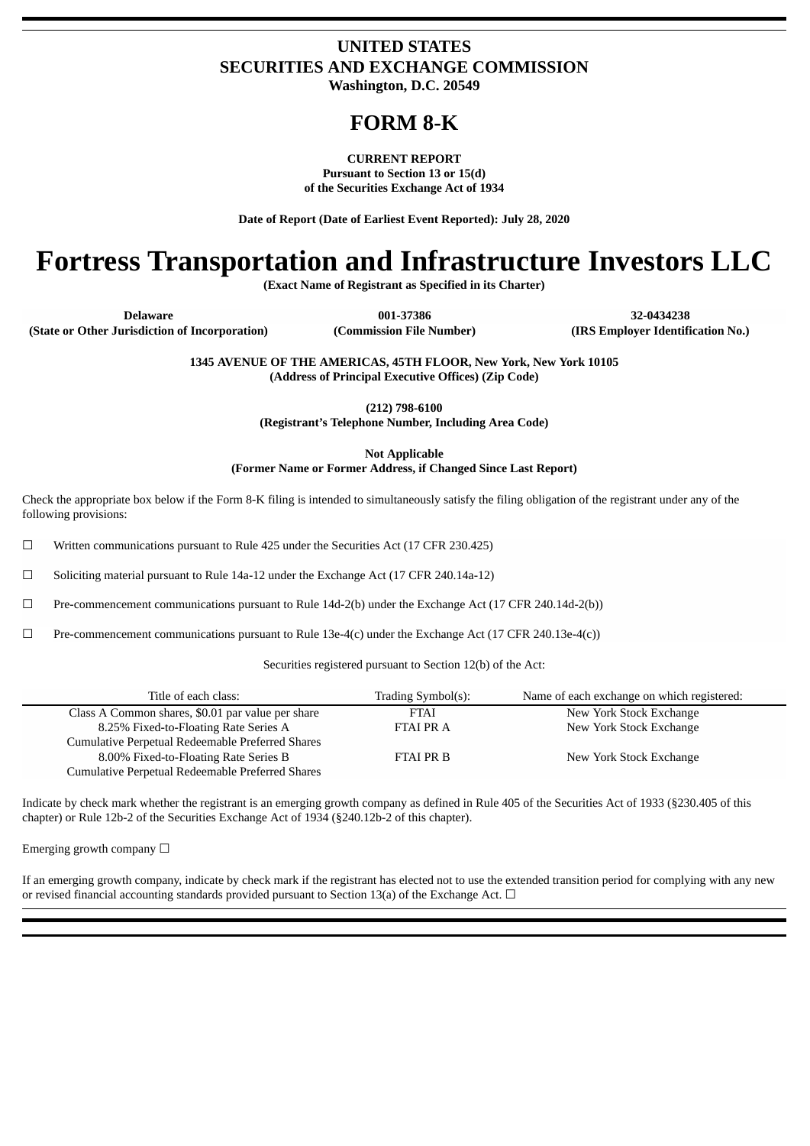# **UNITED STATES SECURITIES AND EXCHANGE COMMISSION**

**Washington, D.C. 20549**

## **FORM 8-K**

**CURRENT REPORT Pursuant to Section 13 or 15(d) of the Securities Exchange Act of 1934**

**Date of Report (Date of Earliest Event Reported): July 28, 2020**

# **Fortress Transportation and Infrastructure Investors LLC**

**(Exact Name of Registrant as Specified in its Charter)**

**Delaware 001-37386 32-0434238 (State or Other Jurisdiction of Incorporation) (Commission File Number) (IRS Employer Identification No.)**

> **1345 AVENUE OF THE AMERICAS, 45TH FLOOR, New York, New York 10105 (Address of Principal Executive Offices) (Zip Code)**

> > **(212) 798-6100**

**(Registrant's Telephone Number, Including Area Code)**

**Not Applicable**

**(Former Name or Former Address, if Changed Since Last Report)**

Check the appropriate box below if the Form 8-K filing is intended to simultaneously satisfy the filing obligation of the registrant under any of the following provisions:

 $\Box$  Written communications pursuant to Rule 425 under the Securities Act (17 CFR 230.425)

☐ Soliciting material pursuant to Rule 14a-12 under the Exchange Act (17 CFR 240.14a-12)

☐ Pre-commencement communications pursuant to Rule 14d-2(b) under the Exchange Act (17 CFR 240.14d-2(b))

 $□$  Pre-commencement communications pursuant to Rule 13e-4(c) under the Exchange Act (17 CFR 240.13e-4(c))

Securities registered pursuant to Section 12(b) of the Act:

| Title of each class:                              | Trading Symbol(s): | Name of each exchange on which registered: |
|---------------------------------------------------|--------------------|--------------------------------------------|
| Class A Common shares, \$0.01 par value per share | <b>FTAI</b>        | New York Stock Exchange                    |
| 8.25% Fixed-to-Floating Rate Series A             | <b>FTAI PRA</b>    | New York Stock Exchange                    |
| Cumulative Perpetual Redeemable Preferred Shares  |                    |                                            |
| 8.00% Fixed-to-Floating Rate Series B             | <b>FTAI PR B</b>   | New York Stock Exchange                    |
| Cumulative Perpetual Redeemable Preferred Shares  |                    |                                            |

Indicate by check mark whether the registrant is an emerging growth company as defined in Rule 405 of the Securities Act of 1933 (§230.405 of this chapter) or Rule 12b-2 of the Securities Exchange Act of 1934 (§240.12b-2 of this chapter).

Emerging growth company  $\Box$ 

If an emerging growth company, indicate by check mark if the registrant has elected not to use the extended transition period for complying with any new or revised financial accounting standards provided pursuant to Section 13(a) of the Exchange Act.  $\Box$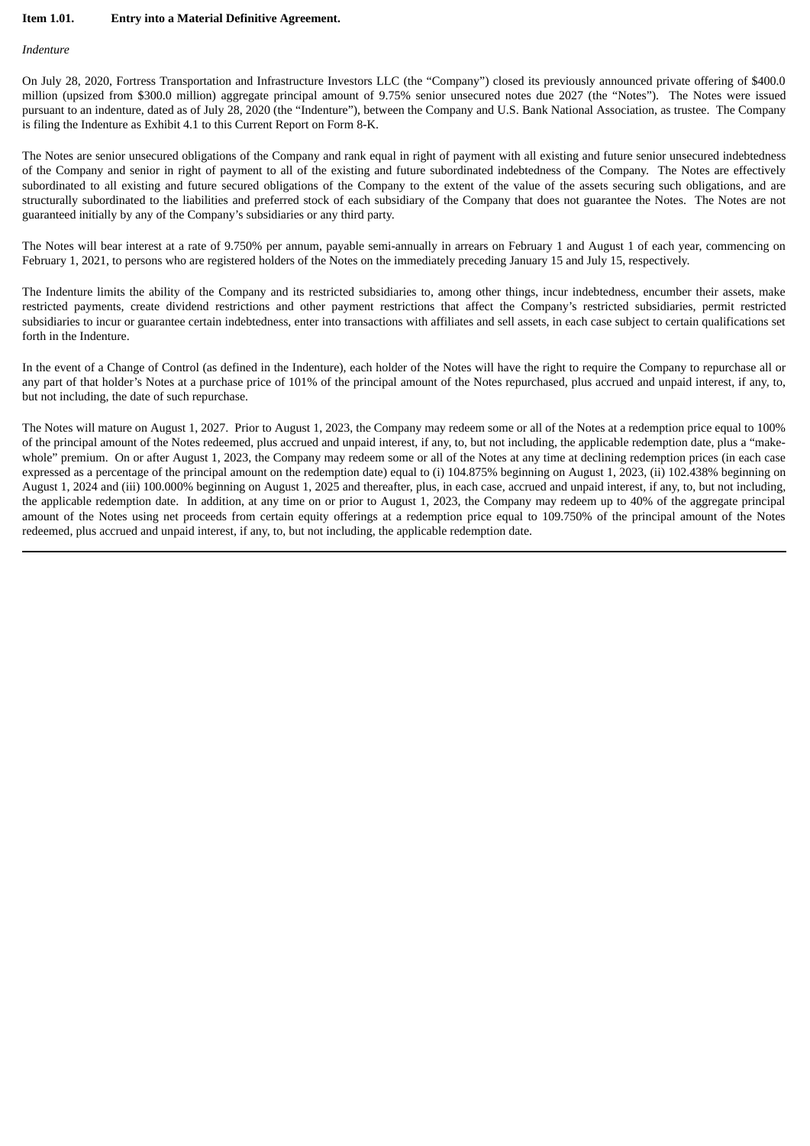#### **Item 1.01. Entry into a Material Definitive Agreement.**

#### *Indenture*

On July 28, 2020, Fortress Transportation and Infrastructure Investors LLC (the "Company") closed its previously announced private offering of \$400.0 million (upsized from \$300.0 million) aggregate principal amount of 9.75% senior unsecured notes due 2027 (the "Notes"). The Notes were issued pursuant to an indenture, dated as of July 28, 2020 (the "Indenture"), between the Company and U.S. Bank National Association, as trustee. The Company is filing the Indenture as Exhibit 4.1 to this Current Report on Form 8-K.

The Notes are senior unsecured obligations of the Company and rank equal in right of payment with all existing and future senior unsecured indebtedness of the Company and senior in right of payment to all of the existing and future subordinated indebtedness of the Company. The Notes are effectively subordinated to all existing and future secured obligations of the Company to the extent of the value of the assets securing such obligations, and are structurally subordinated to the liabilities and preferred stock of each subsidiary of the Company that does not guarantee the Notes. The Notes are not guaranteed initially by any of the Company's subsidiaries or any third party.

The Notes will bear interest at a rate of 9.750% per annum, payable semi-annually in arrears on February 1 and August 1 of each year, commencing on February 1, 2021, to persons who are registered holders of the Notes on the immediately preceding January 15 and July 15, respectively.

The Indenture limits the ability of the Company and its restricted subsidiaries to, among other things, incur indebtedness, encumber their assets, make restricted payments, create dividend restrictions and other payment restrictions that affect the Company's restricted subsidiaries, permit restricted subsidiaries to incur or guarantee certain indebtedness, enter into transactions with affiliates and sell assets, in each case subject to certain qualifications set forth in the Indenture.

In the event of a Change of Control (as defined in the Indenture), each holder of the Notes will have the right to require the Company to repurchase all or any part of that holder's Notes at a purchase price of 101% of the principal amount of the Notes repurchased, plus accrued and unpaid interest, if any, to, but not including, the date of such repurchase.

The Notes will mature on August 1, 2027. Prior to August 1, 2023, the Company may redeem some or all of the Notes at a redemption price equal to 100% of the principal amount of the Notes redeemed, plus accrued and unpaid interest, if any, to, but not including, the applicable redemption date, plus a "makewhole" premium. On or after August 1, 2023, the Company may redeem some or all of the Notes at any time at declining redemption prices (in each case expressed as a percentage of the principal amount on the redemption date) equal to (i) 104.875% beginning on August 1, 2023, (ii) 102.438% beginning on August 1, 2024 and (iii) 100.000% beginning on August 1, 2025 and thereafter, plus, in each case, accrued and unpaid interest, if any, to, but not including, the applicable redemption date. In addition, at any time on or prior to August 1, 2023, the Company may redeem up to 40% of the aggregate principal amount of the Notes using net proceeds from certain equity offerings at a redemption price equal to 109.750% of the principal amount of the Notes redeemed, plus accrued and unpaid interest, if any, to, but not including, the applicable redemption date.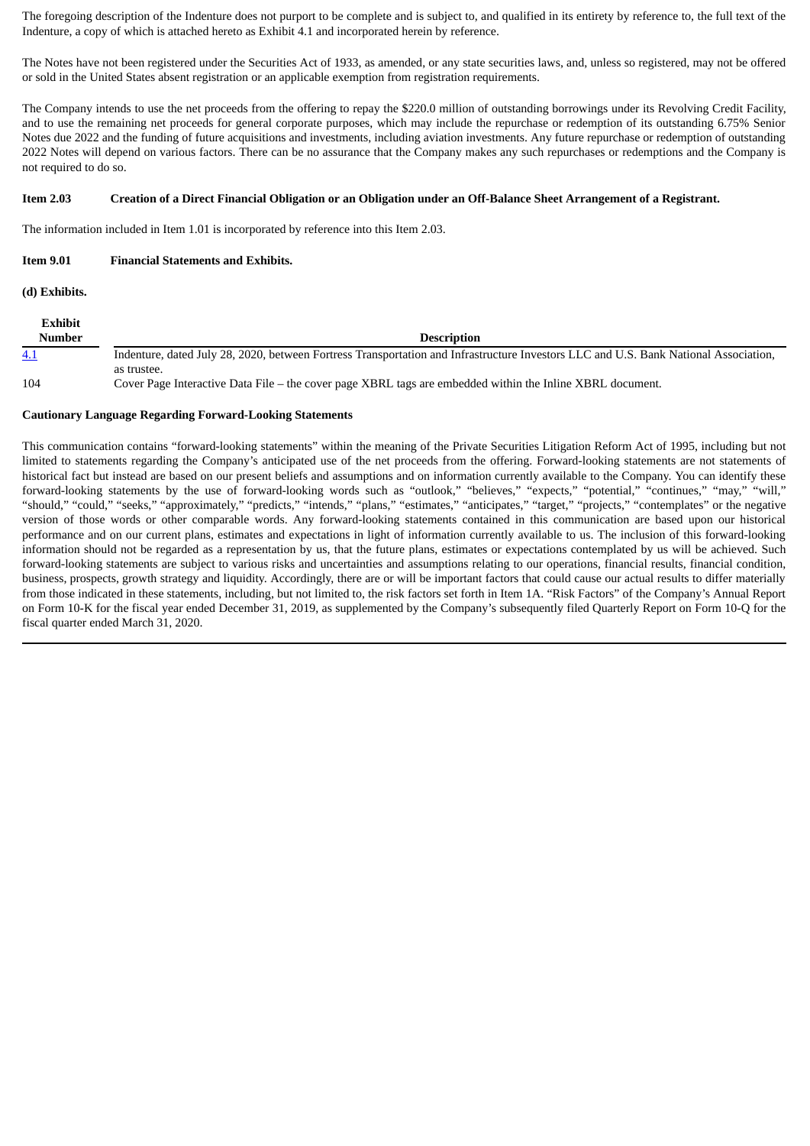The foregoing description of the Indenture does not purport to be complete and is subject to, and qualified in its entirety by reference to, the full text of the Indenture, a copy of which is attached hereto as Exhibit 4.1 and incorporated herein by reference.

The Notes have not been registered under the Securities Act of 1933, as amended, or any state securities laws, and, unless so registered, may not be offered or sold in the United States absent registration or an applicable exemption from registration requirements.

The Company intends to use the net proceeds from the offering to repay the \$220.0 million of outstanding borrowings under its Revolving Credit Facility, and to use the remaining net proceeds for general corporate purposes, which may include the repurchase or redemption of its outstanding 6.75% Senior Notes due 2022 and the funding of future acquisitions and investments, including aviation investments. Any future repurchase or redemption of outstanding 2022 Notes will depend on various factors. There can be no assurance that the Company makes any such repurchases or redemptions and the Company is not required to do so.

#### Item 2.03 Creation of a Direct Financial Obligation or an Obligation under an Off-Balance Sheet Arrangement of a Registrant.

The information included in Item 1.01 is incorporated by reference into this Item 2.03.

### **Item 9.01 Financial Statements and Exhibits.**

**(d) Exhibits.**

| Exhibit    |                                                                                                                                      |
|------------|--------------------------------------------------------------------------------------------------------------------------------------|
| Number     | <b>Description</b>                                                                                                                   |
| <u>4.1</u> | Indenture, dated July 28, 2020, between Fortress Transportation and Infrastructure Investors LLC and U.S. Bank National Association, |
|            | as trustee.                                                                                                                          |
| 104        | Cover Page Interactive Data File – the cover page XBRL tags are embedded within the Inline XBRL document.                            |

#### **Cautionary Language Regarding Forward-Looking Statements**

This communication contains "forward-looking statements" within the meaning of the Private Securities Litigation Reform Act of 1995, including but not limited to statements regarding the Company's anticipated use of the net proceeds from the offering. Forward-looking statements are not statements of historical fact but instead are based on our present beliefs and assumptions and on information currently available to the Company. You can identify these forward-looking statements by the use of forward-looking words such as "outlook," "believes," "expects," "potential," "continues," "may," "will," "should," "could," "seeks," "approximately," "predicts," "intends," "plans," "estimates," "anticipates," "target," "projects," "contemplates" or the negative version of those words or other comparable words. Any forward-looking statements contained in this communication are based upon our historical performance and on our current plans, estimates and expectations in light of information currently available to us. The inclusion of this forward-looking information should not be regarded as a representation by us, that the future plans, estimates or expectations contemplated by us will be achieved. Such forward-looking statements are subject to various risks and uncertainties and assumptions relating to our operations, financial results, financial condition, business, prospects, growth strategy and liquidity. Accordingly, there are or will be important factors that could cause our actual results to differ materially from those indicated in these statements, including, but not limited to, the risk factors set forth in Item 1A. "Risk Factors" of the Company's Annual Report on Form 10-K for the fiscal year ended December 31, 2019, as supplemented by the Company's subsequently filed Quarterly Report on Form 10-Q for the fiscal quarter ended March 31, 2020.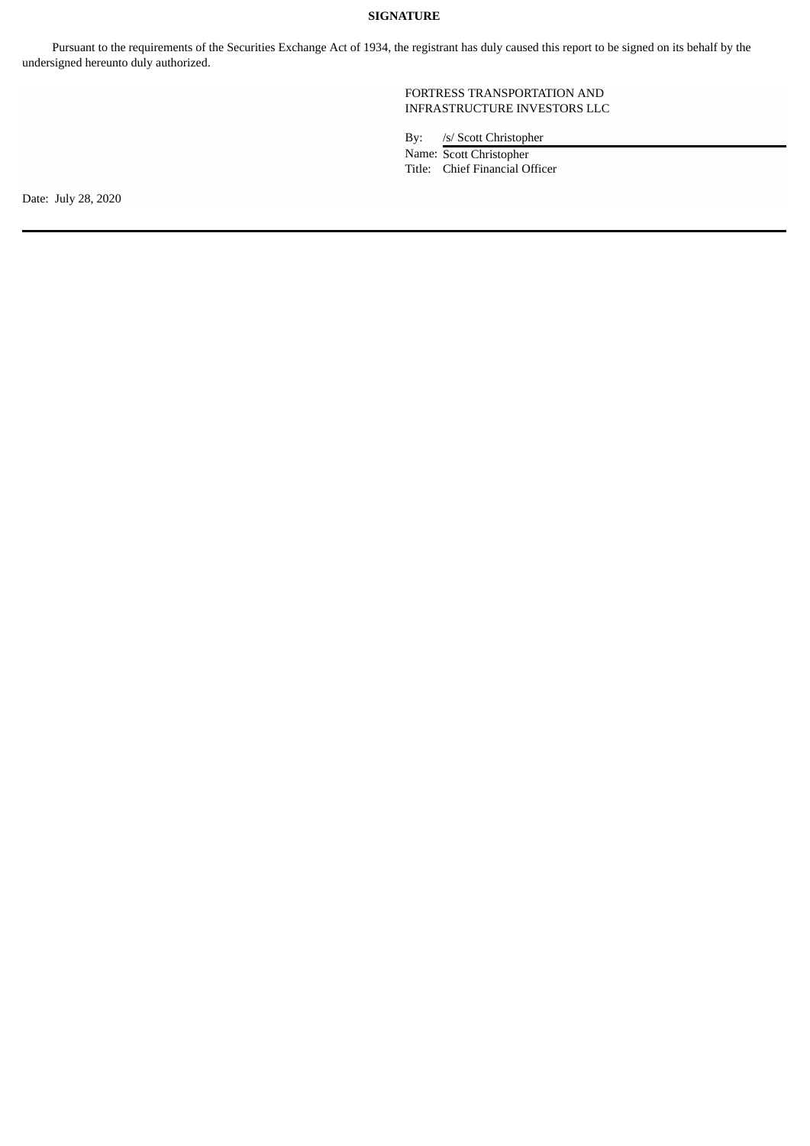### **SIGNATURE**

Pursuant to the requirements of the Securities Exchange Act of 1934, the registrant has duly caused this report to be signed on its behalf by the undersigned hereunto duly authorized.

> FORTRESS TRANSPORTATION AND INFRASTRUCTURE INVESTORS LLC

By: /s/ Scott Christopher

Name: Scott Christopher Title: Chief Financial Officer

Date: July 28, 2020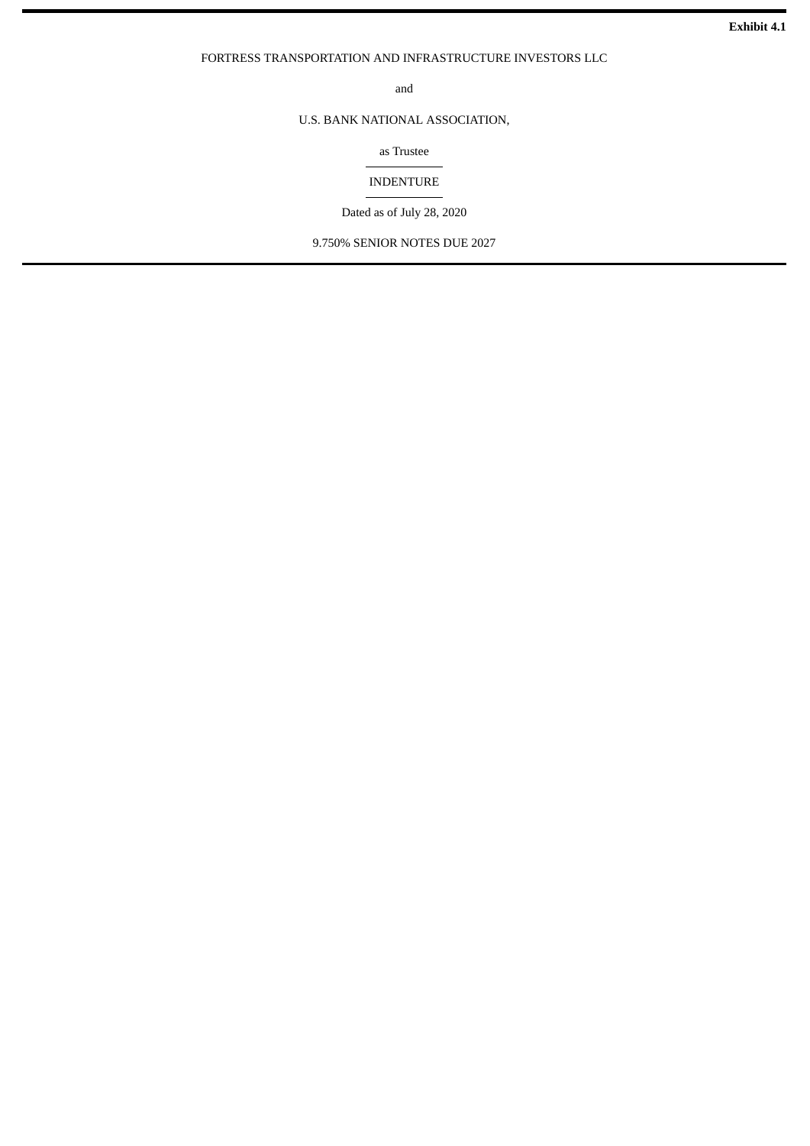#### <span id="page-4-0"></span>FORTRESS TRANSPORTATION AND INFRASTRUCTURE INVESTORS LLC

and

## U.S. BANK NATIONAL ASSOCIATION,

as Trustee

## INDENTURE

Dated as of July 28, 2020

9.750% SENIOR NOTES DUE 2027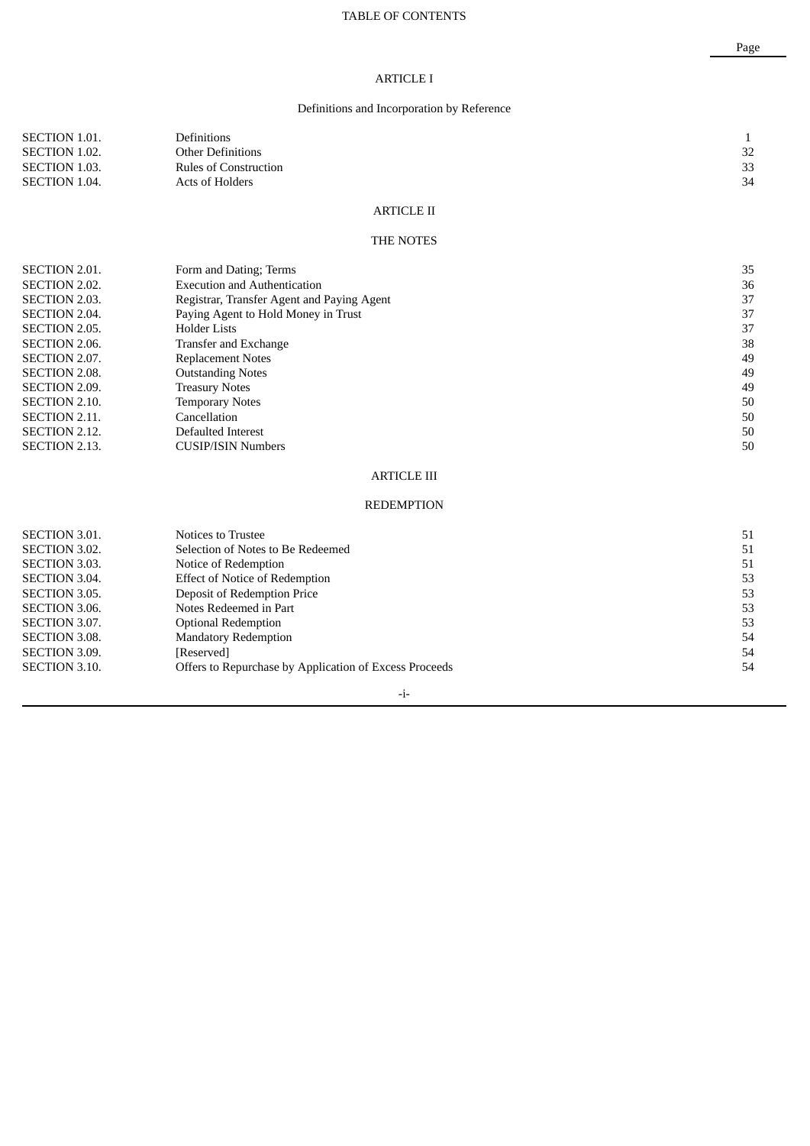## TABLE OF CONTENTS

## ARTICLE I

## Definitions and Incorporation by Reference

| SECTION 1.01.        | <b>Definitions</b>       |            |    |
|----------------------|--------------------------|------------|----|
| <b>SECTION 1.02.</b> | <b>Other Definitions</b> |            | 32 |
| <b>SECTION 1.03.</b> | Rules of Construction    |            | 33 |
| SECTION 1.04.        | Acts of Holders          |            | 34 |
|                      |                          |            |    |
|                      |                          | ARTICLE II |    |

#### THE NOTES

| <b>SECTION 2.01.</b> | Form and Dating; Terms                     | 35 |
|----------------------|--------------------------------------------|----|
| <b>SECTION 2.02.</b> | <b>Execution and Authentication</b>        | 36 |
| <b>SECTION 2.03.</b> | Registrar, Transfer Agent and Paying Agent | 37 |
| <b>SECTION 2.04.</b> | Paying Agent to Hold Money in Trust        | 37 |
| <b>SECTION 2.05.</b> | <b>Holder Lists</b>                        | 37 |
| <b>SECTION 2.06.</b> | Transfer and Exchange                      | 38 |
| SECTION 2.07.        | <b>Replacement Notes</b>                   | 49 |
| <b>SECTION 2.08.</b> | <b>Outstanding Notes</b>                   | 49 |
| <b>SECTION 2.09.</b> | <b>Treasury Notes</b>                      | 49 |
| SECTION 2.10.        | <b>Temporary Notes</b>                     | 50 |
| SECTION 2.11.        | Cancellation                               | 50 |
| SECTION 2.12.        | Defaulted Interest                         | 50 |
| <b>SECTION 2.13.</b> | <b>CUSIP/ISIN Numbers</b>                  | 50 |
|                      |                                            |    |

## ARTICLE III

#### REDEMPTION

| <b>SECTION 3.01.</b> | Notices to Trustee                                     | 51 |
|----------------------|--------------------------------------------------------|----|
| SECTION 3.02.        | Selection of Notes to Be Redeemed                      | 51 |
| <b>SECTION 3.03.</b> | Notice of Redemption                                   | 51 |
| <b>SECTION 3.04.</b> | <b>Effect of Notice of Redemption</b>                  | 53 |
| SECTION 3.05.        | Deposit of Redemption Price                            | 53 |
| SECTION 3.06.        | Notes Redeemed in Part                                 | 53 |
| SECTION 3.07.        | <b>Optional Redemption</b>                             | 53 |
| <b>SECTION 3.08.</b> | <b>Mandatory Redemption</b>                            | 54 |
| SECTION 3.09.        | [Reserved]                                             | 54 |
| SECTION 3.10.        | Offers to Repurchase by Application of Excess Proceeds | 54 |
|                      |                                                        |    |

## -i-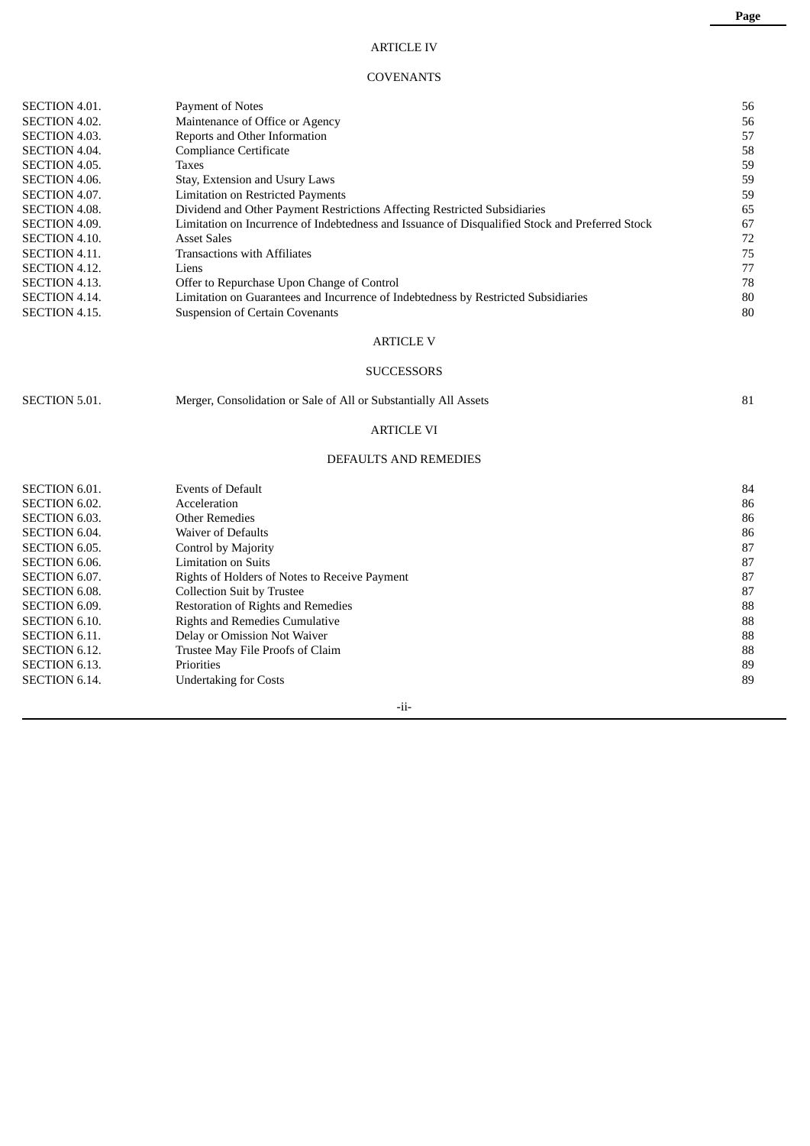## ARTICLE IV

## COVENANTS

| <b>SECTION 4.01.</b> | Payment of Notes                                                                                | 56 |
|----------------------|-------------------------------------------------------------------------------------------------|----|
| <b>SECTION 4.02.</b> | Maintenance of Office or Agency                                                                 | 56 |
| <b>SECTION 4.03.</b> | Reports and Other Information                                                                   | 57 |
| <b>SECTION 4.04.</b> | Compliance Certificate                                                                          | 58 |
| <b>SECTION 4.05.</b> | Taxes                                                                                           | 59 |
| <b>SECTION 4.06.</b> | Stay, Extension and Usury Laws                                                                  | 59 |
| SECTION 4.07.        | <b>Limitation on Restricted Payments</b>                                                        | 59 |
| <b>SECTION 4.08.</b> | Dividend and Other Payment Restrictions Affecting Restricted Subsidiaries                       | 65 |
| <b>SECTION 4.09.</b> | Limitation on Incurrence of Indebtedness and Issuance of Disqualified Stock and Preferred Stock | 67 |
| SECTION 4.10.        | <b>Asset Sales</b>                                                                              | 72 |
| <b>SECTION 4.11.</b> | <b>Transactions with Affiliates</b>                                                             | 75 |
| SECTION 4.12.        | Liens                                                                                           | 77 |
| <b>SECTION 4.13.</b> | Offer to Repurchase Upon Change of Control                                                      | 78 |
| <b>SECTION 4.14.</b> | Limitation on Guarantees and Incurrence of Indebtedness by Restricted Subsidiaries              | 80 |
| <b>SECTION 4.15.</b> | <b>Suspension of Certain Covenants</b>                                                          | 80 |
|                      |                                                                                                 |    |

## ARTICLE V

## **SUCCESSORS**

SECTION 5.01. Merger, Consolidation or Sale of All or Substantially All Assets 81

## ARTICLE VI

### DEFAULTS AND REMEDIES

| <b>SECTION 6.01.</b> | <b>Events of Default</b>                      | 84 |
|----------------------|-----------------------------------------------|----|
| SECTION 6.02.        | Acceleration                                  | 86 |
| <b>SECTION 6.03.</b> | Other Remedies                                | 86 |
| SECTION 6.04.        | <b>Waiver of Defaults</b>                     | 86 |
| SECTION 6.05.        | Control by Majority                           | 87 |
| SECTION 6.06.        | <b>Limitation on Suits</b>                    | 87 |
| SECTION 6.07.        | Rights of Holders of Notes to Receive Payment | 87 |
| <b>SECTION 6.08.</b> | <b>Collection Suit by Trustee</b>             | 87 |
| SECTION 6.09.        | Restoration of Rights and Remedies            | 88 |
| <b>SECTION 6.10.</b> | <b>Rights and Remedies Cumulative</b>         | 88 |
| <b>SECTION 6.11.</b> | Delay or Omission Not Waiver                  | 88 |
| SECTION 6.12.        | Trustee May File Proofs of Claim              | 88 |
| SECTION 6.13.        | Priorities                                    | 89 |
| <b>SECTION 6.14.</b> | <b>Undertaking for Costs</b>                  | 89 |
|                      |                                               |    |

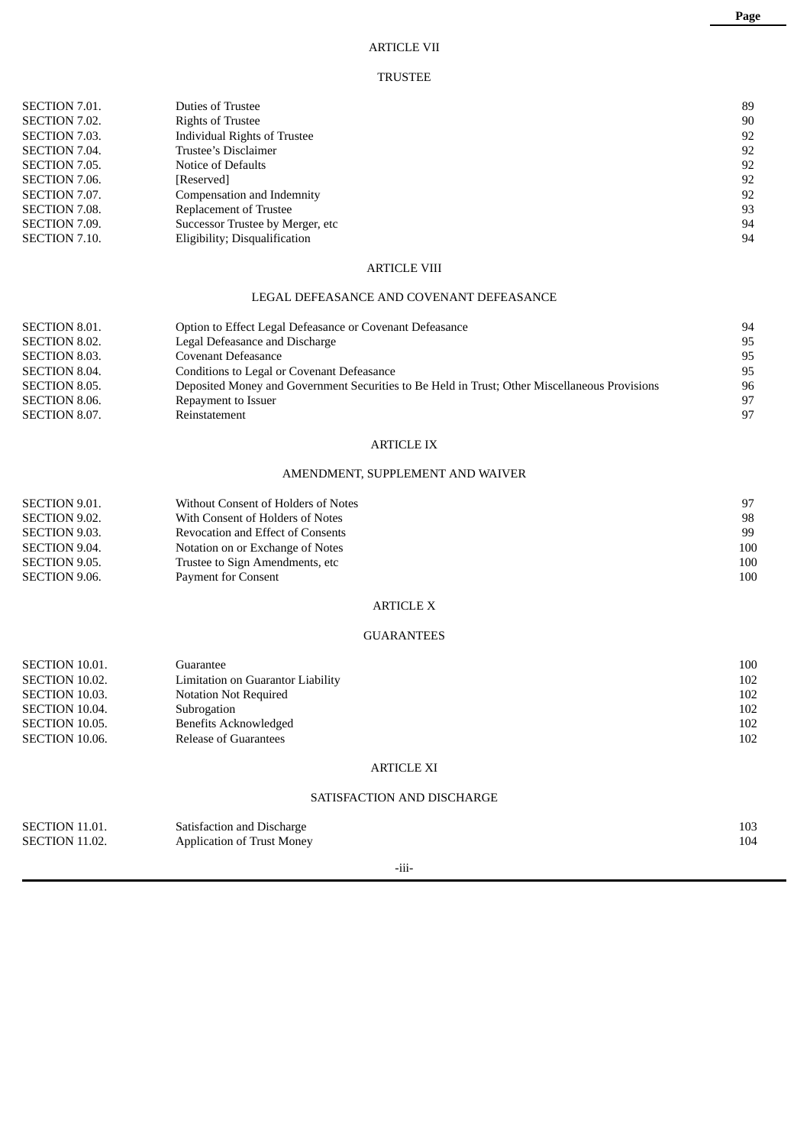## ARTICLE VII

### TRUSTEE

| <b>SECTION 7.01.</b> | Duties of Trustee                        | 89 |
|----------------------|------------------------------------------|----|
| SECTION 7.02.        | <b>Rights of Trustee</b>                 | 90 |
| <b>SECTION 7.03.</b> | <b>Individual Rights of Trustee</b>      | 92 |
| SECTION 7.04.        | Trustee's Disclaimer                     | 92 |
| SECTION 7.05.        | Notice of Defaults                       | 92 |
| SECTION 7.06.        | [Reserved]                               | 92 |
| SECTION 7.07.        | Compensation and Indemnity               | 92 |
| SECTION 7.08.        | Replacement of Trustee                   | 93 |
| SECTION 7.09.        | Successor Trustee by Merger, etc         | 94 |
| SECTION 7.10.        | Eligibility; Disqualification            | 94 |
|                      | <b>ARTICLE VIII</b>                      |    |
|                      |                                          |    |
|                      | LEGAL DEFEASANCE AND COVENANT DEFEASANCE |    |
|                      |                                          |    |

| SECTION 8.01.        | Option to Effect Legal Defeasance or Covenant Defeasance                                      | 94 |
|----------------------|-----------------------------------------------------------------------------------------------|----|
| SECTION 8.02.        | Legal Defeasance and Discharge                                                                | 95 |
| SECTION 8.03.        | Covenant Defeasance                                                                           | 95 |
| <b>SECTION 8.04.</b> | Conditions to Legal or Covenant Defeasance                                                    | 95 |
| SECTION 8.05.        | Deposited Money and Government Securities to Be Held in Trust; Other Miscellaneous Provisions | 96 |
| SECTION 8.06.        | Repayment to Issuer                                                                           | 97 |
| SECTION 8.07.        | Reinstatement                                                                                 | 97 |

## ARTICLE IX

## AMENDMENT, SUPPLEMENT AND WAIVER

| SECTION 9.01. | Without Consent of Holders of Notes | 97  |
|---------------|-------------------------------------|-----|
| SECTION 9.02. | With Consent of Holders of Notes    | 98  |
| SECTION 9.03. | Revocation and Effect of Consents   | 99  |
| SECTION 9.04. | Notation on or Exchange of Notes    | 100 |
| SECTION 9.05. | Trustee to Sign Amendments, etc.    | 100 |
| SECTION 9.06. | <b>Payment for Consent</b>          | 100 |

## ARTICLE X

#### GUARANTEES

| SECTION 10.01. | Guarantee                         | 100 |
|----------------|-----------------------------------|-----|
| SECTION 10.02. | Limitation on Guarantor Liability | 102 |
| SECTION 10.03. | Notation Not Required             | 102 |
| SECTION 10.04. | Subrogation                       | 102 |
| SECTION 10.05. | <b>Benefits Acknowledged</b>      | 102 |
| SECTION 10.06. | Release of Guarantees             | 102 |

## ARTICLE XI

## SATISFACTION AND DISCHARGE

| SECTION 11.01. | Satisfaction and Discharge        | 103 |
|----------------|-----------------------------------|-----|
| SECTION 11.02. | <b>Application of Trust Money</b> | 104 |
|                |                                   |     |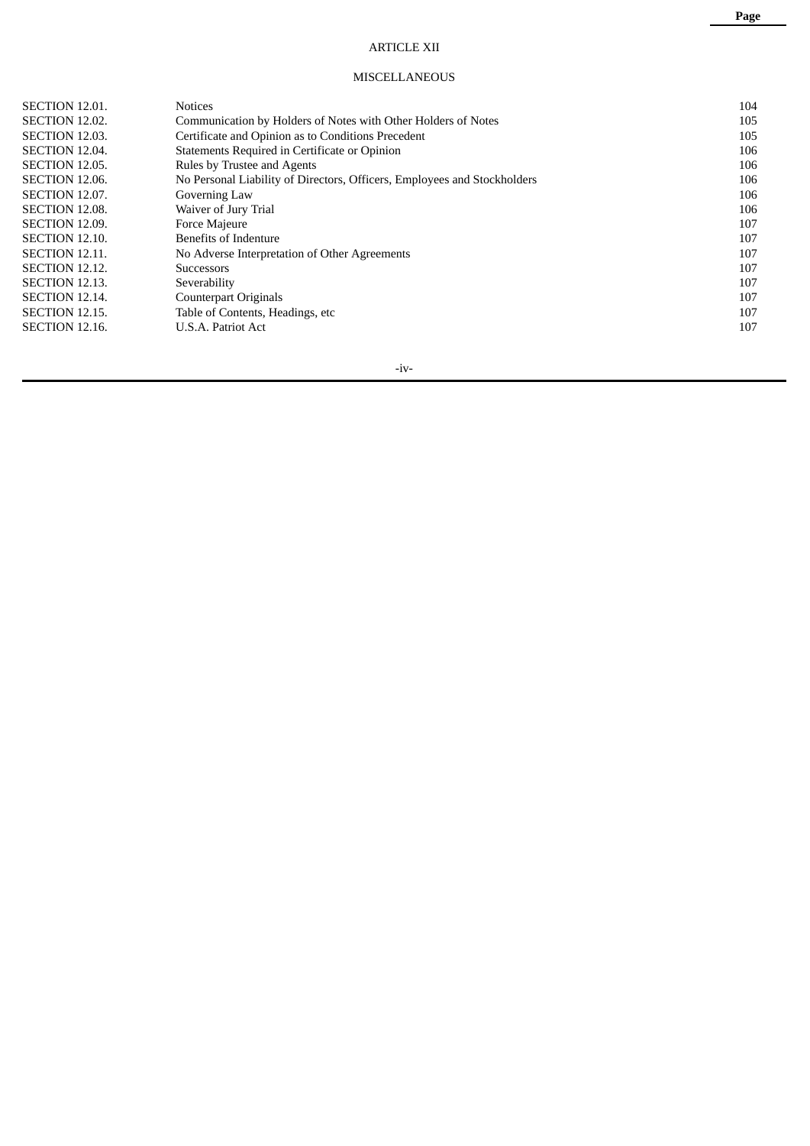## ARTICLE XII

### MISCELLANEOUS

| SECTION 12.01. | <b>Notices</b>                                                           | 104 |
|----------------|--------------------------------------------------------------------------|-----|
| SECTION 12.02. | Communication by Holders of Notes with Other Holders of Notes            | 105 |
| SECTION 12.03. | Certificate and Opinion as to Conditions Precedent                       | 105 |
| SECTION 12.04. | Statements Required in Certificate or Opinion                            | 106 |
| SECTION 12.05. | Rules by Trustee and Agents                                              | 106 |
| SECTION 12.06. | No Personal Liability of Directors, Officers, Employees and Stockholders | 106 |
| SECTION 12.07. | Governing Law                                                            | 106 |
| SECTION 12.08. | Waiver of Jury Trial                                                     | 106 |
| SECTION 12.09. | Force Majeure                                                            | 107 |
| SECTION 12.10. | Benefits of Indenture                                                    | 107 |
| SECTION 12.11. | No Adverse Interpretation of Other Agreements                            | 107 |
| SECTION 12.12. | <b>Successors</b>                                                        | 107 |
| SECTION 12.13. | Severability                                                             | 107 |
| SECTION 12.14. | <b>Counterpart Originals</b>                                             | 107 |
| SECTION 12.15. | Table of Contents, Headings, etc                                         | 107 |
| SECTION 12.16. | U.S.A. Patriot Act                                                       | 107 |
|                |                                                                          |     |

-iv-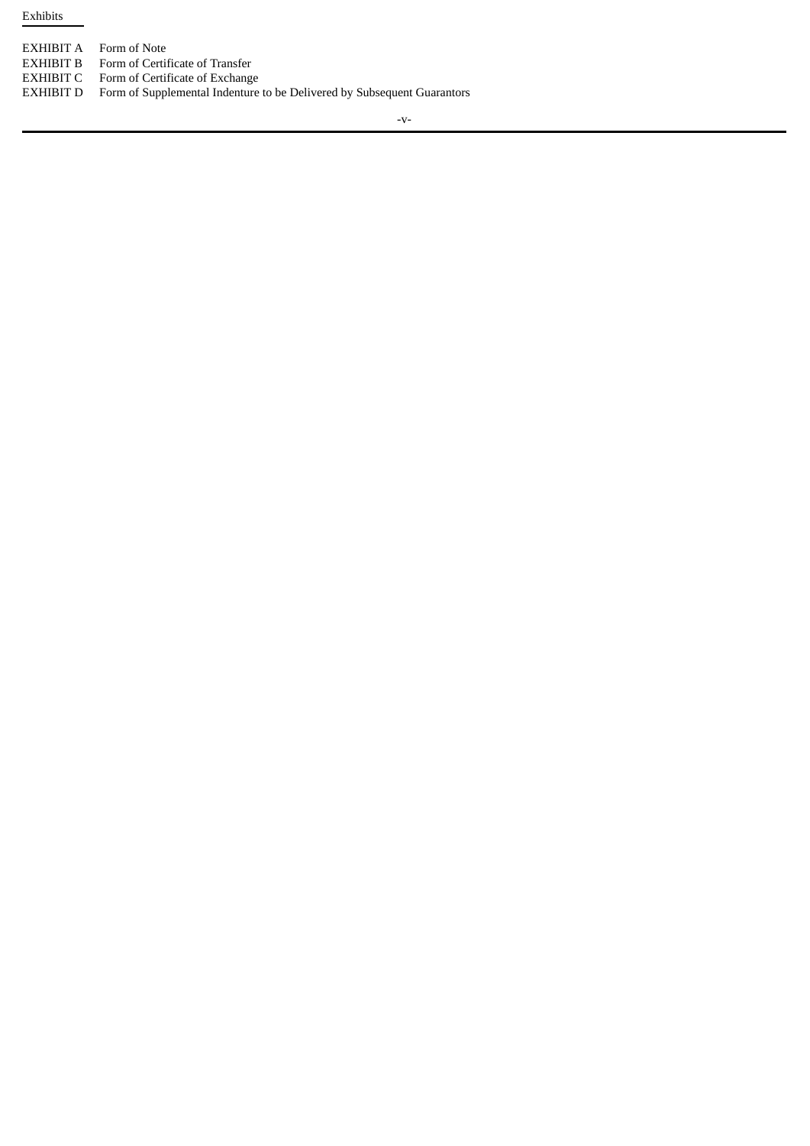Exhibits

| EXHIBIT A   | Form of Note                                   |
|-------------|------------------------------------------------|
| E VIIIDIT D | $E_{\text{even}}$ of $C_{\text{out}}$ ; figure |

- EXHIBIT B Form of Certificate of Transfer EXHIBIT C Form of Certificate of Exchange
- EXHIBIT D Form of Supplemental Indenture to be Delivered by Subsequent Guarantors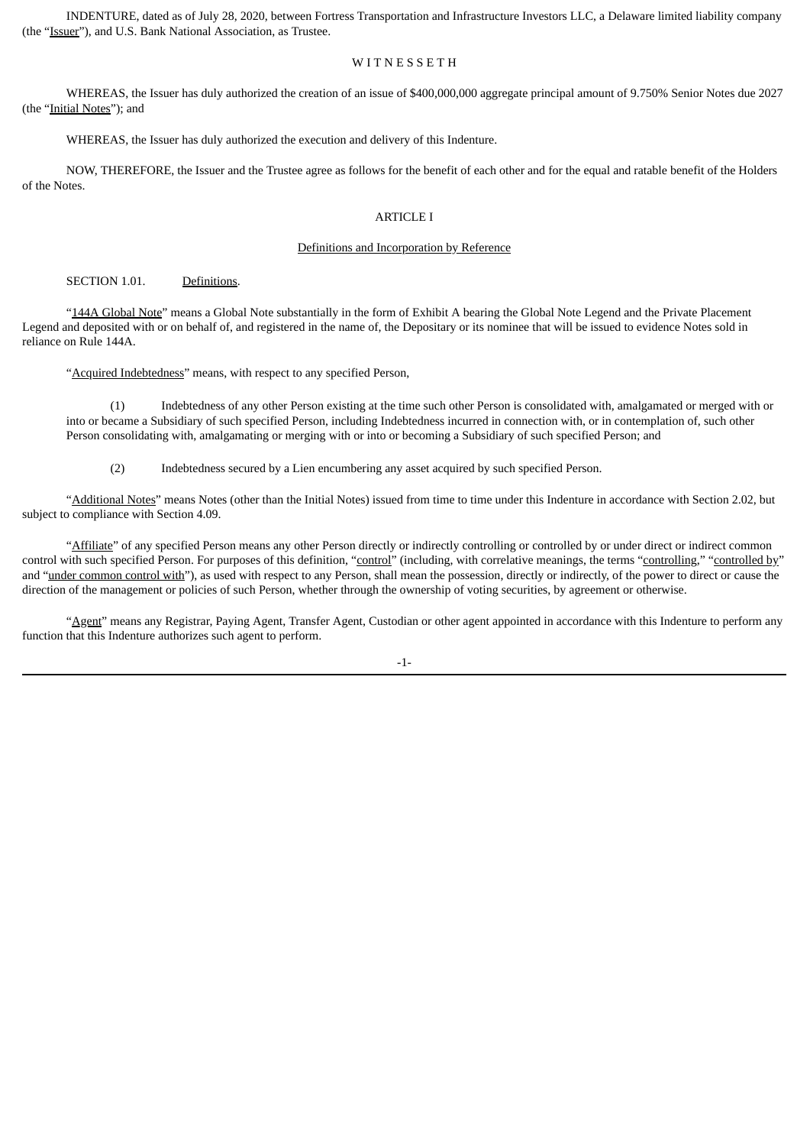INDENTURE, dated as of July 28, 2020, between Fortress Transportation and Infrastructure Investors LLC, a Delaware limited liability company (the "Issuer"), and U.S. Bank National Association, as Trustee.

#### WITNESSETH

WHEREAS, the Issuer has duly authorized the creation of an issue of \$400,000,000 aggregate principal amount of 9.750% Senior Notes due 2027 (the "Initial Notes"); and

WHEREAS, the Issuer has duly authorized the execution and delivery of this Indenture.

NOW, THEREFORE, the Issuer and the Trustee agree as follows for the benefit of each other and for the equal and ratable benefit of the Holders of the Notes.

#### ARTICLE I

#### Definitions and Incorporation by Reference

SECTION 1.01. Definitions.

"144A Global Note" means a Global Note substantially in the form of Exhibit A bearing the Global Note Legend and the Private Placement Legend and deposited with or on behalf of, and registered in the name of, the Depositary or its nominee that will be issued to evidence Notes sold in reliance on Rule 144A.

"Acquired Indebtedness" means, with respect to any specified Person,

(1) Indebtedness of any other Person existing at the time such other Person is consolidated with, amalgamated or merged with or into or became a Subsidiary of such specified Person, including Indebtedness incurred in connection with, or in contemplation of, such other Person consolidating with, amalgamating or merging with or into or becoming a Subsidiary of such specified Person; and

(2) Indebtedness secured by a Lien encumbering any asset acquired by such specified Person.

"Additional Notes" means Notes (other than the Initial Notes) issued from time to time under this Indenture in accordance with Section 2.02, but subject to compliance with Section 4.09.

"Affiliate" of any specified Person means any other Person directly or indirectly controlling or controlled by or under direct or indirect common control with such specified Person. For purposes of this definition, "control" (including, with correlative meanings, the terms "controlling," "controlled by" and "under common control with"), as used with respect to any Person, shall mean the possession, directly or indirectly, of the power to direct or cause the direction of the management or policies of such Person, whether through the ownership of voting securities, by agreement or otherwise.

"Agent" means any Registrar, Paying Agent, Transfer Agent, Custodian or other agent appointed in accordance with this Indenture to perform any function that this Indenture authorizes such agent to perform.

-1-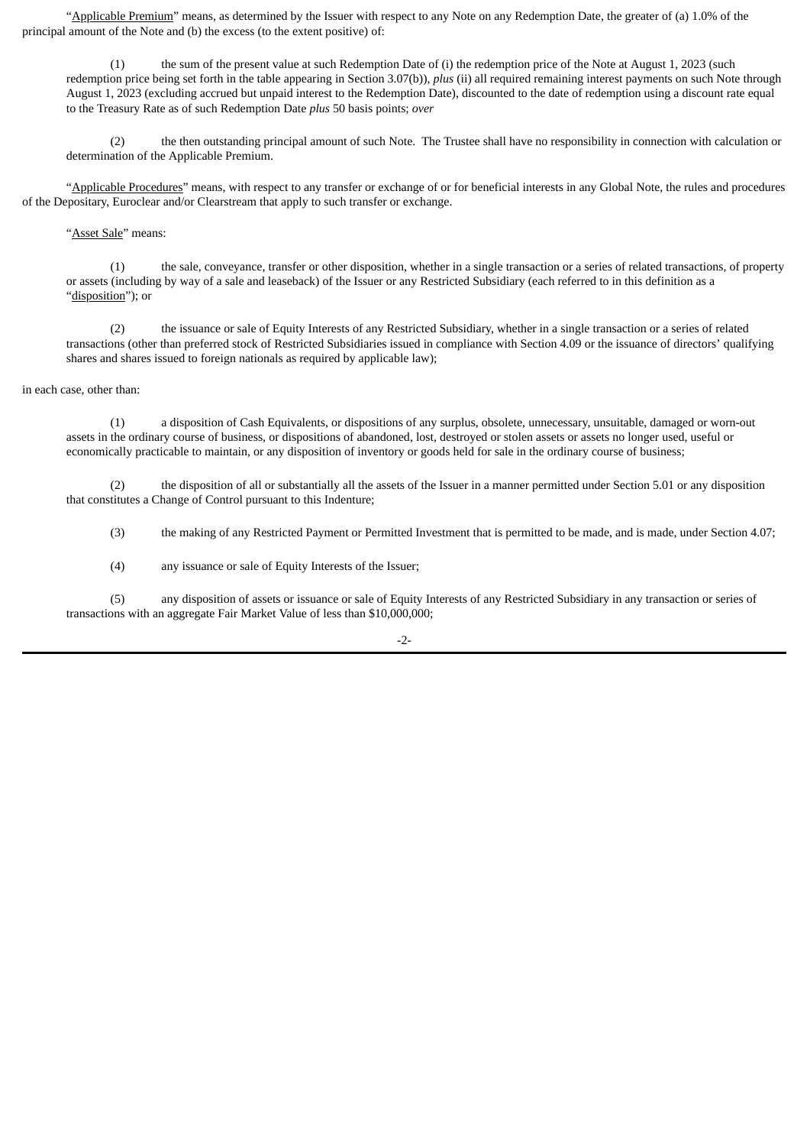"Applicable Premium" means, as determined by the Issuer with respect to any Note on any Redemption Date, the greater of (a) 1.0% of the principal amount of the Note and (b) the excess (to the extent positive) of:

(1) the sum of the present value at such Redemption Date of (i) the redemption price of the Note at August 1, 2023 (such redemption price being set forth in the table appearing in Section 3.07(b)), *plus* (ii) all required remaining interest payments on such Note through August 1, 2023 (excluding accrued but unpaid interest to the Redemption Date), discounted to the date of redemption using a discount rate equal to the Treasury Rate as of such Redemption Date *plus* 50 basis points; *over*

(2) the then outstanding principal amount of such Note. The Trustee shall have no responsibility in connection with calculation or determination of the Applicable Premium.

"Applicable Procedures" means, with respect to any transfer or exchange of or for beneficial interests in any Global Note, the rules and procedures of the Depositary, Euroclear and/or Clearstream that apply to such transfer or exchange.

"Asset Sale" means:

(1) the sale, conveyance, transfer or other disposition, whether in a single transaction or a series of related transactions, of property or assets (including by way of a sale and leaseback) of the Issuer or any Restricted Subsidiary (each referred to in this definition as a "disposition"); or

(2) the issuance or sale of Equity Interests of any Restricted Subsidiary, whether in a single transaction or a series of related transactions (other than preferred stock of Restricted Subsidiaries issued in compliance with Section 4.09 or the issuance of directors' qualifying shares and shares issued to foreign nationals as required by applicable law);

#### in each case, other than:

(1) a disposition of Cash Equivalents, or dispositions of any surplus, obsolete, unnecessary, unsuitable, damaged or worn-out assets in the ordinary course of business, or dispositions of abandoned, lost, destroyed or stolen assets or assets no longer used, useful or economically practicable to maintain, or any disposition of inventory or goods held for sale in the ordinary course of business;

(2) the disposition of all or substantially all the assets of the Issuer in a manner permitted under Section 5.01 or any disposition that constitutes a Change of Control pursuant to this Indenture;

(3) the making of any Restricted Payment or Permitted Investment that is permitted to be made, and is made, under Section 4.07;

(4) any issuance or sale of Equity Interests of the Issuer;

(5) any disposition of assets or issuance or sale of Equity Interests of any Restricted Subsidiary in any transaction or series of transactions with an aggregate Fair Market Value of less than \$10,000,000;

 $-2-$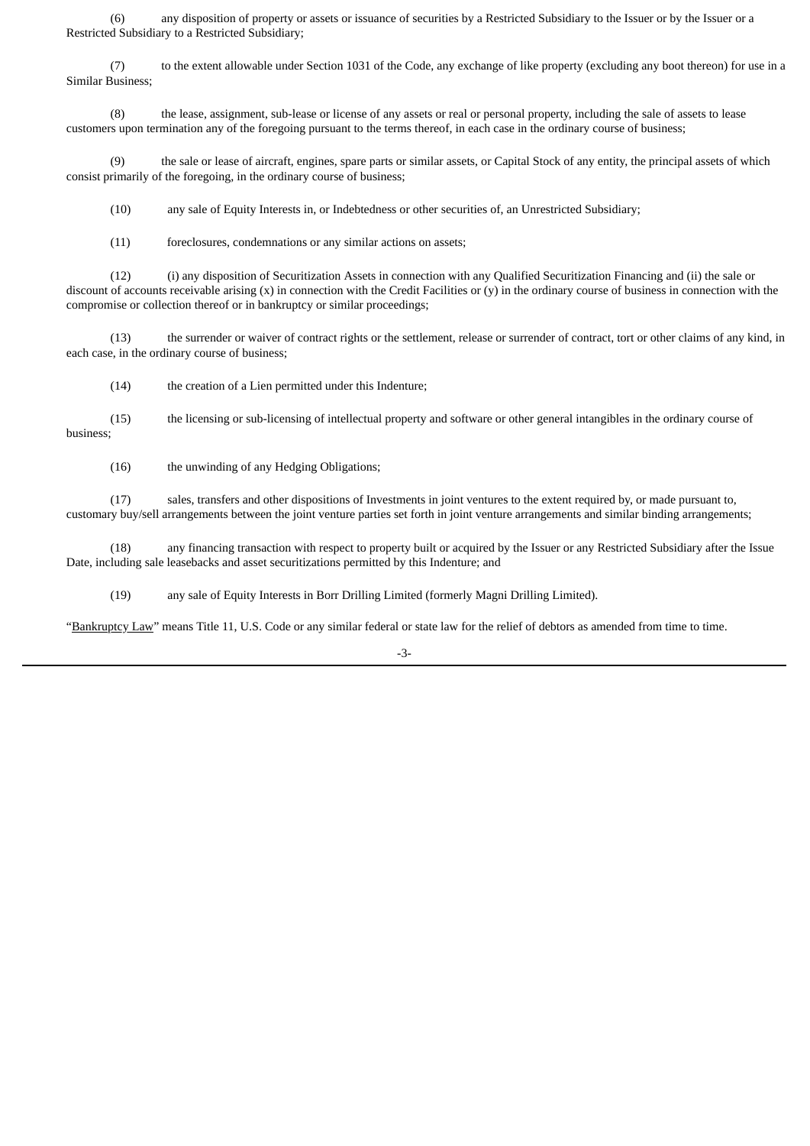(6) any disposition of property or assets or issuance of securities by a Restricted Subsidiary to the Issuer or by the Issuer or a Restricted Subsidiary to a Restricted Subsidiary;

(7) to the extent allowable under Section 1031 of the Code, any exchange of like property (excluding any boot thereon) for use in a Similar Business;

(8) the lease, assignment, sub-lease or license of any assets or real or personal property, including the sale of assets to lease customers upon termination any of the foregoing pursuant to the terms thereof, in each case in the ordinary course of business;

(9) the sale or lease of aircraft, engines, spare parts or similar assets, or Capital Stock of any entity, the principal assets of which consist primarily of the foregoing, in the ordinary course of business;

(10) any sale of Equity Interests in, or Indebtedness or other securities of, an Unrestricted Subsidiary;

(11) foreclosures, condemnations or any similar actions on assets;

(12) (i) any disposition of Securitization Assets in connection with any Qualified Securitization Financing and (ii) the sale or discount of accounts receivable arising  $(x)$  in connection with the Credit Facilities or  $(y)$  in the ordinary course of business in connection with the compromise or collection thereof or in bankruptcy or similar proceedings;

(13) the surrender or waiver of contract rights or the settlement, release or surrender of contract, tort or other claims of any kind, in each case, in the ordinary course of business;

(14) the creation of a Lien permitted under this Indenture;

(15) the licensing or sub-licensing of intellectual property and software or other general intangibles in the ordinary course of business;

(16) the unwinding of any Hedging Obligations;

(17) sales, transfers and other dispositions of Investments in joint ventures to the extent required by, or made pursuant to, customary buy/sell arrangements between the joint venture parties set forth in joint venture arrangements and similar binding arrangements;

(18) any financing transaction with respect to property built or acquired by the Issuer or any Restricted Subsidiary after the Issue Date, including sale leasebacks and asset securitizations permitted by this Indenture; and

(19) any sale of Equity Interests in Borr Drilling Limited (formerly Magni Drilling Limited).

"Bankruptcy Law" means Title 11, U.S. Code or any similar federal or state law for the relief of debtors as amended from time to time.

-3-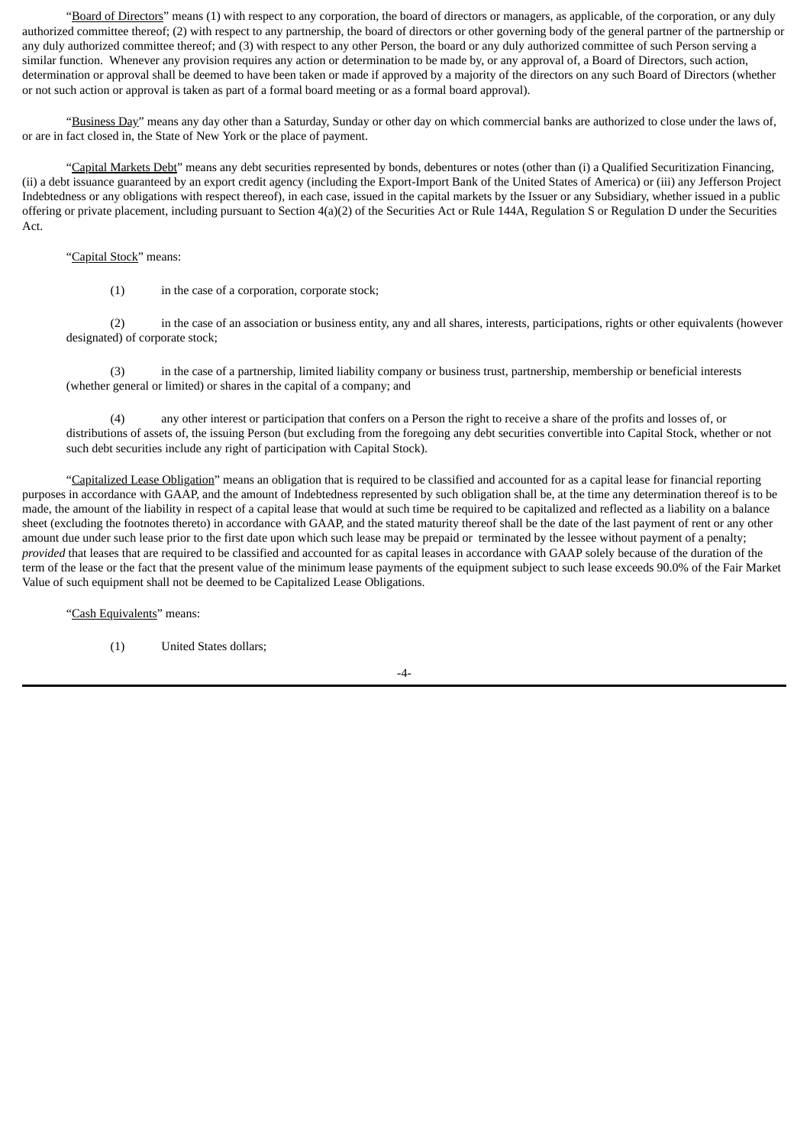"Board of Directors" means (1) with respect to any corporation, the board of directors or managers, as applicable, of the corporation, or any duly authorized committee thereof; (2) with respect to any partnership, the board of directors or other governing body of the general partner of the partnership or any duly authorized committee thereof; and (3) with respect to any other Person, the board or any duly authorized committee of such Person serving a similar function. Whenever any provision requires any action or determination to be made by, or any approval of, a Board of Directors, such action, determination or approval shall be deemed to have been taken or made if approved by a majority of the directors on any such Board of Directors (whether or not such action or approval is taken as part of a formal board meeting or as a formal board approval).

"Business Day" means any day other than a Saturday, Sunday or other day on which commercial banks are authorized to close under the laws of, or are in fact closed in, the State of New York or the place of payment.

"Capital Markets Debt" means any debt securities represented by bonds, debentures or notes (other than (i) a Qualified Securitization Financing, (ii) a debt issuance guaranteed by an export credit agency (including the Export-Import Bank of the United States of America) or (iii) any Jefferson Project Indebtedness or any obligations with respect thereof), in each case, issued in the capital markets by the Issuer or any Subsidiary, whether issued in a public offering or private placement, including pursuant to Section 4(a)(2) of the Securities Act or Rule 144A, Regulation S or Regulation D under the Securities Act.

#### "Capital Stock" means:

(1) in the case of a corporation, corporate stock;

(2) in the case of an association or business entity, any and all shares, interests, participations, rights or other equivalents (however designated) of corporate stock;

(3) in the case of a partnership, limited liability company or business trust, partnership, membership or beneficial interests (whether general or limited) or shares in the capital of a company; and

(4) any other interest or participation that confers on a Person the right to receive a share of the profits and losses of, or distributions of assets of, the issuing Person (but excluding from the foregoing any debt securities convertible into Capital Stock, whether or not such debt securities include any right of participation with Capital Stock).

"Capitalized Lease Obligation" means an obligation that is required to be classified and accounted for as a capital lease for financial reporting purposes in accordance with GAAP, and the amount of Indebtedness represented by such obligation shall be, at the time any determination thereof is to be made, the amount of the liability in respect of a capital lease that would at such time be required to be capitalized and reflected as a liability on a balance sheet (excluding the footnotes thereto) in accordance with GAAP, and the stated maturity thereof shall be the date of the last payment of rent or any other amount due under such lease prior to the first date upon which such lease may be prepaid or terminated by the lessee without payment of a penalty; *provided* that leases that are required to be classified and accounted for as capital leases in accordance with GAAP solely because of the duration of the term of the lease or the fact that the present value of the minimum lease payments of the equipment subject to such lease exceeds 90.0% of the Fair Market Value of such equipment shall not be deemed to be Capitalized Lease Obligations.

"Cash Equivalents" means:

(1) United States dollars;

-4-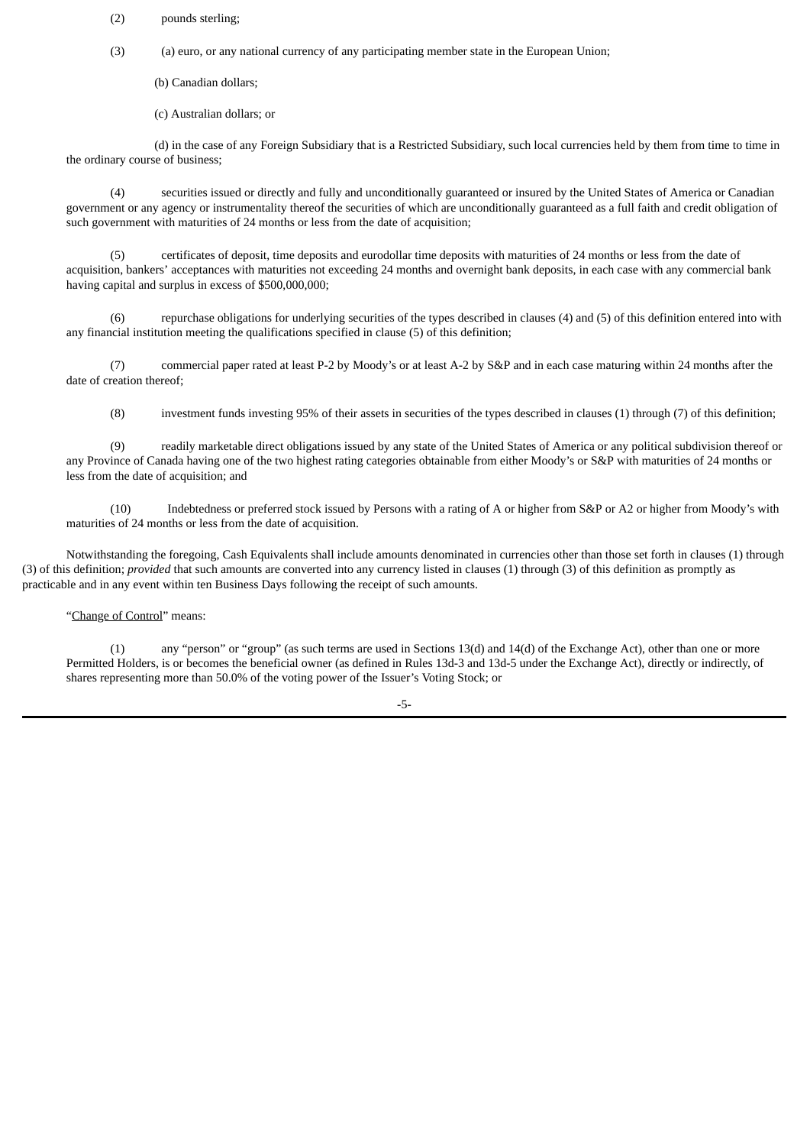- (2) pounds sterling;
- (3) (a) euro, or any national currency of any participating member state in the European Union;
	- (b) Canadian dollars;
	- (c) Australian dollars; or

(d) in the case of any Foreign Subsidiary that is a Restricted Subsidiary, such local currencies held by them from time to time in the ordinary course of business;

(4) securities issued or directly and fully and unconditionally guaranteed or insured by the United States of America or Canadian government or any agency or instrumentality thereof the securities of which are unconditionally guaranteed as a full faith and credit obligation of such government with maturities of 24 months or less from the date of acquisition;

(5) certificates of deposit, time deposits and eurodollar time deposits with maturities of 24 months or less from the date of acquisition, bankers' acceptances with maturities not exceeding 24 months and overnight bank deposits, in each case with any commercial bank having capital and surplus in excess of \$500,000,000;

(6) repurchase obligations for underlying securities of the types described in clauses (4) and (5) of this definition entered into with any financial institution meeting the qualifications specified in clause (5) of this definition;

(7) commercial paper rated at least P-2 by Moody's or at least A-2 by S&P and in each case maturing within 24 months after the date of creation thereof;

(8) investment funds investing 95% of their assets in securities of the types described in clauses (1) through (7) of this definition;

(9) readily marketable direct obligations issued by any state of the United States of America or any political subdivision thereof or any Province of Canada having one of the two highest rating categories obtainable from either Moody's or S&P with maturities of 24 months or less from the date of acquisition; and

(10) Indebtedness or preferred stock issued by Persons with a rating of A or higher from S&P or A2 or higher from Moody's with maturities of 24 months or less from the date of acquisition.

Notwithstanding the foregoing, Cash Equivalents shall include amounts denominated in currencies other than those set forth in clauses (1) through (3) of this definition; *provided* that such amounts are converted into any currency listed in clauses (1) through (3) of this definition as promptly as practicable and in any event within ten Business Days following the receipt of such amounts.

"Change of Control" means:

(1) any "person" or "group" (as such terms are used in Sections 13(d) and 14(d) of the Exchange Act), other than one or more Permitted Holders, is or becomes the beneficial owner (as defined in Rules 13d-3 and 13d-5 under the Exchange Act), directly or indirectly, of shares representing more than 50.0% of the voting power of the Issuer's Voting Stock; or

-5-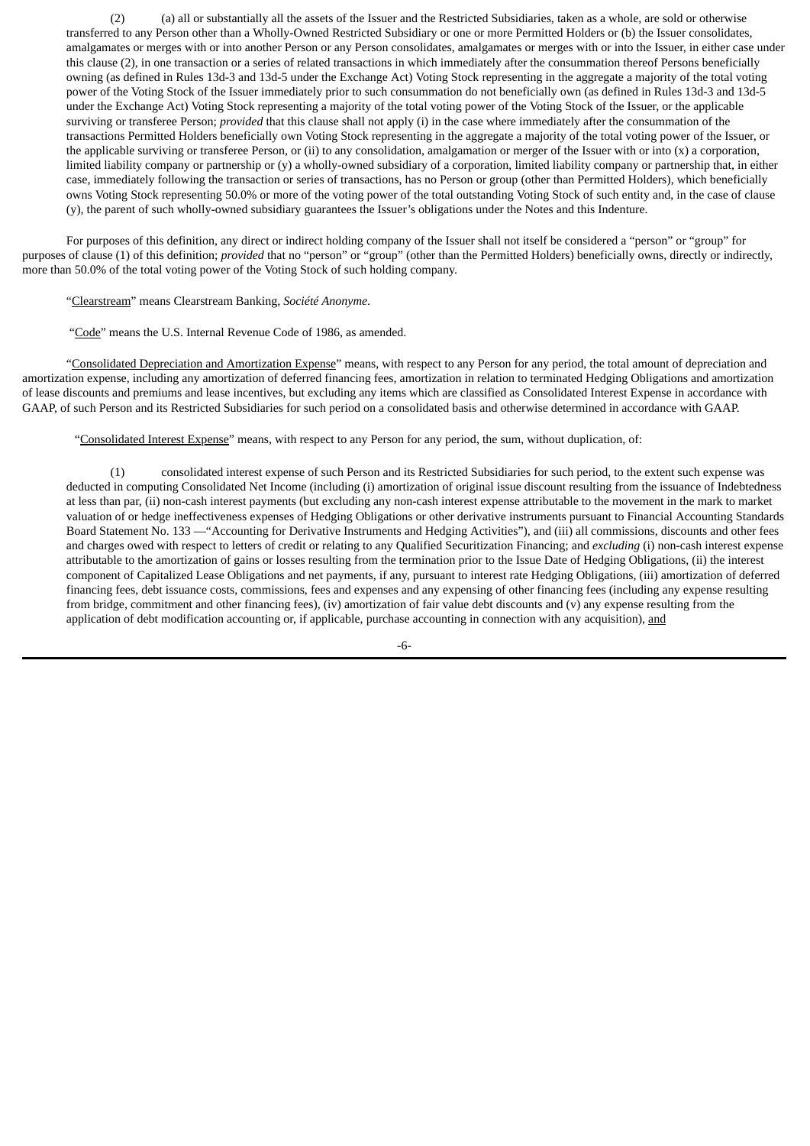(2) (a) all or substantially all the assets of the Issuer and the Restricted Subsidiaries, taken as a whole, are sold or otherwise transferred to any Person other than a Wholly-Owned Restricted Subsidiary or one or more Permitted Holders or (b) the Issuer consolidates, amalgamates or merges with or into another Person or any Person consolidates, amalgamates or merges with or into the Issuer, in either case under this clause (2), in one transaction or a series of related transactions in which immediately after the consummation thereof Persons beneficially owning (as defined in Rules 13d-3 and 13d-5 under the Exchange Act) Voting Stock representing in the aggregate a majority of the total voting power of the Voting Stock of the Issuer immediately prior to such consummation do not beneficially own (as defined in Rules 13d-3 and 13d-5 under the Exchange Act) Voting Stock representing a majority of the total voting power of the Voting Stock of the Issuer, or the applicable surviving or transferee Person; *provided* that this clause shall not apply (i) in the case where immediately after the consummation of the transactions Permitted Holders beneficially own Voting Stock representing in the aggregate a majority of the total voting power of the Issuer, or the applicable surviving or transferee Person, or (ii) to any consolidation, amalgamation or merger of the Issuer with or into  $(x)$  a corporation, limited liability company or partnership or (y) a wholly-owned subsidiary of a corporation, limited liability company or partnership that, in either case, immediately following the transaction or series of transactions, has no Person or group (other than Permitted Holders), which beneficially owns Voting Stock representing 50.0% or more of the voting power of the total outstanding Voting Stock of such entity and, in the case of clause (y), the parent of such wholly-owned subsidiary guarantees the Issuer's obligations under the Notes and this Indenture.

For purposes of this definition, any direct or indirect holding company of the Issuer shall not itself be considered a "person" or "group" for purposes of clause (1) of this definition; *provided* that no "person" or "group" (other than the Permitted Holders) beneficially owns, directly or indirectly, more than 50.0% of the total voting power of the Voting Stock of such holding company.

"Clearstream" means Clearstream Banking, *Société Anonyme*.

"Code" means the U.S. Internal Revenue Code of 1986, as amended.

"Consolidated Depreciation and Amortization Expense" means, with respect to any Person for any period, the total amount of depreciation and amortization expense, including any amortization of deferred financing fees, amortization in relation to terminated Hedging Obligations and amortization of lease discounts and premiums and lease incentives, but excluding any items which are classified as Consolidated Interest Expense in accordance with GAAP, of such Person and its Restricted Subsidiaries for such period on a consolidated basis and otherwise determined in accordance with GAAP.

"Consolidated Interest Expense" means, with respect to any Person for any period, the sum, without duplication, of:

(1) consolidated interest expense of such Person and its Restricted Subsidiaries for such period, to the extent such expense was deducted in computing Consolidated Net Income (including (i) amortization of original issue discount resulting from the issuance of Indebtedness at less than par, (ii) non-cash interest payments (but excluding any non-cash interest expense attributable to the movement in the mark to market valuation of or hedge ineffectiveness expenses of Hedging Obligations or other derivative instruments pursuant to Financial Accounting Standards Board Statement No. 133 —"Accounting for Derivative Instruments and Hedging Activities"), and (iii) all commissions, discounts and other fees and charges owed with respect to letters of credit or relating to any Qualified Securitization Financing; and *excluding* (i) non-cash interest expense attributable to the amortization of gains or losses resulting from the termination prior to the Issue Date of Hedging Obligations, (ii) the interest component of Capitalized Lease Obligations and net payments, if any, pursuant to interest rate Hedging Obligations, (iii) amortization of deferred financing fees, debt issuance costs, commissions, fees and expenses and any expensing of other financing fees (including any expense resulting from bridge, commitment and other financing fees), (iv) amortization of fair value debt discounts and (v) any expense resulting from the application of debt modification accounting or, if applicable, purchase accounting in connection with any acquisition), and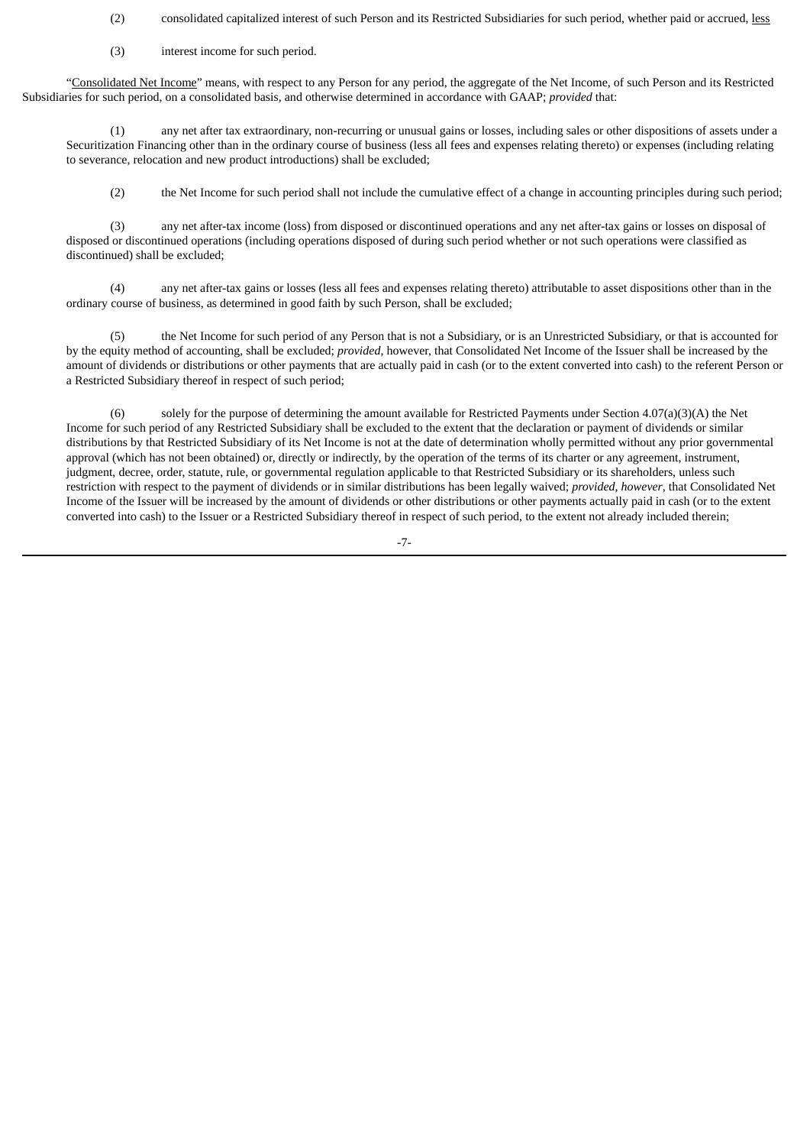(2) consolidated capitalized interest of such Person and its Restricted Subsidiaries for such period, whether paid or accrued, less

### (3) interest income for such period.

"Consolidated Net Income" means, with respect to any Person for any period, the aggregate of the Net Income, of such Person and its Restricted Subsidiaries for such period, on a consolidated basis, and otherwise determined in accordance with GAAP; *provided* that:

(1) any net after tax extraordinary, non-recurring or unusual gains or losses, including sales or other dispositions of assets under a Securitization Financing other than in the ordinary course of business (less all fees and expenses relating thereto) or expenses (including relating to severance, relocation and new product introductions) shall be excluded;

(2) the Net Income for such period shall not include the cumulative effect of a change in accounting principles during such period;

(3) any net after-tax income (loss) from disposed or discontinued operations and any net after-tax gains or losses on disposal of disposed or discontinued operations (including operations disposed of during such period whether or not such operations were classified as discontinued) shall be excluded;

(4) any net after-tax gains or losses (less all fees and expenses relating thereto) attributable to asset dispositions other than in the ordinary course of business, as determined in good faith by such Person, shall be excluded;

(5) the Net Income for such period of any Person that is not a Subsidiary, or is an Unrestricted Subsidiary, or that is accounted for by the equity method of accounting, shall be excluded; *provided*, however, that Consolidated Net Income of the Issuer shall be increased by the amount of dividends or distributions or other payments that are actually paid in cash (or to the extent converted into cash) to the referent Person or a Restricted Subsidiary thereof in respect of such period;

(6) solely for the purpose of determining the amount available for Restricted Payments under Section 4.07(a)(3)(A) the Net Income for such period of any Restricted Subsidiary shall be excluded to the extent that the declaration or payment of dividends or similar distributions by that Restricted Subsidiary of its Net Income is not at the date of determination wholly permitted without any prior governmental approval (which has not been obtained) or, directly or indirectly, by the operation of the terms of its charter or any agreement, instrument, judgment, decree, order, statute, rule, or governmental regulation applicable to that Restricted Subsidiary or its shareholders, unless such restriction with respect to the payment of dividends or in similar distributions has been legally waived; *provided*, *however*, that Consolidated Net Income of the Issuer will be increased by the amount of dividends or other distributions or other payments actually paid in cash (or to the extent converted into cash) to the Issuer or a Restricted Subsidiary thereof in respect of such period, to the extent not already included therein;

-7-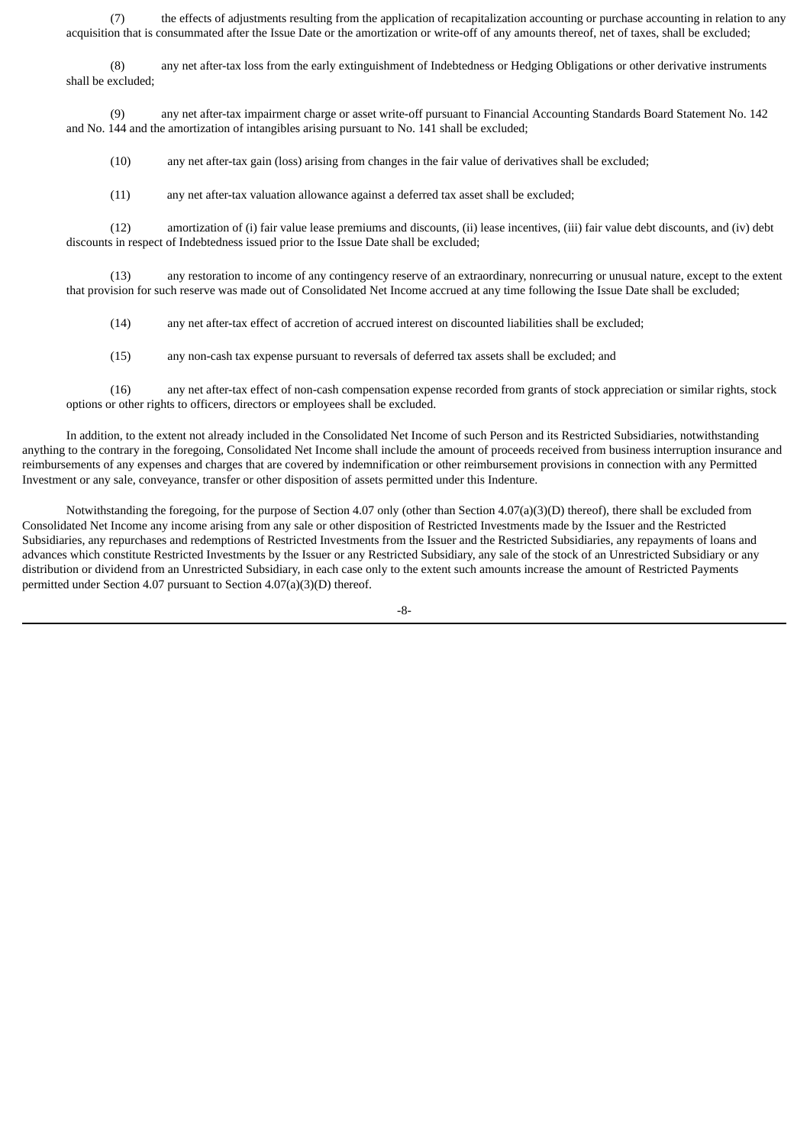(7) the effects of adjustments resulting from the application of recapitalization accounting or purchase accounting in relation to any acquisition that is consummated after the Issue Date or the amortization or write-off of any amounts thereof, net of taxes, shall be excluded;

(8) any net after-tax loss from the early extinguishment of Indebtedness or Hedging Obligations or other derivative instruments shall be excluded;

(9) any net after-tax impairment charge or asset write-off pursuant to Financial Accounting Standards Board Statement No. 142 and No. 144 and the amortization of intangibles arising pursuant to No. 141 shall be excluded;

(10) any net after-tax gain (loss) arising from changes in the fair value of derivatives shall be excluded;

(11) any net after-tax valuation allowance against a deferred tax asset shall be excluded;

(12) amortization of (i) fair value lease premiums and discounts, (ii) lease incentives, (iii) fair value debt discounts, and (iv) debt discounts in respect of Indebtedness issued prior to the Issue Date shall be excluded;

(13) any restoration to income of any contingency reserve of an extraordinary, nonrecurring or unusual nature, except to the extent that provision for such reserve was made out of Consolidated Net Income accrued at any time following the Issue Date shall be excluded;

(14) any net after-tax effect of accretion of accrued interest on discounted liabilities shall be excluded;

(15) any non-cash tax expense pursuant to reversals of deferred tax assets shall be excluded; and

(16) any net after-tax effect of non-cash compensation expense recorded from grants of stock appreciation or similar rights, stock options or other rights to officers, directors or employees shall be excluded.

In addition, to the extent not already included in the Consolidated Net Income of such Person and its Restricted Subsidiaries, notwithstanding anything to the contrary in the foregoing, Consolidated Net Income shall include the amount of proceeds received from business interruption insurance and reimbursements of any expenses and charges that are covered by indemnification or other reimbursement provisions in connection with any Permitted Investment or any sale, conveyance, transfer or other disposition of assets permitted under this Indenture.

Notwithstanding the foregoing, for the purpose of Section 4.07 only (other than Section 4.07(a)(3)(D) thereof), there shall be excluded from Consolidated Net Income any income arising from any sale or other disposition of Restricted Investments made by the Issuer and the Restricted Subsidiaries, any repurchases and redemptions of Restricted Investments from the Issuer and the Restricted Subsidiaries, any repayments of loans and advances which constitute Restricted Investments by the Issuer or any Restricted Subsidiary, any sale of the stock of an Unrestricted Subsidiary or any distribution or dividend from an Unrestricted Subsidiary, in each case only to the extent such amounts increase the amount of Restricted Payments permitted under Section 4.07 pursuant to Section 4.07(a)(3)(D) thereof.

-8-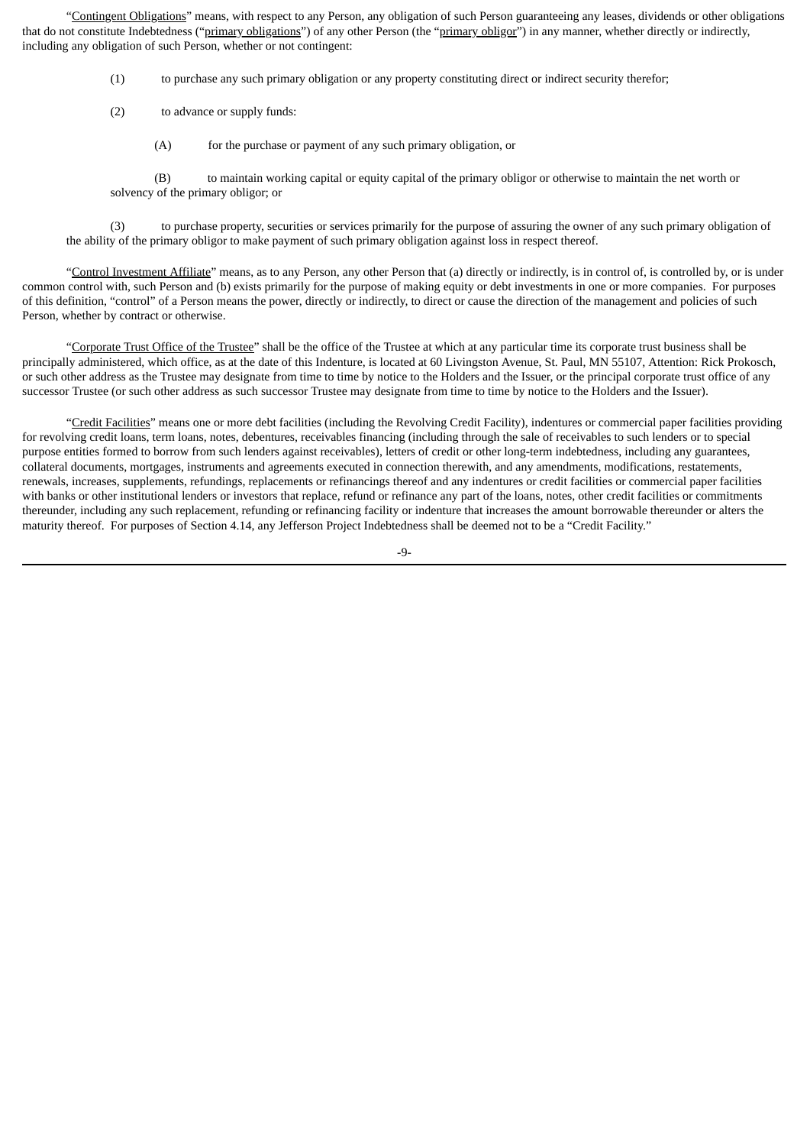"Contingent Obligations" means, with respect to any Person, any obligation of such Person guaranteeing any leases, dividends or other obligations that do not constitute Indebtedness ("primary obligations") of any other Person (the "primary obligor") in any manner, whether directly or indirectly, including any obligation of such Person, whether or not contingent:

- (1) to purchase any such primary obligation or any property constituting direct or indirect security therefor;
- (2) to advance or supply funds:
	- (A) for the purchase or payment of any such primary obligation, or

(B) to maintain working capital or equity capital of the primary obligor or otherwise to maintain the net worth or solvency of the primary obligor; or

(3) to purchase property, securities or services primarily for the purpose of assuring the owner of any such primary obligation of the ability of the primary obligor to make payment of such primary obligation against loss in respect thereof.

"Control Investment Affiliate" means, as to any Person, any other Person that (a) directly or indirectly, is in control of, is controlled by, or is under common control with, such Person and (b) exists primarily for the purpose of making equity or debt investments in one or more companies. For purposes of this definition, "control" of a Person means the power, directly or indirectly, to direct or cause the direction of the management and policies of such Person, whether by contract or otherwise.

"Corporate Trust Office of the Trustee" shall be the office of the Trustee at which at any particular time its corporate trust business shall be principally administered, which office, as at the date of this Indenture, is located at 60 Livingston Avenue, St. Paul, MN 55107, Attention: Rick Prokosch, or such other address as the Trustee may designate from time to time by notice to the Holders and the Issuer, or the principal corporate trust office of any successor Trustee (or such other address as such successor Trustee may designate from time to time by notice to the Holders and the Issuer).

"Credit Facilities" means one or more debt facilities (including the Revolving Credit Facility), indentures or commercial paper facilities providing for revolving credit loans, term loans, notes, debentures, receivables financing (including through the sale of receivables to such lenders or to special purpose entities formed to borrow from such lenders against receivables), letters of credit or other long-term indebtedness, including any guarantees, collateral documents, mortgages, instruments and agreements executed in connection therewith, and any amendments, modifications, restatements, renewals, increases, supplements, refundings, replacements or refinancings thereof and any indentures or credit facilities or commercial paper facilities with banks or other institutional lenders or investors that replace, refund or refinance any part of the loans, notes, other credit facilities or commitments thereunder, including any such replacement, refunding or refinancing facility or indenture that increases the amount borrowable thereunder or alters the maturity thereof. For purposes of Section 4.14, any Jefferson Project Indebtedness shall be deemed not to be a "Credit Facility."

-9-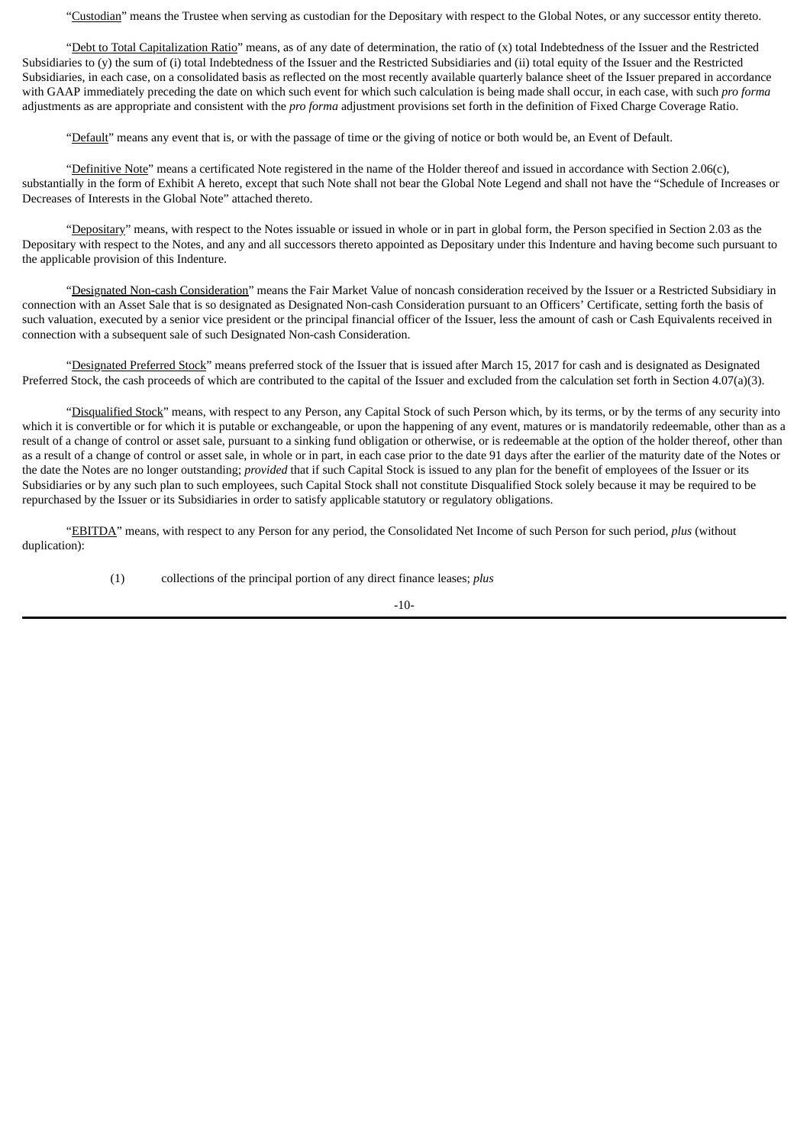"Custodian" means the Trustee when serving as custodian for the Depositary with respect to the Global Notes, or any successor entity thereto.

"Debt to Total Capitalization Ratio" means, as of any date of determination, the ratio of (x) total Indebtedness of the Issuer and the Restricted Subsidiaries to (y) the sum of (i) total Indebtedness of the Issuer and the Restricted Subsidiaries and (ii) total equity of the Issuer and the Restricted Subsidiaries, in each case, on a consolidated basis as reflected on the most recently available quarterly balance sheet of the Issuer prepared in accordance with GAAP immediately preceding the date on which such event for which such calculation is being made shall occur, in each case, with such *pro forma* adjustments as are appropriate and consistent with the *pro forma* adjustment provisions set forth in the definition of Fixed Charge Coverage Ratio.

"Default" means any event that is, or with the passage of time or the giving of notice or both would be, an Event of Default.

"Definitive Note" means a certificated Note registered in the name of the Holder thereof and issued in accordance with Section 2.06(c), substantially in the form of Exhibit A hereto, except that such Note shall not bear the Global Note Legend and shall not have the "Schedule of Increases or Decreases of Interests in the Global Note" attached thereto.

"Depositary" means, with respect to the Notes issuable or issued in whole or in part in global form, the Person specified in Section 2.03 as the Depositary with respect to the Notes, and any and all successors thereto appointed as Depositary under this Indenture and having become such pursuant to the applicable provision of this Indenture.

"Designated Non-cash Consideration" means the Fair Market Value of noncash consideration received by the Issuer or a Restricted Subsidiary in connection with an Asset Sale that is so designated as Designated Non-cash Consideration pursuant to an Officers' Certificate, setting forth the basis of such valuation, executed by a senior vice president or the principal financial officer of the Issuer, less the amount of cash or Cash Equivalents received in connection with a subsequent sale of such Designated Non-cash Consideration.

"Designated Preferred Stock" means preferred stock of the Issuer that is issued after March 15, 2017 for cash and is designated as Designated Preferred Stock, the cash proceeds of which are contributed to the capital of the Issuer and excluded from the calculation set forth in Section 4.07(a)(3).

"Disqualified Stock" means, with respect to any Person, any Capital Stock of such Person which, by its terms, or by the terms of any security into which it is convertible or for which it is putable or exchangeable, or upon the happening of any event, matures or is mandatorily redeemable, other than as a result of a change of control or asset sale, pursuant to a sinking fund obligation or otherwise, or is redeemable at the option of the holder thereof, other than as a result of a change of control or asset sale, in whole or in part, in each case prior to the date 91 days after the earlier of the maturity date of the Notes or the date the Notes are no longer outstanding; *provided* that if such Capital Stock is issued to any plan for the benefit of employees of the Issuer or its Subsidiaries or by any such plan to such employees, such Capital Stock shall not constitute Disqualified Stock solely because it may be required to be repurchased by the Issuer or its Subsidiaries in order to satisfy applicable statutory or regulatory obligations.

"EBITDA" means, with respect to any Person for any period, the Consolidated Net Income of such Person for such period, *plus* (without duplication):

(1) collections of the principal portion of any direct finance leases; *plus*

 $-10-$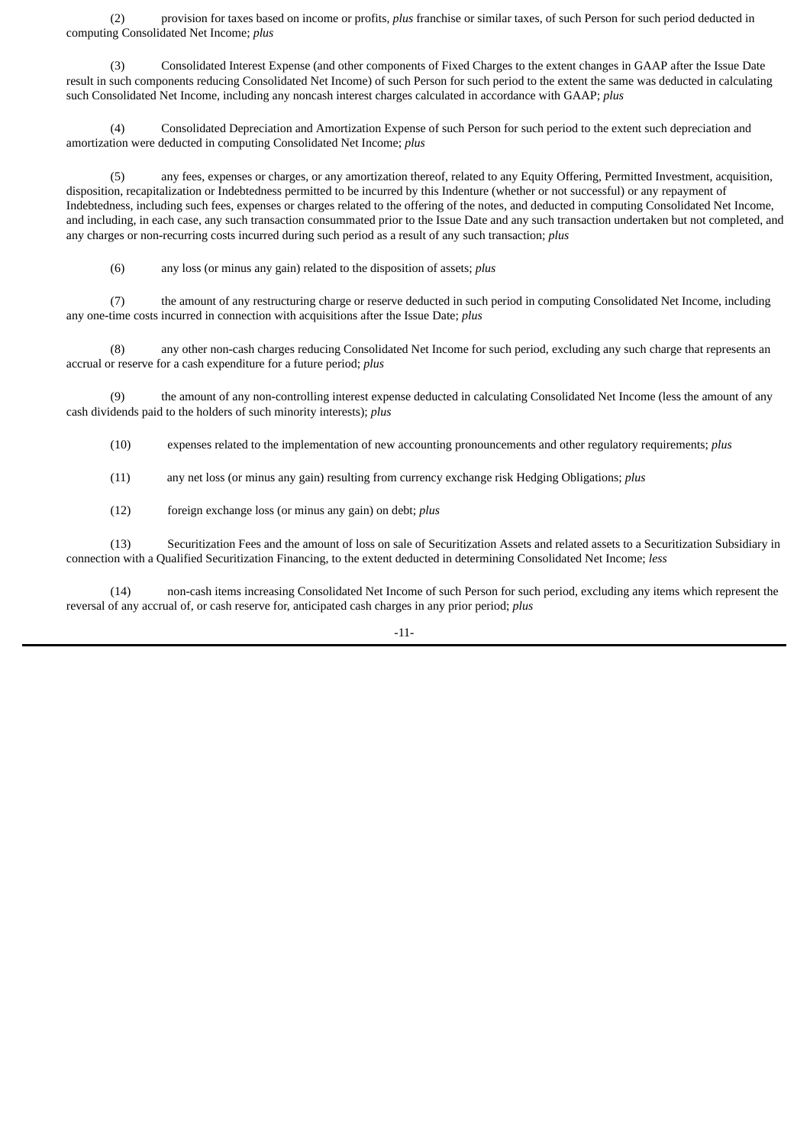(2) provision for taxes based on income or profits, *plus* franchise or similar taxes, of such Person for such period deducted in computing Consolidated Net Income; *plus*

(3) Consolidated Interest Expense (and other components of Fixed Charges to the extent changes in GAAP after the Issue Date result in such components reducing Consolidated Net Income) of such Person for such period to the extent the same was deducted in calculating such Consolidated Net Income, including any noncash interest charges calculated in accordance with GAAP; *plus*

(4) Consolidated Depreciation and Amortization Expense of such Person for such period to the extent such depreciation and amortization were deducted in computing Consolidated Net Income; *plus*

(5) any fees, expenses or charges, or any amortization thereof, related to any Equity Offering, Permitted Investment, acquisition, disposition, recapitalization or Indebtedness permitted to be incurred by this Indenture (whether or not successful) or any repayment of Indebtedness, including such fees, expenses or charges related to the offering of the notes, and deducted in computing Consolidated Net Income, and including, in each case, any such transaction consummated prior to the Issue Date and any such transaction undertaken but not completed, and any charges or non-recurring costs incurred during such period as a result of any such transaction; *plus*

(6) any loss (or minus any gain) related to the disposition of assets; *plus*

(7) the amount of any restructuring charge or reserve deducted in such period in computing Consolidated Net Income, including any one-time costs incurred in connection with acquisitions after the Issue Date; *plus*

(8) any other non-cash charges reducing Consolidated Net Income for such period, excluding any such charge that represents an accrual or reserve for a cash expenditure for a future period; *plus*

(9) the amount of any non-controlling interest expense deducted in calculating Consolidated Net Income (less the amount of any cash dividends paid to the holders of such minority interests); *plus*

(10) expenses related to the implementation of new accounting pronouncements and other regulatory requirements; *plus*

(11) any net loss (or minus any gain) resulting from currency exchange risk Hedging Obligations; *plus*

(12) foreign exchange loss (or minus any gain) on debt; *plus*

(13) Securitization Fees and the amount of loss on sale of Securitization Assets and related assets to a Securitization Subsidiary in connection with a Qualified Securitization Financing, to the extent deducted in determining Consolidated Net Income; *less*

(14) non-cash items increasing Consolidated Net Income of such Person for such period, excluding any items which represent the reversal of any accrual of, or cash reserve for, anticipated cash charges in any prior period; *plus*

-11-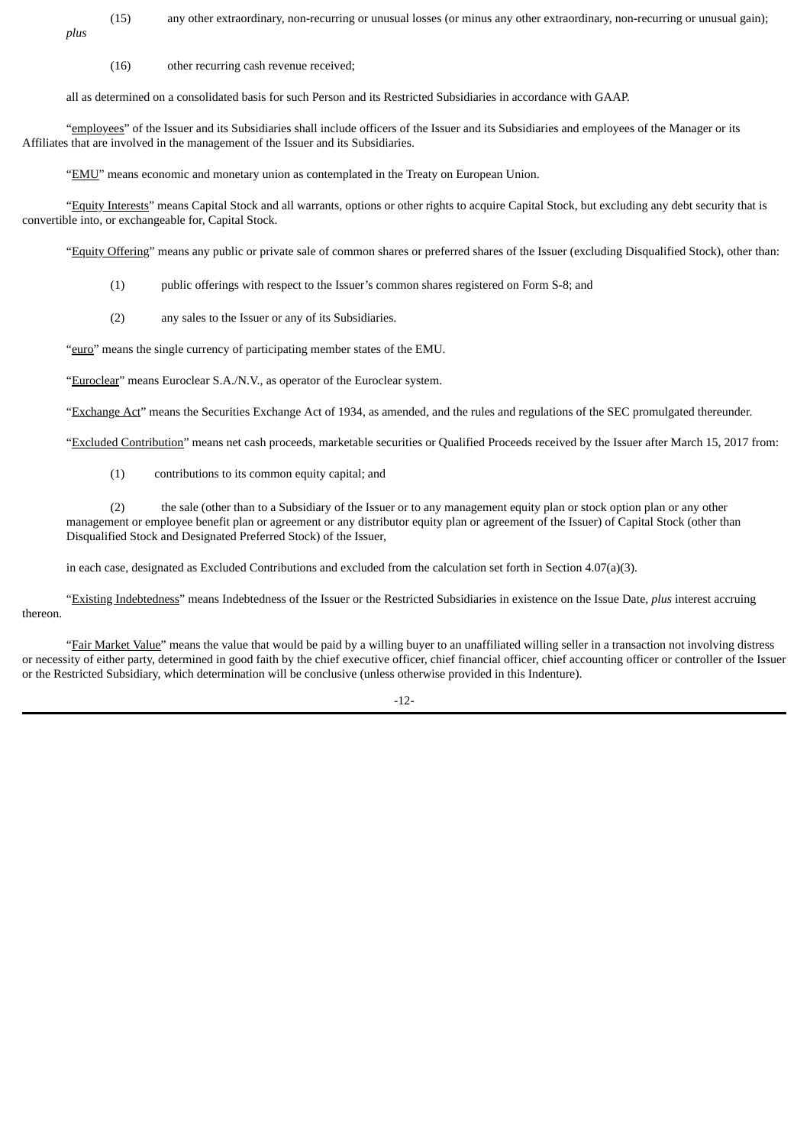(15) any other extraordinary, non-recurring or unusual losses (or minus any other extraordinary, non-recurring or unusual gain); *plus*

(16) other recurring cash revenue received;

all as determined on a consolidated basis for such Person and its Restricted Subsidiaries in accordance with GAAP.

"employees" of the Issuer and its Subsidiaries shall include officers of the Issuer and its Subsidiaries and employees of the Manager or its Affiliates that are involved in the management of the Issuer and its Subsidiaries.

"EMU" means economic and monetary union as contemplated in the Treaty on European Union.

"Equity Interests" means Capital Stock and all warrants, options or other rights to acquire Capital Stock, but excluding any debt security that is convertible into, or exchangeable for, Capital Stock.

"Equity Offering" means any public or private sale of common shares or preferred shares of the Issuer (excluding Disqualified Stock), other than:

- (1) public offerings with respect to the Issuer's common shares registered on Form S-8; and
- (2) any sales to the Issuer or any of its Subsidiaries.

"euro" means the single currency of participating member states of the EMU.

"Euroclear" means Euroclear S.A./N.V., as operator of the Euroclear system.

"Exchange Act" means the Securities Exchange Act of 1934, as amended, and the rules and regulations of the SEC promulgated thereunder.

"Excluded Contribution" means net cash proceeds, marketable securities or Qualified Proceeds received by the Issuer after March 15, 2017 from:

(1) contributions to its common equity capital; and

(2) the sale (other than to a Subsidiary of the Issuer or to any management equity plan or stock option plan or any other management or employee benefit plan or agreement or any distributor equity plan or agreement of the Issuer) of Capital Stock (other than Disqualified Stock and Designated Preferred Stock) of the Issuer,

in each case, designated as Excluded Contributions and excluded from the calculation set forth in Section 4.07(a)(3).

"Existing Indebtedness" means Indebtedness of the Issuer or the Restricted Subsidiaries in existence on the Issue Date, *plus* interest accruing thereon.

"Fair Market Value" means the value that would be paid by a willing buyer to an unaffiliated willing seller in a transaction not involving distress or necessity of either party, determined in good faith by the chief executive officer, chief financial officer, chief accounting officer or controller of the Issuer or the Restricted Subsidiary, which determination will be conclusive (unless otherwise provided in this Indenture).

-12-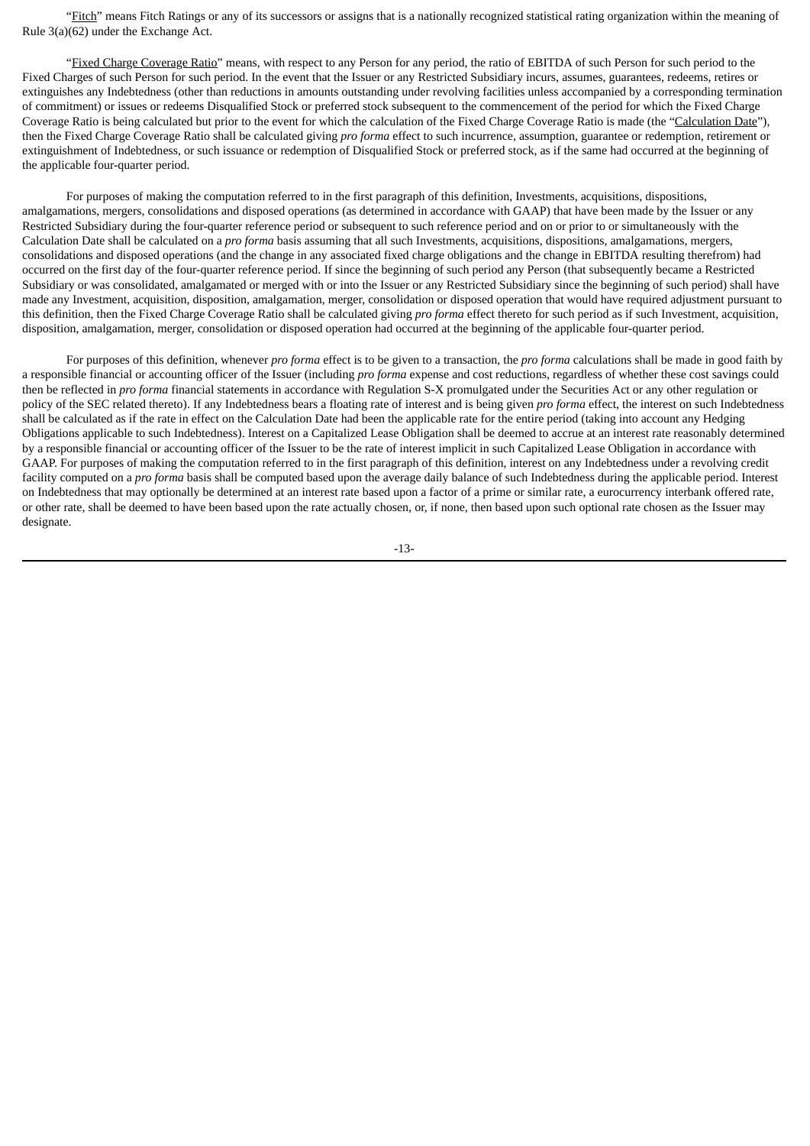"Fitch" means Fitch Ratings or any of its successors or assigns that is a nationally recognized statistical rating organization within the meaning of Rule 3(a)(62) under the Exchange Act.

"Fixed Charge Coverage Ratio" means, with respect to any Person for any period, the ratio of EBITDA of such Person for such period to the Fixed Charges of such Person for such period. In the event that the Issuer or any Restricted Subsidiary incurs, assumes, guarantees, redeems, retires or extinguishes any Indebtedness (other than reductions in amounts outstanding under revolving facilities unless accompanied by a corresponding termination of commitment) or issues or redeems Disqualified Stock or preferred stock subsequent to the commencement of the period for which the Fixed Charge Coverage Ratio is being calculated but prior to the event for which the calculation of the Fixed Charge Coverage Ratio is made (the "Calculation Date"), then the Fixed Charge Coverage Ratio shall be calculated giving *pro forma* effect to such incurrence, assumption, guarantee or redemption, retirement or extinguishment of Indebtedness, or such issuance or redemption of Disqualified Stock or preferred stock, as if the same had occurred at the beginning of the applicable four-quarter period.

For purposes of making the computation referred to in the first paragraph of this definition, Investments, acquisitions, dispositions, amalgamations, mergers, consolidations and disposed operations (as determined in accordance with GAAP) that have been made by the Issuer or any Restricted Subsidiary during the four-quarter reference period or subsequent to such reference period and on or prior to or simultaneously with the Calculation Date shall be calculated on a *pro forma* basis assuming that all such Investments, acquisitions, dispositions, amalgamations, mergers, consolidations and disposed operations (and the change in any associated fixed charge obligations and the change in EBITDA resulting therefrom) had occurred on the first day of the four-quarter reference period. If since the beginning of such period any Person (that subsequently became a Restricted Subsidiary or was consolidated, amalgamated or merged with or into the Issuer or any Restricted Subsidiary since the beginning of such period) shall have made any Investment, acquisition, disposition, amalgamation, merger, consolidation or disposed operation that would have required adjustment pursuant to this definition, then the Fixed Charge Coverage Ratio shall be calculated giving *pro forma* effect thereto for such period as if such Investment, acquisition, disposition, amalgamation, merger, consolidation or disposed operation had occurred at the beginning of the applicable four-quarter period.

For purposes of this definition, whenever *pro forma* effect is to be given to a transaction, the *pro forma* calculations shall be made in good faith by a responsible financial or accounting officer of the Issuer (including *pro forma* expense and cost reductions, regardless of whether these cost savings could then be reflected in *pro forma* financial statements in accordance with Regulation S-X promulgated under the Securities Act or any other regulation or policy of the SEC related thereto). If any Indebtedness bears a floating rate of interest and is being given *pro forma* effect, the interest on such Indebtedness shall be calculated as if the rate in effect on the Calculation Date had been the applicable rate for the entire period (taking into account any Hedging Obligations applicable to such Indebtedness). Interest on a Capitalized Lease Obligation shall be deemed to accrue at an interest rate reasonably determined by a responsible financial or accounting officer of the Issuer to be the rate of interest implicit in such Capitalized Lease Obligation in accordance with GAAP. For purposes of making the computation referred to in the first paragraph of this definition, interest on any Indebtedness under a revolving credit facility computed on a *pro forma* basis shall be computed based upon the average daily balance of such Indebtedness during the applicable period. Interest on Indebtedness that may optionally be determined at an interest rate based upon a factor of a prime or similar rate, a eurocurrency interbank offered rate, or other rate, shall be deemed to have been based upon the rate actually chosen, or, if none, then based upon such optional rate chosen as the Issuer may designate.

-13-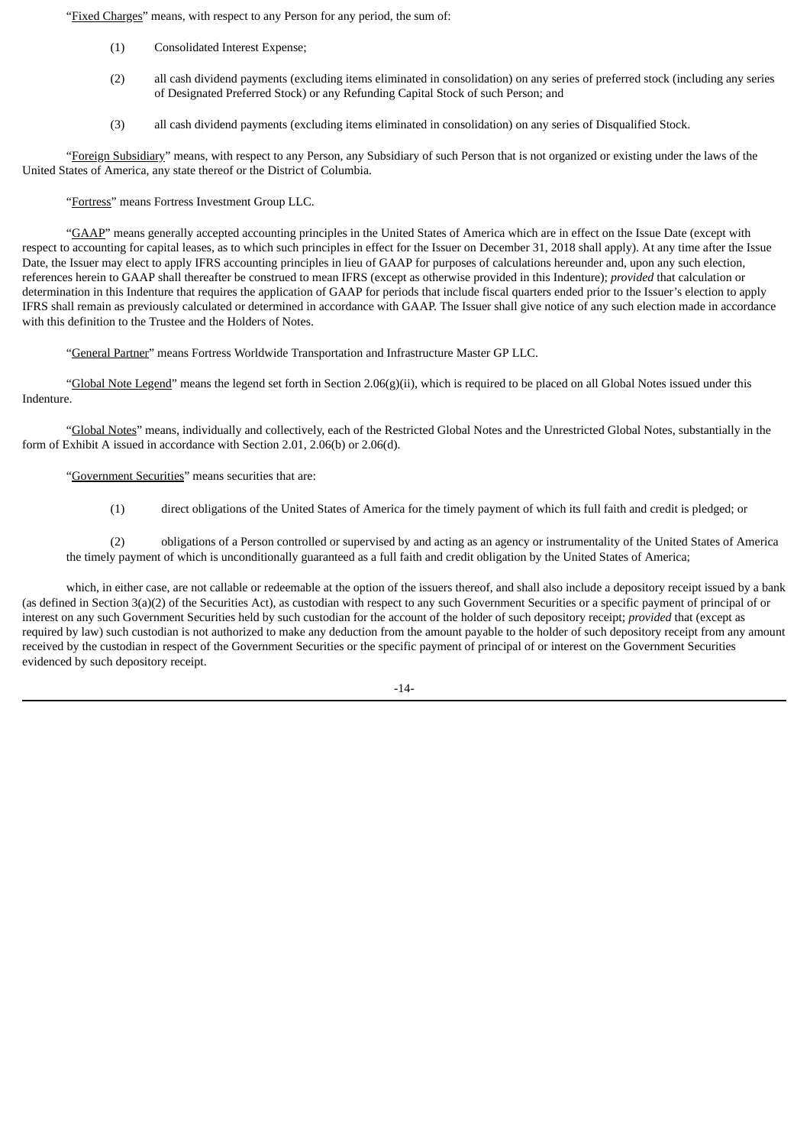"Fixed Charges" means, with respect to any Person for any period, the sum of:

- (1) Consolidated Interest Expense;
- (2) all cash dividend payments (excluding items eliminated in consolidation) on any series of preferred stock (including any series of Designated Preferred Stock) or any Refunding Capital Stock of such Person; and
- (3) all cash dividend payments (excluding items eliminated in consolidation) on any series of Disqualified Stock.

"Foreign Subsidiary" means, with respect to any Person, any Subsidiary of such Person that is not organized or existing under the laws of the United States of America, any state thereof or the District of Columbia.

"Fortress" means Fortress Investment Group LLC.

"GAAP" means generally accepted accounting principles in the United States of America which are in effect on the Issue Date (except with respect to accounting for capital leases, as to which such principles in effect for the Issuer on December 31, 2018 shall apply). At any time after the Issue Date, the Issuer may elect to apply IFRS accounting principles in lieu of GAAP for purposes of calculations hereunder and, upon any such election, references herein to GAAP shall thereafter be construed to mean IFRS (except as otherwise provided in this Indenture); *provided* that calculation or determination in this Indenture that requires the application of GAAP for periods that include fiscal quarters ended prior to the Issuer's election to apply IFRS shall remain as previously calculated or determined in accordance with GAAP. The Issuer shall give notice of any such election made in accordance with this definition to the Trustee and the Holders of Notes.

"General Partner" means Fortress Worldwide Transportation and Infrastructure Master GP LLC.

"Global Note Legend" means the legend set forth in Section 2.06(g)(ii), which is required to be placed on all Global Notes issued under this Indenture.

"Global Notes" means, individually and collectively, each of the Restricted Global Notes and the Unrestricted Global Notes, substantially in the form of Exhibit A issued in accordance with Section 2.01, 2.06(b) or 2.06(d).

"Government Securities" means securities that are:

(1) direct obligations of the United States of America for the timely payment of which its full faith and credit is pledged; or

(2) obligations of a Person controlled or supervised by and acting as an agency or instrumentality of the United States of America the timely payment of which is unconditionally guaranteed as a full faith and credit obligation by the United States of America;

which, in either case, are not callable or redeemable at the option of the issuers thereof, and shall also include a depository receipt issued by a bank (as defined in Section 3(a)(2) of the Securities Act), as custodian with respect to any such Government Securities or a specific payment of principal of or interest on any such Government Securities held by such custodian for the account of the holder of such depository receipt; *provided* that (except as required by law) such custodian is not authorized to make any deduction from the amount payable to the holder of such depository receipt from any amount received by the custodian in respect of the Government Securities or the specific payment of principal of or interest on the Government Securities evidenced by such depository receipt.

 $-14-$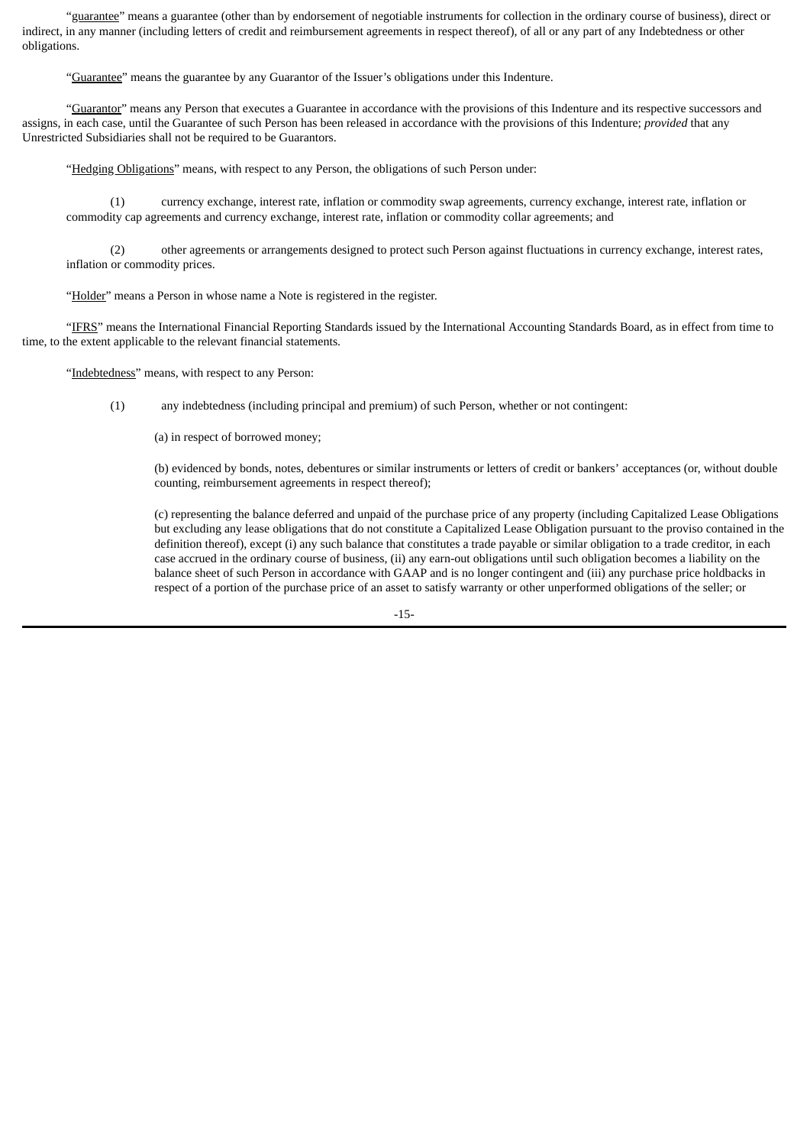"guarantee" means a guarantee (other than by endorsement of negotiable instruments for collection in the ordinary course of business), direct or indirect, in any manner (including letters of credit and reimbursement agreements in respect thereof), of all or any part of any Indebtedness or other obligations.

"Guarantee" means the guarantee by any Guarantor of the Issuer's obligations under this Indenture.

"Guarantor" means any Person that executes a Guarantee in accordance with the provisions of this Indenture and its respective successors and assigns, in each case, until the Guarantee of such Person has been released in accordance with the provisions of this Indenture; *provided* that any Unrestricted Subsidiaries shall not be required to be Guarantors.

"Hedging Obligations" means, with respect to any Person, the obligations of such Person under:

(1) currency exchange, interest rate, inflation or commodity swap agreements, currency exchange, interest rate, inflation or commodity cap agreements and currency exchange, interest rate, inflation or commodity collar agreements; and

(2) other agreements or arrangements designed to protect such Person against fluctuations in currency exchange, interest rates, inflation or commodity prices.

"Holder" means a Person in whose name a Note is registered in the register.

"IFRS" means the International Financial Reporting Standards issued by the International Accounting Standards Board, as in effect from time to time, to the extent applicable to the relevant financial statements.

"Indebtedness" means, with respect to any Person:

(1) any indebtedness (including principal and premium) of such Person, whether or not contingent:

(a) in respect of borrowed money;

(b) evidenced by bonds, notes, debentures or similar instruments or letters of credit or bankers' acceptances (or, without double counting, reimbursement agreements in respect thereof);

(c) representing the balance deferred and unpaid of the purchase price of any property (including Capitalized Lease Obligations but excluding any lease obligations that do not constitute a Capitalized Lease Obligation pursuant to the proviso contained in the definition thereof), except (i) any such balance that constitutes a trade payable or similar obligation to a trade creditor, in each case accrued in the ordinary course of business, (ii) any earn-out obligations until such obligation becomes a liability on the balance sheet of such Person in accordance with GAAP and is no longer contingent and (iii) any purchase price holdbacks in respect of a portion of the purchase price of an asset to satisfy warranty or other unperformed obligations of the seller; or

-15-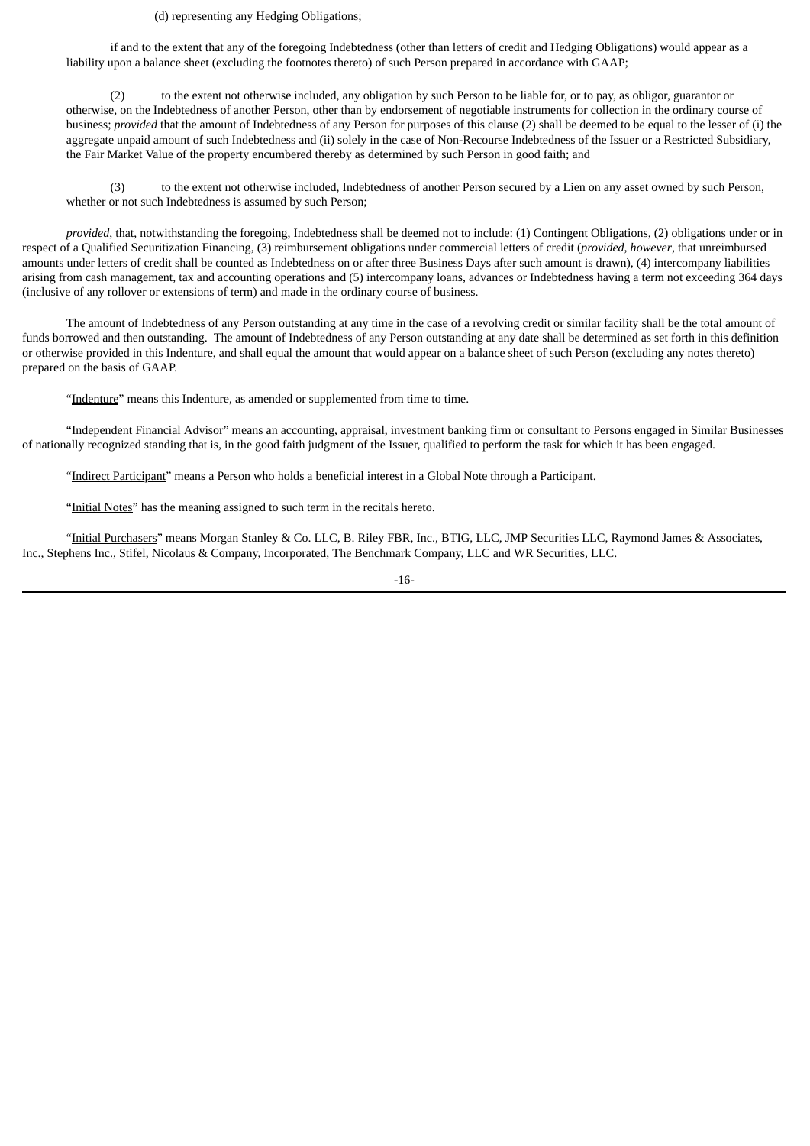#### (d) representing any Hedging Obligations;

if and to the extent that any of the foregoing Indebtedness (other than letters of credit and Hedging Obligations) would appear as a liability upon a balance sheet (excluding the footnotes thereto) of such Person prepared in accordance with GAAP;

(2) to the extent not otherwise included, any obligation by such Person to be liable for, or to pay, as obligor, guarantor or otherwise, on the Indebtedness of another Person, other than by endorsement of negotiable instruments for collection in the ordinary course of business; *provided* that the amount of Indebtedness of any Person for purposes of this clause (2) shall be deemed to be equal to the lesser of (i) the aggregate unpaid amount of such Indebtedness and (ii) solely in the case of Non-Recourse Indebtedness of the Issuer or a Restricted Subsidiary, the Fair Market Value of the property encumbered thereby as determined by such Person in good faith; and

(3) to the extent not otherwise included, Indebtedness of another Person secured by a Lien on any asset owned by such Person, whether or not such Indebtedness is assumed by such Person;

*provided*, that, notwithstanding the foregoing, Indebtedness shall be deemed not to include: (1) Contingent Obligations, (2) obligations under or in respect of a Qualified Securitization Financing, (3) reimbursement obligations under commercial letters of credit (*provided*, *however*, that unreimbursed amounts under letters of credit shall be counted as Indebtedness on or after three Business Days after such amount is drawn), (4) intercompany liabilities arising from cash management, tax and accounting operations and (5) intercompany loans, advances or Indebtedness having a term not exceeding 364 days (inclusive of any rollover or extensions of term) and made in the ordinary course of business.

The amount of Indebtedness of any Person outstanding at any time in the case of a revolving credit or similar facility shall be the total amount of funds borrowed and then outstanding. The amount of Indebtedness of any Person outstanding at any date shall be determined as set forth in this definition or otherwise provided in this Indenture, and shall equal the amount that would appear on a balance sheet of such Person (excluding any notes thereto) prepared on the basis of GAAP.

"Indenture" means this Indenture, as amended or supplemented from time to time.

"Independent Financial Advisor" means an accounting, appraisal, investment banking firm or consultant to Persons engaged in Similar Businesses of nationally recognized standing that is, in the good faith judgment of the Issuer, qualified to perform the task for which it has been engaged.

"Indirect Participant" means a Person who holds a beneficial interest in a Global Note through a Participant.

"Initial Notes" has the meaning assigned to such term in the recitals hereto.

"Initial Purchasers" means Morgan Stanley & Co. LLC, B. Riley FBR, Inc., BTIG, LLC, JMP Securities LLC, Raymond James & Associates, Inc., Stephens Inc., Stifel, Nicolaus & Company, Incorporated, The Benchmark Company, LLC and WR Securities, LLC.

-16-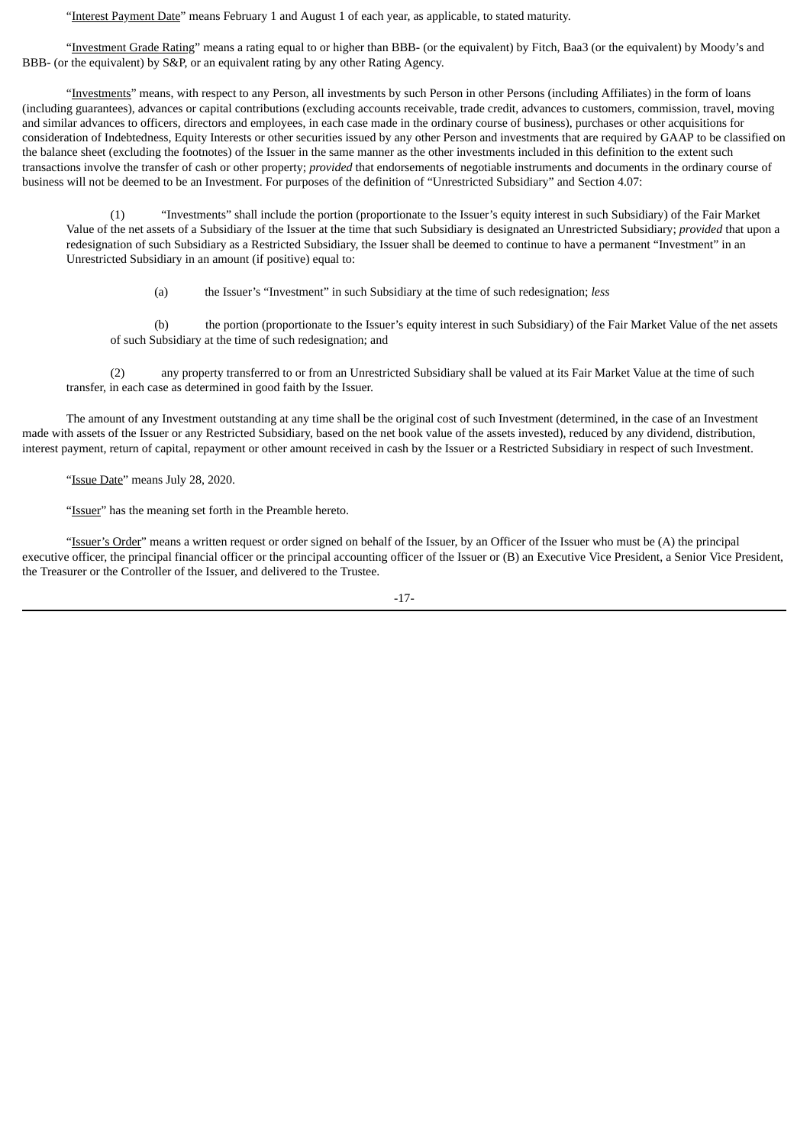"Interest Payment Date" means February 1 and August 1 of each year, as applicable, to stated maturity.

"Investment Grade Rating" means a rating equal to or higher than BBB- (or the equivalent) by Fitch, Baa3 (or the equivalent) by Moody's and BBB- (or the equivalent) by S&P, or an equivalent rating by any other Rating Agency.

"Investments" means, with respect to any Person, all investments by such Person in other Persons (including Affiliates) in the form of loans (including guarantees), advances or capital contributions (excluding accounts receivable, trade credit, advances to customers, commission, travel, moving and similar advances to officers, directors and employees, in each case made in the ordinary course of business), purchases or other acquisitions for consideration of Indebtedness, Equity Interests or other securities issued by any other Person and investments that are required by GAAP to be classified on the balance sheet (excluding the footnotes) of the Issuer in the same manner as the other investments included in this definition to the extent such transactions involve the transfer of cash or other property; *provided* that endorsements of negotiable instruments and documents in the ordinary course of business will not be deemed to be an Investment. For purposes of the definition of "Unrestricted Subsidiary" and Section 4.07:

(1) "Investments" shall include the portion (proportionate to the Issuer's equity interest in such Subsidiary) of the Fair Market Value of the net assets of a Subsidiary of the Issuer at the time that such Subsidiary is designated an Unrestricted Subsidiary; *provided* that upon a redesignation of such Subsidiary as a Restricted Subsidiary, the Issuer shall be deemed to continue to have a permanent "Investment" in an Unrestricted Subsidiary in an amount (if positive) equal to:

(a) the Issuer's "Investment" in such Subsidiary at the time of such redesignation; *less*

(b) the portion (proportionate to the Issuer's equity interest in such Subsidiary) of the Fair Market Value of the net assets of such Subsidiary at the time of such redesignation; and

(2) any property transferred to or from an Unrestricted Subsidiary shall be valued at its Fair Market Value at the time of such transfer, in each case as determined in good faith by the Issuer.

The amount of any Investment outstanding at any time shall be the original cost of such Investment (determined, in the case of an Investment made with assets of the Issuer or any Restricted Subsidiary, based on the net book value of the assets invested), reduced by any dividend, distribution, interest payment, return of capital, repayment or other amount received in cash by the Issuer or a Restricted Subsidiary in respect of such Investment.

"Issue Date" means July 28, 2020.

"Issuer" has the meaning set forth in the Preamble hereto.

"Issuer's Order" means a written request or order signed on behalf of the Issuer, by an Officer of the Issuer who must be (A) the principal executive officer, the principal financial officer or the principal accounting officer of the Issuer or (B) an Executive Vice President, a Senior Vice President, the Treasurer or the Controller of the Issuer, and delivered to the Trustee.

-17-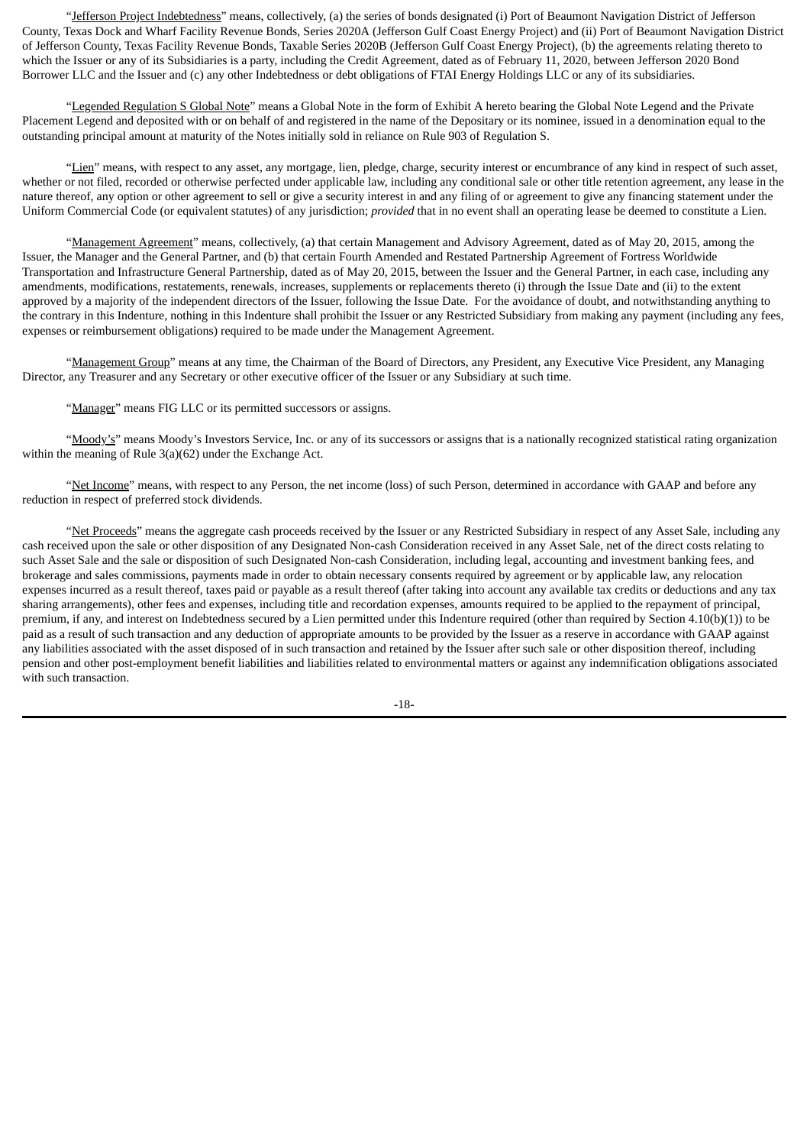"Jefferson Project Indebtedness" means, collectively, (a) the series of bonds designated (i) Port of Beaumont Navigation District of Jefferson County, Texas Dock and Wharf Facility Revenue Bonds, Series 2020A (Jefferson Gulf Coast Energy Project) and (ii) Port of Beaumont Navigation District of Jefferson County, Texas Facility Revenue Bonds, Taxable Series 2020B (Jefferson Gulf Coast Energy Project), (b) the agreements relating thereto to which the Issuer or any of its Subsidiaries is a party, including the Credit Agreement, dated as of February 11, 2020, between Jefferson 2020 Bond Borrower LLC and the Issuer and (c) any other Indebtedness or debt obligations of FTAI Energy Holdings LLC or any of its subsidiaries.

"Legended Regulation S Global Note" means a Global Note in the form of Exhibit A hereto bearing the Global Note Legend and the Private Placement Legend and deposited with or on behalf of and registered in the name of the Depositary or its nominee, issued in a denomination equal to the outstanding principal amount at maturity of the Notes initially sold in reliance on Rule 903 of Regulation S.

"Lien" means, with respect to any asset, any mortgage, lien, pledge, charge, security interest or encumbrance of any kind in respect of such asset, whether or not filed, recorded or otherwise perfected under applicable law, including any conditional sale or other title retention agreement, any lease in the nature thereof, any option or other agreement to sell or give a security interest in and any filing of or agreement to give any financing statement under the Uniform Commercial Code (or equivalent statutes) of any jurisdiction; *provided* that in no event shall an operating lease be deemed to constitute a Lien.

"Management Agreement" means, collectively, (a) that certain Management and Advisory Agreement, dated as of May 20, 2015, among the Issuer, the Manager and the General Partner, and (b) that certain Fourth Amended and Restated Partnership Agreement of Fortress Worldwide Transportation and Infrastructure General Partnership, dated as of May 20, 2015, between the Issuer and the General Partner, in each case, including any amendments, modifications, restatements, renewals, increases, supplements or replacements thereto (i) through the Issue Date and (ii) to the extent approved by a majority of the independent directors of the Issuer, following the Issue Date. For the avoidance of doubt, and notwithstanding anything to the contrary in this Indenture, nothing in this Indenture shall prohibit the Issuer or any Restricted Subsidiary from making any payment (including any fees, expenses or reimbursement obligations) required to be made under the Management Agreement.

"Management Group" means at any time, the Chairman of the Board of Directors, any President, any Executive Vice President, any Managing Director, any Treasurer and any Secretary or other executive officer of the Issuer or any Subsidiary at such time.

"Manager" means FIG LLC or its permitted successors or assigns.

"Moody's" means Moody's Investors Service, Inc. or any of its successors or assigns that is a nationally recognized statistical rating organization within the meaning of Rule 3(a)(62) under the Exchange Act.

"Net Income" means, with respect to any Person, the net income (loss) of such Person, determined in accordance with GAAP and before any reduction in respect of preferred stock dividends.

"Net Proceeds" means the aggregate cash proceeds received by the Issuer or any Restricted Subsidiary in respect of any Asset Sale, including any cash received upon the sale or other disposition of any Designated Non-cash Consideration received in any Asset Sale, net of the direct costs relating to such Asset Sale and the sale or disposition of such Designated Non-cash Consideration, including legal, accounting and investment banking fees, and brokerage and sales commissions, payments made in order to obtain necessary consents required by agreement or by applicable law, any relocation expenses incurred as a result thereof, taxes paid or payable as a result thereof (after taking into account any available tax credits or deductions and any tax sharing arrangements), other fees and expenses, including title and recordation expenses, amounts required to be applied to the repayment of principal, premium, if any, and interest on Indebtedness secured by a Lien permitted under this Indenture required (other than required by Section 4.10(b)(1)) to be paid as a result of such transaction and any deduction of appropriate amounts to be provided by the Issuer as a reserve in accordance with GAAP against any liabilities associated with the asset disposed of in such transaction and retained by the Issuer after such sale or other disposition thereof, including pension and other post-employment benefit liabilities and liabilities related to environmental matters or against any indemnification obligations associated with such transaction.

-18-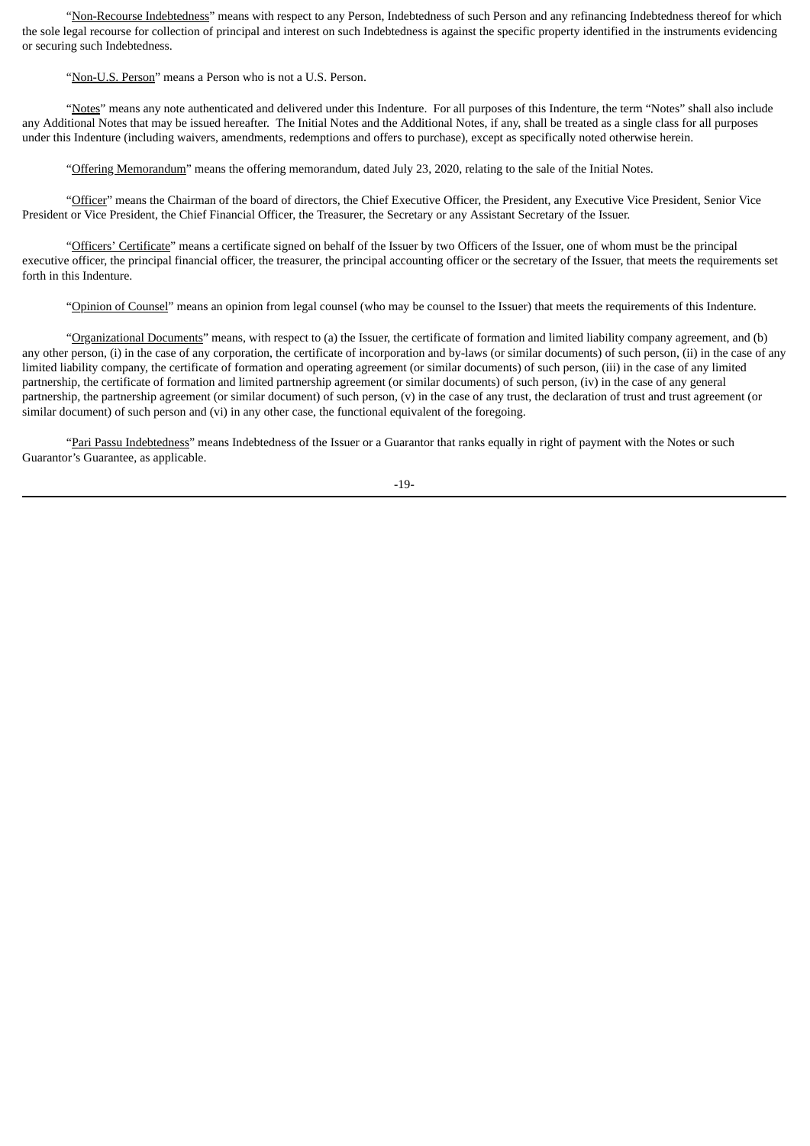"Non-Recourse Indebtedness" means with respect to any Person, Indebtedness of such Person and any refinancing Indebtedness thereof for which the sole legal recourse for collection of principal and interest on such Indebtedness is against the specific property identified in the instruments evidencing or securing such Indebtedness.

"Non-U.S. Person" means a Person who is not a U.S. Person.

"Notes" means any note authenticated and delivered under this Indenture. For all purposes of this Indenture, the term "Notes" shall also include any Additional Notes that may be issued hereafter. The Initial Notes and the Additional Notes, if any, shall be treated as a single class for all purposes under this Indenture (including waivers, amendments, redemptions and offers to purchase), except as specifically noted otherwise herein.

"Offering Memorandum" means the offering memorandum, dated July 23, 2020, relating to the sale of the Initial Notes.

"Officer" means the Chairman of the board of directors, the Chief Executive Officer, the President, any Executive Vice President, Senior Vice President or Vice President, the Chief Financial Officer, the Treasurer, the Secretary or any Assistant Secretary of the Issuer.

"Officers' Certificate" means a certificate signed on behalf of the Issuer by two Officers of the Issuer, one of whom must be the principal executive officer, the principal financial officer, the treasurer, the principal accounting officer or the secretary of the Issuer, that meets the requirements set forth in this Indenture.

"Opinion of Counsel" means an opinion from legal counsel (who may be counsel to the Issuer) that meets the requirements of this Indenture.

"Organizational Documents" means, with respect to (a) the Issuer, the certificate of formation and limited liability company agreement, and (b) any other person, (i) in the case of any corporation, the certificate of incorporation and by-laws (or similar documents) of such person, (ii) in the case of any limited liability company, the certificate of formation and operating agreement (or similar documents) of such person, (iii) in the case of any limited partnership, the certificate of formation and limited partnership agreement (or similar documents) of such person, (iv) in the case of any general partnership, the partnership agreement (or similar document) of such person, (v) in the case of any trust, the declaration of trust and trust agreement (or similar document) of such person and (vi) in any other case, the functional equivalent of the foregoing.

"Pari Passu Indebtedness" means Indebtedness of the Issuer or a Guarantor that ranks equally in right of payment with the Notes or such Guarantor's Guarantee, as applicable.

-19-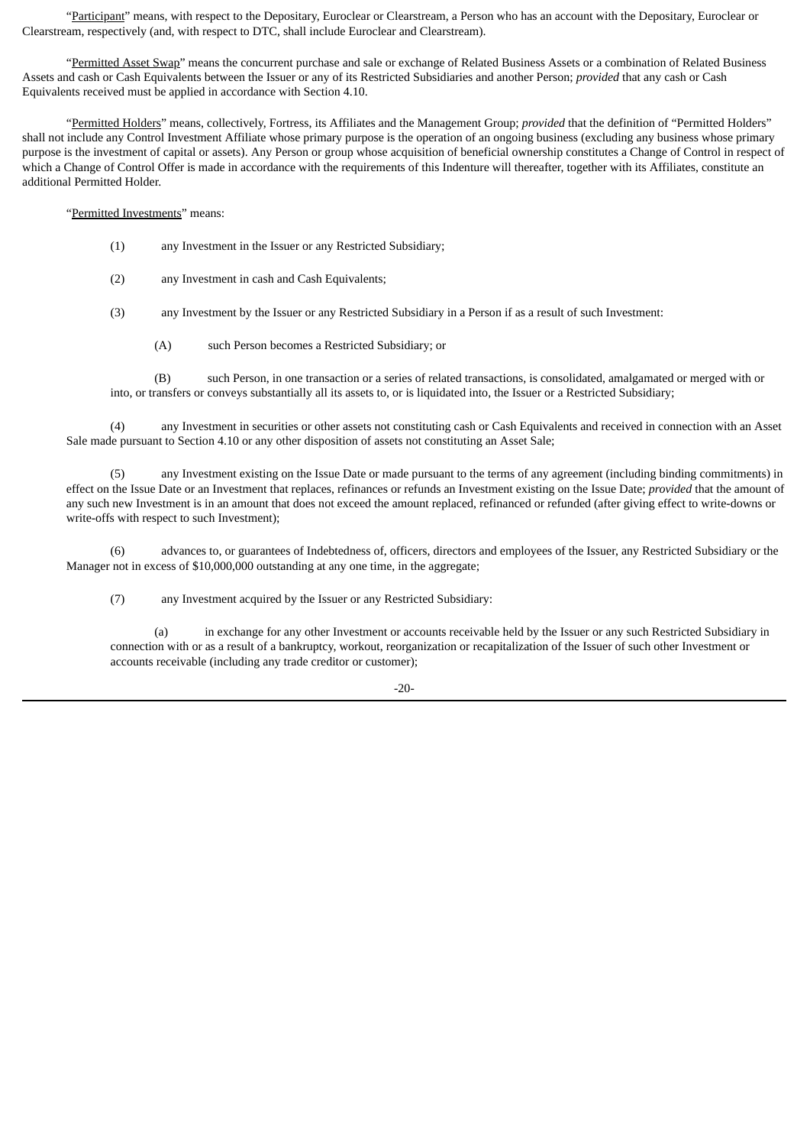"Participant" means, with respect to the Depositary, Euroclear or Clearstream, a Person who has an account with the Depositary, Euroclear or Clearstream, respectively (and, with respect to DTC, shall include Euroclear and Clearstream).

"Permitted Asset Swap" means the concurrent purchase and sale or exchange of Related Business Assets or a combination of Related Business Assets and cash or Cash Equivalents between the Issuer or any of its Restricted Subsidiaries and another Person; *provided* that any cash or Cash Equivalents received must be applied in accordance with Section 4.10.

"Permitted Holders" means, collectively, Fortress, its Affiliates and the Management Group; *provided* that the definition of "Permitted Holders" shall not include any Control Investment Affiliate whose primary purpose is the operation of an ongoing business (excluding any business whose primary purpose is the investment of capital or assets). Any Person or group whose acquisition of beneficial ownership constitutes a Change of Control in respect of which a Change of Control Offer is made in accordance with the requirements of this Indenture will thereafter, together with its Affiliates, constitute an additional Permitted Holder.

"Permitted Investments" means:

- (1) any Investment in the Issuer or any Restricted Subsidiary;
- (2) any Investment in cash and Cash Equivalents;
- (3) any Investment by the Issuer or any Restricted Subsidiary in a Person if as a result of such Investment:
	- (A) such Person becomes a Restricted Subsidiary; or

(B) such Person, in one transaction or a series of related transactions, is consolidated, amalgamated or merged with or into, or transfers or conveys substantially all its assets to, or is liquidated into, the Issuer or a Restricted Subsidiary;

(4) any Investment in securities or other assets not constituting cash or Cash Equivalents and received in connection with an Asset Sale made pursuant to Section 4.10 or any other disposition of assets not constituting an Asset Sale;

(5) any Investment existing on the Issue Date or made pursuant to the terms of any agreement (including binding commitments) in effect on the Issue Date or an Investment that replaces, refinances or refunds an Investment existing on the Issue Date; *provided* that the amount of any such new Investment is in an amount that does not exceed the amount replaced, refinanced or refunded (after giving effect to write-downs or write-offs with respect to such Investment);

(6) advances to, or guarantees of Indebtedness of, officers, directors and employees of the Issuer, any Restricted Subsidiary or the Manager not in excess of \$10,000,000 outstanding at any one time, in the aggregate;

(7) any Investment acquired by the Issuer or any Restricted Subsidiary:

(a) in exchange for any other Investment or accounts receivable held by the Issuer or any such Restricted Subsidiary in connection with or as a result of a bankruptcy, workout, reorganization or recapitalization of the Issuer of such other Investment or accounts receivable (including any trade creditor or customer);

 $-20-$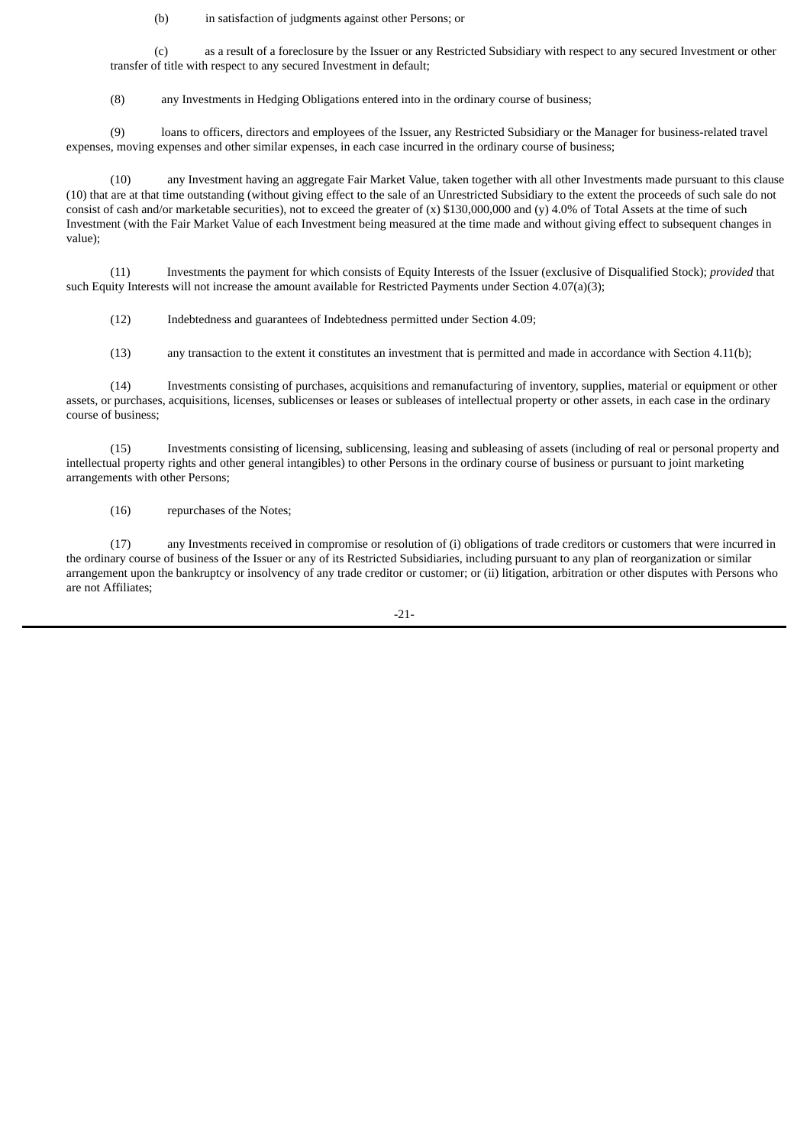(b) in satisfaction of judgments against other Persons; or

(c) as a result of a foreclosure by the Issuer or any Restricted Subsidiary with respect to any secured Investment or other transfer of title with respect to any secured Investment in default;

(8) any Investments in Hedging Obligations entered into in the ordinary course of business;

(9) loans to officers, directors and employees of the Issuer, any Restricted Subsidiary or the Manager for business-related travel expenses, moving expenses and other similar expenses, in each case incurred in the ordinary course of business;

(10) any Investment having an aggregate Fair Market Value, taken together with all other Investments made pursuant to this clause (10) that are at that time outstanding (without giving effect to the sale of an Unrestricted Subsidiary to the extent the proceeds of such sale do not consist of cash and/or marketable securities), not to exceed the greater of (x) \$130,000,000 and (y) 4.0% of Total Assets at the time of such Investment (with the Fair Market Value of each Investment being measured at the time made and without giving effect to subsequent changes in value);

(11) Investments the payment for which consists of Equity Interests of the Issuer (exclusive of Disqualified Stock); *provided* that such Equity Interests will not increase the amount available for Restricted Payments under Section 4.07(a)(3);

(12) Indebtedness and guarantees of Indebtedness permitted under Section 4.09;

(13) any transaction to the extent it constitutes an investment that is permitted and made in accordance with Section 4.11(b);

(14) Investments consisting of purchases, acquisitions and remanufacturing of inventory, supplies, material or equipment or other assets, or purchases, acquisitions, licenses, sublicenses or leases or subleases of intellectual property or other assets, in each case in the ordinary course of business;

(15) Investments consisting of licensing, sublicensing, leasing and subleasing of assets (including of real or personal property and intellectual property rights and other general intangibles) to other Persons in the ordinary course of business or pursuant to joint marketing arrangements with other Persons;

(16) repurchases of the Notes;

(17) any Investments received in compromise or resolution of (i) obligations of trade creditors or customers that were incurred in the ordinary course of business of the Issuer or any of its Restricted Subsidiaries, including pursuant to any plan of reorganization or similar arrangement upon the bankruptcy or insolvency of any trade creditor or customer; or (ii) litigation, arbitration or other disputes with Persons who are not Affiliates;

-21-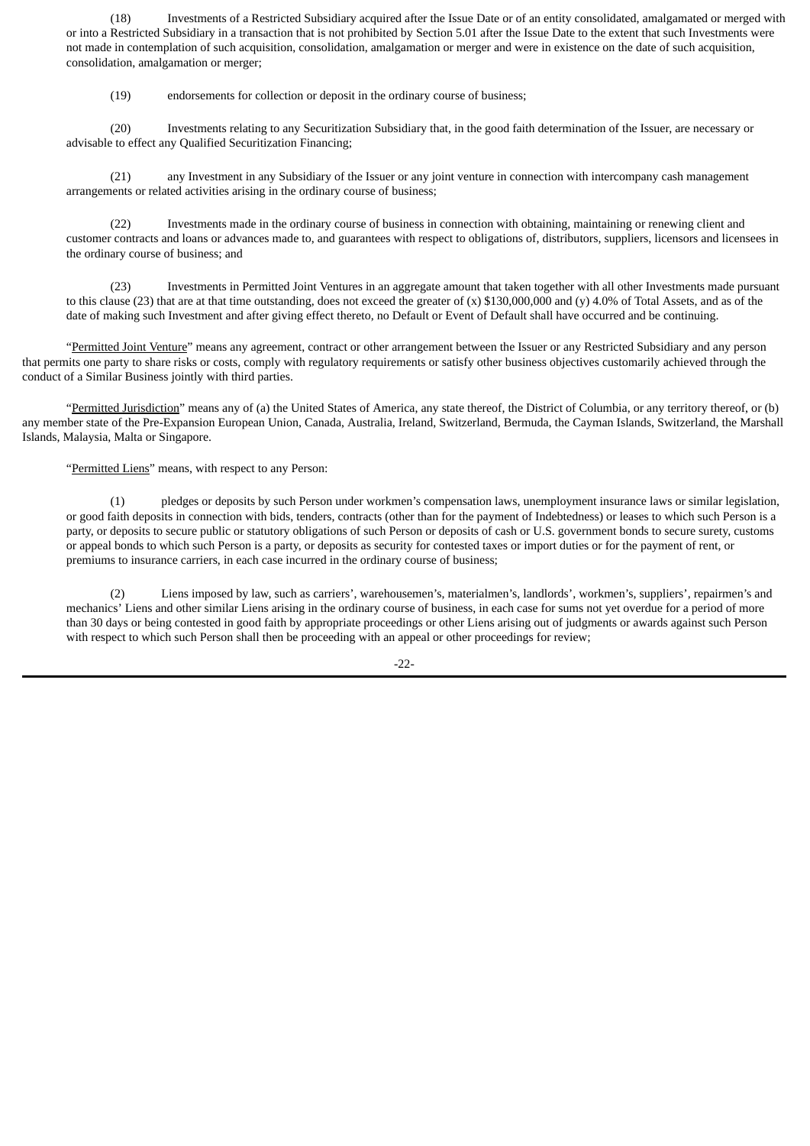(18) Investments of a Restricted Subsidiary acquired after the Issue Date or of an entity consolidated, amalgamated or merged with or into a Restricted Subsidiary in a transaction that is not prohibited by Section 5.01 after the Issue Date to the extent that such Investments were not made in contemplation of such acquisition, consolidation, amalgamation or merger and were in existence on the date of such acquisition, consolidation, amalgamation or merger;

(19) endorsements for collection or deposit in the ordinary course of business;

(20) Investments relating to any Securitization Subsidiary that, in the good faith determination of the Issuer, are necessary or advisable to effect any Qualified Securitization Financing;

(21) any Investment in any Subsidiary of the Issuer or any joint venture in connection with intercompany cash management arrangements or related activities arising in the ordinary course of business;

(22) Investments made in the ordinary course of business in connection with obtaining, maintaining or renewing client and customer contracts and loans or advances made to, and guarantees with respect to obligations of, distributors, suppliers, licensors and licensees in the ordinary course of business; and

(23) Investments in Permitted Joint Ventures in an aggregate amount that taken together with all other Investments made pursuant to this clause (23) that are at that time outstanding, does not exceed the greater of  $(x)$  \$130,000,000 and  $(y)$  4.0% of Total Assets, and as of the date of making such Investment and after giving effect thereto, no Default or Event of Default shall have occurred and be continuing.

"Permitted Joint Venture" means any agreement, contract or other arrangement between the Issuer or any Restricted Subsidiary and any person that permits one party to share risks or costs, comply with regulatory requirements or satisfy other business objectives customarily achieved through the conduct of a Similar Business jointly with third parties.

"Permitted Jurisdiction" means any of (a) the United States of America, any state thereof, the District of Columbia, or any territory thereof, or (b) any member state of the Pre-Expansion European Union, Canada, Australia, Ireland, Switzerland, Bermuda, the Cayman Islands, Switzerland, the Marshall Islands, Malaysia, Malta or Singapore.

"Permitted Liens" means, with respect to any Person:

(1) pledges or deposits by such Person under workmen's compensation laws, unemployment insurance laws or similar legislation, or good faith deposits in connection with bids, tenders, contracts (other than for the payment of Indebtedness) or leases to which such Person is a party, or deposits to secure public or statutory obligations of such Person or deposits of cash or U.S. government bonds to secure surety, customs or appeal bonds to which such Person is a party, or deposits as security for contested taxes or import duties or for the payment of rent, or premiums to insurance carriers, in each case incurred in the ordinary course of business;

(2) Liens imposed by law, such as carriers', warehousemen's, materialmen's, landlords', workmen's, suppliers', repairmen's and mechanics' Liens and other similar Liens arising in the ordinary course of business, in each case for sums not yet overdue for a period of more than 30 days or being contested in good faith by appropriate proceedings or other Liens arising out of judgments or awards against such Person with respect to which such Person shall then be proceeding with an appeal or other proceedings for review;

-22-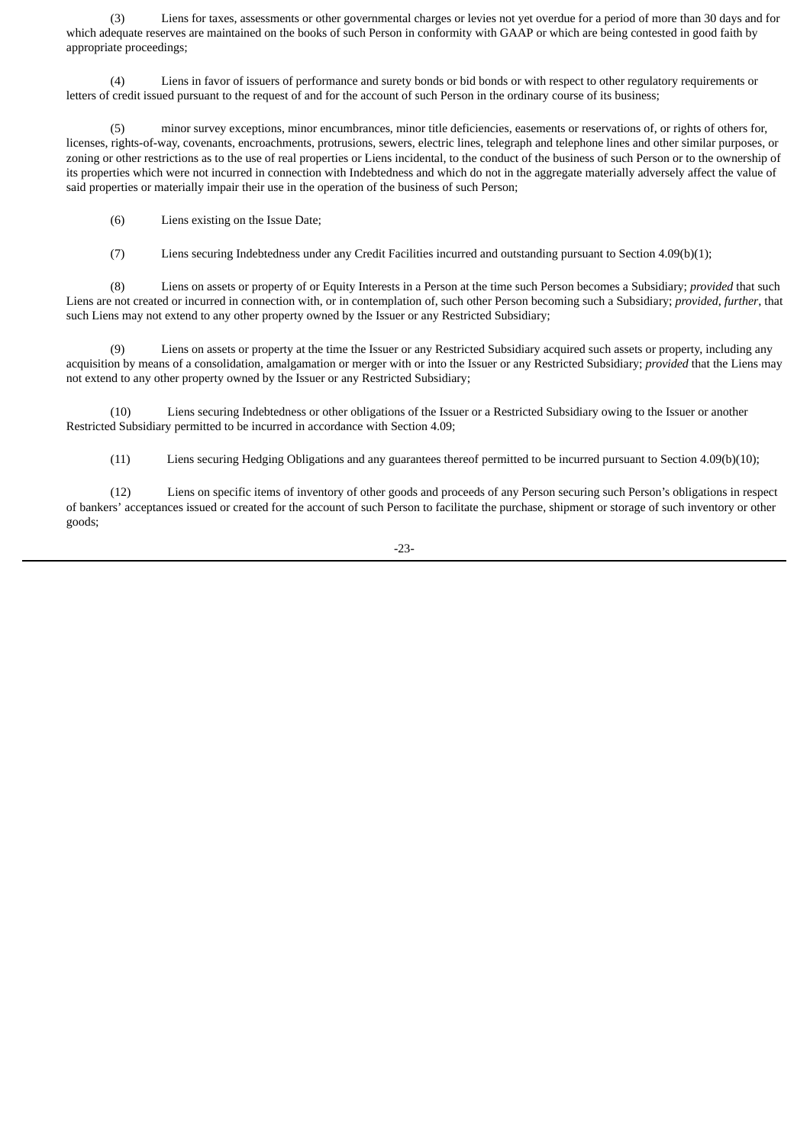(3) Liens for taxes, assessments or other governmental charges or levies not yet overdue for a period of more than 30 days and for which adequate reserves are maintained on the books of such Person in conformity with GAAP or which are being contested in good faith by appropriate proceedings;

(4) Liens in favor of issuers of performance and surety bonds or bid bonds or with respect to other regulatory requirements or letters of credit issued pursuant to the request of and for the account of such Person in the ordinary course of its business;

(5) minor survey exceptions, minor encumbrances, minor title deficiencies, easements or reservations of, or rights of others for, licenses, rights-of-way, covenants, encroachments, protrusions, sewers, electric lines, telegraph and telephone lines and other similar purposes, or zoning or other restrictions as to the use of real properties or Liens incidental, to the conduct of the business of such Person or to the ownership of its properties which were not incurred in connection with Indebtedness and which do not in the aggregate materially adversely affect the value of said properties or materially impair their use in the operation of the business of such Person;

(6) Liens existing on the Issue Date;

(7) Liens securing Indebtedness under any Credit Facilities incurred and outstanding pursuant to Section 4.09(b)(1);

(8) Liens on assets or property of or Equity Interests in a Person at the time such Person becomes a Subsidiary; *provided* that such Liens are not created or incurred in connection with, or in contemplation of, such other Person becoming such a Subsidiary; *provided*, *further*, that such Liens may not extend to any other property owned by the Issuer or any Restricted Subsidiary;

(9) Liens on assets or property at the time the Issuer or any Restricted Subsidiary acquired such assets or property, including any acquisition by means of a consolidation, amalgamation or merger with or into the Issuer or any Restricted Subsidiary; *provided* that the Liens may not extend to any other property owned by the Issuer or any Restricted Subsidiary;

(10) Liens securing Indebtedness or other obligations of the Issuer or a Restricted Subsidiary owing to the Issuer or another Restricted Subsidiary permitted to be incurred in accordance with Section 4.09;

(11) Liens securing Hedging Obligations and any guarantees thereof permitted to be incurred pursuant to Section 4.09(b)(10);

(12) Liens on specific items of inventory of other goods and proceeds of any Person securing such Person's obligations in respect of bankers' acceptances issued or created for the account of such Person to facilitate the purchase, shipment or storage of such inventory or other goods;

-23-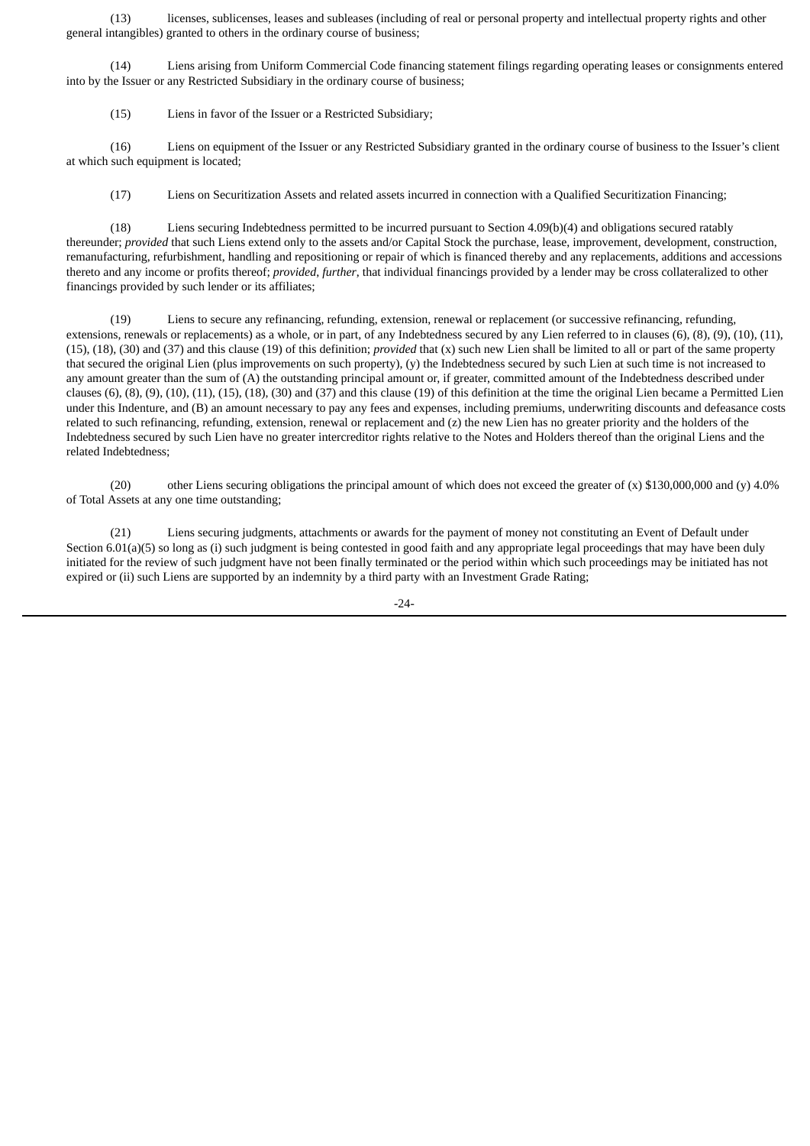(13) licenses, sublicenses, leases and subleases (including of real or personal property and intellectual property rights and other general intangibles) granted to others in the ordinary course of business;

(14) Liens arising from Uniform Commercial Code financing statement filings regarding operating leases or consignments entered into by the Issuer or any Restricted Subsidiary in the ordinary course of business;

(15) Liens in favor of the Issuer or a Restricted Subsidiary;

(16) Liens on equipment of the Issuer or any Restricted Subsidiary granted in the ordinary course of business to the Issuer's client at which such equipment is located;

(17) Liens on Securitization Assets and related assets incurred in connection with a Qualified Securitization Financing;

(18) Liens securing Indebtedness permitted to be incurred pursuant to Section 4.09(b)(4) and obligations secured ratably thereunder; *provided* that such Liens extend only to the assets and/or Capital Stock the purchase, lease, improvement, development, construction, remanufacturing, refurbishment, handling and repositioning or repair of which is financed thereby and any replacements, additions and accessions thereto and any income or profits thereof; *provided*, *further*, that individual financings provided by a lender may be cross collateralized to other financings provided by such lender or its affiliates;

(19) Liens to secure any refinancing, refunding, extension, renewal or replacement (or successive refinancing, refunding, extensions, renewals or replacements) as a whole, or in part, of any Indebtedness secured by any Lien referred to in clauses (6), (8), (9), (10), (11), (15), (18), (30) and (37) and this clause (19) of this definition; *provided* that (x) such new Lien shall be limited to all or part of the same property that secured the original Lien (plus improvements on such property), (y) the Indebtedness secured by such Lien at such time is not increased to any amount greater than the sum of (A) the outstanding principal amount or, if greater, committed amount of the Indebtedness described under clauses (6), (8), (9), (10), (11), (15), (18), (30) and (37) and this clause (19) of this definition at the time the original Lien became a Permitted Lien under this Indenture, and (B) an amount necessary to pay any fees and expenses, including premiums, underwriting discounts and defeasance costs related to such refinancing, refunding, extension, renewal or replacement and (z) the new Lien has no greater priority and the holders of the Indebtedness secured by such Lien have no greater intercreditor rights relative to the Notes and Holders thereof than the original Liens and the related Indebtedness;

(20) other Liens securing obligations the principal amount of which does not exceed the greater of (x) \$130,000,000 and (y) 4.0% of Total Assets at any one time outstanding;

(21) Liens securing judgments, attachments or awards for the payment of money not constituting an Event of Default under Section 6.01(a)(5) so long as (i) such judgment is being contested in good faith and any appropriate legal proceedings that may have been duly initiated for the review of such judgment have not been finally terminated or the period within which such proceedings may be initiated has not expired or (ii) such Liens are supported by an indemnity by a third party with an Investment Grade Rating;

-24-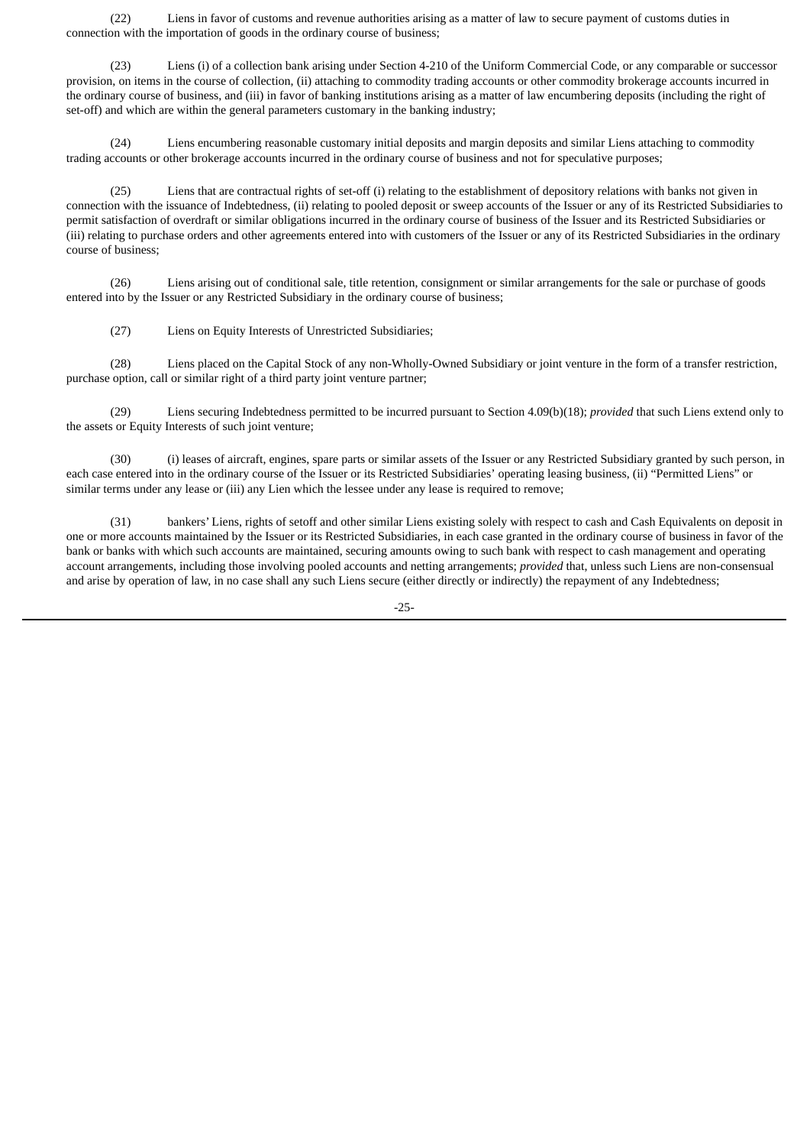(22) Liens in favor of customs and revenue authorities arising as a matter of law to secure payment of customs duties in connection with the importation of goods in the ordinary course of business;

(23) Liens (i) of a collection bank arising under Section 4-210 of the Uniform Commercial Code, or any comparable or successor provision, on items in the course of collection, (ii) attaching to commodity trading accounts or other commodity brokerage accounts incurred in the ordinary course of business, and (iii) in favor of banking institutions arising as a matter of law encumbering deposits (including the right of set-off) and which are within the general parameters customary in the banking industry;

(24) Liens encumbering reasonable customary initial deposits and margin deposits and similar Liens attaching to commodity trading accounts or other brokerage accounts incurred in the ordinary course of business and not for speculative purposes;

(25) Liens that are contractual rights of set-off (i) relating to the establishment of depository relations with banks not given in connection with the issuance of Indebtedness, (ii) relating to pooled deposit or sweep accounts of the Issuer or any of its Restricted Subsidiaries to permit satisfaction of overdraft or similar obligations incurred in the ordinary course of business of the Issuer and its Restricted Subsidiaries or (iii) relating to purchase orders and other agreements entered into with customers of the Issuer or any of its Restricted Subsidiaries in the ordinary course of business;

(26) Liens arising out of conditional sale, title retention, consignment or similar arrangements for the sale or purchase of goods entered into by the Issuer or any Restricted Subsidiary in the ordinary course of business;

(27) Liens on Equity Interests of Unrestricted Subsidiaries;

(28) Liens placed on the Capital Stock of any non-Wholly-Owned Subsidiary or joint venture in the form of a transfer restriction, purchase option, call or similar right of a third party joint venture partner;

(29) Liens securing Indebtedness permitted to be incurred pursuant to Section 4.09(b)(18); *provided* that such Liens extend only to the assets or Equity Interests of such joint venture;

(30) (i) leases of aircraft, engines, spare parts or similar assets of the Issuer or any Restricted Subsidiary granted by such person, in each case entered into in the ordinary course of the Issuer or its Restricted Subsidiaries' operating leasing business, (ii) "Permitted Liens" or similar terms under any lease or (iii) any Lien which the lessee under any lease is required to remove;

(31) bankers' Liens, rights of setoff and other similar Liens existing solely with respect to cash and Cash Equivalents on deposit in one or more accounts maintained by the Issuer or its Restricted Subsidiaries, in each case granted in the ordinary course of business in favor of the bank or banks with which such accounts are maintained, securing amounts owing to such bank with respect to cash management and operating account arrangements, including those involving pooled accounts and netting arrangements; *provided* that, unless such Liens are non-consensual and arise by operation of law, in no case shall any such Liens secure (either directly or indirectly) the repayment of any Indebtedness;

-25-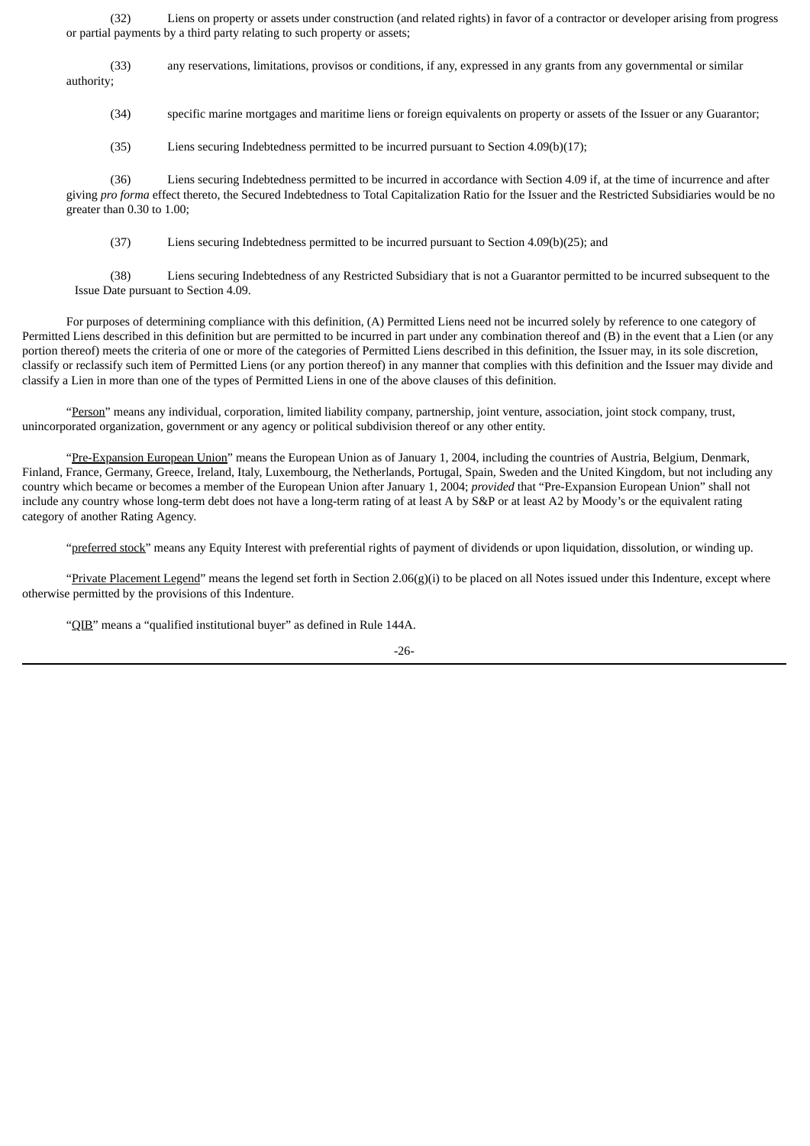(32) Liens on property or assets under construction (and related rights) in favor of a contractor or developer arising from progress or partial payments by a third party relating to such property or assets;

(33) any reservations, limitations, provisos or conditions, if any, expressed in any grants from any governmental or similar authority;

(34) specific marine mortgages and maritime liens or foreign equivalents on property or assets of the Issuer or any Guarantor;

(35) Liens securing Indebtedness permitted to be incurred pursuant to Section 4.09(b)(17);

(36) Liens securing Indebtedness permitted to be incurred in accordance with Section 4.09 if, at the time of incurrence and after giving *pro forma* effect thereto, the Secured Indebtedness to Total Capitalization Ratio for the Issuer and the Restricted Subsidiaries would be no greater than 0.30 to 1.00;

(37) Liens securing Indebtedness permitted to be incurred pursuant to Section 4.09(b)(25); and

(38) Liens securing Indebtedness of any Restricted Subsidiary that is not a Guarantor permitted to be incurred subsequent to the Issue Date pursuant to Section 4.09.

For purposes of determining compliance with this definition, (A) Permitted Liens need not be incurred solely by reference to one category of Permitted Liens described in this definition but are permitted to be incurred in part under any combination thereof and (B) in the event that a Lien (or any portion thereof) meets the criteria of one or more of the categories of Permitted Liens described in this definition, the Issuer may, in its sole discretion, classify or reclassify such item of Permitted Liens (or any portion thereof) in any manner that complies with this definition and the Issuer may divide and classify a Lien in more than one of the types of Permitted Liens in one of the above clauses of this definition.

"Person" means any individual, corporation, limited liability company, partnership, joint venture, association, joint stock company, trust, unincorporated organization, government or any agency or political subdivision thereof or any other entity.

"Pre-Expansion European Union" means the European Union as of January 1, 2004, including the countries of Austria, Belgium, Denmark, Finland, France, Germany, Greece, Ireland, Italy, Luxembourg, the Netherlands, Portugal, Spain, Sweden and the United Kingdom, but not including any country which became or becomes a member of the European Union after January 1, 2004; *provided* that "Pre-Expansion European Union" shall not include any country whose long-term debt does not have a long-term rating of at least A by S&P or at least A2 by Moody's or the equivalent rating category of another Rating Agency.

"preferred stock" means any Equity Interest with preferential rights of payment of dividends or upon liquidation, dissolution, or winding up.

"Private Placement Legend" means the legend set forth in Section 2.06(g)(i) to be placed on all Notes issued under this Indenture, except where otherwise permitted by the provisions of this Indenture.

"QIB" means a "qualified institutional buyer" as defined in Rule 144A.

-26-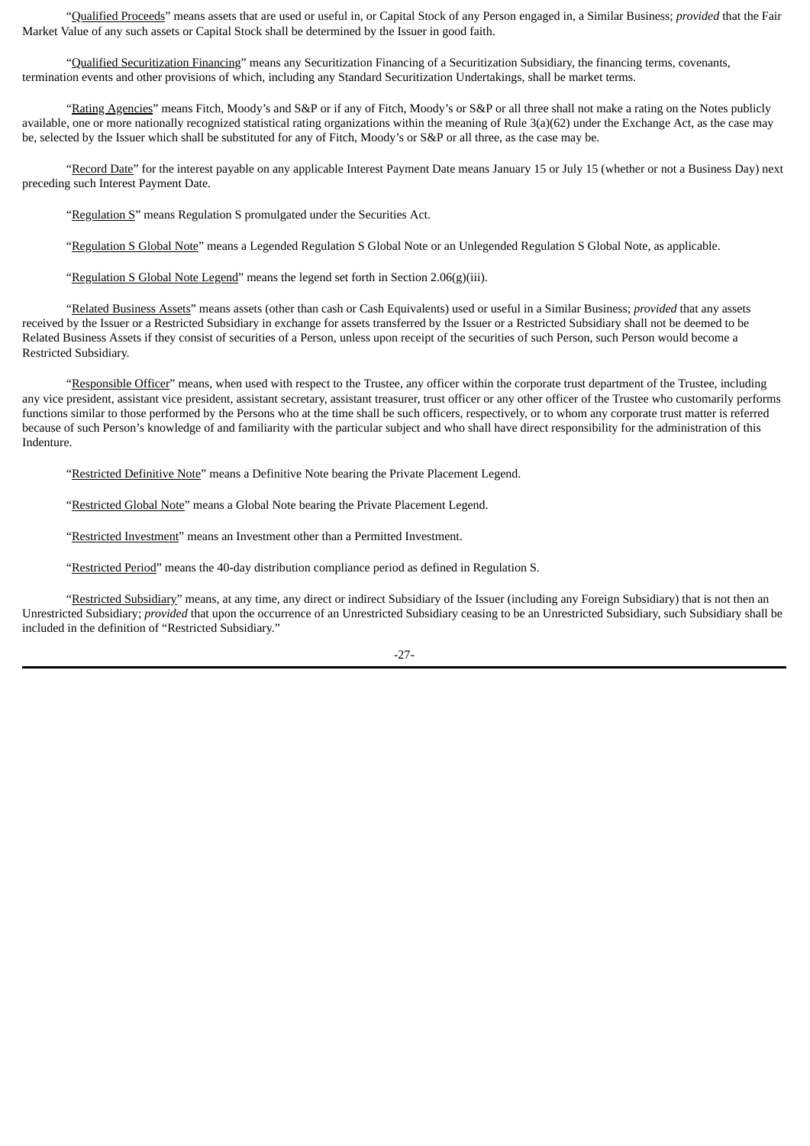"Qualified Proceeds" means assets that are used or useful in, or Capital Stock of any Person engaged in, a Similar Business; *provided* that the Fair Market Value of any such assets or Capital Stock shall be determined by the Issuer in good faith.

"Qualified Securitization Financing" means any Securitization Financing of a Securitization Subsidiary, the financing terms, covenants, termination events and other provisions of which, including any Standard Securitization Undertakings, shall be market terms.

"Rating Agencies" means Fitch, Moody's and S&P or if any of Fitch, Moody's or S&P or all three shall not make a rating on the Notes publicly available, one or more nationally recognized statistical rating organizations within the meaning of Rule 3(a)(62) under the Exchange Act, as the case may be, selected by the Issuer which shall be substituted for any of Fitch, Moody's or S&P or all three, as the case may be.

"Record Date" for the interest payable on any applicable Interest Payment Date means January 15 or July 15 (whether or not a Business Day) next preceding such Interest Payment Date.

"Regulation S" means Regulation S promulgated under the Securities Act.

"Regulation S Global Note" means a Legended Regulation S Global Note or an Unlegended Regulation S Global Note, as applicable.

"Regulation S Global Note Legend" means the legend set forth in Section 2.06(g)(iii).

"Related Business Assets" means assets (other than cash or Cash Equivalents) used or useful in a Similar Business; *provided* that any assets received by the Issuer or a Restricted Subsidiary in exchange for assets transferred by the Issuer or a Restricted Subsidiary shall not be deemed to be Related Business Assets if they consist of securities of a Person, unless upon receipt of the securities of such Person, such Person would become a Restricted Subsidiary.

"Responsible Officer" means, when used with respect to the Trustee, any officer within the corporate trust department of the Trustee, including any vice president, assistant vice president, assistant secretary, assistant treasurer, trust officer or any other officer of the Trustee who customarily performs functions similar to those performed by the Persons who at the time shall be such officers, respectively, or to whom any corporate trust matter is referred because of such Person's knowledge of and familiarity with the particular subject and who shall have direct responsibility for the administration of this Indenture.

"Restricted Definitive Note" means a Definitive Note bearing the Private Placement Legend.

"Restricted Global Note" means a Global Note bearing the Private Placement Legend.

"Restricted Investment" means an Investment other than a Permitted Investment.

"Restricted Period" means the 40-day distribution compliance period as defined in Regulation S.

"Restricted Subsidiary" means, at any time, any direct or indirect Subsidiary of the Issuer (including any Foreign Subsidiary) that is not then an Unrestricted Subsidiary; *provided* that upon the occurrence of an Unrestricted Subsidiary ceasing to be an Unrestricted Subsidiary, such Subsidiary shall be included in the definition of "Restricted Subsidiary."

-27-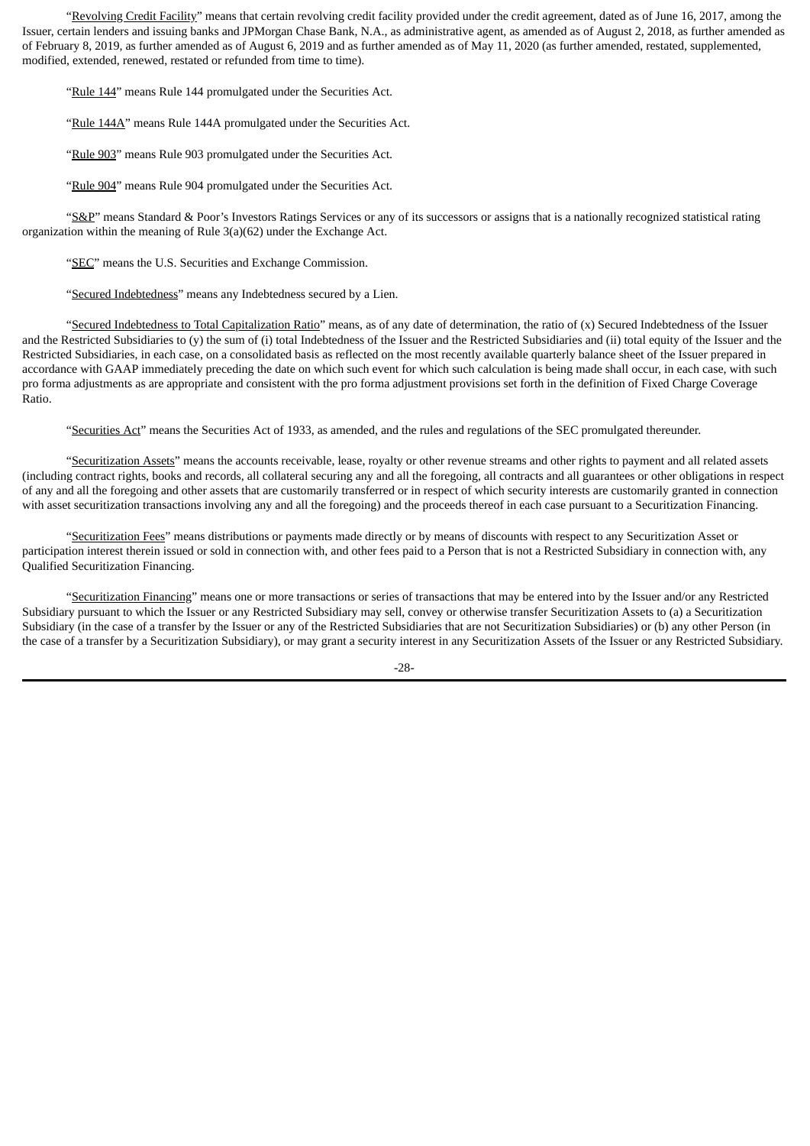"Revolving Credit Facility" means that certain revolving credit facility provided under the credit agreement, dated as of June 16, 2017, among the Issuer, certain lenders and issuing banks and JPMorgan Chase Bank, N.A., as administrative agent, as amended as of August 2, 2018, as further amended as of February 8, 2019, as further amended as of August 6, 2019 and as further amended as of May 11, 2020 (as further amended, restated, supplemented, modified, extended, renewed, restated or refunded from time to time).

"Rule 144" means Rule 144 promulgated under the Securities Act.

"Rule 144A" means Rule 144A promulgated under the Securities Act.

"Rule 903" means Rule 903 promulgated under the Securities Act.

"Rule 904" means Rule 904 promulgated under the Securities Act.

"S&P" means Standard & Poor's Investors Ratings Services or any of its successors or assigns that is a nationally recognized statistical rating organization within the meaning of Rule 3(a)(62) under the Exchange Act.

"SEC" means the U.S. Securities and Exchange Commission.

"Secured Indebtedness" means any Indebtedness secured by a Lien.

"Secured Indebtedness to Total Capitalization Ratio" means, as of any date of determination, the ratio of (x) Secured Indebtedness of the Issuer and the Restricted Subsidiaries to (y) the sum of (i) total Indebtedness of the Issuer and the Restricted Subsidiaries and (ii) total equity of the Issuer and the Restricted Subsidiaries, in each case, on a consolidated basis as reflected on the most recently available quarterly balance sheet of the Issuer prepared in accordance with GAAP immediately preceding the date on which such event for which such calculation is being made shall occur, in each case, with such pro forma adjustments as are appropriate and consistent with the pro forma adjustment provisions set forth in the definition of Fixed Charge Coverage Ratio.

"Securities Act" means the Securities Act of 1933, as amended, and the rules and regulations of the SEC promulgated thereunder.

"Securitization Assets" means the accounts receivable, lease, royalty or other revenue streams and other rights to payment and all related assets (including contract rights, books and records, all collateral securing any and all the foregoing, all contracts and all guarantees or other obligations in respect of any and all the foregoing and other assets that are customarily transferred or in respect of which security interests are customarily granted in connection with asset securitization transactions involving any and all the foregoing) and the proceeds thereof in each case pursuant to a Securitization Financing.

"Securitization Fees" means distributions or payments made directly or by means of discounts with respect to any Securitization Asset or participation interest therein issued or sold in connection with, and other fees paid to a Person that is not a Restricted Subsidiary in connection with, any Qualified Securitization Financing.

"Securitization Financing" means one or more transactions or series of transactions that may be entered into by the Issuer and/or any Restricted Subsidiary pursuant to which the Issuer or any Restricted Subsidiary may sell, convey or otherwise transfer Securitization Assets to (a) a Securitization Subsidiary (in the case of a transfer by the Issuer or any of the Restricted Subsidiaries that are not Securitization Subsidiaries) or (b) any other Person (in the case of a transfer by a Securitization Subsidiary), or may grant a security interest in any Securitization Assets of the Issuer or any Restricted Subsidiary.

-28-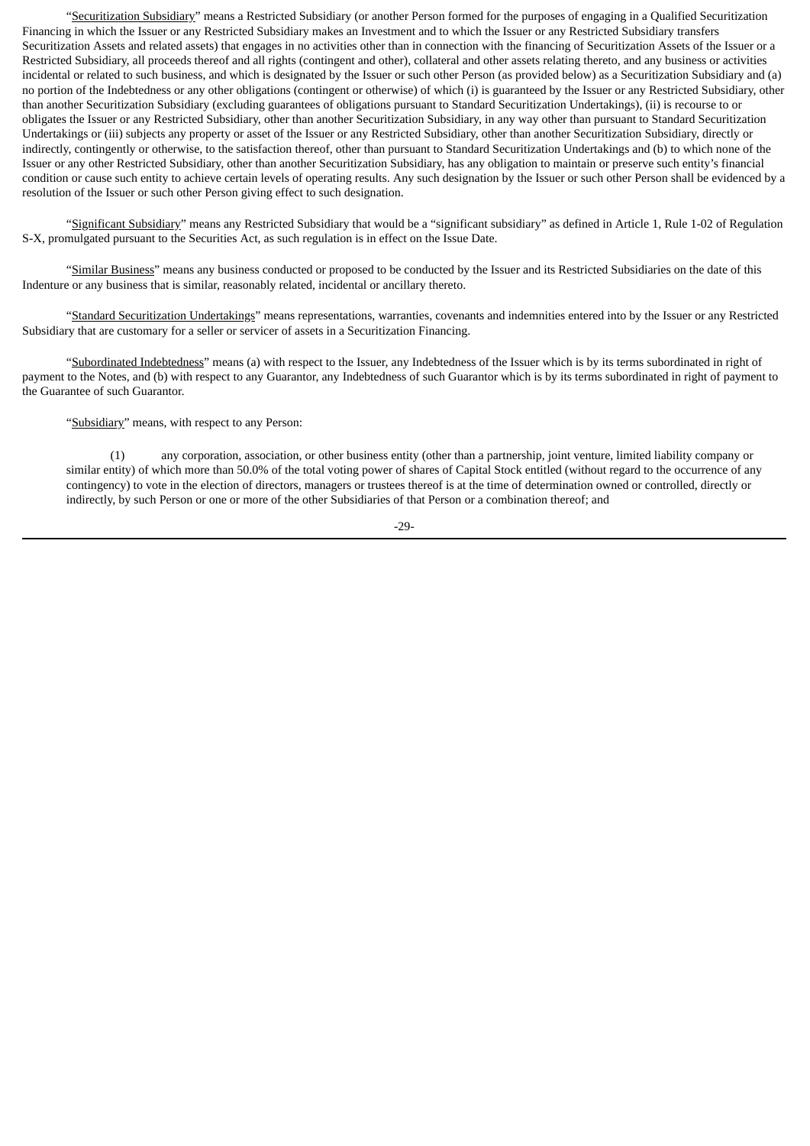"Securitization Subsidiary" means a Restricted Subsidiary (or another Person formed for the purposes of engaging in a Qualified Securitization Financing in which the Issuer or any Restricted Subsidiary makes an Investment and to which the Issuer or any Restricted Subsidiary transfers Securitization Assets and related assets) that engages in no activities other than in connection with the financing of Securitization Assets of the Issuer or a Restricted Subsidiary, all proceeds thereof and all rights (contingent and other), collateral and other assets relating thereto, and any business or activities incidental or related to such business, and which is designated by the Issuer or such other Person (as provided below) as a Securitization Subsidiary and (a) no portion of the Indebtedness or any other obligations (contingent or otherwise) of which (i) is guaranteed by the Issuer or any Restricted Subsidiary, other than another Securitization Subsidiary (excluding guarantees of obligations pursuant to Standard Securitization Undertakings), (ii) is recourse to or obligates the Issuer or any Restricted Subsidiary, other than another Securitization Subsidiary, in any way other than pursuant to Standard Securitization Undertakings or (iii) subjects any property or asset of the Issuer or any Restricted Subsidiary, other than another Securitization Subsidiary, directly or indirectly, contingently or otherwise, to the satisfaction thereof, other than pursuant to Standard Securitization Undertakings and (b) to which none of the Issuer or any other Restricted Subsidiary, other than another Securitization Subsidiary, has any obligation to maintain or preserve such entity's financial condition or cause such entity to achieve certain levels of operating results. Any such designation by the Issuer or such other Person shall be evidenced by a resolution of the Issuer or such other Person giving effect to such designation.

"Significant Subsidiary" means any Restricted Subsidiary that would be a "significant subsidiary" as defined in Article 1, Rule 1-02 of Regulation S-X, promulgated pursuant to the Securities Act, as such regulation is in effect on the Issue Date.

"Similar Business" means any business conducted or proposed to be conducted by the Issuer and its Restricted Subsidiaries on the date of this Indenture or any business that is similar, reasonably related, incidental or ancillary thereto.

"Standard Securitization Undertakings" means representations, warranties, covenants and indemnities entered into by the Issuer or any Restricted Subsidiary that are customary for a seller or servicer of assets in a Securitization Financing.

"Subordinated Indebtedness" means (a) with respect to the Issuer, any Indebtedness of the Issuer which is by its terms subordinated in right of payment to the Notes, and (b) with respect to any Guarantor, any Indebtedness of such Guarantor which is by its terms subordinated in right of payment to the Guarantee of such Guarantor.

"Subsidiary" means, with respect to any Person:

(1) any corporation, association, or other business entity (other than a partnership, joint venture, limited liability company or similar entity) of which more than 50.0% of the total voting power of shares of Capital Stock entitled (without regard to the occurrence of any contingency) to vote in the election of directors, managers or trustees thereof is at the time of determination owned or controlled, directly or indirectly, by such Person or one or more of the other Subsidiaries of that Person or a combination thereof; and

-29-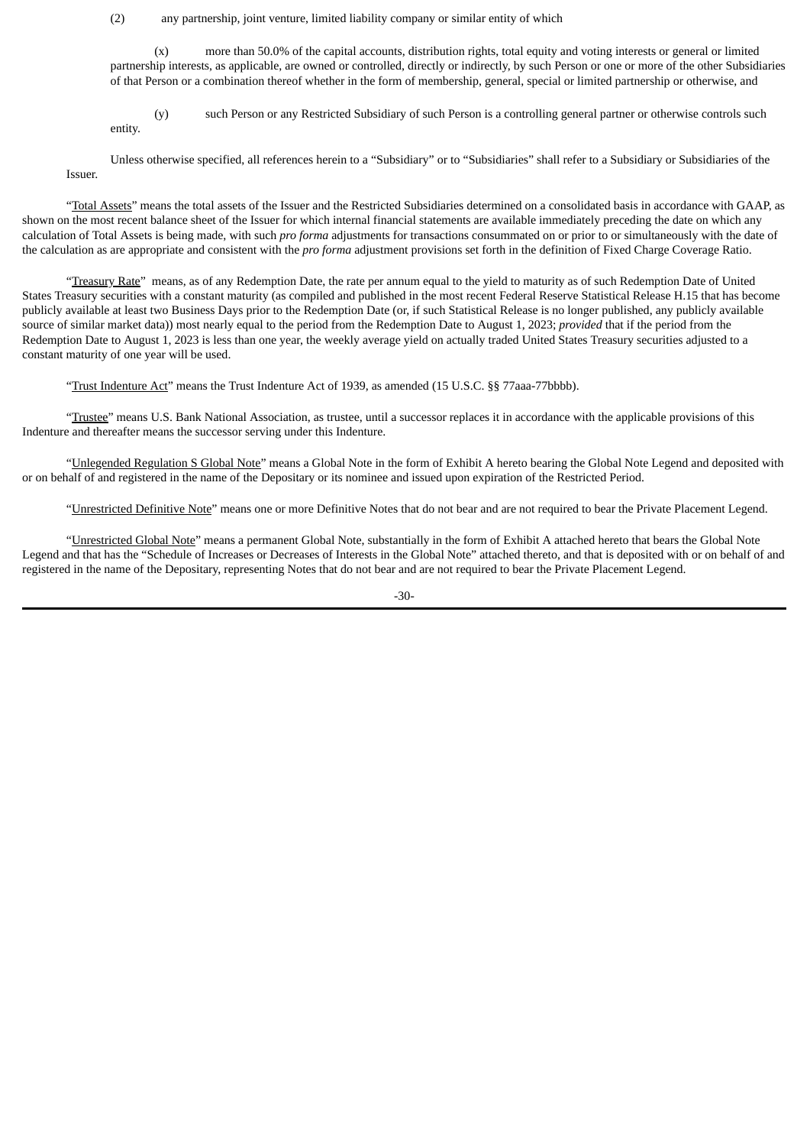(2) any partnership, joint venture, limited liability company or similar entity of which

(x) more than 50.0% of the capital accounts, distribution rights, total equity and voting interests or general or limited partnership interests, as applicable, are owned or controlled, directly or indirectly, by such Person or one or more of the other Subsidiaries of that Person or a combination thereof whether in the form of membership, general, special or limited partnership or otherwise, and

(y) such Person or any Restricted Subsidiary of such Person is a controlling general partner or otherwise controls such entity.

Unless otherwise specified, all references herein to a "Subsidiary" or to "Subsidiaries" shall refer to a Subsidiary or Subsidiaries of the Issuer.

"Total Assets" means the total assets of the Issuer and the Restricted Subsidiaries determined on a consolidated basis in accordance with GAAP, as shown on the most recent balance sheet of the Issuer for which internal financial statements are available immediately preceding the date on which any calculation of Total Assets is being made, with such *pro forma* adjustments for transactions consummated on or prior to or simultaneously with the date of the calculation as are appropriate and consistent with the *pro forma* adjustment provisions set forth in the definition of Fixed Charge Coverage Ratio.

"Treasury Rate" means, as of any Redemption Date, the rate per annum equal to the yield to maturity as of such Redemption Date of United States Treasury securities with a constant maturity (as compiled and published in the most recent Federal Reserve Statistical Release H.15 that has become publicly available at least two Business Days prior to the Redemption Date (or, if such Statistical Release is no longer published, any publicly available source of similar market data)) most nearly equal to the period from the Redemption Date to August 1, 2023; *provided* that if the period from the Redemption Date to August 1, 2023 is less than one year, the weekly average yield on actually traded United States Treasury securities adjusted to a constant maturity of one year will be used.

"Trust Indenture Act" means the Trust Indenture Act of 1939, as amended (15 U.S.C. §§ 77aaa-77bbbb).

"Trustee" means U.S. Bank National Association, as trustee, until a successor replaces it in accordance with the applicable provisions of this Indenture and thereafter means the successor serving under this Indenture.

"Unlegended Regulation S Global Note" means a Global Note in the form of Exhibit A hereto bearing the Global Note Legend and deposited with or on behalf of and registered in the name of the Depositary or its nominee and issued upon expiration of the Restricted Period.

"Unrestricted Definitive Note" means one or more Definitive Notes that do not bear and are not required to bear the Private Placement Legend.

"Unrestricted Global Note" means a permanent Global Note, substantially in the form of Exhibit A attached hereto that bears the Global Note Legend and that has the "Schedule of Increases or Decreases of Interests in the Global Note" attached thereto, and that is deposited with or on behalf of and registered in the name of the Depositary, representing Notes that do not bear and are not required to bear the Private Placement Legend.

-30-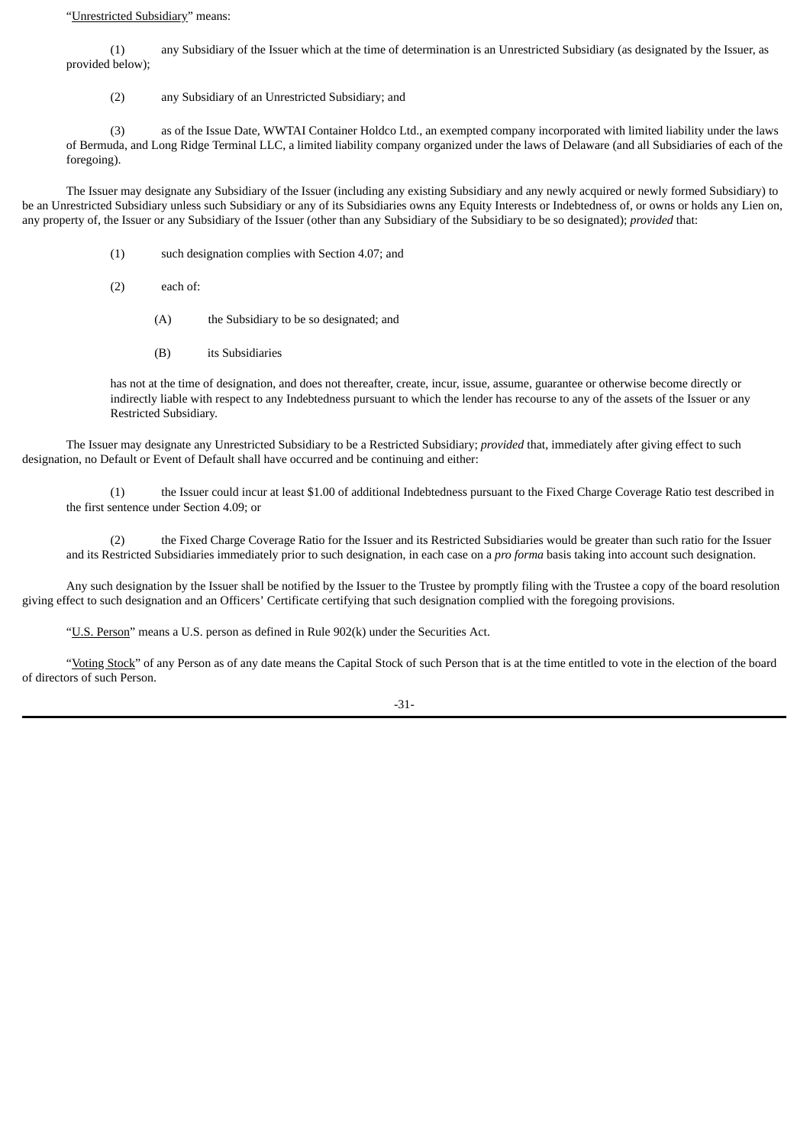#### "Unrestricted Subsidiary" means:

(1) any Subsidiary of the Issuer which at the time of determination is an Unrestricted Subsidiary (as designated by the Issuer, as provided below);

(2) any Subsidiary of an Unrestricted Subsidiary; and

(3) as of the Issue Date, WWTAI Container Holdco Ltd., an exempted company incorporated with limited liability under the laws of Bermuda, and Long Ridge Terminal LLC, a limited liability company organized under the laws of Delaware (and all Subsidiaries of each of the foregoing).

The Issuer may designate any Subsidiary of the Issuer (including any existing Subsidiary and any newly acquired or newly formed Subsidiary) to be an Unrestricted Subsidiary unless such Subsidiary or any of its Subsidiaries owns any Equity Interests or Indebtedness of, or owns or holds any Lien on, any property of, the Issuer or any Subsidiary of the Issuer (other than any Subsidiary of the Subsidiary to be so designated); *provided* that:

- (1) such designation complies with Section 4.07; and
- (2) each of:
	- (A) the Subsidiary to be so designated; and
	- (B) its Subsidiaries

has not at the time of designation, and does not thereafter, create, incur, issue, assume, guarantee or otherwise become directly or indirectly liable with respect to any Indebtedness pursuant to which the lender has recourse to any of the assets of the Issuer or any Restricted Subsidiary.

The Issuer may designate any Unrestricted Subsidiary to be a Restricted Subsidiary; *provided* that, immediately after giving effect to such designation, no Default or Event of Default shall have occurred and be continuing and either:

(1) the Issuer could incur at least \$1.00 of additional Indebtedness pursuant to the Fixed Charge Coverage Ratio test described in the first sentence under Section 4.09; or

(2) the Fixed Charge Coverage Ratio for the Issuer and its Restricted Subsidiaries would be greater than such ratio for the Issuer and its Restricted Subsidiaries immediately prior to such designation, in each case on a *pro forma* basis taking into account such designation.

Any such designation by the Issuer shall be notified by the Issuer to the Trustee by promptly filing with the Trustee a copy of the board resolution giving effect to such designation and an Officers' Certificate certifying that such designation complied with the foregoing provisions.

"U.S. Person" means a U.S. person as defined in Rule 902(k) under the Securities Act.

"Voting Stock" of any Person as of any date means the Capital Stock of such Person that is at the time entitled to vote in the election of the board of directors of such Person.

-31-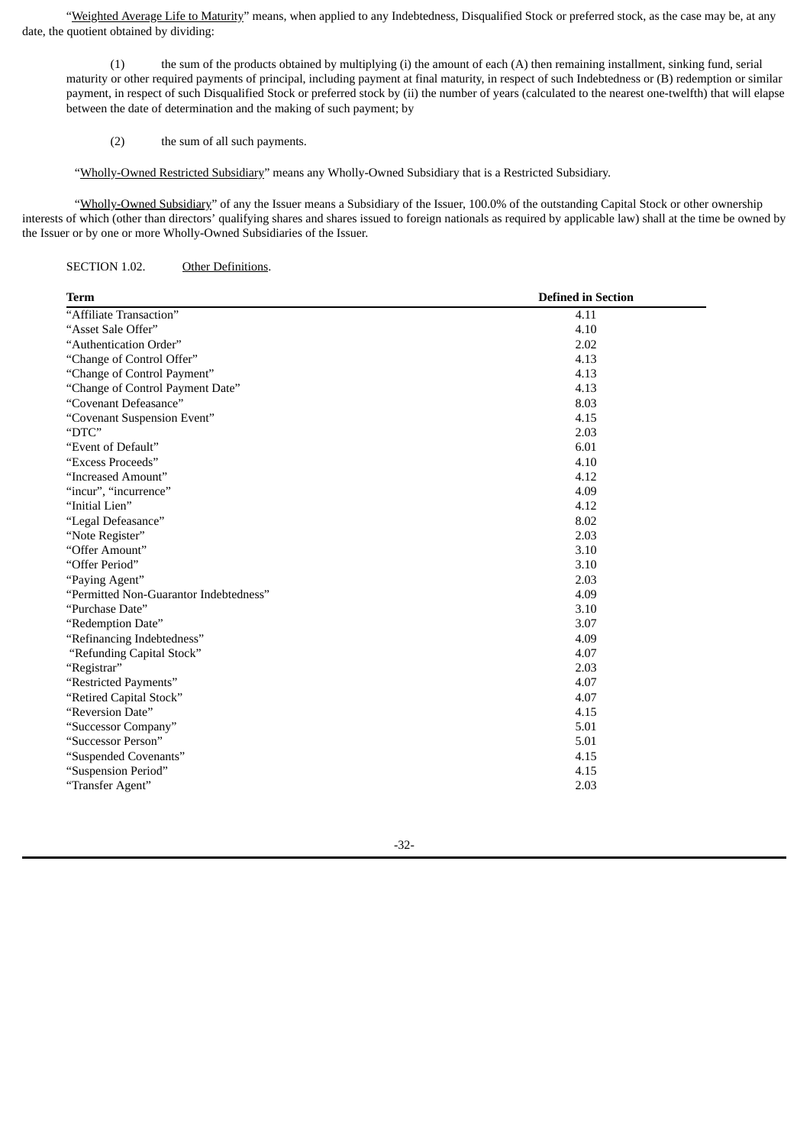"Weighted Average Life to Maturity" means, when applied to any Indebtedness, Disqualified Stock or preferred stock, as the case may be, at any date, the quotient obtained by dividing:

(1) the sum of the products obtained by multiplying (i) the amount of each (A) then remaining installment, sinking fund, serial maturity or other required payments of principal, including payment at final maturity, in respect of such Indebtedness or (B) redemption or similar payment, in respect of such Disqualified Stock or preferred stock by (ii) the number of years (calculated to the nearest one-twelfth) that will elapse between the date of determination and the making of such payment; by

(2) the sum of all such payments.

"Wholly-Owned Restricted Subsidiary" means any Wholly-Owned Subsidiary that is a Restricted Subsidiary.

"Wholly-Owned Subsidiary" of any the Issuer means a Subsidiary of the Issuer, 100.0% of the outstanding Capital Stock or other ownership interests of which (other than directors' qualifying shares and shares issued to foreign nationals as required by applicable law) shall at the time be owned by the Issuer or by one or more Wholly-Owned Subsidiaries of the Issuer.

SECTION 1.02. Other Definitions.

| <b>Term</b>                            | <b>Defined in Section</b> |
|----------------------------------------|---------------------------|
| "Affiliate Transaction"                | 4.11                      |
| "Asset Sale Offer"                     | 4.10                      |
| "Authentication Order"                 | 2.02                      |
| "Change of Control Offer"              | 4.13                      |
| "Change of Control Payment"            | 4.13                      |
| "Change of Control Payment Date"       | 4.13                      |
| "Covenant Defeasance"                  | 8.03                      |
| "Covenant Suspension Event"            | 4.15                      |
| "DTC"                                  | 2.03                      |
| "Event of Default"                     | 6.01                      |
| "Excess Proceeds"                      | 4.10                      |
| "Increased Amount"                     | 4.12                      |
| "incur", "incurrence"                  | 4.09                      |
| "Initial Lien"                         | 4.12                      |
| "Legal Defeasance"                     | 8.02                      |
| "Note Register"                        | 2.03                      |
| "Offer Amount"                         | 3.10                      |
| "Offer Period"                         | 3.10                      |
| "Paying Agent"                         | 2.03                      |
| "Permitted Non-Guarantor Indebtedness" | 4.09                      |
| "Purchase Date"                        | 3.10                      |
| "Redemption Date"                      | 3.07                      |
| "Refinancing Indebtedness"             | 4.09                      |
| "Refunding Capital Stock"              | 4.07                      |
| "Registrar"                            | 2.03                      |
| "Restricted Payments"                  | 4.07                      |
| "Retired Capital Stock"                | 4.07                      |
| "Reversion Date"                       | 4.15                      |
| "Successor Company"                    | 5.01                      |
| "Successor Person"                     | 5.01                      |
| "Suspended Covenants"                  | 4.15                      |
| "Suspension Period"                    | 4.15                      |
| "Transfer Agent"                       | 2.03                      |

-32-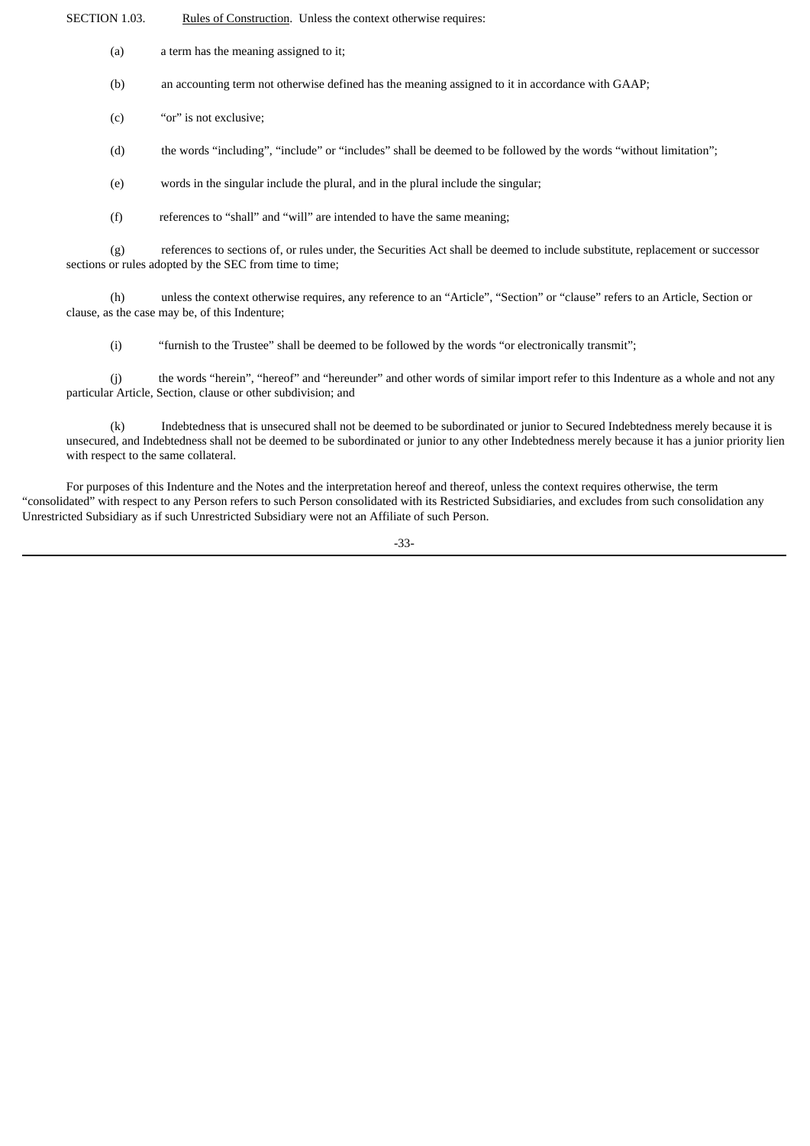SECTION 1.03. Rules of Construction. Unless the context otherwise requires:

(a) a term has the meaning assigned to it;

(b) an accounting term not otherwise defined has the meaning assigned to it in accordance with GAAP;

(c) "or" is not exclusive;

(d) the words "including", "include" or "includes" shall be deemed to be followed by the words "without limitation";

(e) words in the singular include the plural, and in the plural include the singular;

(f) references to "shall" and "will" are intended to have the same meaning;

(g) references to sections of, or rules under, the Securities Act shall be deemed to include substitute, replacement or successor sections or rules adopted by the SEC from time to time;

(h) unless the context otherwise requires, any reference to an "Article", "Section" or "clause" refers to an Article, Section or clause, as the case may be, of this Indenture;

(i) "furnish to the Trustee" shall be deemed to be followed by the words "or electronically transmit";

(j) the words "herein", "hereof" and "hereunder" and other words of similar import refer to this Indenture as a whole and not any particular Article, Section, clause or other subdivision; and

(k) Indebtedness that is unsecured shall not be deemed to be subordinated or junior to Secured Indebtedness merely because it is unsecured, and Indebtedness shall not be deemed to be subordinated or junior to any other Indebtedness merely because it has a junior priority lien with respect to the same collateral.

For purposes of this Indenture and the Notes and the interpretation hereof and thereof, unless the context requires otherwise, the term "consolidated" with respect to any Person refers to such Person consolidated with its Restricted Subsidiaries, and excludes from such consolidation any Unrestricted Subsidiary as if such Unrestricted Subsidiary were not an Affiliate of such Person.

-33-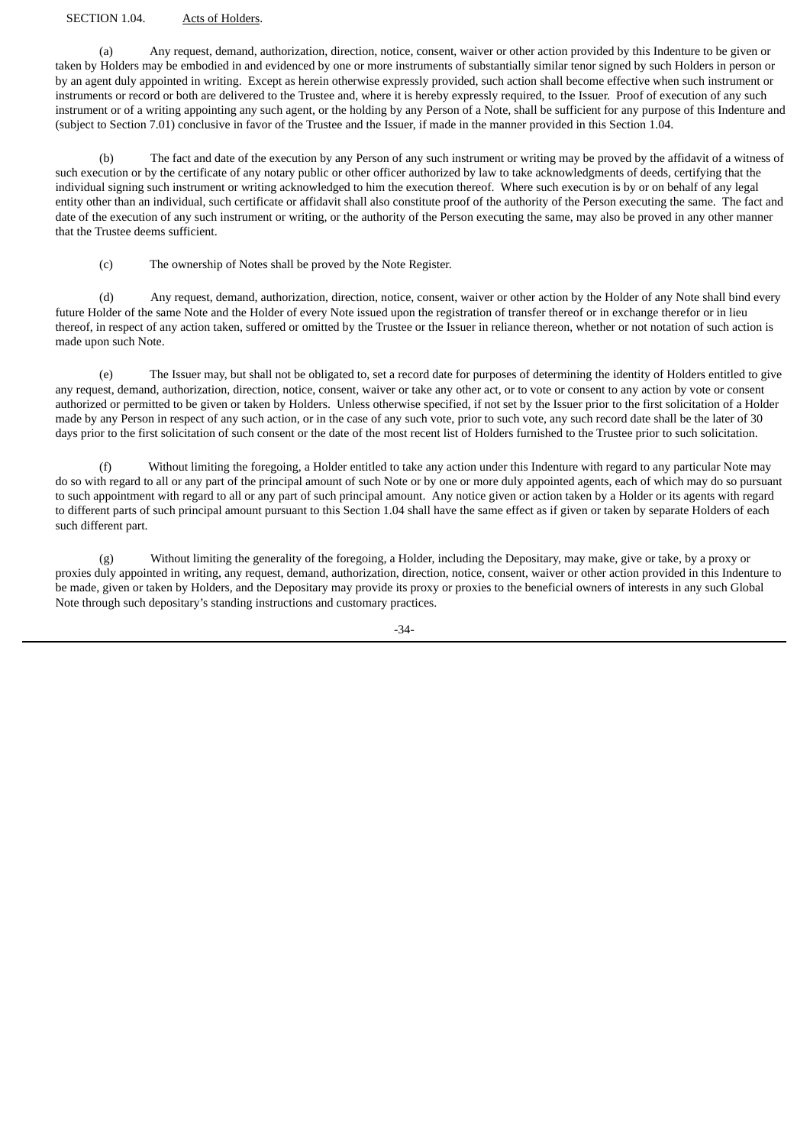#### SECTION 1.04. Acts of Holders.

(a) Any request, demand, authorization, direction, notice, consent, waiver or other action provided by this Indenture to be given or taken by Holders may be embodied in and evidenced by one or more instruments of substantially similar tenor signed by such Holders in person or by an agent duly appointed in writing. Except as herein otherwise expressly provided, such action shall become effective when such instrument or instruments or record or both are delivered to the Trustee and, where it is hereby expressly required, to the Issuer. Proof of execution of any such instrument or of a writing appointing any such agent, or the holding by any Person of a Note, shall be sufficient for any purpose of this Indenture and (subject to Section 7.01) conclusive in favor of the Trustee and the Issuer, if made in the manner provided in this Section 1.04.

(b) The fact and date of the execution by any Person of any such instrument or writing may be proved by the affidavit of a witness of such execution or by the certificate of any notary public or other officer authorized by law to take acknowledgments of deeds, certifying that the individual signing such instrument or writing acknowledged to him the execution thereof. Where such execution is by or on behalf of any legal entity other than an individual, such certificate or affidavit shall also constitute proof of the authority of the Person executing the same. The fact and date of the execution of any such instrument or writing, or the authority of the Person executing the same, may also be proved in any other manner that the Trustee deems sufficient.

(c) The ownership of Notes shall be proved by the Note Register.

(d) Any request, demand, authorization, direction, notice, consent, waiver or other action by the Holder of any Note shall bind every future Holder of the same Note and the Holder of every Note issued upon the registration of transfer thereof or in exchange therefor or in lieu thereof, in respect of any action taken, suffered or omitted by the Trustee or the Issuer in reliance thereon, whether or not notation of such action is made upon such Note.

(e) The Issuer may, but shall not be obligated to, set a record date for purposes of determining the identity of Holders entitled to give any request, demand, authorization, direction, notice, consent, waiver or take any other act, or to vote or consent to any action by vote or consent authorized or permitted to be given or taken by Holders. Unless otherwise specified, if not set by the Issuer prior to the first solicitation of a Holder made by any Person in respect of any such action, or in the case of any such vote, prior to such vote, any such record date shall be the later of 30 days prior to the first solicitation of such consent or the date of the most recent list of Holders furnished to the Trustee prior to such solicitation.

(f) Without limiting the foregoing, a Holder entitled to take any action under this Indenture with regard to any particular Note may do so with regard to all or any part of the principal amount of such Note or by one or more duly appointed agents, each of which may do so pursuant to such appointment with regard to all or any part of such principal amount. Any notice given or action taken by a Holder or its agents with regard to different parts of such principal amount pursuant to this Section 1.04 shall have the same effect as if given or taken by separate Holders of each such different part.

(g) Without limiting the generality of the foregoing, a Holder, including the Depositary, may make, give or take, by a proxy or proxies duly appointed in writing, any request, demand, authorization, direction, notice, consent, waiver or other action provided in this Indenture to be made, given or taken by Holders, and the Depositary may provide its proxy or proxies to the beneficial owners of interests in any such Global Note through such depositary's standing instructions and customary practices.

-34-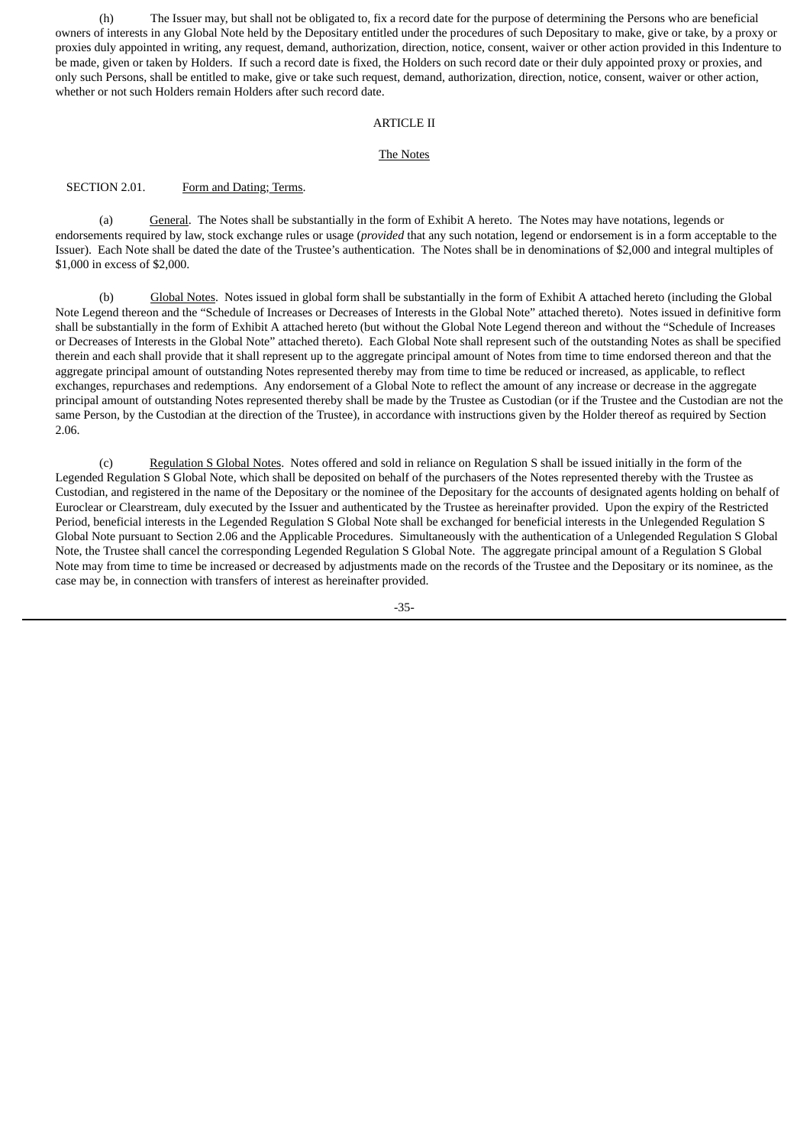(h) The Issuer may, but shall not be obligated to, fix a record date for the purpose of determining the Persons who are beneficial owners of interests in any Global Note held by the Depositary entitled under the procedures of such Depositary to make, give or take, by a proxy or proxies duly appointed in writing, any request, demand, authorization, direction, notice, consent, waiver or other action provided in this Indenture to be made, given or taken by Holders. If such a record date is fixed, the Holders on such record date or their duly appointed proxy or proxies, and only such Persons, shall be entitled to make, give or take such request, demand, authorization, direction, notice, consent, waiver or other action, whether or not such Holders remain Holders after such record date.

#### ARTICLE II

#### The Notes

# SECTION 2.01. Form and Dating; Terms.

(a) General. The Notes shall be substantially in the form of Exhibit A hereto. The Notes may have notations, legends or endorsements required by law, stock exchange rules or usage (*provided* that any such notation, legend or endorsement is in a form acceptable to the Issuer). Each Note shall be dated the date of the Trustee's authentication. The Notes shall be in denominations of \$2,000 and integral multiples of \$1,000 in excess of \$2,000.

(b) Global Notes. Notes issued in global form shall be substantially in the form of Exhibit A attached hereto (including the Global Note Legend thereon and the "Schedule of Increases or Decreases of Interests in the Global Note" attached thereto). Notes issued in definitive form shall be substantially in the form of Exhibit A attached hereto (but without the Global Note Legend thereon and without the "Schedule of Increases or Decreases of Interests in the Global Note" attached thereto). Each Global Note shall represent such of the outstanding Notes as shall be specified therein and each shall provide that it shall represent up to the aggregate principal amount of Notes from time to time endorsed thereon and that the aggregate principal amount of outstanding Notes represented thereby may from time to time be reduced or increased, as applicable, to reflect exchanges, repurchases and redemptions. Any endorsement of a Global Note to reflect the amount of any increase or decrease in the aggregate principal amount of outstanding Notes represented thereby shall be made by the Trustee as Custodian (or if the Trustee and the Custodian are not the same Person, by the Custodian at the direction of the Trustee), in accordance with instructions given by the Holder thereof as required by Section 2.06.

(c) Regulation S Global Notes. Notes offered and sold in reliance on Regulation S shall be issued initially in the form of the Legended Regulation S Global Note, which shall be deposited on behalf of the purchasers of the Notes represented thereby with the Trustee as Custodian, and registered in the name of the Depositary or the nominee of the Depositary for the accounts of designated agents holding on behalf of Euroclear or Clearstream, duly executed by the Issuer and authenticated by the Trustee as hereinafter provided. Upon the expiry of the Restricted Period, beneficial interests in the Legended Regulation S Global Note shall be exchanged for beneficial interests in the Unlegended Regulation S Global Note pursuant to Section 2.06 and the Applicable Procedures. Simultaneously with the authentication of a Unlegended Regulation S Global Note, the Trustee shall cancel the corresponding Legended Regulation S Global Note. The aggregate principal amount of a Regulation S Global Note may from time to time be increased or decreased by adjustments made on the records of the Trustee and the Depositary or its nominee, as the case may be, in connection with transfers of interest as hereinafter provided.

-35-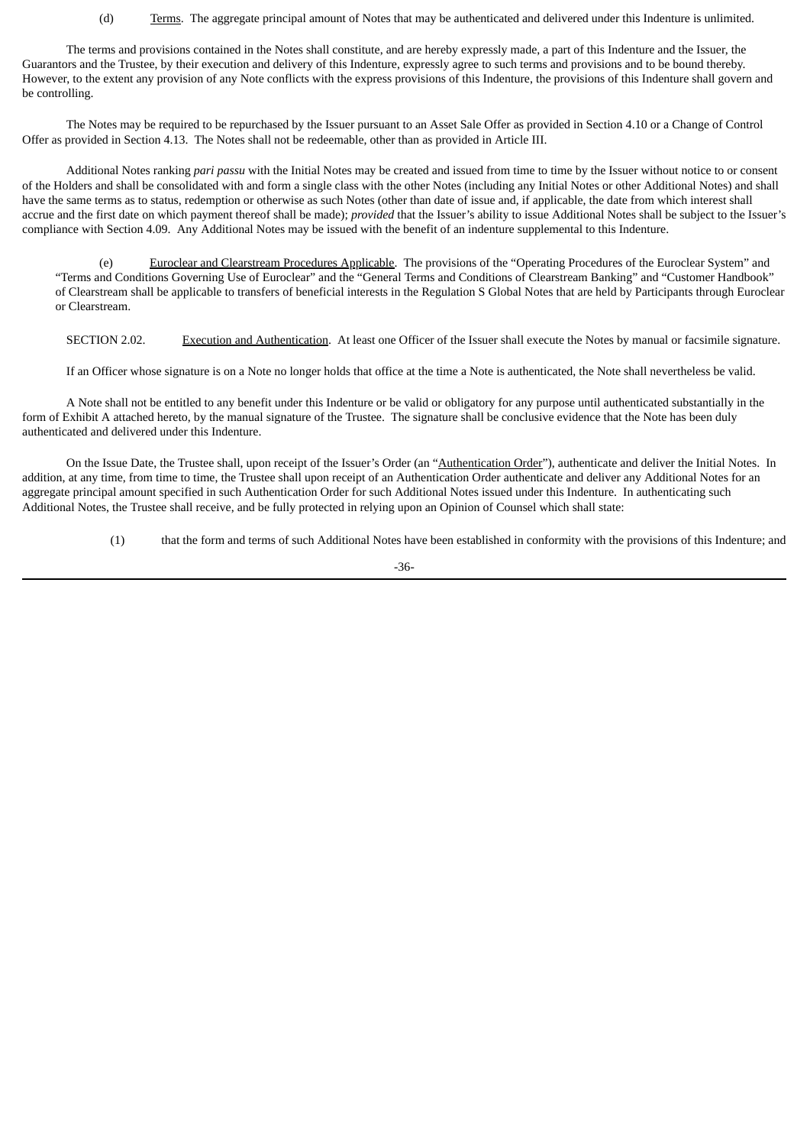#### (d) Terms. The aggregate principal amount of Notes that may be authenticated and delivered under this Indenture is unlimited.

The terms and provisions contained in the Notes shall constitute, and are hereby expressly made, a part of this Indenture and the Issuer, the Guarantors and the Trustee, by their execution and delivery of this Indenture, expressly agree to such terms and provisions and to be bound thereby. However, to the extent any provision of any Note conflicts with the express provisions of this Indenture, the provisions of this Indenture shall govern and be controlling.

The Notes may be required to be repurchased by the Issuer pursuant to an Asset Sale Offer as provided in Section 4.10 or a Change of Control Offer as provided in Section 4.13. The Notes shall not be redeemable, other than as provided in Article III.

Additional Notes ranking *pari passu* with the Initial Notes may be created and issued from time to time by the Issuer without notice to or consent of the Holders and shall be consolidated with and form a single class with the other Notes (including any Initial Notes or other Additional Notes) and shall have the same terms as to status, redemption or otherwise as such Notes (other than date of issue and, if applicable, the date from which interest shall accrue and the first date on which payment thereof shall be made); *provided* that the Issuer's ability to issue Additional Notes shall be subject to the Issuer's compliance with Section 4.09. Any Additional Notes may be issued with the benefit of an indenture supplemental to this Indenture.

(e) Euroclear and Clearstream Procedures Applicable. The provisions of the "Operating Procedures of the Euroclear System" and "Terms and Conditions Governing Use of Euroclear" and the "General Terms and Conditions of Clearstream Banking" and "Customer Handbook" of Clearstream shall be applicable to transfers of beneficial interests in the Regulation S Global Notes that are held by Participants through Euroclear or Clearstream.

SECTION 2.02. Execution and Authentication. At least one Officer of the Issuer shall execute the Notes by manual or facsimile signature.

If an Officer whose signature is on a Note no longer holds that office at the time a Note is authenticated, the Note shall nevertheless be valid.

A Note shall not be entitled to any benefit under this Indenture or be valid or obligatory for any purpose until authenticated substantially in the form of Exhibit A attached hereto, by the manual signature of the Trustee. The signature shall be conclusive evidence that the Note has been duly authenticated and delivered under this Indenture.

On the Issue Date, the Trustee shall, upon receipt of the Issuer's Order (an "Authentication Order"), authenticate and deliver the Initial Notes. In addition, at any time, from time to time, the Trustee shall upon receipt of an Authentication Order authenticate and deliver any Additional Notes for an aggregate principal amount specified in such Authentication Order for such Additional Notes issued under this Indenture. In authenticating such Additional Notes, the Trustee shall receive, and be fully protected in relying upon an Opinion of Counsel which shall state:

(1) that the form and terms of such Additional Notes have been established in conformity with the provisions of this Indenture; and

-36-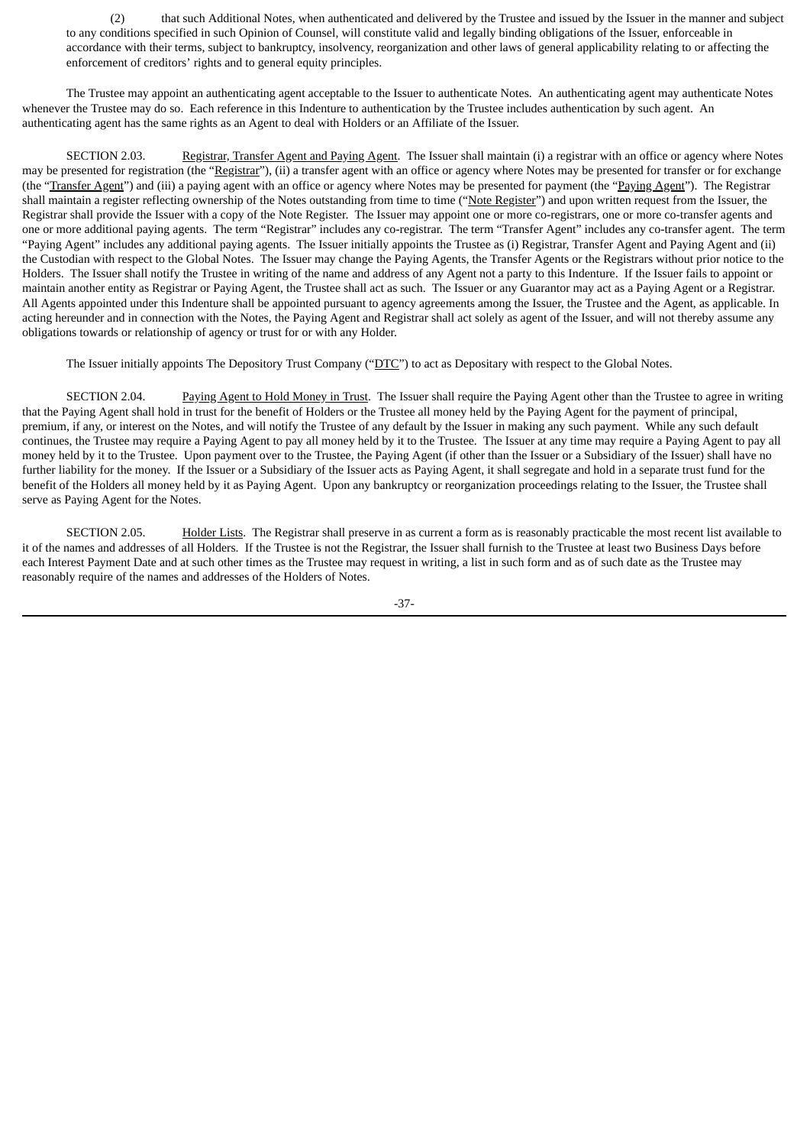(2) that such Additional Notes, when authenticated and delivered by the Trustee and issued by the Issuer in the manner and subject to any conditions specified in such Opinion of Counsel, will constitute valid and legally binding obligations of the Issuer, enforceable in accordance with their terms, subject to bankruptcy, insolvency, reorganization and other laws of general applicability relating to or affecting the enforcement of creditors' rights and to general equity principles.

The Trustee may appoint an authenticating agent acceptable to the Issuer to authenticate Notes. An authenticating agent may authenticate Notes whenever the Trustee may do so. Each reference in this Indenture to authentication by the Trustee includes authentication by such agent. An authenticating agent has the same rights as an Agent to deal with Holders or an Affiliate of the Issuer.

SECTION 2.03. Registrar, Transfer Agent and Paying Agent. The Issuer shall maintain (i) a registrar with an office or agency where Notes may be presented for registration (the "Registrar"), (ii) a transfer agent with an office or agency where Notes may be presented for transfer or for exchange (the "Transfer Agent") and (iii) a paying agent with an office or agency where Notes may be presented for payment (the "Paying Agent"). The Registrar shall maintain a register reflecting ownership of the Notes outstanding from time to time ("Note Register") and upon written request from the Issuer, the Registrar shall provide the Issuer with a copy of the Note Register. The Issuer may appoint one or more co-registrars, one or more co-transfer agents and one or more additional paying agents. The term "Registrar" includes any co-registrar. The term "Transfer Agent" includes any co-transfer agent. The term "Paying Agent" includes any additional paying agents. The Issuer initially appoints the Trustee as (i) Registrar, Transfer Agent and Paying Agent and (ii) the Custodian with respect to the Global Notes. The Issuer may change the Paying Agents, the Transfer Agents or the Registrars without prior notice to the Holders. The Issuer shall notify the Trustee in writing of the name and address of any Agent not a party to this Indenture. If the Issuer fails to appoint or maintain another entity as Registrar or Paying Agent, the Trustee shall act as such. The Issuer or any Guarantor may act as a Paying Agent or a Registrar. All Agents appointed under this Indenture shall be appointed pursuant to agency agreements among the Issuer, the Trustee and the Agent, as applicable. In acting hereunder and in connection with the Notes, the Paying Agent and Registrar shall act solely as agent of the Issuer, and will not thereby assume any obligations towards or relationship of agency or trust for or with any Holder.

The Issuer initially appoints The Depository Trust Company ("DTC") to act as Depositary with respect to the Global Notes.

SECTION 2.04. Paying Agent to Hold Money in Trust. The Issuer shall require the Paying Agent other than the Trustee to agree in writing that the Paying Agent shall hold in trust for the benefit of Holders or the Trustee all money held by the Paying Agent for the payment of principal, premium, if any, or interest on the Notes, and will notify the Trustee of any default by the Issuer in making any such payment. While any such default continues, the Trustee may require a Paying Agent to pay all money held by it to the Trustee. The Issuer at any time may require a Paying Agent to pay all money held by it to the Trustee. Upon payment over to the Trustee, the Paying Agent (if other than the Issuer or a Subsidiary of the Issuer) shall have no further liability for the money. If the Issuer or a Subsidiary of the Issuer acts as Paying Agent, it shall segregate and hold in a separate trust fund for the benefit of the Holders all money held by it as Paying Agent. Upon any bankruptcy or reorganization proceedings relating to the Issuer, the Trustee shall serve as Paying Agent for the Notes.

SECTION 2.05. Holder Lists. The Registrar shall preserve in as current a form as is reasonably practicable the most recent list available to it of the names and addresses of all Holders. If the Trustee is not the Registrar, the Issuer shall furnish to the Trustee at least two Business Days before each Interest Payment Date and at such other times as the Trustee may request in writing, a list in such form and as of such date as the Trustee may reasonably require of the names and addresses of the Holders of Notes.

-37-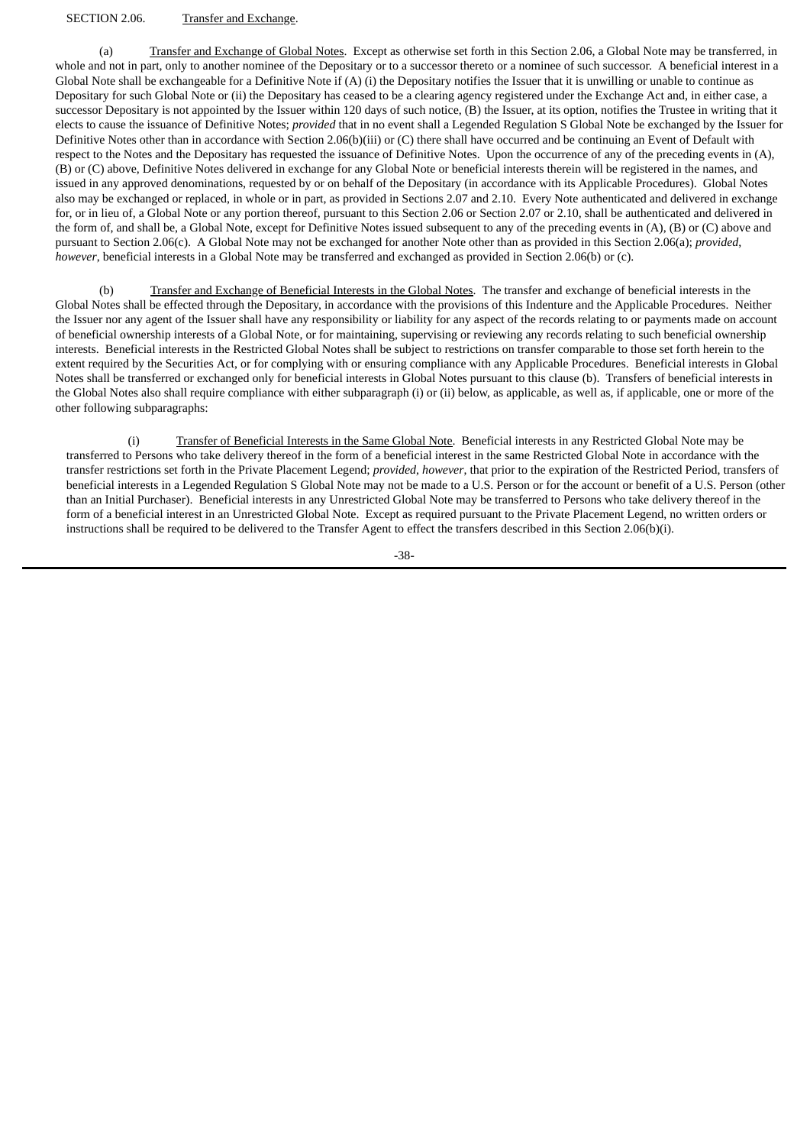#### SECTION 2.06. Transfer and Exchange.

(a) Transfer and Exchange of Global Notes. Except as otherwise set forth in this Section 2.06, a Global Note may be transferred, in whole and not in part, only to another nominee of the Depositary or to a successor thereto or a nominee of such successor. A beneficial interest in a Global Note shall be exchangeable for a Definitive Note if (A) (i) the Depositary notifies the Issuer that it is unwilling or unable to continue as Depositary for such Global Note or (ii) the Depositary has ceased to be a clearing agency registered under the Exchange Act and, in either case, a successor Depositary is not appointed by the Issuer within 120 days of such notice, (B) the Issuer, at its option, notifies the Trustee in writing that it elects to cause the issuance of Definitive Notes; *provided* that in no event shall a Legended Regulation S Global Note be exchanged by the Issuer for Definitive Notes other than in accordance with Section 2.06(b)(iii) or (C) there shall have occurred and be continuing an Event of Default with respect to the Notes and the Depositary has requested the issuance of Definitive Notes. Upon the occurrence of any of the preceding events in (A), (B) or (C) above, Definitive Notes delivered in exchange for any Global Note or beneficial interests therein will be registered in the names, and issued in any approved denominations, requested by or on behalf of the Depositary (in accordance with its Applicable Procedures). Global Notes also may be exchanged or replaced, in whole or in part, as provided in Sections 2.07 and 2.10. Every Note authenticated and delivered in exchange for, or in lieu of, a Global Note or any portion thereof, pursuant to this Section 2.06 or Section 2.07 or 2.10, shall be authenticated and delivered in the form of, and shall be, a Global Note, except for Definitive Notes issued subsequent to any of the preceding events in (A), (B) or (C) above and pursuant to Section 2.06(c). A Global Note may not be exchanged for another Note other than as provided in this Section 2.06(a); *provided*, *however*, beneficial interests in a Global Note may be transferred and exchanged as provided in Section 2.06(b) or (c).

(b) Transfer and Exchange of Beneficial Interests in the Global Notes. The transfer and exchange of beneficial interests in the Global Notes shall be effected through the Depositary, in accordance with the provisions of this Indenture and the Applicable Procedures. Neither the Issuer nor any agent of the Issuer shall have any responsibility or liability for any aspect of the records relating to or payments made on account of beneficial ownership interests of a Global Note, or for maintaining, supervising or reviewing any records relating to such beneficial ownership interests. Beneficial interests in the Restricted Global Notes shall be subject to restrictions on transfer comparable to those set forth herein to the extent required by the Securities Act, or for complying with or ensuring compliance with any Applicable Procedures. Beneficial interests in Global Notes shall be transferred or exchanged only for beneficial interests in Global Notes pursuant to this clause (b). Transfers of beneficial interests in the Global Notes also shall require compliance with either subparagraph (i) or (ii) below, as applicable, as well as, if applicable, one or more of the other following subparagraphs:

(i) Transfer of Beneficial Interests in the Same Global Note. Beneficial interests in any Restricted Global Note may be transferred to Persons who take delivery thereof in the form of a beneficial interest in the same Restricted Global Note in accordance with the transfer restrictions set forth in the Private Placement Legend; *provided*, *however*, that prior to the expiration of the Restricted Period, transfers of beneficial interests in a Legended Regulation S Global Note may not be made to a U.S. Person or for the account or benefit of a U.S. Person (other than an Initial Purchaser). Beneficial interests in any Unrestricted Global Note may be transferred to Persons who take delivery thereof in the form of a beneficial interest in an Unrestricted Global Note. Except as required pursuant to the Private Placement Legend, no written orders or instructions shall be required to be delivered to the Transfer Agent to effect the transfers described in this Section 2.06(b)(i).

-38-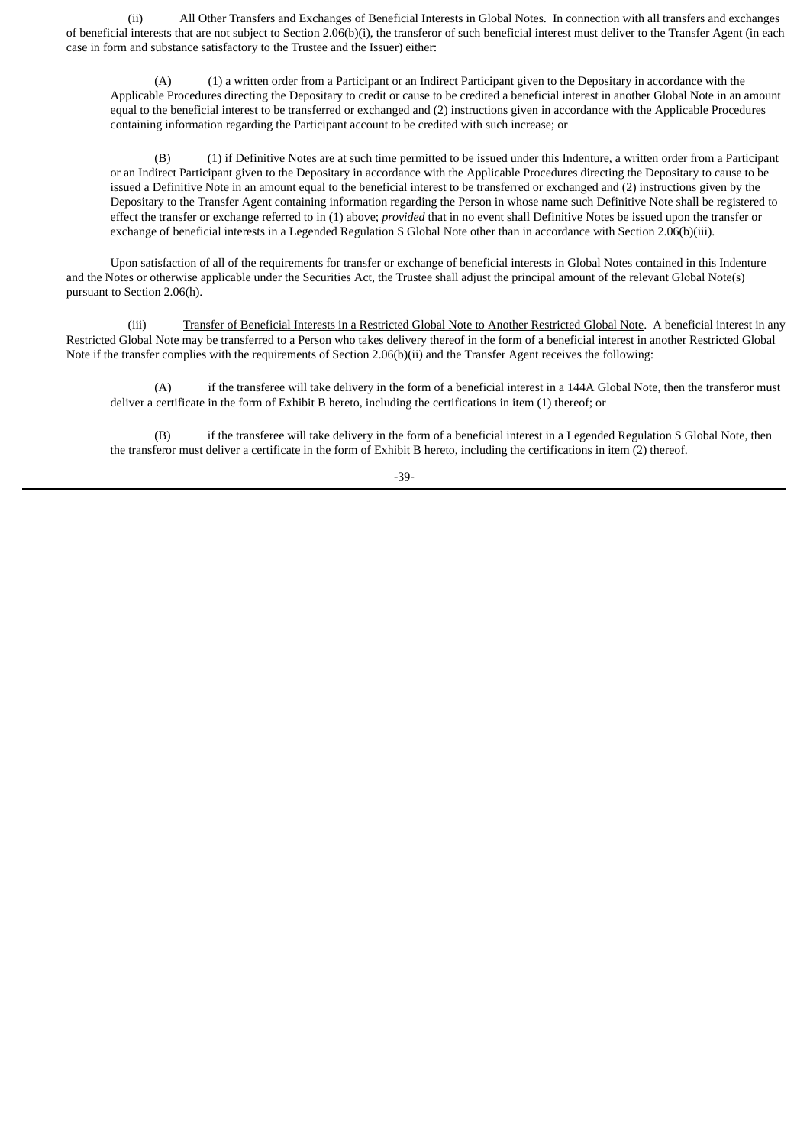(ii) All Other Transfers and Exchanges of Beneficial Interests in Global Notes. In connection with all transfers and exchanges of beneficial interests that are not subject to Section 2.06(b)(i), the transferor of such beneficial interest must deliver to the Transfer Agent (in each case in form and substance satisfactory to the Trustee and the Issuer) either:

(A) (1) a written order from a Participant or an Indirect Participant given to the Depositary in accordance with the Applicable Procedures directing the Depositary to credit or cause to be credited a beneficial interest in another Global Note in an amount equal to the beneficial interest to be transferred or exchanged and (2) instructions given in accordance with the Applicable Procedures containing information regarding the Participant account to be credited with such increase; or

(B) (1) if Definitive Notes are at such time permitted to be issued under this Indenture, a written order from a Participant or an Indirect Participant given to the Depositary in accordance with the Applicable Procedures directing the Depositary to cause to be issued a Definitive Note in an amount equal to the beneficial interest to be transferred or exchanged and (2) instructions given by the Depositary to the Transfer Agent containing information regarding the Person in whose name such Definitive Note shall be registered to effect the transfer or exchange referred to in (1) above; *provided* that in no event shall Definitive Notes be issued upon the transfer or exchange of beneficial interests in a Legended Regulation S Global Note other than in accordance with Section 2.06(b)(iii).

Upon satisfaction of all of the requirements for transfer or exchange of beneficial interests in Global Notes contained in this Indenture and the Notes or otherwise applicable under the Securities Act, the Trustee shall adjust the principal amount of the relevant Global Note(s) pursuant to Section 2.06(h).

(iii) Transfer of Beneficial Interests in a Restricted Global Note to Another Restricted Global Note. A beneficial interest in any Restricted Global Note may be transferred to a Person who takes delivery thereof in the form of a beneficial interest in another Restricted Global Note if the transfer complies with the requirements of Section 2.06(b)(ii) and the Transfer Agent receives the following:

(A) if the transferee will take delivery in the form of a beneficial interest in a 144A Global Note, then the transferor must deliver a certificate in the form of Exhibit B hereto, including the certifications in item (1) thereof; or

(B) if the transferee will take delivery in the form of a beneficial interest in a Legended Regulation S Global Note, then the transferor must deliver a certificate in the form of Exhibit B hereto, including the certifications in item (2) thereof.

-39-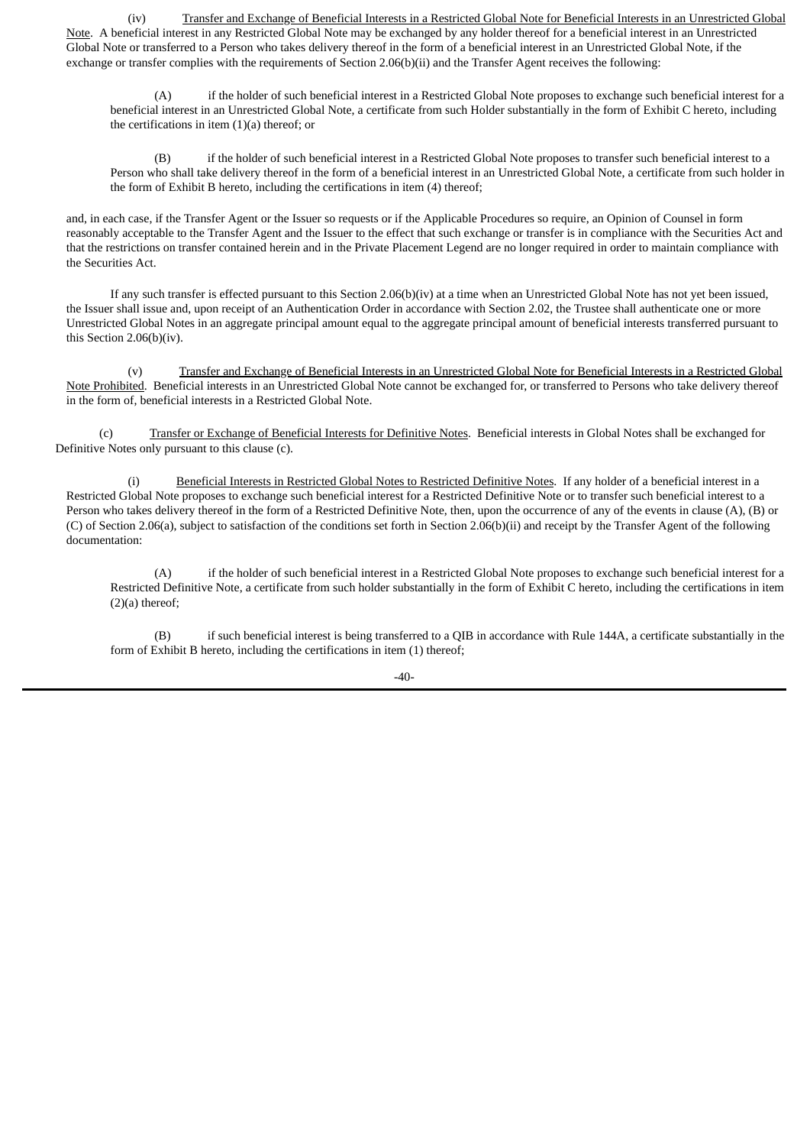(iv) Transfer and Exchange of Beneficial Interests in a Restricted Global Note for Beneficial Interests in an Unrestricted Global Note. A beneficial interest in any Restricted Global Note may be exchanged by any holder thereof for a beneficial interest in an Unrestricted Global Note or transferred to a Person who takes delivery thereof in the form of a beneficial interest in an Unrestricted Global Note, if the exchange or transfer complies with the requirements of Section 2.06(b)(ii) and the Transfer Agent receives the following:

(A) if the holder of such beneficial interest in a Restricted Global Note proposes to exchange such beneficial interest for a beneficial interest in an Unrestricted Global Note, a certificate from such Holder substantially in the form of Exhibit C hereto, including the certifications in item (1)(a) thereof; or

(B) if the holder of such beneficial interest in a Restricted Global Note proposes to transfer such beneficial interest to a Person who shall take delivery thereof in the form of a beneficial interest in an Unrestricted Global Note, a certificate from such holder in the form of Exhibit B hereto, including the certifications in item (4) thereof;

and, in each case, if the Transfer Agent or the Issuer so requests or if the Applicable Procedures so require, an Opinion of Counsel in form reasonably acceptable to the Transfer Agent and the Issuer to the effect that such exchange or transfer is in compliance with the Securities Act and that the restrictions on transfer contained herein and in the Private Placement Legend are no longer required in order to maintain compliance with the Securities Act.

If any such transfer is effected pursuant to this Section 2.06(b)(iv) at a time when an Unrestricted Global Note has not yet been issued, the Issuer shall issue and, upon receipt of an Authentication Order in accordance with Section 2.02, the Trustee shall authenticate one or more Unrestricted Global Notes in an aggregate principal amount equal to the aggregate principal amount of beneficial interests transferred pursuant to this Section 2.06(b)(iv).

(v) Transfer and Exchange of Beneficial Interests in an Unrestricted Global Note for Beneficial Interests in a Restricted Global Note Prohibited. Beneficial interests in an Unrestricted Global Note cannot be exchanged for, or transferred to Persons who take delivery thereof in the form of, beneficial interests in a Restricted Global Note.

(c) Transfer or Exchange of Beneficial Interests for Definitive Notes. Beneficial interests in Global Notes shall be exchanged for Definitive Notes only pursuant to this clause (c).

(i) Beneficial Interests in Restricted Global Notes to Restricted Definitive Notes. If any holder of a beneficial interest in a Restricted Global Note proposes to exchange such beneficial interest for a Restricted Definitive Note or to transfer such beneficial interest to a Person who takes delivery thereof in the form of a Restricted Definitive Note, then, upon the occurrence of any of the events in clause (A), (B) or (C) of Section 2.06(a), subject to satisfaction of the conditions set forth in Section 2.06(b)(ii) and receipt by the Transfer Agent of the following documentation:

(A) if the holder of such beneficial interest in a Restricted Global Note proposes to exchange such beneficial interest for a Restricted Definitive Note, a certificate from such holder substantially in the form of Exhibit C hereto, including the certifications in item (2)(a) thereof;

(B) if such beneficial interest is being transferred to a QIB in accordance with Rule 144A, a certificate substantially in the form of Exhibit B hereto, including the certifications in item (1) thereof;

 $-40-$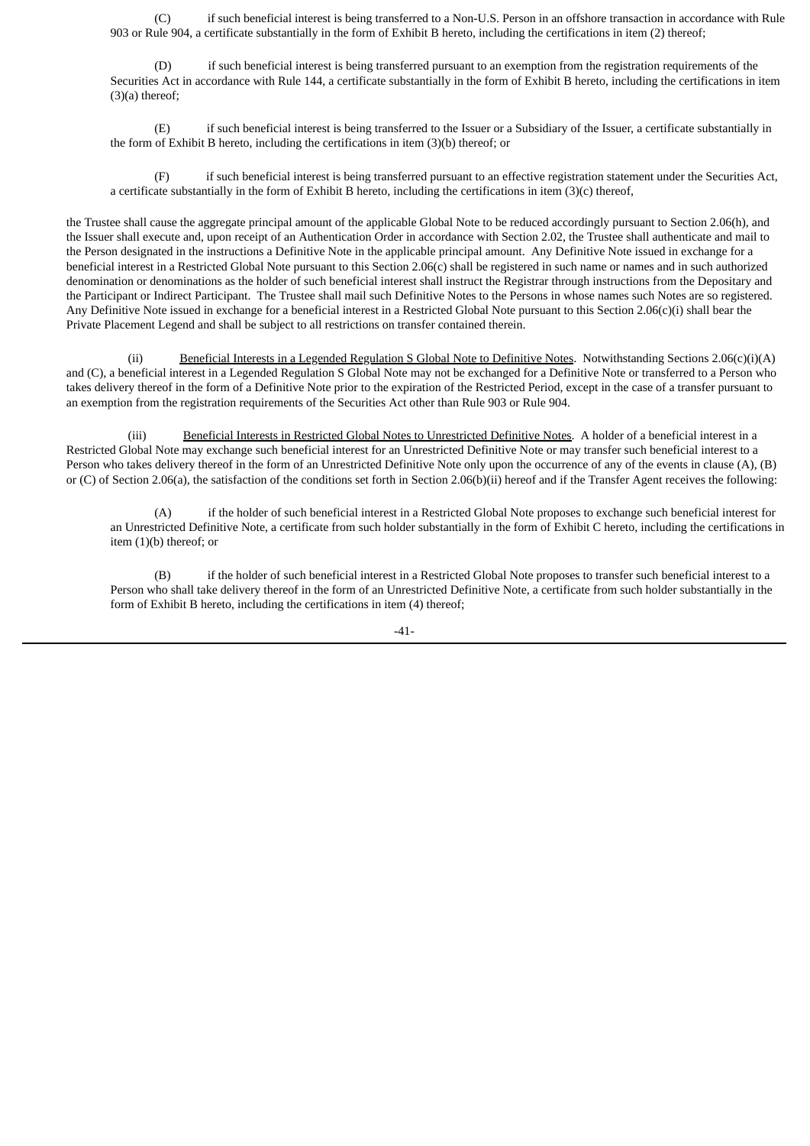(C) if such beneficial interest is being transferred to a Non-U.S. Person in an offshore transaction in accordance with Rule 903 or Rule 904, a certificate substantially in the form of Exhibit B hereto, including the certifications in item (2) thereof;

(D) if such beneficial interest is being transferred pursuant to an exemption from the registration requirements of the Securities Act in accordance with Rule 144, a certificate substantially in the form of Exhibit B hereto, including the certifications in item (3)(a) thereof;

(E) if such beneficial interest is being transferred to the Issuer or a Subsidiary of the Issuer, a certificate substantially in the form of Exhibit B hereto, including the certifications in item (3)(b) thereof; or

(F) if such beneficial interest is being transferred pursuant to an effective registration statement under the Securities Act, a certificate substantially in the form of Exhibit B hereto, including the certifications in item (3)(c) thereof,

the Trustee shall cause the aggregate principal amount of the applicable Global Note to be reduced accordingly pursuant to Section 2.06(h), and the Issuer shall execute and, upon receipt of an Authentication Order in accordance with Section 2.02, the Trustee shall authenticate and mail to the Person designated in the instructions a Definitive Note in the applicable principal amount. Any Definitive Note issued in exchange for a beneficial interest in a Restricted Global Note pursuant to this Section 2.06(c) shall be registered in such name or names and in such authorized denomination or denominations as the holder of such beneficial interest shall instruct the Registrar through instructions from the Depositary and the Participant or Indirect Participant. The Trustee shall mail such Definitive Notes to the Persons in whose names such Notes are so registered. Any Definitive Note issued in exchange for a beneficial interest in a Restricted Global Note pursuant to this Section 2.06(c)(i) shall bear the Private Placement Legend and shall be subject to all restrictions on transfer contained therein.

(ii) Beneficial Interests in a Legended Regulation S Global Note to Definitive Notes. Notwithstanding Sections 2.06(c)(i)(A) and (C), a beneficial interest in a Legended Regulation S Global Note may not be exchanged for a Definitive Note or transferred to a Person who takes delivery thereof in the form of a Definitive Note prior to the expiration of the Restricted Period, except in the case of a transfer pursuant to an exemption from the registration requirements of the Securities Act other than Rule 903 or Rule 904.

(iii) Beneficial Interests in Restricted Global Notes to Unrestricted Definitive Notes. A holder of a beneficial interest in a Restricted Global Note may exchange such beneficial interest for an Unrestricted Definitive Note or may transfer such beneficial interest to a Person who takes delivery thereof in the form of an Unrestricted Definitive Note only upon the occurrence of any of the events in clause (A), (B) or (C) of Section 2.06(a), the satisfaction of the conditions set forth in Section 2.06(b)(ii) hereof and if the Transfer Agent receives the following:

(A) if the holder of such beneficial interest in a Restricted Global Note proposes to exchange such beneficial interest for an Unrestricted Definitive Note, a certificate from such holder substantially in the form of Exhibit C hereto, including the certifications in item (1)(b) thereof; or

(B) if the holder of such beneficial interest in a Restricted Global Note proposes to transfer such beneficial interest to a Person who shall take delivery thereof in the form of an Unrestricted Definitive Note, a certificate from such holder substantially in the form of Exhibit B hereto, including the certifications in item (4) thereof;

 $-41-$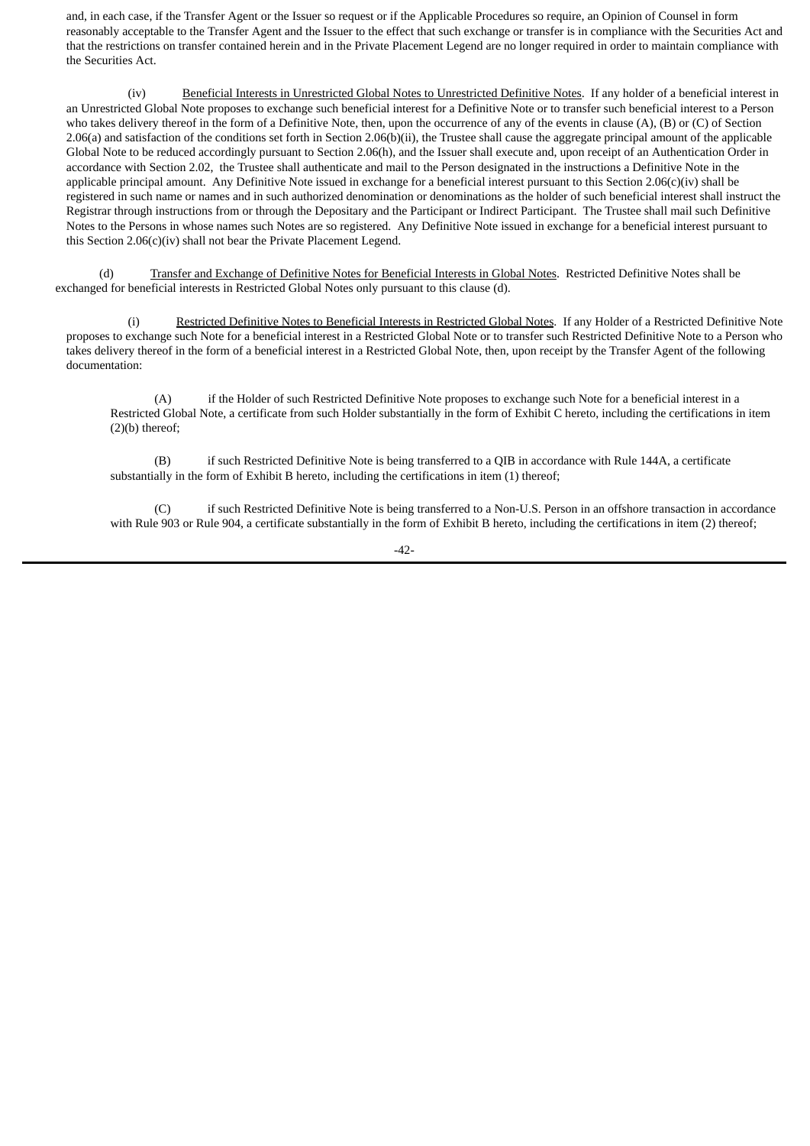and, in each case, if the Transfer Agent or the Issuer so request or if the Applicable Procedures so require, an Opinion of Counsel in form reasonably acceptable to the Transfer Agent and the Issuer to the effect that such exchange or transfer is in compliance with the Securities Act and that the restrictions on transfer contained herein and in the Private Placement Legend are no longer required in order to maintain compliance with the Securities Act.

(iv) Beneficial Interests in Unrestricted Global Notes to Unrestricted Definitive Notes. If any holder of a beneficial interest in an Unrestricted Global Note proposes to exchange such beneficial interest for a Definitive Note or to transfer such beneficial interest to a Person who takes delivery thereof in the form of a Definitive Note, then, upon the occurrence of any of the events in clause (A), (B) or (C) of Section 2.06(a) and satisfaction of the conditions set forth in Section 2.06(b)(ii), the Trustee shall cause the aggregate principal amount of the applicable Global Note to be reduced accordingly pursuant to Section 2.06(h), and the Issuer shall execute and, upon receipt of an Authentication Order in accordance with Section 2.02, the Trustee shall authenticate and mail to the Person designated in the instructions a Definitive Note in the applicable principal amount. Any Definitive Note issued in exchange for a beneficial interest pursuant to this Section 2.06(c)(iv) shall be registered in such name or names and in such authorized denomination or denominations as the holder of such beneficial interest shall instruct the Registrar through instructions from or through the Depositary and the Participant or Indirect Participant. The Trustee shall mail such Definitive Notes to the Persons in whose names such Notes are so registered. Any Definitive Note issued in exchange for a beneficial interest pursuant to this Section 2.06(c)(iv) shall not bear the Private Placement Legend.

(d) Transfer and Exchange of Definitive Notes for Beneficial Interests in Global Notes. Restricted Definitive Notes shall be exchanged for beneficial interests in Restricted Global Notes only pursuant to this clause (d).

(i) Restricted Definitive Notes to Beneficial Interests in Restricted Global Notes. If any Holder of a Restricted Definitive Note proposes to exchange such Note for a beneficial interest in a Restricted Global Note or to transfer such Restricted Definitive Note to a Person who takes delivery thereof in the form of a beneficial interest in a Restricted Global Note, then, upon receipt by the Transfer Agent of the following documentation:

(A) if the Holder of such Restricted Definitive Note proposes to exchange such Note for a beneficial interest in a Restricted Global Note, a certificate from such Holder substantially in the form of Exhibit C hereto, including the certifications in item (2)(b) thereof;

(B) if such Restricted Definitive Note is being transferred to a QIB in accordance with Rule 144A, a certificate substantially in the form of Exhibit B hereto, including the certifications in item (1) thereof;

(C) if such Restricted Definitive Note is being transferred to a Non-U.S. Person in an offshore transaction in accordance with Rule 903 or Rule 904, a certificate substantially in the form of Exhibit B hereto, including the certifications in item (2) thereof;

-42-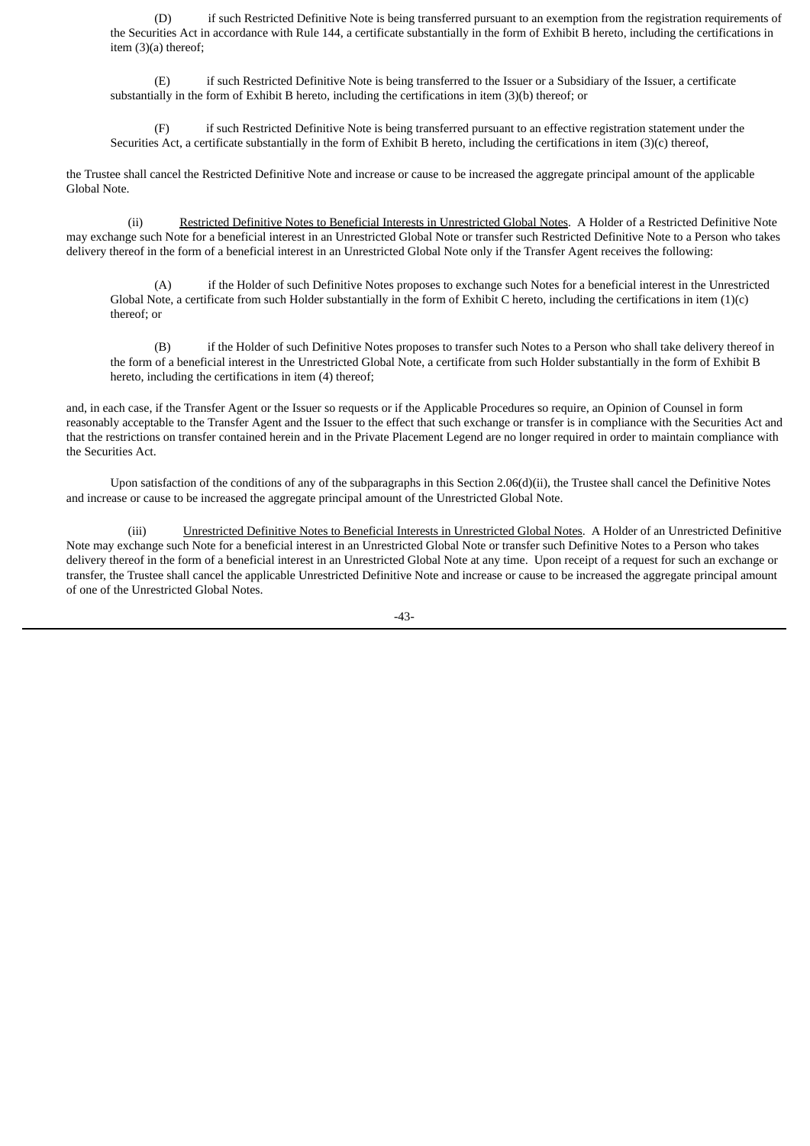(D) if such Restricted Definitive Note is being transferred pursuant to an exemption from the registration requirements of the Securities Act in accordance with Rule 144, a certificate substantially in the form of Exhibit B hereto, including the certifications in item (3)(a) thereof;

(E) if such Restricted Definitive Note is being transferred to the Issuer or a Subsidiary of the Issuer, a certificate substantially in the form of Exhibit B hereto, including the certifications in item (3)(b) thereof; or

(F) if such Restricted Definitive Note is being transferred pursuant to an effective registration statement under the Securities Act, a certificate substantially in the form of Exhibit B hereto, including the certifications in item (3)(c) thereof,

the Trustee shall cancel the Restricted Definitive Note and increase or cause to be increased the aggregate principal amount of the applicable Global Note.

(ii) Restricted Definitive Notes to Beneficial Interests in Unrestricted Global Notes. A Holder of a Restricted Definitive Note may exchange such Note for a beneficial interest in an Unrestricted Global Note or transfer such Restricted Definitive Note to a Person who takes delivery thereof in the form of a beneficial interest in an Unrestricted Global Note only if the Transfer Agent receives the following:

(A) if the Holder of such Definitive Notes proposes to exchange such Notes for a beneficial interest in the Unrestricted Global Note, a certificate from such Holder substantially in the form of Exhibit C hereto, including the certifications in item  $(1)(c)$ thereof; or

(B) if the Holder of such Definitive Notes proposes to transfer such Notes to a Person who shall take delivery thereof in the form of a beneficial interest in the Unrestricted Global Note, a certificate from such Holder substantially in the form of Exhibit B hereto, including the certifications in item (4) thereof;

and, in each case, if the Transfer Agent or the Issuer so requests or if the Applicable Procedures so require, an Opinion of Counsel in form reasonably acceptable to the Transfer Agent and the Issuer to the effect that such exchange or transfer is in compliance with the Securities Act and that the restrictions on transfer contained herein and in the Private Placement Legend are no longer required in order to maintain compliance with the Securities Act.

Upon satisfaction of the conditions of any of the subparagraphs in this Section 2.06(d)(ii), the Trustee shall cancel the Definitive Notes and increase or cause to be increased the aggregate principal amount of the Unrestricted Global Note.

(iii) Unrestricted Definitive Notes to Beneficial Interests in Unrestricted Global Notes. A Holder of an Unrestricted Definitive Note may exchange such Note for a beneficial interest in an Unrestricted Global Note or transfer such Definitive Notes to a Person who takes delivery thereof in the form of a beneficial interest in an Unrestricted Global Note at any time. Upon receipt of a request for such an exchange or transfer, the Trustee shall cancel the applicable Unrestricted Definitive Note and increase or cause to be increased the aggregate principal amount of one of the Unrestricted Global Notes.

 $-43-$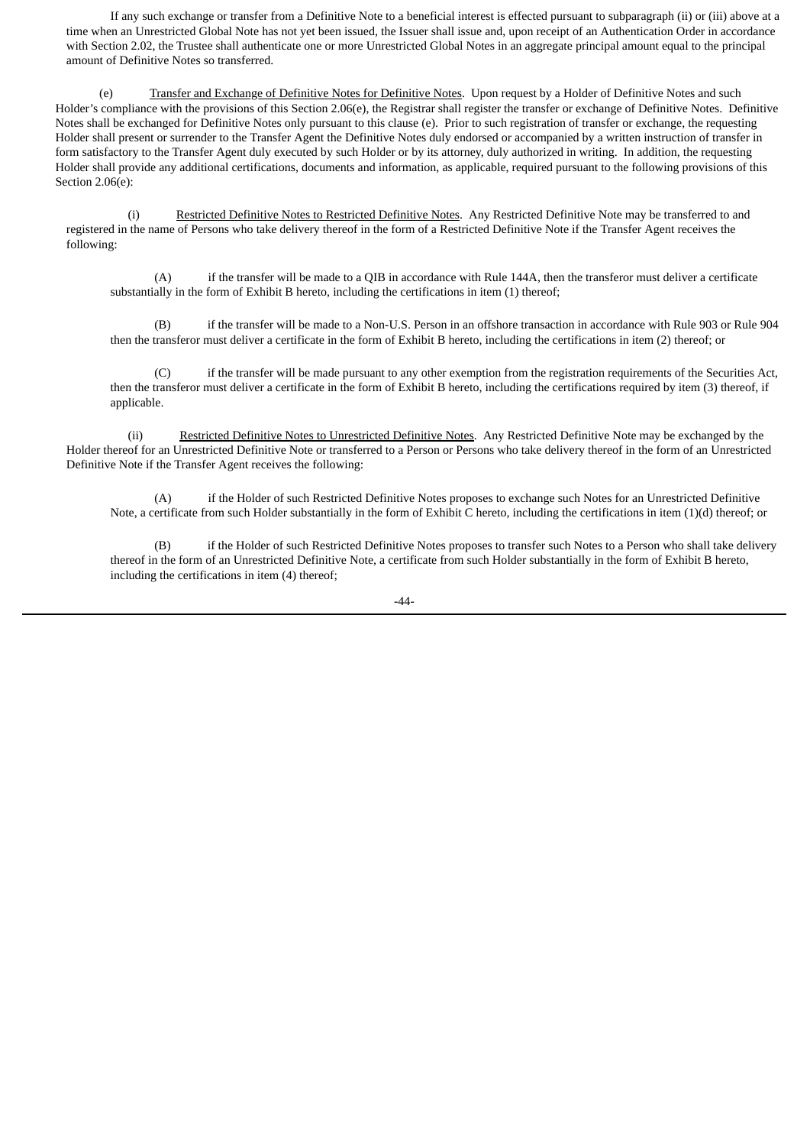If any such exchange or transfer from a Definitive Note to a beneficial interest is effected pursuant to subparagraph (ii) or (iii) above at a time when an Unrestricted Global Note has not yet been issued, the Issuer shall issue and, upon receipt of an Authentication Order in accordance with Section 2.02, the Trustee shall authenticate one or more Unrestricted Global Notes in an aggregate principal amount equal to the principal amount of Definitive Notes so transferred.

(e) Transfer and Exchange of Definitive Notes for Definitive Notes. Upon request by a Holder of Definitive Notes and such Holder's compliance with the provisions of this Section 2.06(e), the Registrar shall register the transfer or exchange of Definitive Notes. Definitive Notes shall be exchanged for Definitive Notes only pursuant to this clause (e). Prior to such registration of transfer or exchange, the requesting Holder shall present or surrender to the Transfer Agent the Definitive Notes duly endorsed or accompanied by a written instruction of transfer in form satisfactory to the Transfer Agent duly executed by such Holder or by its attorney, duly authorized in writing. In addition, the requesting Holder shall provide any additional certifications, documents and information, as applicable, required pursuant to the following provisions of this Section 2.06(e):

(i) Restricted Definitive Notes to Restricted Definitive Notes. Any Restricted Definitive Note may be transferred to and registered in the name of Persons who take delivery thereof in the form of a Restricted Definitive Note if the Transfer Agent receives the following:

(A) if the transfer will be made to a QIB in accordance with Rule 144A, then the transferor must deliver a certificate substantially in the form of Exhibit B hereto, including the certifications in item (1) thereof;

(B) if the transfer will be made to a Non-U.S. Person in an offshore transaction in accordance with Rule 903 or Rule 904 then the transferor must deliver a certificate in the form of Exhibit B hereto, including the certifications in item (2) thereof; or

(C) if the transfer will be made pursuant to any other exemption from the registration requirements of the Securities Act, then the transferor must deliver a certificate in the form of Exhibit B hereto, including the certifications required by item (3) thereof, if applicable.

(ii) Restricted Definitive Notes to Unrestricted Definitive Notes. Any Restricted Definitive Note may be exchanged by the Holder thereof for an Unrestricted Definitive Note or transferred to a Person or Persons who take delivery thereof in the form of an Unrestricted Definitive Note if the Transfer Agent receives the following:

(A) if the Holder of such Restricted Definitive Notes proposes to exchange such Notes for an Unrestricted Definitive Note, a certificate from such Holder substantially in the form of Exhibit C hereto, including the certifications in item (1)(d) thereof; or

if the Holder of such Restricted Definitive Notes proposes to transfer such Notes to a Person who shall take delivery thereof in the form of an Unrestricted Definitive Note, a certificate from such Holder substantially in the form of Exhibit B hereto, including the certifications in item (4) thereof;

-44-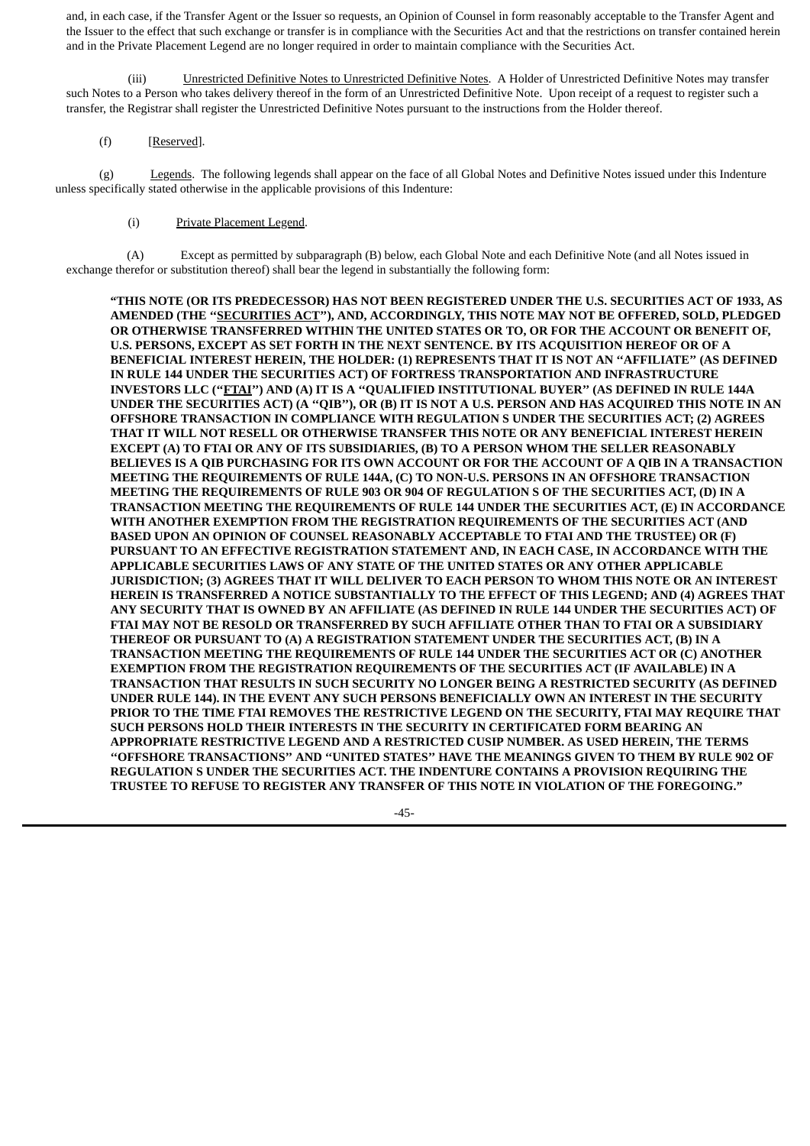and, in each case, if the Transfer Agent or the Issuer so requests, an Opinion of Counsel in form reasonably acceptable to the Transfer Agent and the Issuer to the effect that such exchange or transfer is in compliance with the Securities Act and that the restrictions on transfer contained herein and in the Private Placement Legend are no longer required in order to maintain compliance with the Securities Act.

(iii) Unrestricted Definitive Notes to Unrestricted Definitive Notes. A Holder of Unrestricted Definitive Notes may transfer such Notes to a Person who takes delivery thereof in the form of an Unrestricted Definitive Note. Upon receipt of a request to register such a transfer, the Registrar shall register the Unrestricted Definitive Notes pursuant to the instructions from the Holder thereof.

# (f) [Reserved].

(g) Legends. The following legends shall appear on the face of all Global Notes and Definitive Notes issued under this Indenture unless specifically stated otherwise in the applicable provisions of this Indenture:

# (i) Private Placement Legend.

(A) Except as permitted by subparagraph (B) below, each Global Note and each Definitive Note (and all Notes issued in exchange therefor or substitution thereof) shall bear the legend in substantially the following form:

**"THIS NOTE (OR ITS PREDECESSOR) HAS NOT BEEN REGISTERED UNDER THE U.S. SECURITIES ACT OF 1933, AS AMENDED (THE ''SECURITIES ACT''), AND, ACCORDINGLY, THIS NOTE MAY NOT BE OFFERED, SOLD, PLEDGED OR OTHERWISE TRANSFERRED WITHIN THE UNITED STATES OR TO, OR FOR THE ACCOUNT OR BENEFIT OF, U.S. PERSONS, EXCEPT AS SET FORTH IN THE NEXT SENTENCE. BY ITS ACQUISITION HEREOF OR OF A BENEFICIAL INTEREST HEREIN, THE HOLDER: (1) REPRESENTS THAT IT IS NOT AN ''AFFILIATE'' (AS DEFINED IN RULE 144 UNDER THE SECURITIES ACT) OF FORTRESS TRANSPORTATION AND INFRASTRUCTURE INVESTORS LLC (''FTAI'') AND (A) IT IS A ''QUALIFIED INSTITUTIONAL BUYER'' (AS DEFINED IN RULE 144A** UNDER THE SECURITIES ACT) (A "QIB"), OR (B) IT IS NOT A U.S. PERSON AND HAS ACQUIRED THIS NOTE IN AN **OFFSHORE TRANSACTION IN COMPLIANCE WITH REGULATION S UNDER THE SECURITIES ACT; (2) AGREES THAT IT WILL NOT RESELL OR OTHERWISE TRANSFER THIS NOTE OR ANY BENEFICIAL INTEREST HEREIN EXCEPT (A) TO FTAI OR ANY OF ITS SUBSIDIARIES, (B) TO A PERSON WHOM THE SELLER REASONABLY** BELIEVES IS A QIB PURCHASING FOR ITS OWN ACCOUNT OR FOR THE ACCOUNT OF A QIB IN A TRANSACTION **MEETING THE REQUIREMENTS OF RULE 144A, (C) TO NON-U.S. PERSONS IN AN OFFSHORE TRANSACTION MEETING THE REQUIREMENTS OF RULE 903 OR 904 OF REGULATION S OF THE SECURITIES ACT, (D) IN A TRANSACTION MEETING THE REQUIREMENTS OF RULE 144 UNDER THE SECURITIES ACT, (E) IN ACCORDANCE WITH ANOTHER EXEMPTION FROM THE REGISTRATION REQUIREMENTS OF THE SECURITIES ACT (AND BASED UPON AN OPINION OF COUNSEL REASONABLY ACCEPTABLE TO FTAI AND THE TRUSTEE) OR (F) PURSUANT TO AN EFFECTIVE REGISTRATION STATEMENT AND, IN EACH CASE, IN ACCORDANCE WITH THE APPLICABLE SECURITIES LAWS OF ANY STATE OF THE UNITED STATES OR ANY OTHER APPLICABLE JURISDICTION; (3) AGREES THAT IT WILL DELIVER TO EACH PERSON TO WHOM THIS NOTE OR AN INTEREST HEREIN IS TRANSFERRED A NOTICE SUBSTANTIALLY TO THE EFFECT OF THIS LEGEND; AND (4) AGREES THAT ANY SECURITY THAT IS OWNED BY AN AFFILIATE (AS DEFINED IN RULE 144 UNDER THE SECURITIES ACT) OF FTAI MAY NOT BE RESOLD OR TRANSFERRED BY SUCH AFFILIATE OTHER THAN TO FTAI OR A SUBSIDIARY THEREOF OR PURSUANT TO (A) A REGISTRATION STATEMENT UNDER THE SECURITIES ACT, (B) IN A TRANSACTION MEETING THE REQUIREMENTS OF RULE 144 UNDER THE SECURITIES ACT OR (C) ANOTHER EXEMPTION FROM THE REGISTRATION REQUIREMENTS OF THE SECURITIES ACT (IF AVAILABLE) IN A TRANSACTION THAT RESULTS IN SUCH SECURITY NO LONGER BEING A RESTRICTED SECURITY (AS DEFINED UNDER RULE 144). IN THE EVENT ANY SUCH PERSONS BENEFICIALLY OWN AN INTEREST IN THE SECURITY PRIOR TO THE TIME FTAI REMOVES THE RESTRICTIVE LEGEND ON THE SECURITY, FTAI MAY REQUIRE THAT SUCH PERSONS HOLD THEIR INTERESTS IN THE SECURITY IN CERTIFICATED FORM BEARING AN APPROPRIATE RESTRICTIVE LEGEND AND A RESTRICTED CUSIP NUMBER. AS USED HEREIN, THE TERMS ''OFFSHORE TRANSACTIONS'' AND ''UNITED STATES'' HAVE THE MEANINGS GIVEN TO THEM BY RULE 902 OF REGULATION S UNDER THE SECURITIES ACT. THE INDENTURE CONTAINS A PROVISION REQUIRING THE TRUSTEE TO REFUSE TO REGISTER ANY TRANSFER OF THIS NOTE IN VIOLATION OF THE FOREGOING."**

-45-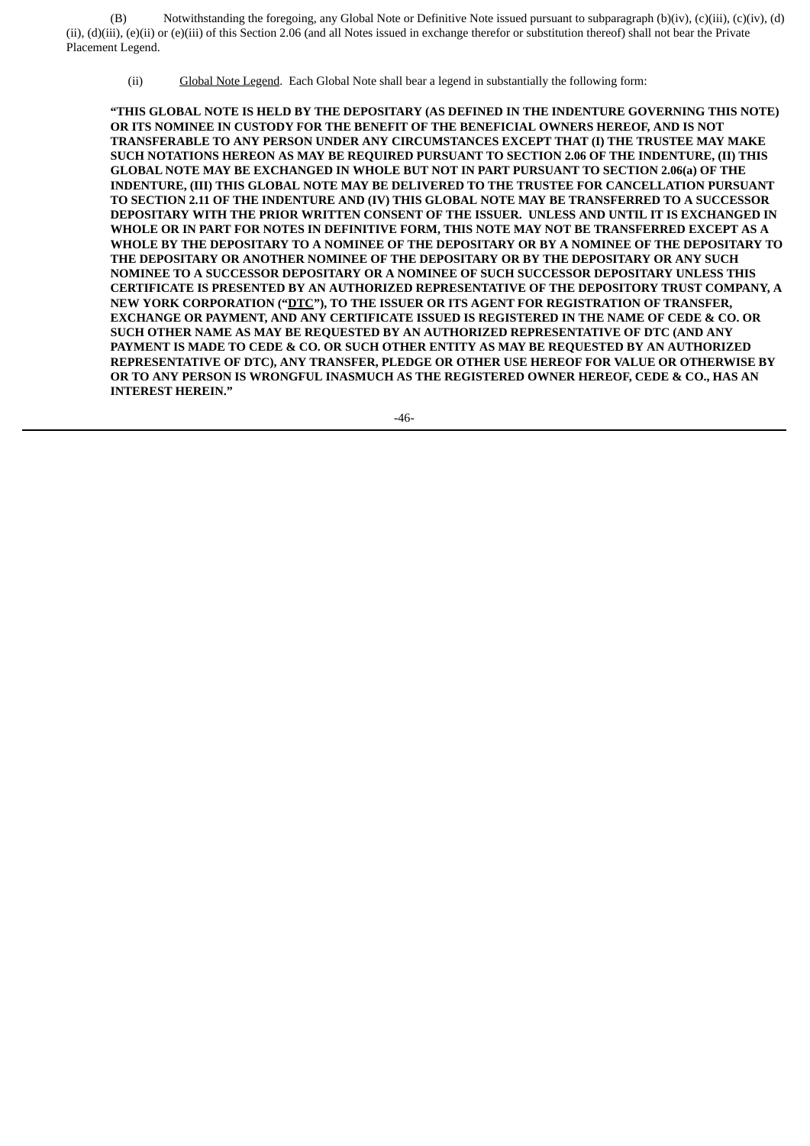(B) Notwithstanding the foregoing, any Global Note or Definitive Note issued pursuant to subparagraph (b)(iv), (c)(iii), (c)(iv), (d) (ii), (d)(iii), (e)(ii) or (e)(iii) of this Section 2.06 (and all Notes issued in exchange therefor or substitution thereof) shall not bear the Private Placement Legend.

(ii) Global Note Legend. Each Global Note shall bear a legend in substantially the following form:

**"THIS GLOBAL NOTE IS HELD BY THE DEPOSITARY (AS DEFINED IN THE INDENTURE GOVERNING THIS NOTE) OR ITS NOMINEE IN CUSTODY FOR THE BENEFIT OF THE BENEFICIAL OWNERS HEREOF, AND IS NOT TRANSFERABLE TO ANY PERSON UNDER ANY CIRCUMSTANCES EXCEPT THAT (I) THE TRUSTEE MAY MAKE SUCH NOTATIONS HEREON AS MAY BE REQUIRED PURSUANT TO SECTION 2.06 OF THE INDENTURE, (II) THIS GLOBAL NOTE MAY BE EXCHANGED IN WHOLE BUT NOT IN PART PURSUANT TO SECTION 2.06(a) OF THE INDENTURE, (III) THIS GLOBAL NOTE MAY BE DELIVERED TO THE TRUSTEE FOR CANCELLATION PURSUANT TO SECTION 2.11 OF THE INDENTURE AND (IV) THIS GLOBAL NOTE MAY BE TRANSFERRED TO A SUCCESSOR DEPOSITARY WITH THE PRIOR WRITTEN CONSENT OF THE ISSUER. UNLESS AND UNTIL IT IS EXCHANGED IN WHOLE OR IN PART FOR NOTES IN DEFINITIVE FORM, THIS NOTE MAY NOT BE TRANSFERRED EXCEPT AS A WHOLE BY THE DEPOSITARY TO A NOMINEE OF THE DEPOSITARY OR BY A NOMINEE OF THE DEPOSITARY TO THE DEPOSITARY OR ANOTHER NOMINEE OF THE DEPOSITARY OR BY THE DEPOSITARY OR ANY SUCH NOMINEE TO A SUCCESSOR DEPOSITARY OR A NOMINEE OF SUCH SUCCESSOR DEPOSITARY UNLESS THIS CERTIFICATE IS PRESENTED BY AN AUTHORIZED REPRESENTATIVE OF THE DEPOSITORY TRUST COMPANY, A NEW YORK CORPORATION ("DTC"), TO THE ISSUER OR ITS AGENT FOR REGISTRATION OF TRANSFER, EXCHANGE OR PAYMENT, AND ANY CERTIFICATE ISSUED IS REGISTERED IN THE NAME OF CEDE & CO. OR SUCH OTHER NAME AS MAY BE REQUESTED BY AN AUTHORIZED REPRESENTATIVE OF DTC (AND ANY PAYMENT IS MADE TO CEDE & CO. OR SUCH OTHER ENTITY AS MAY BE REQUESTED BY AN AUTHORIZED REPRESENTATIVE OF DTC), ANY TRANSFER, PLEDGE OR OTHER USE HEREOF FOR VALUE OR OTHERWISE BY OR TO ANY PERSON IS WRONGFUL INASMUCH AS THE REGISTERED OWNER HEREOF, CEDE & CO., HAS AN INTEREST HEREIN."**

-46-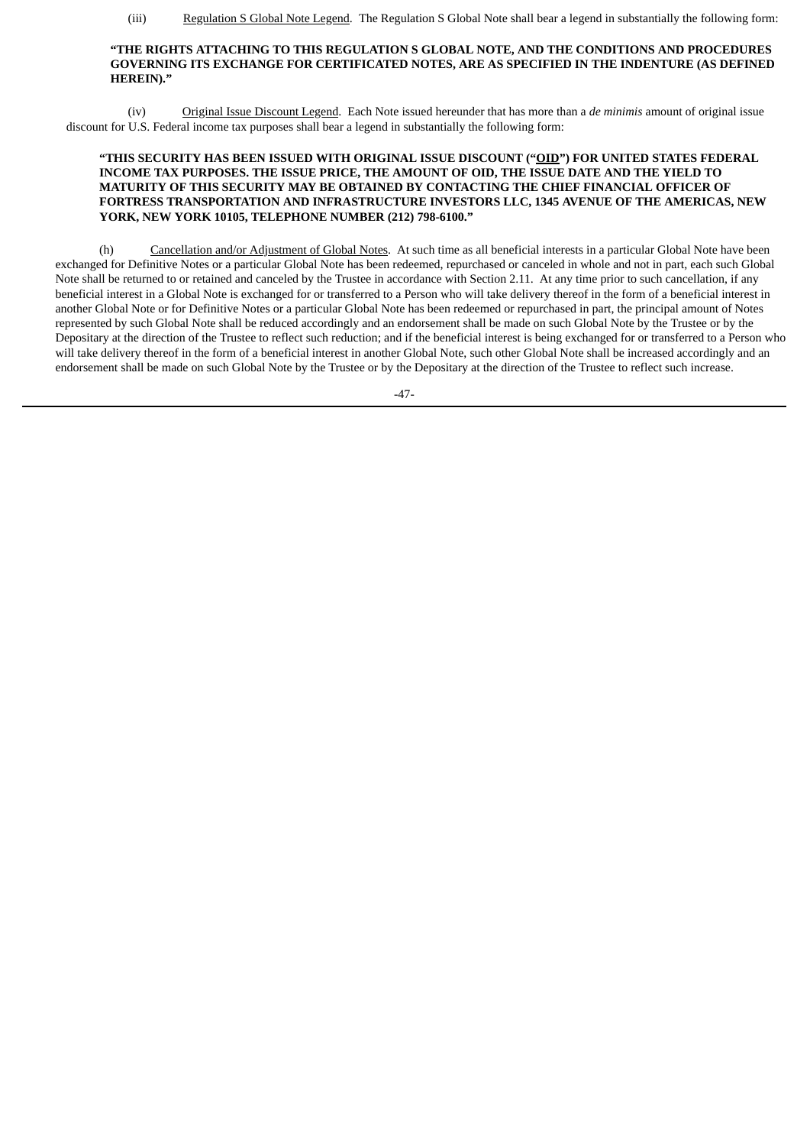(iii) Regulation S Global Note Legend. The Regulation S Global Note shall bear a legend in substantially the following form:

### **"THE RIGHTS ATTACHING TO THIS REGULATION S GLOBAL NOTE, AND THE CONDITIONS AND PROCEDURES GOVERNING ITS EXCHANGE FOR CERTIFICATED NOTES, ARE AS SPECIFIED IN THE INDENTURE (AS DEFINED HEREIN)."**

(iv) Original Issue Discount Legend. Each Note issued hereunder that has more than a *de minimis* amount of original issue discount for U.S. Federal income tax purposes shall bear a legend in substantially the following form:

## **"THIS SECURITY HAS BEEN ISSUED WITH ORIGINAL ISSUE DISCOUNT ("OID") FOR UNITED STATES FEDERAL INCOME TAX PURPOSES. THE ISSUE PRICE, THE AMOUNT OF OID, THE ISSUE DATE AND THE YIELD TO MATURITY OF THIS SECURITY MAY BE OBTAINED BY CONTACTING THE CHIEF FINANCIAL OFFICER OF FORTRESS TRANSPORTATION AND INFRASTRUCTURE INVESTORS LLC, 1345 AVENUE OF THE AMERICAS, NEW YORK, NEW YORK 10105, TELEPHONE NUMBER (212) 798-6100."**

(h) Cancellation and/or Adjustment of Global Notes. At such time as all beneficial interests in a particular Global Note have been exchanged for Definitive Notes or a particular Global Note has been redeemed, repurchased or canceled in whole and not in part, each such Global Note shall be returned to or retained and canceled by the Trustee in accordance with Section 2.11. At any time prior to such cancellation, if any beneficial interest in a Global Note is exchanged for or transferred to a Person who will take delivery thereof in the form of a beneficial interest in another Global Note or for Definitive Notes or a particular Global Note has been redeemed or repurchased in part, the principal amount of Notes represented by such Global Note shall be reduced accordingly and an endorsement shall be made on such Global Note by the Trustee or by the Depositary at the direction of the Trustee to reflect such reduction; and if the beneficial interest is being exchanged for or transferred to a Person who will take delivery thereof in the form of a beneficial interest in another Global Note, such other Global Note shall be increased accordingly and an endorsement shall be made on such Global Note by the Trustee or by the Depositary at the direction of the Trustee to reflect such increase.

 $-47-$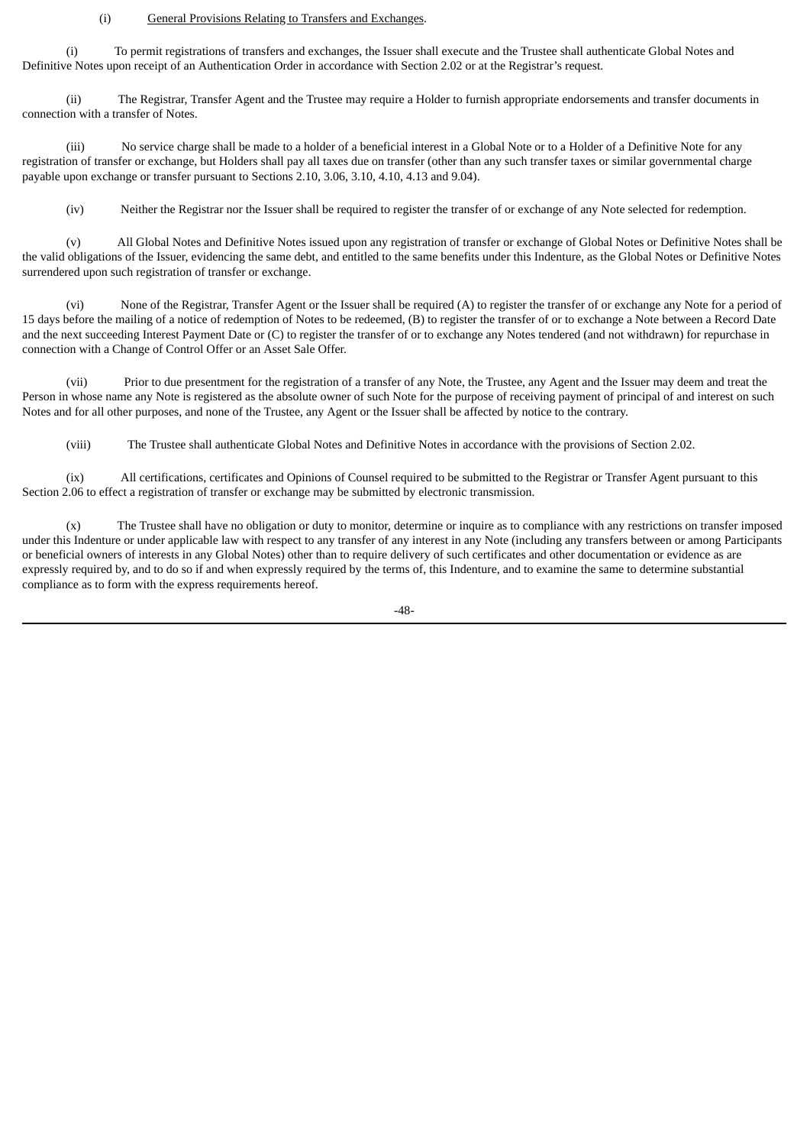#### (i) General Provisions Relating to Transfers and Exchanges.

(i) To permit registrations of transfers and exchanges, the Issuer shall execute and the Trustee shall authenticate Global Notes and Definitive Notes upon receipt of an Authentication Order in accordance with Section 2.02 or at the Registrar's request.

(ii) The Registrar, Transfer Agent and the Trustee may require a Holder to furnish appropriate endorsements and transfer documents in connection with a transfer of Notes.

(iii) No service charge shall be made to a holder of a beneficial interest in a Global Note or to a Holder of a Definitive Note for any registration of transfer or exchange, but Holders shall pay all taxes due on transfer (other than any such transfer taxes or similar governmental charge payable upon exchange or transfer pursuant to Sections 2.10, 3.06, 3.10, 4.10, 4.13 and 9.04).

(iv) Neither the Registrar nor the Issuer shall be required to register the transfer of or exchange of any Note selected for redemption.

(v) All Global Notes and Definitive Notes issued upon any registration of transfer or exchange of Global Notes or Definitive Notes shall be the valid obligations of the Issuer, evidencing the same debt, and entitled to the same benefits under this Indenture, as the Global Notes or Definitive Notes surrendered upon such registration of transfer or exchange.

(vi) None of the Registrar, Transfer Agent or the Issuer shall be required (A) to register the transfer of or exchange any Note for a period of 15 days before the mailing of a notice of redemption of Notes to be redeemed, (B) to register the transfer of or to exchange a Note between a Record Date and the next succeeding Interest Payment Date or (C) to register the transfer of or to exchange any Notes tendered (and not withdrawn) for repurchase in connection with a Change of Control Offer or an Asset Sale Offer.

(vii) Prior to due presentment for the registration of a transfer of any Note, the Trustee, any Agent and the Issuer may deem and treat the Person in whose name any Note is registered as the absolute owner of such Note for the purpose of receiving payment of principal of and interest on such Notes and for all other purposes, and none of the Trustee, any Agent or the Issuer shall be affected by notice to the contrary.

(viii) The Trustee shall authenticate Global Notes and Definitive Notes in accordance with the provisions of Section 2.02.

(ix) All certifications, certificates and Opinions of Counsel required to be submitted to the Registrar or Transfer Agent pursuant to this Section 2.06 to effect a registration of transfer or exchange may be submitted by electronic transmission.

(x) The Trustee shall have no obligation or duty to monitor, determine or inquire as to compliance with any restrictions on transfer imposed under this Indenture or under applicable law with respect to any transfer of any interest in any Note (including any transfers between or among Participants or beneficial owners of interests in any Global Notes) other than to require delivery of such certificates and other documentation or evidence as are expressly required by, and to do so if and when expressly required by the terms of, this Indenture, and to examine the same to determine substantial compliance as to form with the express requirements hereof.

-48-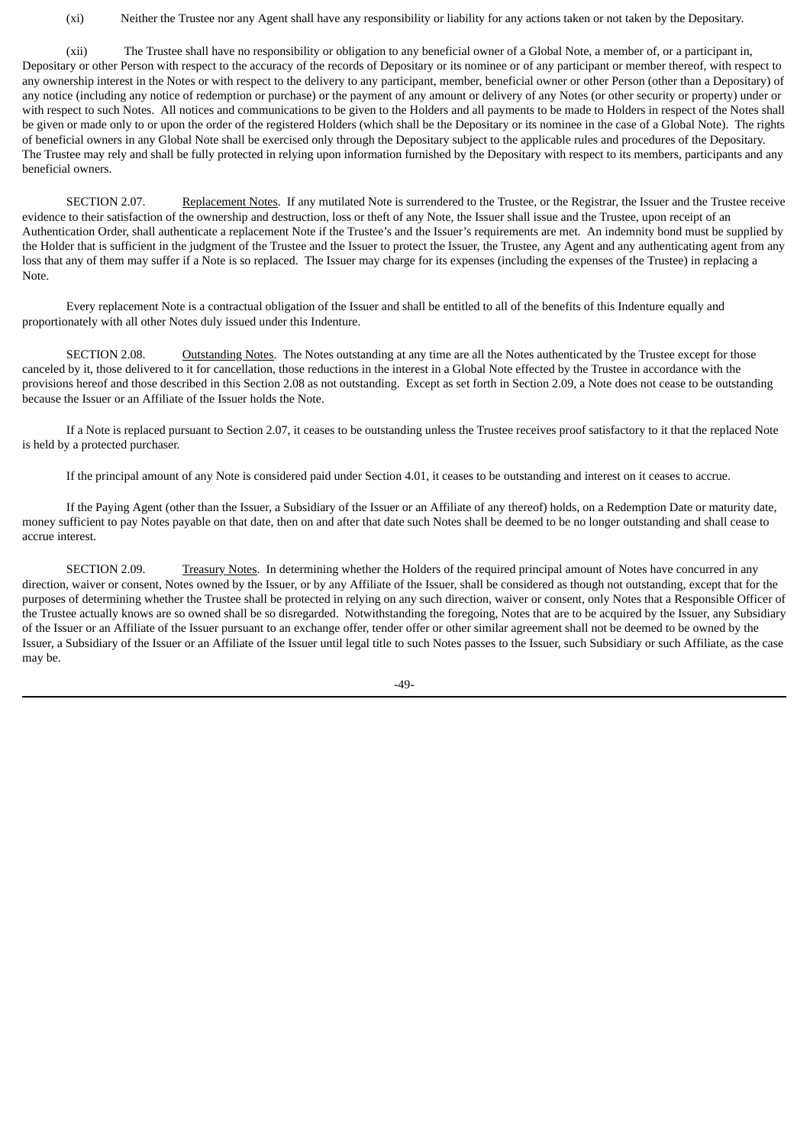(xi) Neither the Trustee nor any Agent shall have any responsibility or liability for any actions taken or not taken by the Depositary.

(xii) The Trustee shall have no responsibility or obligation to any beneficial owner of a Global Note, a member of, or a participant in, Depositary or other Person with respect to the accuracy of the records of Depositary or its nominee or of any participant or member thereof, with respect to any ownership interest in the Notes or with respect to the delivery to any participant, member, beneficial owner or other Person (other than a Depositary) of any notice (including any notice of redemption or purchase) or the payment of any amount or delivery of any Notes (or other security or property) under or with respect to such Notes. All notices and communications to be given to the Holders and all payments to be made to Holders in respect of the Notes shall be given or made only to or upon the order of the registered Holders (which shall be the Depositary or its nominee in the case of a Global Note). The rights of beneficial owners in any Global Note shall be exercised only through the Depositary subject to the applicable rules and procedures of the Depositary. The Trustee may rely and shall be fully protected in relying upon information furnished by the Depositary with respect to its members, participants and any beneficial owners.

SECTION 2.07. Replacement Notes. If any mutilated Note is surrendered to the Trustee, or the Registrar, the Issuer and the Trustee receive evidence to their satisfaction of the ownership and destruction, loss or theft of any Note, the Issuer shall issue and the Trustee, upon receipt of an Authentication Order, shall authenticate a replacement Note if the Trustee's and the Issuer's requirements are met. An indemnity bond must be supplied by the Holder that is sufficient in the judgment of the Trustee and the Issuer to protect the Issuer, the Trustee, any Agent and any authenticating agent from any loss that any of them may suffer if a Note is so replaced. The Issuer may charge for its expenses (including the expenses of the Trustee) in replacing a Note.

Every replacement Note is a contractual obligation of the Issuer and shall be entitled to all of the benefits of this Indenture equally and proportionately with all other Notes duly issued under this Indenture.

SECTION 2.08. Outstanding Notes. The Notes outstanding at any time are all the Notes authenticated by the Trustee except for those canceled by it, those delivered to it for cancellation, those reductions in the interest in a Global Note effected by the Trustee in accordance with the provisions hereof and those described in this Section 2.08 as not outstanding. Except as set forth in Section 2.09, a Note does not cease to be outstanding because the Issuer or an Affiliate of the Issuer holds the Note.

If a Note is replaced pursuant to Section 2.07, it ceases to be outstanding unless the Trustee receives proof satisfactory to it that the replaced Note is held by a protected purchaser.

If the principal amount of any Note is considered paid under Section 4.01, it ceases to be outstanding and interest on it ceases to accrue.

If the Paying Agent (other than the Issuer, a Subsidiary of the Issuer or an Affiliate of any thereof) holds, on a Redemption Date or maturity date, money sufficient to pay Notes payable on that date, then on and after that date such Notes shall be deemed to be no longer outstanding and shall cease to accrue interest.

SECTION 2.09. Treasury Notes. In determining whether the Holders of the required principal amount of Notes have concurred in any direction, waiver or consent, Notes owned by the Issuer, or by any Affiliate of the Issuer, shall be considered as though not outstanding, except that for the purposes of determining whether the Trustee shall be protected in relying on any such direction, waiver or consent, only Notes that a Responsible Officer of the Trustee actually knows are so owned shall be so disregarded. Notwithstanding the foregoing, Notes that are to be acquired by the Issuer, any Subsidiary of the Issuer or an Affiliate of the Issuer pursuant to an exchange offer, tender offer or other similar agreement shall not be deemed to be owned by the Issuer, a Subsidiary of the Issuer or an Affiliate of the Issuer until legal title to such Notes passes to the Issuer, such Subsidiary or such Affiliate, as the case may be.

-49-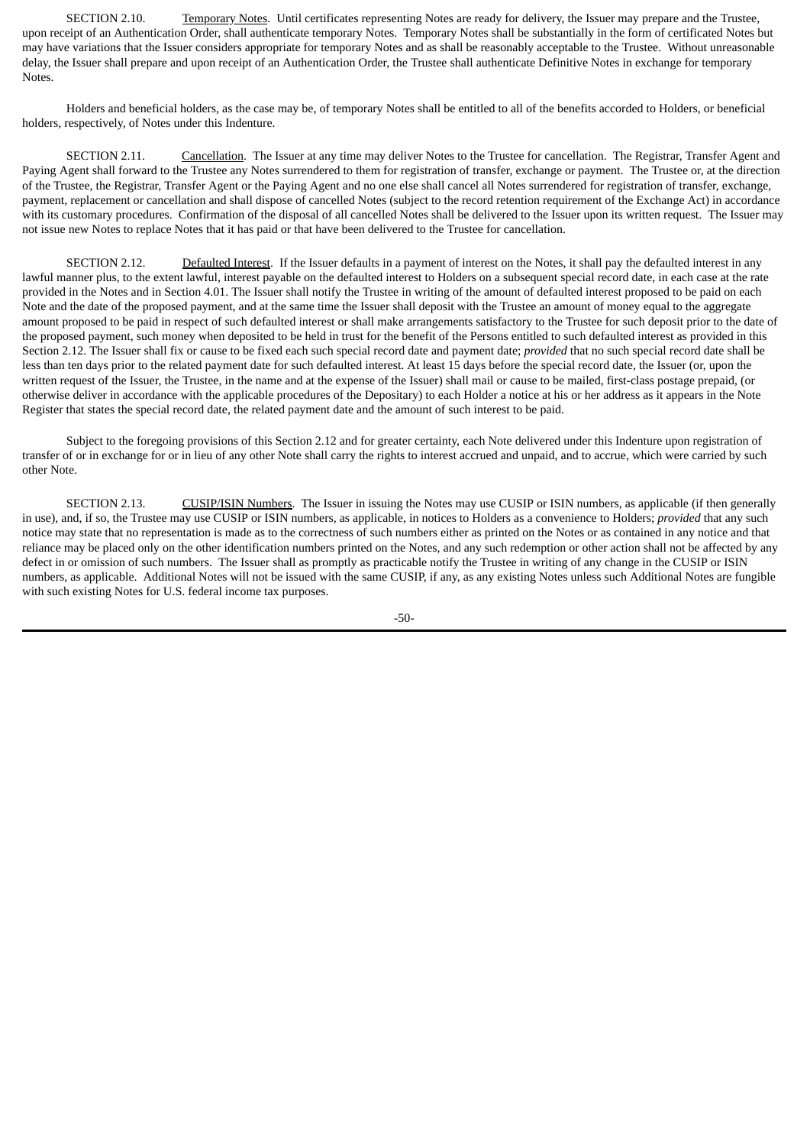SECTION 2.10. Temporary Notes. Until certificates representing Notes are ready for delivery, the Issuer may prepare and the Trustee, upon receipt of an Authentication Order, shall authenticate temporary Notes. Temporary Notes shall be substantially in the form of certificated Notes but may have variations that the Issuer considers appropriate for temporary Notes and as shall be reasonably acceptable to the Trustee. Without unreasonable delay, the Issuer shall prepare and upon receipt of an Authentication Order, the Trustee shall authenticate Definitive Notes in exchange for temporary Notes.

Holders and beneficial holders, as the case may be, of temporary Notes shall be entitled to all of the benefits accorded to Holders, or beneficial holders, respectively, of Notes under this Indenture.

SECTION 2.11. Cancellation. The Issuer at any time may deliver Notes to the Trustee for cancellation. The Registrar, Transfer Agent and Paying Agent shall forward to the Trustee any Notes surrendered to them for registration of transfer, exchange or payment. The Trustee or, at the direction of the Trustee, the Registrar, Transfer Agent or the Paying Agent and no one else shall cancel all Notes surrendered for registration of transfer, exchange, payment, replacement or cancellation and shall dispose of cancelled Notes (subject to the record retention requirement of the Exchange Act) in accordance with its customary procedures. Confirmation of the disposal of all cancelled Notes shall be delivered to the Issuer upon its written request. The Issuer may not issue new Notes to replace Notes that it has paid or that have been delivered to the Trustee for cancellation.

SECTION 2.12. Defaulted Interest. If the Issuer defaults in a payment of interest on the Notes, it shall pay the defaulted interest in any lawful manner plus, to the extent lawful, interest payable on the defaulted interest to Holders on a subsequent special record date, in each case at the rate provided in the Notes and in Section 4.01. The Issuer shall notify the Trustee in writing of the amount of defaulted interest proposed to be paid on each Note and the date of the proposed payment, and at the same time the Issuer shall deposit with the Trustee an amount of money equal to the aggregate amount proposed to be paid in respect of such defaulted interest or shall make arrangements satisfactory to the Trustee for such deposit prior to the date of the proposed payment, such money when deposited to be held in trust for the benefit of the Persons entitled to such defaulted interest as provided in this Section 2.12. The Issuer shall fix or cause to be fixed each such special record date and payment date; *provided* that no such special record date shall be less than ten days prior to the related payment date for such defaulted interest. At least 15 days before the special record date, the Issuer (or, upon the written request of the Issuer, the Trustee, in the name and at the expense of the Issuer) shall mail or cause to be mailed, first-class postage prepaid, (or otherwise deliver in accordance with the applicable procedures of the Depositary) to each Holder a notice at his or her address as it appears in the Note Register that states the special record date, the related payment date and the amount of such interest to be paid.

Subject to the foregoing provisions of this Section 2.12 and for greater certainty, each Note delivered under this Indenture upon registration of transfer of or in exchange for or in lieu of any other Note shall carry the rights to interest accrued and unpaid, and to accrue, which were carried by such other Note.

SECTION 2.13. CUSIP/ISIN Numbers. The Issuer in issuing the Notes may use CUSIP or ISIN numbers, as applicable (if then generally in use), and, if so, the Trustee may use CUSIP or ISIN numbers, as applicable, in notices to Holders as a convenience to Holders; *provided* that any such notice may state that no representation is made as to the correctness of such numbers either as printed on the Notes or as contained in any notice and that reliance may be placed only on the other identification numbers printed on the Notes, and any such redemption or other action shall not be affected by any defect in or omission of such numbers. The Issuer shall as promptly as practicable notify the Trustee in writing of any change in the CUSIP or ISIN numbers, as applicable. Additional Notes will not be issued with the same CUSIP, if any, as any existing Notes unless such Additional Notes are fungible with such existing Notes for U.S. federal income tax purposes.

-50-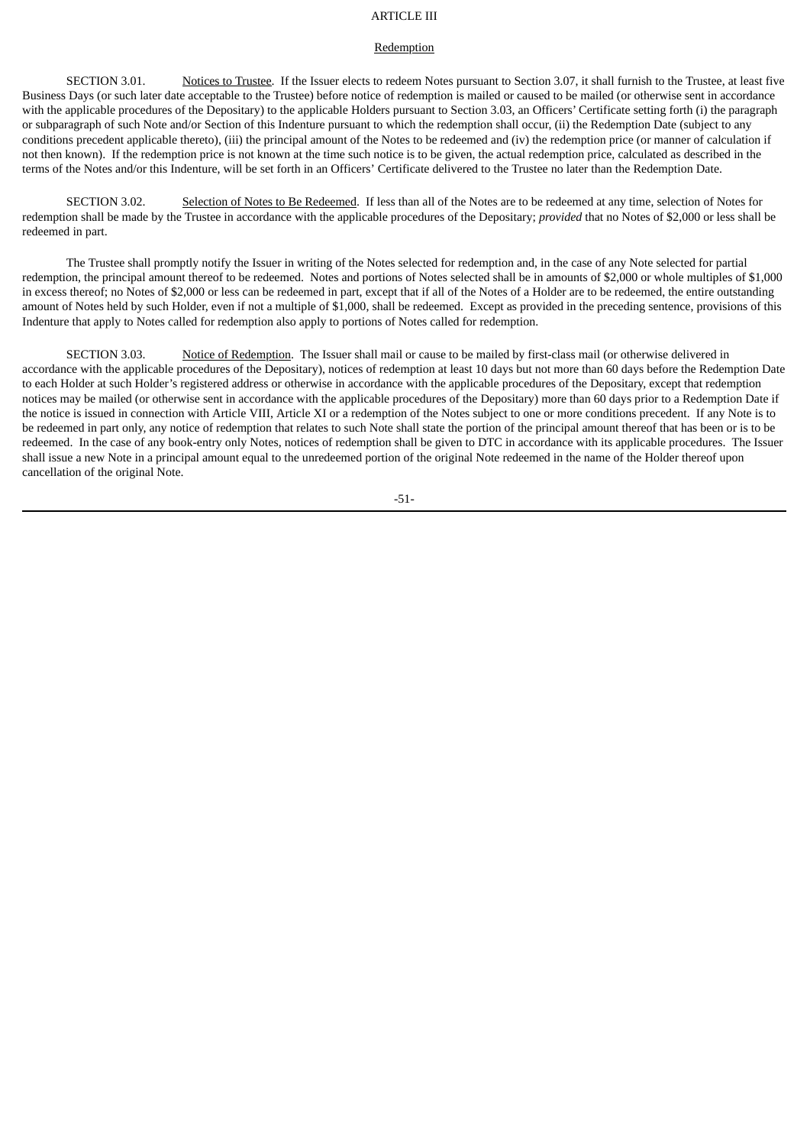# ARTICLE III

# **Redemption**

SECTION 3.01. Notices to Trustee. If the Issuer elects to redeem Notes pursuant to Section 3.07, it shall furnish to the Trustee, at least five Business Days (or such later date acceptable to the Trustee) before notice of redemption is mailed or caused to be mailed (or otherwise sent in accordance with the applicable procedures of the Depositary) to the applicable Holders pursuant to Section 3.03, an Officers' Certificate setting forth (i) the paragraph or subparagraph of such Note and/or Section of this Indenture pursuant to which the redemption shall occur, (ii) the Redemption Date (subject to any conditions precedent applicable thereto), (iii) the principal amount of the Notes to be redeemed and (iv) the redemption price (or manner of calculation if not then known). If the redemption price is not known at the time such notice is to be given, the actual redemption price, calculated as described in the terms of the Notes and/or this Indenture, will be set forth in an Officers' Certificate delivered to the Trustee no later than the Redemption Date.

SECTION 3.02. Selection of Notes to Be Redeemed. If less than all of the Notes are to be redeemed at any time, selection of Notes for redemption shall be made by the Trustee in accordance with the applicable procedures of the Depositary; *provided* that no Notes of \$2,000 or less shall be redeemed in part.

The Trustee shall promptly notify the Issuer in writing of the Notes selected for redemption and, in the case of any Note selected for partial redemption, the principal amount thereof to be redeemed. Notes and portions of Notes selected shall be in amounts of \$2,000 or whole multiples of \$1,000 in excess thereof; no Notes of \$2,000 or less can be redeemed in part, except that if all of the Notes of a Holder are to be redeemed, the entire outstanding amount of Notes held by such Holder, even if not a multiple of \$1,000, shall be redeemed. Except as provided in the preceding sentence, provisions of this Indenture that apply to Notes called for redemption also apply to portions of Notes called for redemption.

SECTION 3.03. Notice of Redemption. The Issuer shall mail or cause to be mailed by first-class mail (or otherwise delivered in accordance with the applicable procedures of the Depositary), notices of redemption at least 10 days but not more than 60 days before the Redemption Date to each Holder at such Holder's registered address or otherwise in accordance with the applicable procedures of the Depositary, except that redemption notices may be mailed (or otherwise sent in accordance with the applicable procedures of the Depositary) more than 60 days prior to a Redemption Date if the notice is issued in connection with Article VIII, Article XI or a redemption of the Notes subject to one or more conditions precedent. If any Note is to be redeemed in part only, any notice of redemption that relates to such Note shall state the portion of the principal amount thereof that has been or is to be redeemed. In the case of any book-entry only Notes, notices of redemption shall be given to DTC in accordance with its applicable procedures. The Issuer shall issue a new Note in a principal amount equal to the unredeemed portion of the original Note redeemed in the name of the Holder thereof upon cancellation of the original Note.

-51-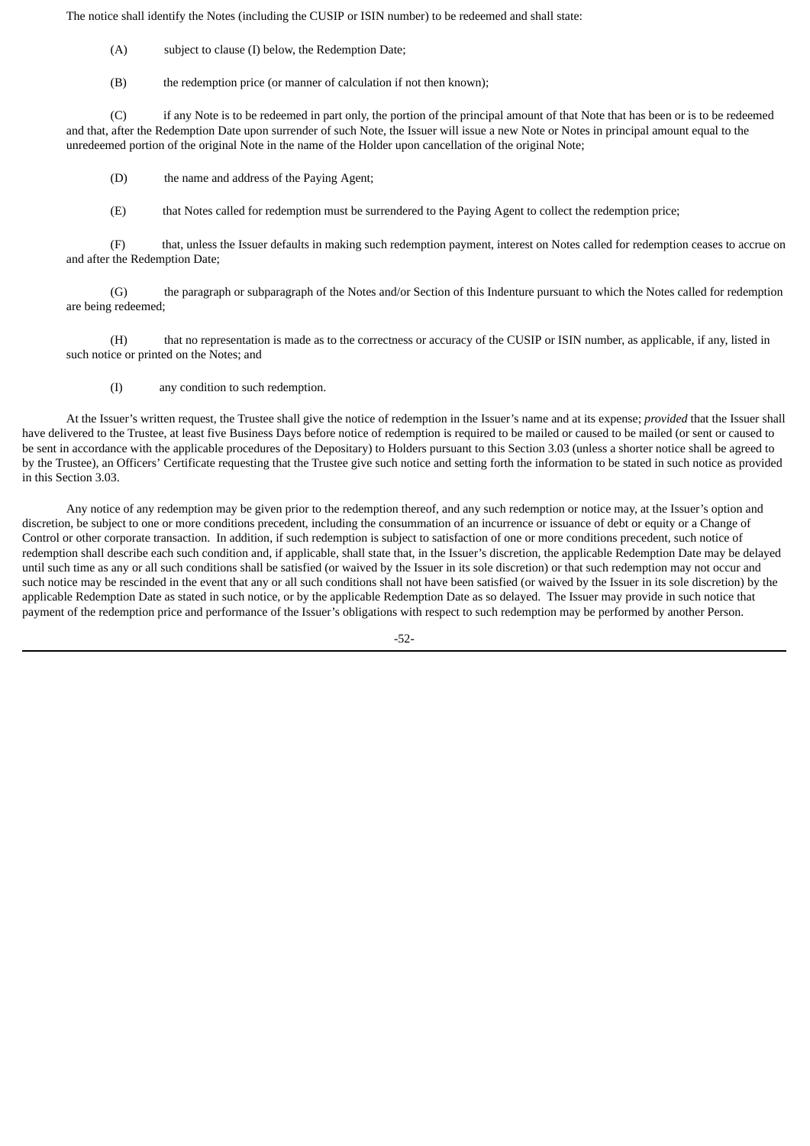The notice shall identify the Notes (including the CUSIP or ISIN number) to be redeemed and shall state:

(A) subject to clause (I) below, the Redemption Date;

(B) the redemption price (or manner of calculation if not then known);

(C) if any Note is to be redeemed in part only, the portion of the principal amount of that Note that has been or is to be redeemed and that, after the Redemption Date upon surrender of such Note, the Issuer will issue a new Note or Notes in principal amount equal to the unredeemed portion of the original Note in the name of the Holder upon cancellation of the original Note;

(D) the name and address of the Paying Agent;

(E) that Notes called for redemption must be surrendered to the Paying Agent to collect the redemption price;

(F) that, unless the Issuer defaults in making such redemption payment, interest on Notes called for redemption ceases to accrue on and after the Redemption Date;

(G) the paragraph or subparagraph of the Notes and/or Section of this Indenture pursuant to which the Notes called for redemption are being redeemed;

(H) that no representation is made as to the correctness or accuracy of the CUSIP or ISIN number, as applicable, if any, listed in such notice or printed on the Notes; and

(I) any condition to such redemption.

At the Issuer's written request, the Trustee shall give the notice of redemption in the Issuer's name and at its expense; *provided* that the Issuer shall have delivered to the Trustee, at least five Business Days before notice of redemption is required to be mailed or caused to be mailed (or sent or caused to be sent in accordance with the applicable procedures of the Depositary) to Holders pursuant to this Section 3.03 (unless a shorter notice shall be agreed to by the Trustee), an Officers' Certificate requesting that the Trustee give such notice and setting forth the information to be stated in such notice as provided in this Section 3.03.

Any notice of any redemption may be given prior to the redemption thereof, and any such redemption or notice may, at the Issuer's option and discretion, be subject to one or more conditions precedent, including the consummation of an incurrence or issuance of debt or equity or a Change of Control or other corporate transaction. In addition, if such redemption is subject to satisfaction of one or more conditions precedent, such notice of redemption shall describe each such condition and, if applicable, shall state that, in the Issuer's discretion, the applicable Redemption Date may be delayed until such time as any or all such conditions shall be satisfied (or waived by the Issuer in its sole discretion) or that such redemption may not occur and such notice may be rescinded in the event that any or all such conditions shall not have been satisfied (or waived by the Issuer in its sole discretion) by the applicable Redemption Date as stated in such notice, or by the applicable Redemption Date as so delayed. The Issuer may provide in such notice that payment of the redemption price and performance of the Issuer's obligations with respect to such redemption may be performed by another Person.

-52-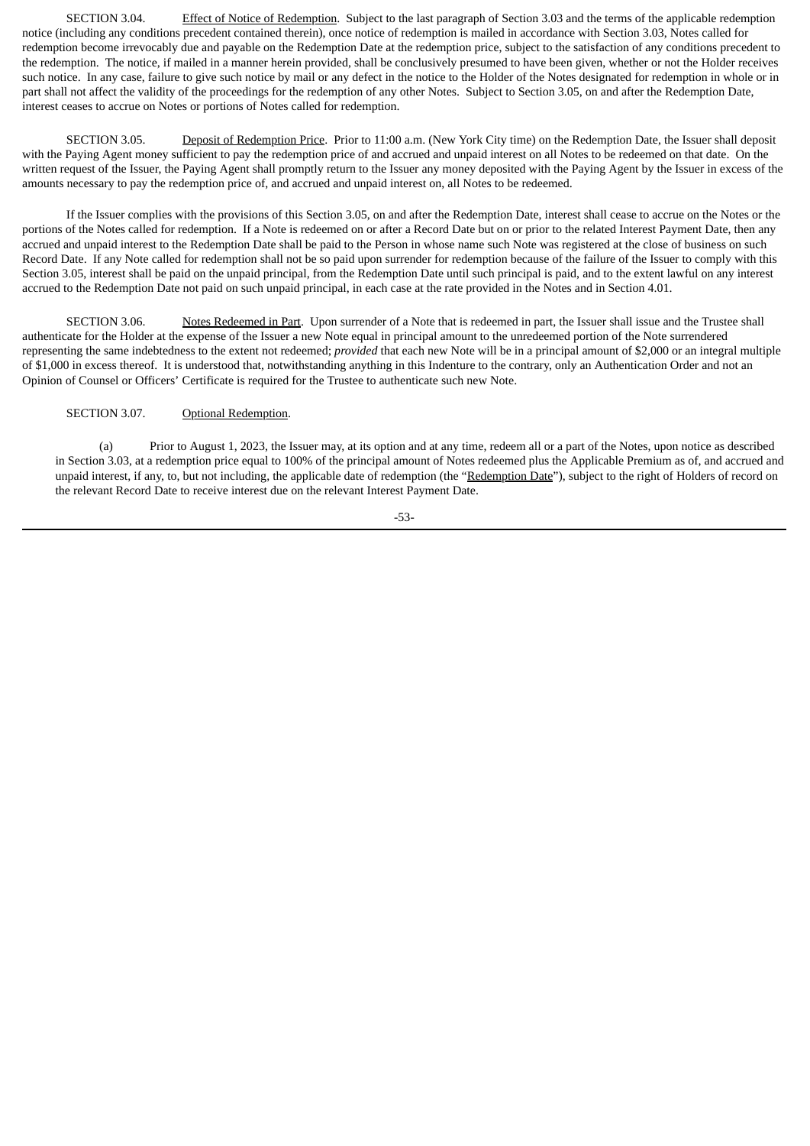SECTION 3.04. Effect of Notice of Redemption. Subject to the last paragraph of Section 3.03 and the terms of the applicable redemption notice (including any conditions precedent contained therein), once notice of redemption is mailed in accordance with Section 3.03, Notes called for redemption become irrevocably due and payable on the Redemption Date at the redemption price, subject to the satisfaction of any conditions precedent to the redemption. The notice, if mailed in a manner herein provided, shall be conclusively presumed to have been given, whether or not the Holder receives such notice. In any case, failure to give such notice by mail or any defect in the notice to the Holder of the Notes designated for redemption in whole or in part shall not affect the validity of the proceedings for the redemption of any other Notes. Subject to Section 3.05, on and after the Redemption Date, interest ceases to accrue on Notes or portions of Notes called for redemption.

SECTION 3.05. Deposit of Redemption Price. Prior to 11:00 a.m. (New York City time) on the Redemption Date, the Issuer shall deposit with the Paying Agent money sufficient to pay the redemption price of and accrued and unpaid interest on all Notes to be redeemed on that date. On the written request of the Issuer, the Paying Agent shall promptly return to the Issuer any money deposited with the Paying Agent by the Issuer in excess of the amounts necessary to pay the redemption price of, and accrued and unpaid interest on, all Notes to be redeemed.

If the Issuer complies with the provisions of this Section 3.05, on and after the Redemption Date, interest shall cease to accrue on the Notes or the portions of the Notes called for redemption. If a Note is redeemed on or after a Record Date but on or prior to the related Interest Payment Date, then any accrued and unpaid interest to the Redemption Date shall be paid to the Person in whose name such Note was registered at the close of business on such Record Date. If any Note called for redemption shall not be so paid upon surrender for redemption because of the failure of the Issuer to comply with this Section 3.05, interest shall be paid on the unpaid principal, from the Redemption Date until such principal is paid, and to the extent lawful on any interest accrued to the Redemption Date not paid on such unpaid principal, in each case at the rate provided in the Notes and in Section 4.01.

SECTION 3.06. Notes Redeemed in Part. Upon surrender of a Note that is redeemed in part, the Issuer shall issue and the Trustee shall authenticate for the Holder at the expense of the Issuer a new Note equal in principal amount to the unredeemed portion of the Note surrendered representing the same indebtedness to the extent not redeemed; *provided* that each new Note will be in a principal amount of \$2,000 or an integral multiple of \$1,000 in excess thereof. It is understood that, notwithstanding anything in this Indenture to the contrary, only an Authentication Order and not an Opinion of Counsel or Officers' Certificate is required for the Trustee to authenticate such new Note.

### SECTION 3.07. Optional Redemption.

(a) Prior to August 1, 2023, the Issuer may, at its option and at any time, redeem all or a part of the Notes, upon notice as described in Section 3.03, at a redemption price equal to 100% of the principal amount of Notes redeemed plus the Applicable Premium as of, and accrued and unpaid interest, if any, to, but not including, the applicable date of redemption (the "Redemption Date"), subject to the right of Holders of record on the relevant Record Date to receive interest due on the relevant Interest Payment Date.

-53-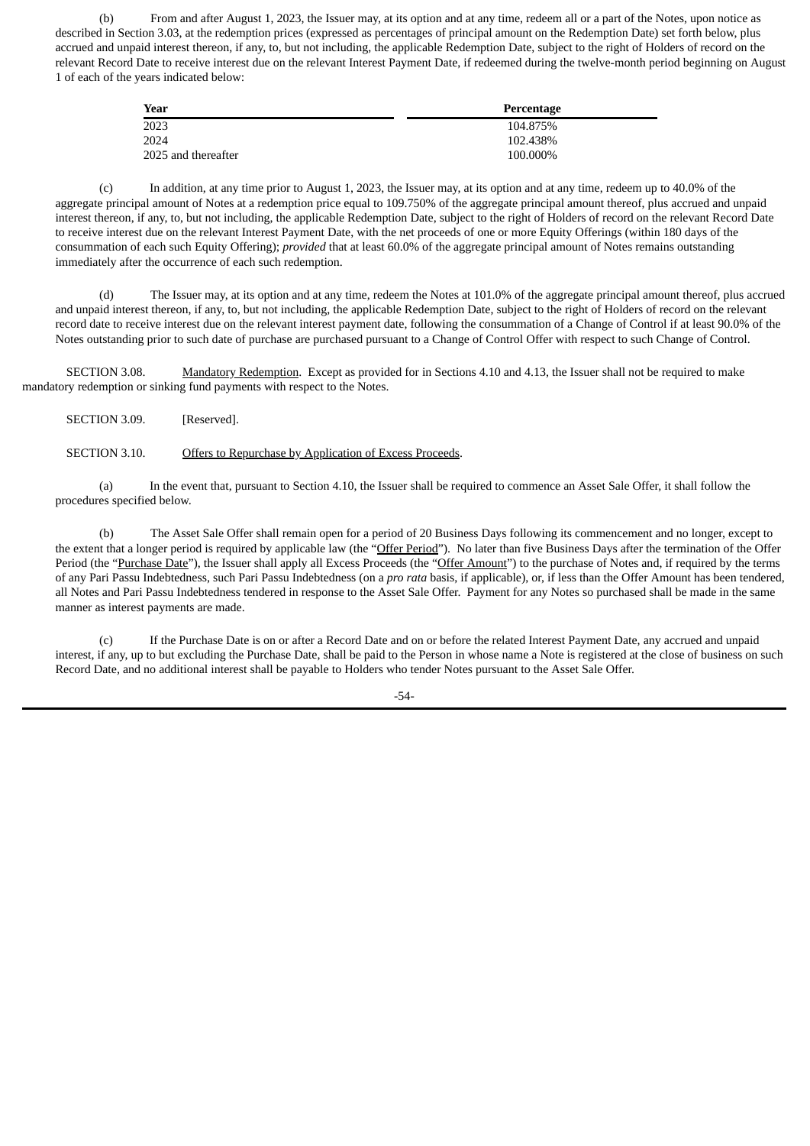(b) From and after August 1, 2023, the Issuer may, at its option and at any time, redeem all or a part of the Notes, upon notice as described in Section 3.03, at the redemption prices (expressed as percentages of principal amount on the Redemption Date) set forth below, plus accrued and unpaid interest thereon, if any, to, but not including, the applicable Redemption Date, subject to the right of Holders of record on the relevant Record Date to receive interest due on the relevant Interest Payment Date, if redeemed during the twelve-month period beginning on August 1 of each of the years indicated below:

| Year                | Percentage |
|---------------------|------------|
| 2023                | 104.875%   |
| 2024                | 102.438%   |
| 2025 and thereafter | 100.000%   |

(c) In addition, at any time prior to August 1, 2023, the Issuer may, at its option and at any time, redeem up to 40.0% of the aggregate principal amount of Notes at a redemption price equal to 109.750% of the aggregate principal amount thereof, plus accrued and unpaid interest thereon, if any, to, but not including, the applicable Redemption Date, subject to the right of Holders of record on the relevant Record Date to receive interest due on the relevant Interest Payment Date, with the net proceeds of one or more Equity Offerings (within 180 days of the consummation of each such Equity Offering); *provided* that at least 60.0% of the aggregate principal amount of Notes remains outstanding immediately after the occurrence of each such redemption.

(d) The Issuer may, at its option and at any time, redeem the Notes at 101.0% of the aggregate principal amount thereof, plus accrued and unpaid interest thereon, if any, to, but not including, the applicable Redemption Date, subject to the right of Holders of record on the relevant record date to receive interest due on the relevant interest payment date, following the consummation of a Change of Control if at least 90.0% of the Notes outstanding prior to such date of purchase are purchased pursuant to a Change of Control Offer with respect to such Change of Control.

SECTION 3.08. Mandatory Redemption. Except as provided for in Sections 4.10 and 4.13, the Issuer shall not be required to make mandatory redemption or sinking fund payments with respect to the Notes.

SECTION 3.09. [Reserved].

SECTION 3.10. Offers to Repurchase by Application of Excess Proceeds.

(a) In the event that, pursuant to Section 4.10, the Issuer shall be required to commence an Asset Sale Offer, it shall follow the procedures specified below.

(b) The Asset Sale Offer shall remain open for a period of 20 Business Days following its commencement and no longer, except to the extent that a longer period is required by applicable law (the "Offer Period"). No later than five Business Days after the termination of the Offer Period (the "Purchase Date"), the Issuer shall apply all Excess Proceeds (the "Offer Amount") to the purchase of Notes and, if required by the terms of any Pari Passu Indebtedness, such Pari Passu Indebtedness (on a *pro rata* basis, if applicable), or, if less than the Offer Amount has been tendered, all Notes and Pari Passu Indebtedness tendered in response to the Asset Sale Offer. Payment for any Notes so purchased shall be made in the same manner as interest payments are made.

(c) If the Purchase Date is on or after a Record Date and on or before the related Interest Payment Date, any accrued and unpaid interest, if any, up to but excluding the Purchase Date, shall be paid to the Person in whose name a Note is registered at the close of business on such Record Date, and no additional interest shall be payable to Holders who tender Notes pursuant to the Asset Sale Offer.

-54-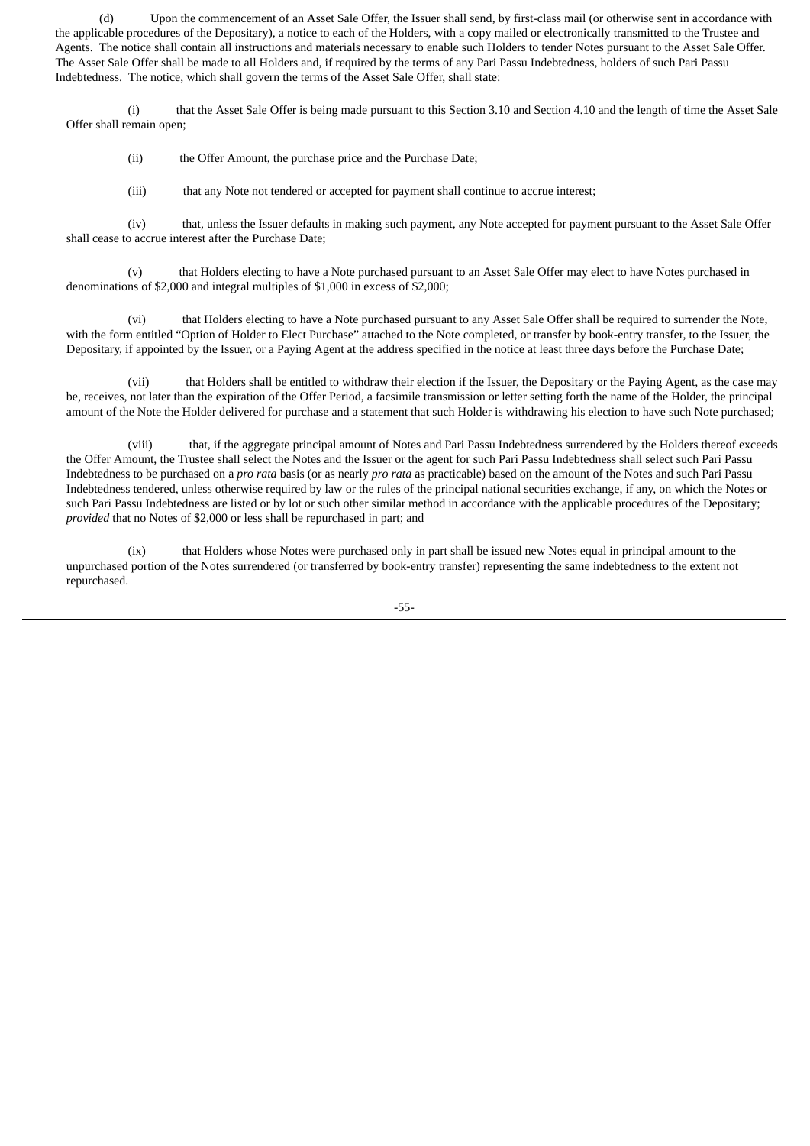(d) Upon the commencement of an Asset Sale Offer, the Issuer shall send, by first-class mail (or otherwise sent in accordance with the applicable procedures of the Depositary), a notice to each of the Holders, with a copy mailed or electronically transmitted to the Trustee and Agents. The notice shall contain all instructions and materials necessary to enable such Holders to tender Notes pursuant to the Asset Sale Offer. The Asset Sale Offer shall be made to all Holders and, if required by the terms of any Pari Passu Indebtedness, holders of such Pari Passu Indebtedness. The notice, which shall govern the terms of the Asset Sale Offer, shall state:

(i) that the Asset Sale Offer is being made pursuant to this Section 3.10 and Section 4.10 and the length of time the Asset Sale Offer shall remain open;

(ii) the Offer Amount, the purchase price and the Purchase Date;

(iii) that any Note not tendered or accepted for payment shall continue to accrue interest;

(iv) that, unless the Issuer defaults in making such payment, any Note accepted for payment pursuant to the Asset Sale Offer shall cease to accrue interest after the Purchase Date;

(v) that Holders electing to have a Note purchased pursuant to an Asset Sale Offer may elect to have Notes purchased in denominations of \$2,000 and integral multiples of \$1,000 in excess of \$2,000;

(vi) that Holders electing to have a Note purchased pursuant to any Asset Sale Offer shall be required to surrender the Note, with the form entitled "Option of Holder to Elect Purchase" attached to the Note completed, or transfer by book-entry transfer, to the Issuer, the Depositary, if appointed by the Issuer, or a Paying Agent at the address specified in the notice at least three days before the Purchase Date;

(vii) that Holders shall be entitled to withdraw their election if the Issuer, the Depositary or the Paying Agent, as the case may be, receives, not later than the expiration of the Offer Period, a facsimile transmission or letter setting forth the name of the Holder, the principal amount of the Note the Holder delivered for purchase and a statement that such Holder is withdrawing his election to have such Note purchased;

(viii) that, if the aggregate principal amount of Notes and Pari Passu Indebtedness surrendered by the Holders thereof exceeds the Offer Amount, the Trustee shall select the Notes and the Issuer or the agent for such Pari Passu Indebtedness shall select such Pari Passu Indebtedness to be purchased on a *pro rata* basis (or as nearly *pro rata* as practicable) based on the amount of the Notes and such Pari Passu Indebtedness tendered, unless otherwise required by law or the rules of the principal national securities exchange, if any, on which the Notes or such Pari Passu Indebtedness are listed or by lot or such other similar method in accordance with the applicable procedures of the Depositary; *provided* that no Notes of \$2,000 or less shall be repurchased in part; and

(ix) that Holders whose Notes were purchased only in part shall be issued new Notes equal in principal amount to the unpurchased portion of the Notes surrendered (or transferred by book-entry transfer) representing the same indebtedness to the extent not repurchased.

-55-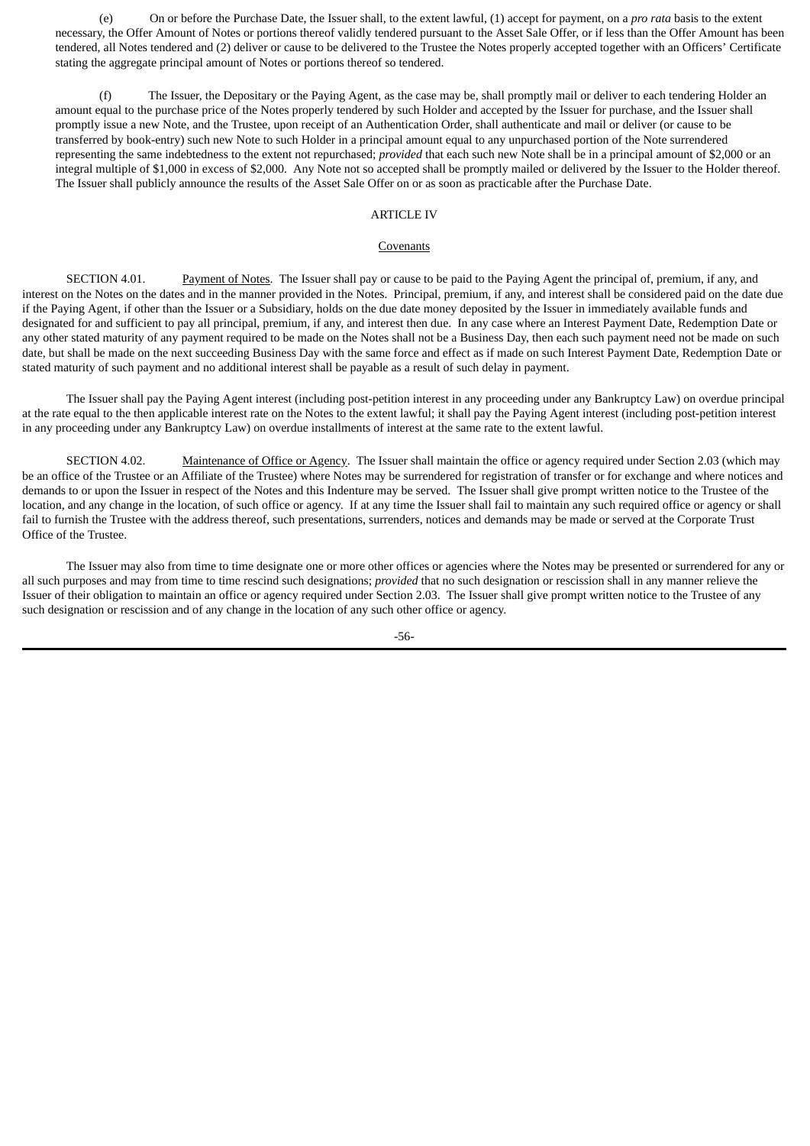(e) On or before the Purchase Date, the Issuer shall, to the extent lawful, (1) accept for payment, on a *pro rata* basis to the extent necessary, the Offer Amount of Notes or portions thereof validly tendered pursuant to the Asset Sale Offer, or if less than the Offer Amount has been tendered, all Notes tendered and (2) deliver or cause to be delivered to the Trustee the Notes properly accepted together with an Officers' Certificate stating the aggregate principal amount of Notes or portions thereof so tendered.

(f) The Issuer, the Depositary or the Paying Agent, as the case may be, shall promptly mail or deliver to each tendering Holder an amount equal to the purchase price of the Notes properly tendered by such Holder and accepted by the Issuer for purchase, and the Issuer shall promptly issue a new Note, and the Trustee, upon receipt of an Authentication Order, shall authenticate and mail or deliver (or cause to be transferred by book-entry) such new Note to such Holder in a principal amount equal to any unpurchased portion of the Note surrendered representing the same indebtedness to the extent not repurchased; *provided* that each such new Note shall be in a principal amount of \$2,000 or an integral multiple of \$1,000 in excess of \$2,000. Any Note not so accepted shall be promptly mailed or delivered by the Issuer to the Holder thereof. The Issuer shall publicly announce the results of the Asset Sale Offer on or as soon as practicable after the Purchase Date.

# ARTICLE IV

#### **Covenants**

SECTION 4.01. Payment of Notes. The Issuer shall pay or cause to be paid to the Paying Agent the principal of, premium, if any, and interest on the Notes on the dates and in the manner provided in the Notes. Principal, premium, if any, and interest shall be considered paid on the date due if the Paying Agent, if other than the Issuer or a Subsidiary, holds on the due date money deposited by the Issuer in immediately available funds and designated for and sufficient to pay all principal, premium, if any, and interest then due. In any case where an Interest Payment Date, Redemption Date or any other stated maturity of any payment required to be made on the Notes shall not be a Business Day, then each such payment need not be made on such date, but shall be made on the next succeeding Business Day with the same force and effect as if made on such Interest Payment Date, Redemption Date or stated maturity of such payment and no additional interest shall be payable as a result of such delay in payment.

The Issuer shall pay the Paying Agent interest (including post-petition interest in any proceeding under any Bankruptcy Law) on overdue principal at the rate equal to the then applicable interest rate on the Notes to the extent lawful; it shall pay the Paying Agent interest (including post-petition interest in any proceeding under any Bankruptcy Law) on overdue installments of interest at the same rate to the extent lawful.

SECTION 4.02. Maintenance of Office or Agency. The Issuer shall maintain the office or agency required under Section 2.03 (which may be an office of the Trustee or an Affiliate of the Trustee) where Notes may be surrendered for registration of transfer or for exchange and where notices and demands to or upon the Issuer in respect of the Notes and this Indenture may be served. The Issuer shall give prompt written notice to the Trustee of the location, and any change in the location, of such office or agency. If at any time the Issuer shall fail to maintain any such required office or agency or shall fail to furnish the Trustee with the address thereof, such presentations, surrenders, notices and demands may be made or served at the Corporate Trust Office of the Trustee.

The Issuer may also from time to time designate one or more other offices or agencies where the Notes may be presented or surrendered for any or all such purposes and may from time to time rescind such designations; *provided* that no such designation or rescission shall in any manner relieve the Issuer of their obligation to maintain an office or agency required under Section 2.03. The Issuer shall give prompt written notice to the Trustee of any such designation or rescission and of any change in the location of any such other office or agency.

-56-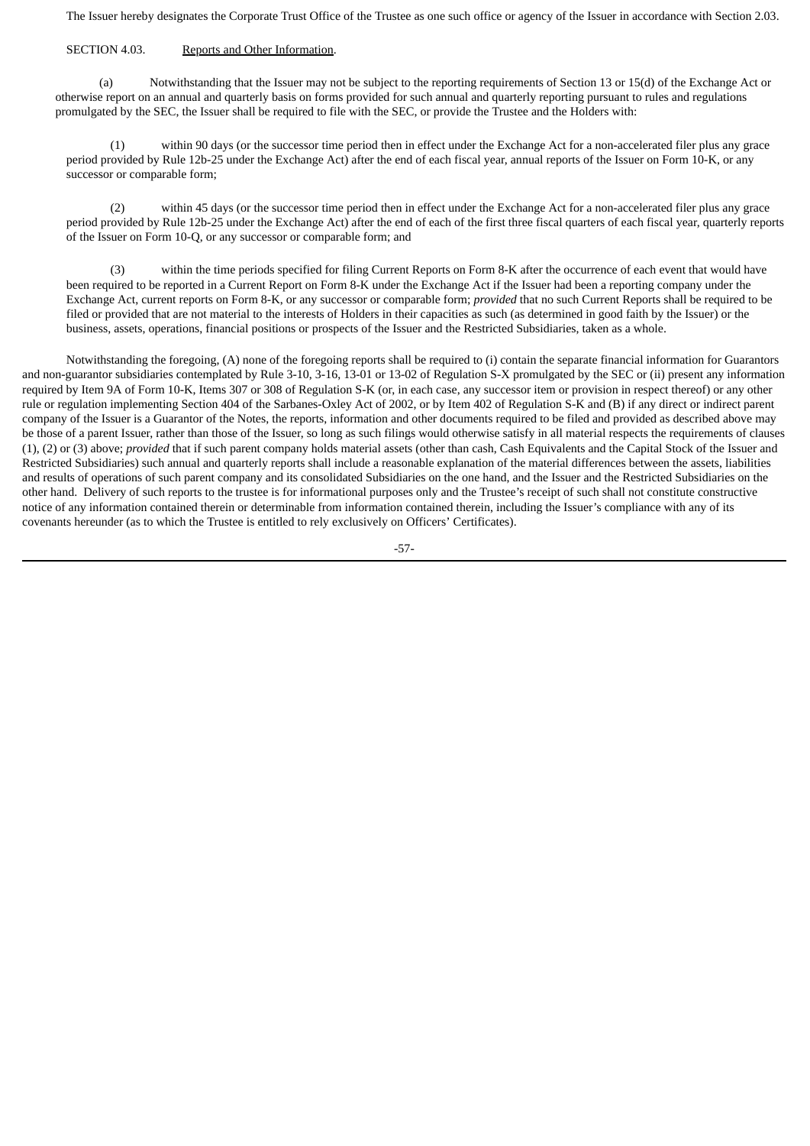The Issuer hereby designates the Corporate Trust Office of the Trustee as one such office or agency of the Issuer in accordance with Section 2.03.

# SECTION 4.03. Reports and Other Information.

(a) Notwithstanding that the Issuer may not be subject to the reporting requirements of Section 13 or 15(d) of the Exchange Act or otherwise report on an annual and quarterly basis on forms provided for such annual and quarterly reporting pursuant to rules and regulations promulgated by the SEC, the Issuer shall be required to file with the SEC, or provide the Trustee and the Holders with:

(1) within 90 days (or the successor time period then in effect under the Exchange Act for a non-accelerated filer plus any grace period provided by Rule 12b-25 under the Exchange Act) after the end of each fiscal year, annual reports of the Issuer on Form 10-K, or any successor or comparable form;

(2) within 45 days (or the successor time period then in effect under the Exchange Act for a non-accelerated filer plus any grace period provided by Rule 12b-25 under the Exchange Act) after the end of each of the first three fiscal quarters of each fiscal year, quarterly reports of the Issuer on Form 10-Q, or any successor or comparable form; and

within the time periods specified for filing Current Reports on Form 8-K after the occurrence of each event that would have been required to be reported in a Current Report on Form 8-K under the Exchange Act if the Issuer had been a reporting company under the Exchange Act, current reports on Form 8-K, or any successor or comparable form; *provided* that no such Current Reports shall be required to be filed or provided that are not material to the interests of Holders in their capacities as such (as determined in good faith by the Issuer) or the business, assets, operations, financial positions or prospects of the Issuer and the Restricted Subsidiaries, taken as a whole.

Notwithstanding the foregoing, (A) none of the foregoing reports shall be required to (i) contain the separate financial information for Guarantors and non-guarantor subsidiaries contemplated by Rule 3-10, 3-16, 13-01 or 13-02 of Regulation S-X promulgated by the SEC or (ii) present any information required by Item 9A of Form 10-K, Items 307 or 308 of Regulation S-K (or, in each case, any successor item or provision in respect thereof) or any other rule or regulation implementing Section 404 of the Sarbanes-Oxley Act of 2002, or by Item 402 of Regulation S-K and (B) if any direct or indirect parent company of the Issuer is a Guarantor of the Notes, the reports, information and other documents required to be filed and provided as described above may be those of a parent Issuer, rather than those of the Issuer, so long as such filings would otherwise satisfy in all material respects the requirements of clauses (1), (2) or (3) above; *provided* that if such parent company holds material assets (other than cash, Cash Equivalents and the Capital Stock of the Issuer and Restricted Subsidiaries) such annual and quarterly reports shall include a reasonable explanation of the material differences between the assets, liabilities and results of operations of such parent company and its consolidated Subsidiaries on the one hand, and the Issuer and the Restricted Subsidiaries on the other hand. Delivery of such reports to the trustee is for informational purposes only and the Trustee's receipt of such shall not constitute constructive notice of any information contained therein or determinable from information contained therein, including the Issuer's compliance with any of its covenants hereunder (as to which the Trustee is entitled to rely exclusively on Officers' Certificates).

-57-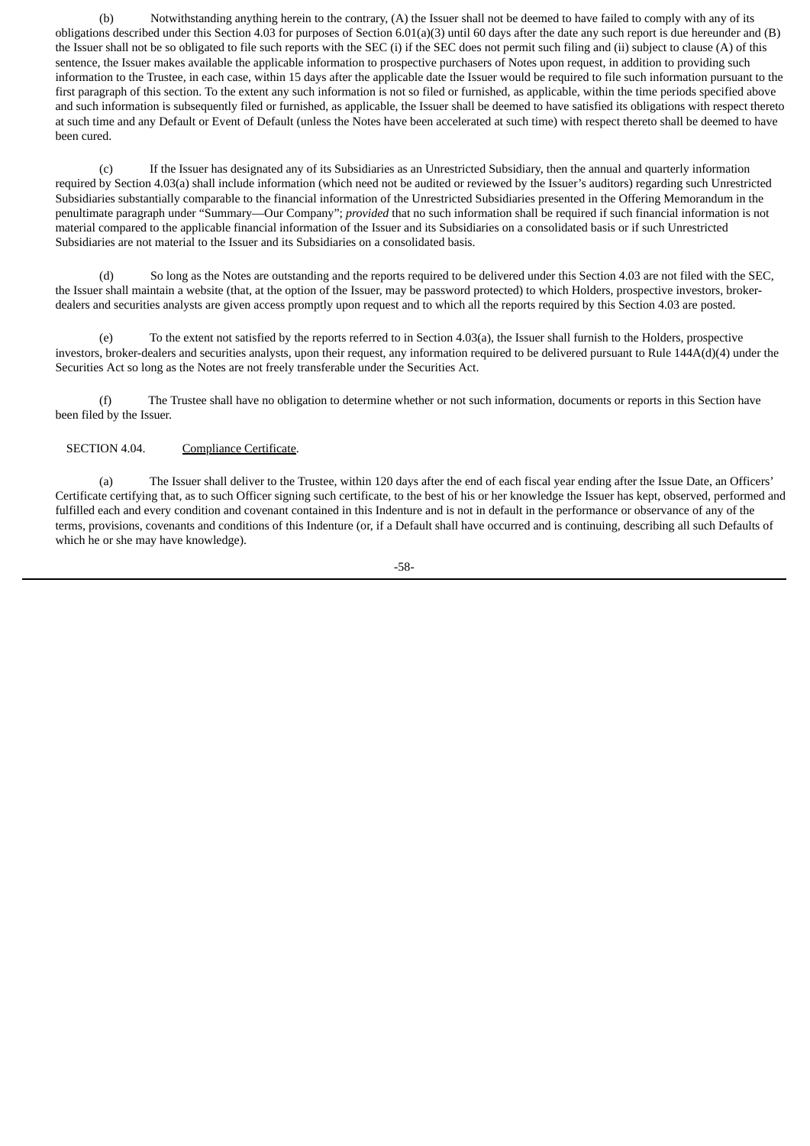(b) Notwithstanding anything herein to the contrary, (A) the Issuer shall not be deemed to have failed to comply with any of its obligations described under this Section 4.03 for purposes of Section 6.01(a)(3) until 60 days after the date any such report is due hereunder and (B) the Issuer shall not be so obligated to file such reports with the SEC (i) if the SEC does not permit such filing and (ii) subject to clause (A) of this sentence, the Issuer makes available the applicable information to prospective purchasers of Notes upon request, in addition to providing such information to the Trustee, in each case, within 15 days after the applicable date the Issuer would be required to file such information pursuant to the first paragraph of this section. To the extent any such information is not so filed or furnished, as applicable, within the time periods specified above and such information is subsequently filed or furnished, as applicable, the Issuer shall be deemed to have satisfied its obligations with respect thereto at such time and any Default or Event of Default (unless the Notes have been accelerated at such time) with respect thereto shall be deemed to have been cured.

(c) If the Issuer has designated any of its Subsidiaries as an Unrestricted Subsidiary, then the annual and quarterly information required by Section 4.03(a) shall include information (which need not be audited or reviewed by the Issuer's auditors) regarding such Unrestricted Subsidiaries substantially comparable to the financial information of the Unrestricted Subsidiaries presented in the Offering Memorandum in the penultimate paragraph under "Summary—Our Company"; *provided* that no such information shall be required if such financial information is not material compared to the applicable financial information of the Issuer and its Subsidiaries on a consolidated basis or if such Unrestricted Subsidiaries are not material to the Issuer and its Subsidiaries on a consolidated basis.

(d) So long as the Notes are outstanding and the reports required to be delivered under this Section 4.03 are not filed with the SEC, the Issuer shall maintain a website (that, at the option of the Issuer, may be password protected) to which Holders, prospective investors, brokerdealers and securities analysts are given access promptly upon request and to which all the reports required by this Section 4.03 are posted.

(e) To the extent not satisfied by the reports referred to in Section 4.03(a), the Issuer shall furnish to the Holders, prospective investors, broker-dealers and securities analysts, upon their request, any information required to be delivered pursuant to Rule 144A(d)(4) under the Securities Act so long as the Notes are not freely transferable under the Securities Act.

(f) The Trustee shall have no obligation to determine whether or not such information, documents or reports in this Section have been filed by the Issuer.

# SECTION 4.04. Compliance Certificate.

(a) The Issuer shall deliver to the Trustee, within 120 days after the end of each fiscal year ending after the Issue Date, an Officers' Certificate certifying that, as to such Officer signing such certificate, to the best of his or her knowledge the Issuer has kept, observed, performed and fulfilled each and every condition and covenant contained in this Indenture and is not in default in the performance or observance of any of the terms, provisions, covenants and conditions of this Indenture (or, if a Default shall have occurred and is continuing, describing all such Defaults of which he or she may have knowledge).

-58-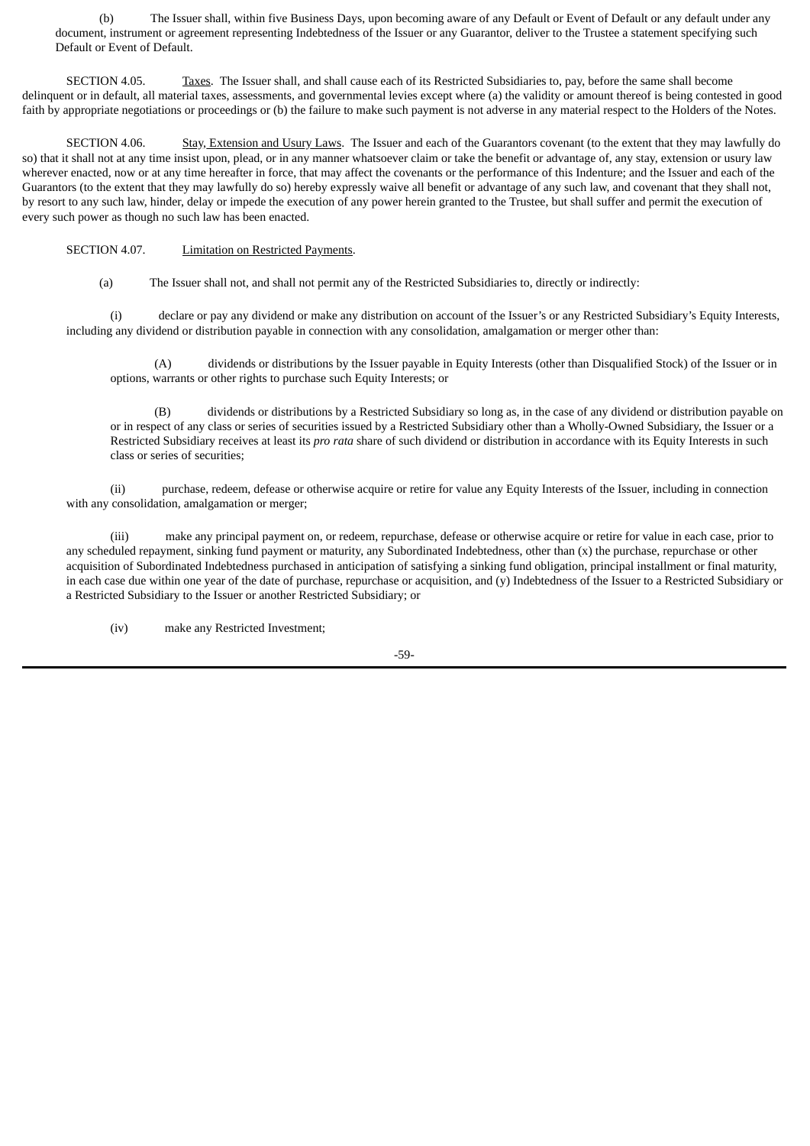(b) The Issuer shall, within five Business Days, upon becoming aware of any Default or Event of Default or any default under any document, instrument or agreement representing Indebtedness of the Issuer or any Guarantor, deliver to the Trustee a statement specifying such Default or Event of Default.

SECTION 4.05. Taxes. The Issuer shall, and shall cause each of its Restricted Subsidiaries to, pay, before the same shall become delinquent or in default, all material taxes, assessments, and governmental levies except where (a) the validity or amount thereof is being contested in good faith by appropriate negotiations or proceedings or (b) the failure to make such payment is not adverse in any material respect to the Holders of the Notes.

SECTION 4.06. Stay, Extension and Usury Laws. The Issuer and each of the Guarantors covenant (to the extent that they may lawfully do so) that it shall not at any time insist upon, plead, or in any manner whatsoever claim or take the benefit or advantage of, any stay, extension or usury law wherever enacted, now or at any time hereafter in force, that may affect the covenants or the performance of this Indenture; and the Issuer and each of the Guarantors (to the extent that they may lawfully do so) hereby expressly waive all benefit or advantage of any such law, and covenant that they shall not, by resort to any such law, hinder, delay or impede the execution of any power herein granted to the Trustee, but shall suffer and permit the execution of every such power as though no such law has been enacted.

SECTION 4.07. **Limitation on Restricted Payments.** 

(a) The Issuer shall not, and shall not permit any of the Restricted Subsidiaries to, directly or indirectly:

(i) declare or pay any dividend or make any distribution on account of the Issuer's or any Restricted Subsidiary's Equity Interests, including any dividend or distribution payable in connection with any consolidation, amalgamation or merger other than:

(A) dividends or distributions by the Issuer payable in Equity Interests (other than Disqualified Stock) of the Issuer or in options, warrants or other rights to purchase such Equity Interests; or

(B) dividends or distributions by a Restricted Subsidiary so long as, in the case of any dividend or distribution payable on or in respect of any class or series of securities issued by a Restricted Subsidiary other than a Wholly-Owned Subsidiary, the Issuer or a Restricted Subsidiary receives at least its *pro rata* share of such dividend or distribution in accordance with its Equity Interests in such class or series of securities;

(ii) purchase, redeem, defease or otherwise acquire or retire for value any Equity Interests of the Issuer, including in connection with any consolidation, amalgamation or merger;

(iii) make any principal payment on, or redeem, repurchase, defease or otherwise acquire or retire for value in each case, prior to any scheduled repayment, sinking fund payment or maturity, any Subordinated Indebtedness, other than (x) the purchase, repurchase or other acquisition of Subordinated Indebtedness purchased in anticipation of satisfying a sinking fund obligation, principal installment or final maturity, in each case due within one year of the date of purchase, repurchase or acquisition, and (y) Indebtedness of the Issuer to a Restricted Subsidiary or a Restricted Subsidiary to the Issuer or another Restricted Subsidiary; or

(iv) make any Restricted Investment;

-59-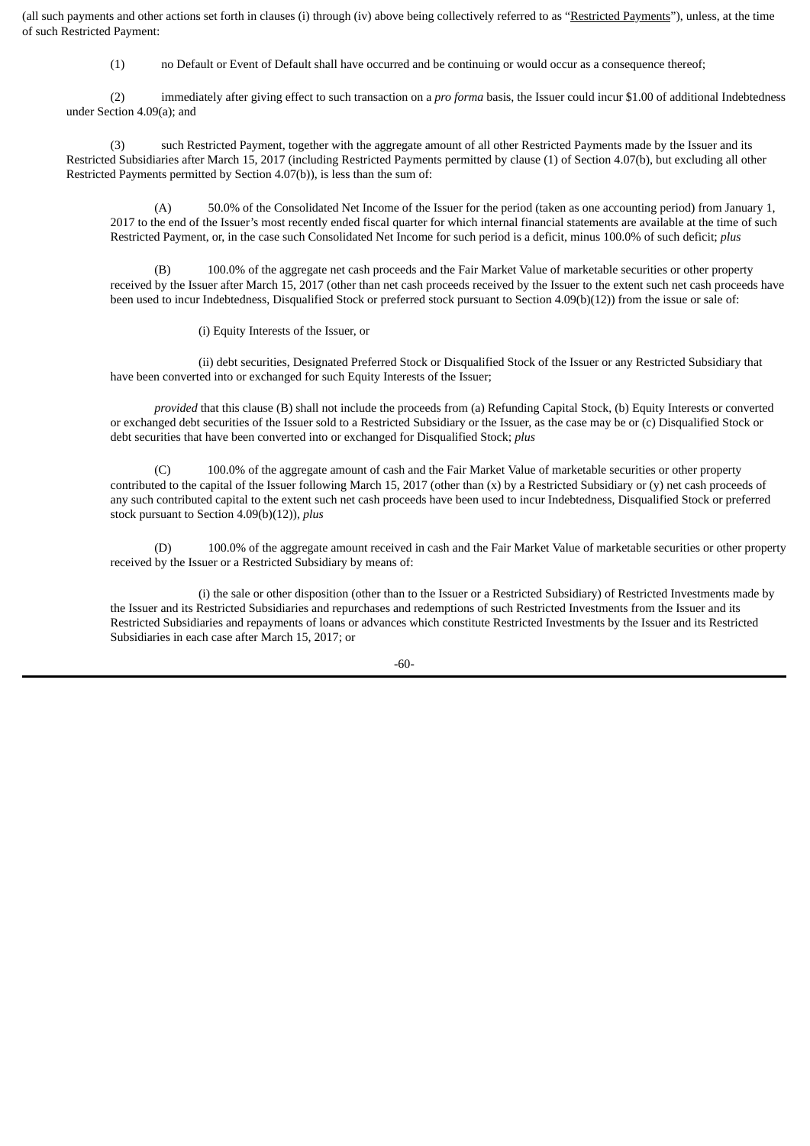(all such payments and other actions set forth in clauses (i) through (iv) above being collectively referred to as "Restricted Payments"), unless, at the time of such Restricted Payment:

(1) no Default or Event of Default shall have occurred and be continuing or would occur as a consequence thereof;

(2) immediately after giving effect to such transaction on a *pro forma* basis, the Issuer could incur \$1.00 of additional Indebtedness under Section 4.09(a); and

(3) such Restricted Payment, together with the aggregate amount of all other Restricted Payments made by the Issuer and its Restricted Subsidiaries after March 15, 2017 (including Restricted Payments permitted by clause (1) of Section 4.07(b), but excluding all other Restricted Payments permitted by Section 4.07(b)), is less than the sum of:

(A) 50.0% of the Consolidated Net Income of the Issuer for the period (taken as one accounting period) from January 1, 2017 to the end of the Issuer's most recently ended fiscal quarter for which internal financial statements are available at the time of such Restricted Payment, or, in the case such Consolidated Net Income for such period is a deficit, minus 100.0% of such deficit; *plus*

100.0% of the aggregate net cash proceeds and the Fair Market Value of marketable securities or other property received by the Issuer after March 15, 2017 (other than net cash proceeds received by the Issuer to the extent such net cash proceeds have been used to incur Indebtedness, Disqualified Stock or preferred stock pursuant to Section 4.09(b)(12)) from the issue or sale of:

(i) Equity Interests of the Issuer, or

(ii) debt securities, Designated Preferred Stock or Disqualified Stock of the Issuer or any Restricted Subsidiary that have been converted into or exchanged for such Equity Interests of the Issuer;

*provided* that this clause (B) shall not include the proceeds from (a) Refunding Capital Stock, (b) Equity Interests or converted or exchanged debt securities of the Issuer sold to a Restricted Subsidiary or the Issuer, as the case may be or (c) Disqualified Stock or debt securities that have been converted into or exchanged for Disqualified Stock; *plus*

(C) 100.0% of the aggregate amount of cash and the Fair Market Value of marketable securities or other property contributed to the capital of the Issuer following March 15, 2017 (other than  $(x)$  by a Restricted Subsidiary or  $(y)$  net cash proceeds of any such contributed capital to the extent such net cash proceeds have been used to incur Indebtedness, Disqualified Stock or preferred stock pursuant to Section 4.09(b)(12)), *plus*

(D) 100.0% of the aggregate amount received in cash and the Fair Market Value of marketable securities or other property received by the Issuer or a Restricted Subsidiary by means of:

(i) the sale or other disposition (other than to the Issuer or a Restricted Subsidiary) of Restricted Investments made by the Issuer and its Restricted Subsidiaries and repurchases and redemptions of such Restricted Investments from the Issuer and its Restricted Subsidiaries and repayments of loans or advances which constitute Restricted Investments by the Issuer and its Restricted Subsidiaries in each case after March 15, 2017; or

-60-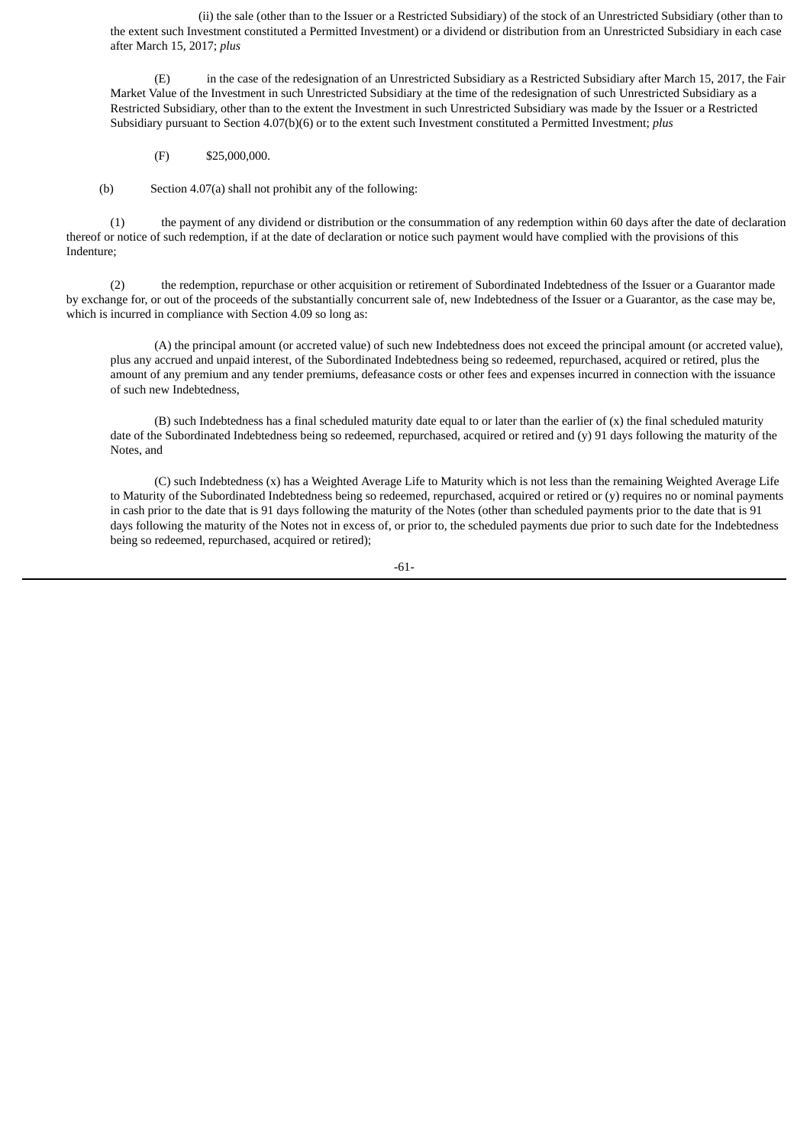(ii) the sale (other than to the Issuer or a Restricted Subsidiary) of the stock of an Unrestricted Subsidiary (other than to the extent such Investment constituted a Permitted Investment) or a dividend or distribution from an Unrestricted Subsidiary in each case after March 15, 2017; *plus*

(E) in the case of the redesignation of an Unrestricted Subsidiary as a Restricted Subsidiary after March 15, 2017, the Fair Market Value of the Investment in such Unrestricted Subsidiary at the time of the redesignation of such Unrestricted Subsidiary as a Restricted Subsidiary, other than to the extent the Investment in such Unrestricted Subsidiary was made by the Issuer or a Restricted Subsidiary pursuant to Section 4.07(b)(6) or to the extent such Investment constituted a Permitted Investment; *plus*

## (F) \$25,000,000.

(b) Section 4.07(a) shall not prohibit any of the following:

(1) the payment of any dividend or distribution or the consummation of any redemption within 60 days after the date of declaration thereof or notice of such redemption, if at the date of declaration or notice such payment would have complied with the provisions of this Indenture;

(2) the redemption, repurchase or other acquisition or retirement of Subordinated Indebtedness of the Issuer or a Guarantor made by exchange for, or out of the proceeds of the substantially concurrent sale of, new Indebtedness of the Issuer or a Guarantor, as the case may be, which is incurred in compliance with Section 4.09 so long as:

(A) the principal amount (or accreted value) of such new Indebtedness does not exceed the principal amount (or accreted value), plus any accrued and unpaid interest, of the Subordinated Indebtedness being so redeemed, repurchased, acquired or retired, plus the amount of any premium and any tender premiums, defeasance costs or other fees and expenses incurred in connection with the issuance of such new Indebtedness,

(B) such Indebtedness has a final scheduled maturity date equal to or later than the earlier of (x) the final scheduled maturity date of the Subordinated Indebtedness being so redeemed, repurchased, acquired or retired and (y) 91 days following the maturity of the Notes, and

(C) such Indebtedness (x) has a Weighted Average Life to Maturity which is not less than the remaining Weighted Average Life to Maturity of the Subordinated Indebtedness being so redeemed, repurchased, acquired or retired or (y) requires no or nominal payments in cash prior to the date that is 91 days following the maturity of the Notes (other than scheduled payments prior to the date that is 91 days following the maturity of the Notes not in excess of, or prior to, the scheduled payments due prior to such date for the Indebtedness being so redeemed, repurchased, acquired or retired);

-61-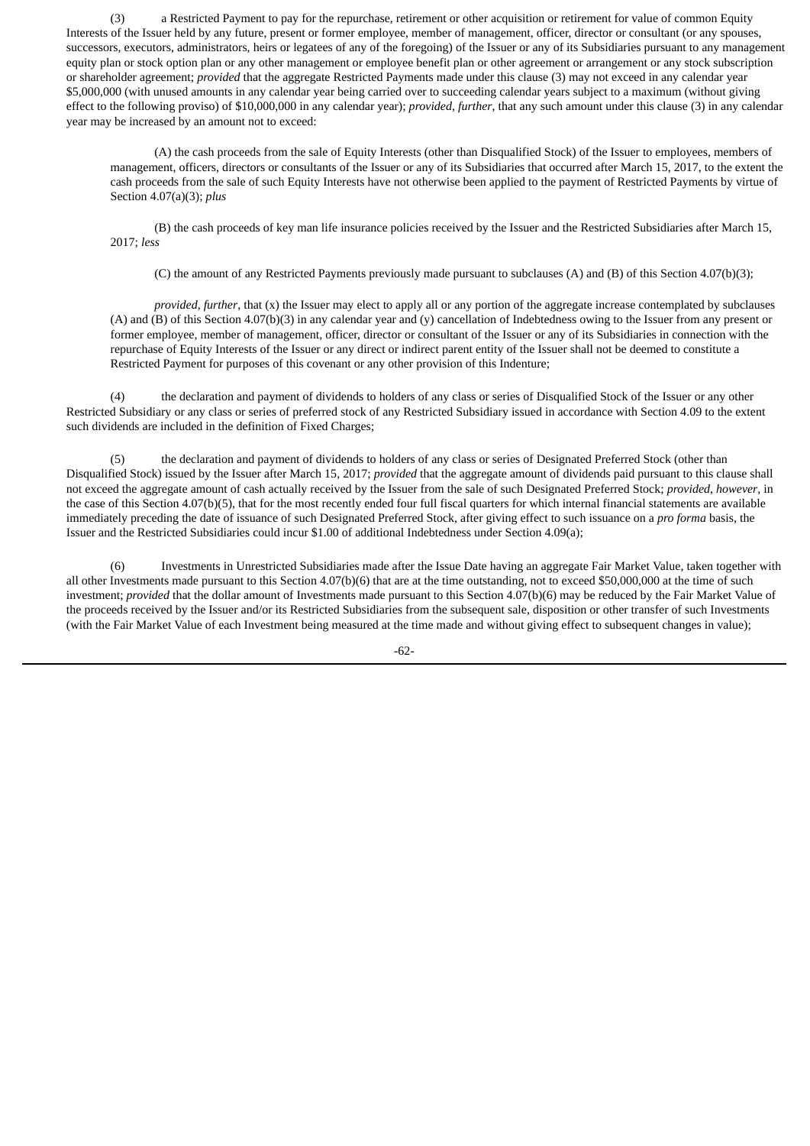(3) a Restricted Payment to pay for the repurchase, retirement or other acquisition or retirement for value of common Equity Interests of the Issuer held by any future, present or former employee, member of management, officer, director or consultant (or any spouses, successors, executors, administrators, heirs or legatees of any of the foregoing) of the Issuer or any of its Subsidiaries pursuant to any management equity plan or stock option plan or any other management or employee benefit plan or other agreement or arrangement or any stock subscription or shareholder agreement; *provided* that the aggregate Restricted Payments made under this clause (3) may not exceed in any calendar year \$5,000,000 (with unused amounts in any calendar year being carried over to succeeding calendar years subject to a maximum (without giving effect to the following proviso) of \$10,000,000 in any calendar year); *provided*, *further*, that any such amount under this clause (3) in any calendar year may be increased by an amount not to exceed:

(A) the cash proceeds from the sale of Equity Interests (other than Disqualified Stock) of the Issuer to employees, members of management, officers, directors or consultants of the Issuer or any of its Subsidiaries that occurred after March 15, 2017, to the extent the cash proceeds from the sale of such Equity Interests have not otherwise been applied to the payment of Restricted Payments by virtue of Section 4.07(a)(3); *plus*

(B) the cash proceeds of key man life insurance policies received by the Issuer and the Restricted Subsidiaries after March 15, 2017; *less*

(C) the amount of any Restricted Payments previously made pursuant to subclauses (A) and (B) of this Section 4.07(b)(3);

*provided*, *further*, that (x) the Issuer may elect to apply all or any portion of the aggregate increase contemplated by subclauses (A) and (B) of this Section 4.07(b)(3) in any calendar year and (y) cancellation of Indebtedness owing to the Issuer from any present or former employee, member of management, officer, director or consultant of the Issuer or any of its Subsidiaries in connection with the repurchase of Equity Interests of the Issuer or any direct or indirect parent entity of the Issuer shall not be deemed to constitute a Restricted Payment for purposes of this covenant or any other provision of this Indenture;

(4) the declaration and payment of dividends to holders of any class or series of Disqualified Stock of the Issuer or any other Restricted Subsidiary or any class or series of preferred stock of any Restricted Subsidiary issued in accordance with Section 4.09 to the extent such dividends are included in the definition of Fixed Charges;

(5) the declaration and payment of dividends to holders of any class or series of Designated Preferred Stock (other than Disqualified Stock) issued by the Issuer after March 15, 2017; *provided* that the aggregate amount of dividends paid pursuant to this clause shall not exceed the aggregate amount of cash actually received by the Issuer from the sale of such Designated Preferred Stock; *provided*, *however*, in the case of this Section 4.07(b)(5), that for the most recently ended four full fiscal quarters for which internal financial statements are available immediately preceding the date of issuance of such Designated Preferred Stock, after giving effect to such issuance on a *pro forma* basis, the Issuer and the Restricted Subsidiaries could incur \$1.00 of additional Indebtedness under Section 4.09(a);

(6) Investments in Unrestricted Subsidiaries made after the Issue Date having an aggregate Fair Market Value, taken together with all other Investments made pursuant to this Section 4.07(b)(6) that are at the time outstanding, not to exceed \$50,000,000 at the time of such investment; *provided* that the dollar amount of Investments made pursuant to this Section 4.07(b)(6) may be reduced by the Fair Market Value of the proceeds received by the Issuer and/or its Restricted Subsidiaries from the subsequent sale, disposition or other transfer of such Investments (with the Fair Market Value of each Investment being measured at the time made and without giving effect to subsequent changes in value);

-62-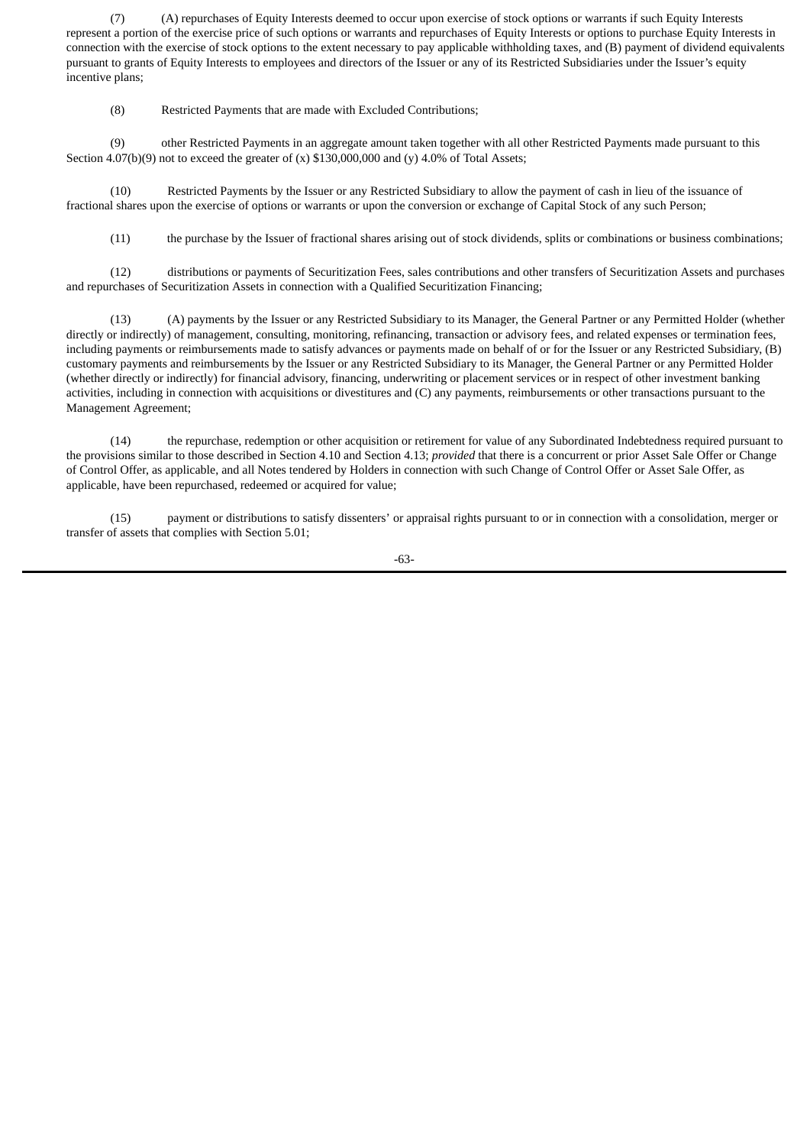(7) (A) repurchases of Equity Interests deemed to occur upon exercise of stock options or warrants if such Equity Interests represent a portion of the exercise price of such options or warrants and repurchases of Equity Interests or options to purchase Equity Interests in connection with the exercise of stock options to the extent necessary to pay applicable withholding taxes, and (B) payment of dividend equivalents pursuant to grants of Equity Interests to employees and directors of the Issuer or any of its Restricted Subsidiaries under the Issuer's equity incentive plans;

(8) Restricted Payments that are made with Excluded Contributions;

(9) other Restricted Payments in an aggregate amount taken together with all other Restricted Payments made pursuant to this Section 4.07(b)(9) not to exceed the greater of  $(x)$  \$130,000,000 and  $(y)$  4.0% of Total Assets;

(10) Restricted Payments by the Issuer or any Restricted Subsidiary to allow the payment of cash in lieu of the issuance of fractional shares upon the exercise of options or warrants or upon the conversion or exchange of Capital Stock of any such Person;

(11) the purchase by the Issuer of fractional shares arising out of stock dividends, splits or combinations or business combinations;

(12) distributions or payments of Securitization Fees, sales contributions and other transfers of Securitization Assets and purchases and repurchases of Securitization Assets in connection with a Qualified Securitization Financing;

(13) (A) payments by the Issuer or any Restricted Subsidiary to its Manager, the General Partner or any Permitted Holder (whether directly or indirectly) of management, consulting, monitoring, refinancing, transaction or advisory fees, and related expenses or termination fees, including payments or reimbursements made to satisfy advances or payments made on behalf of or for the Issuer or any Restricted Subsidiary, (B) customary payments and reimbursements by the Issuer or any Restricted Subsidiary to its Manager, the General Partner or any Permitted Holder (whether directly or indirectly) for financial advisory, financing, underwriting or placement services or in respect of other investment banking activities, including in connection with acquisitions or divestitures and (C) any payments, reimbursements or other transactions pursuant to the Management Agreement;

(14) the repurchase, redemption or other acquisition or retirement for value of any Subordinated Indebtedness required pursuant to the provisions similar to those described in Section 4.10 and Section 4.13; *provided* that there is a concurrent or prior Asset Sale Offer or Change of Control Offer, as applicable, and all Notes tendered by Holders in connection with such Change of Control Offer or Asset Sale Offer, as applicable, have been repurchased, redeemed or acquired for value;

(15) payment or distributions to satisfy dissenters' or appraisal rights pursuant to or in connection with a consolidation, merger or transfer of assets that complies with Section 5.01;

-63-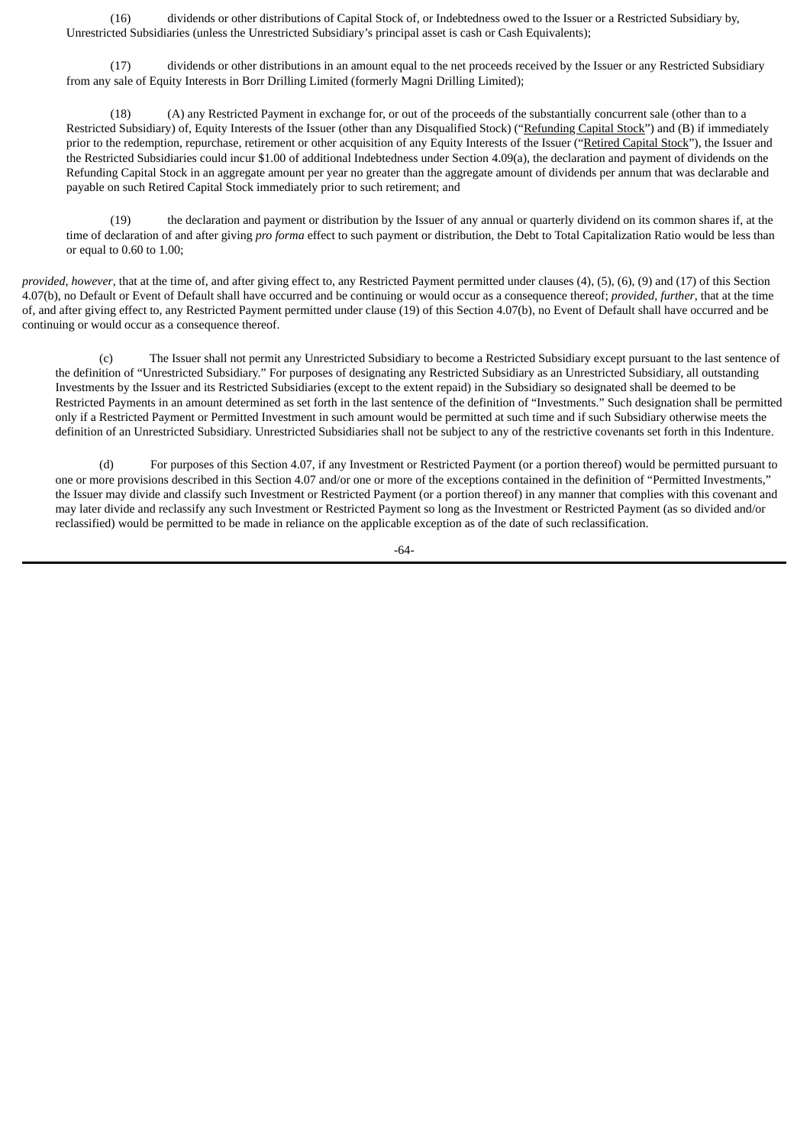(16) dividends or other distributions of Capital Stock of, or Indebtedness owed to the Issuer or a Restricted Subsidiary by, Unrestricted Subsidiaries (unless the Unrestricted Subsidiary's principal asset is cash or Cash Equivalents);

(17) dividends or other distributions in an amount equal to the net proceeds received by the Issuer or any Restricted Subsidiary from any sale of Equity Interests in Borr Drilling Limited (formerly Magni Drilling Limited);

(18) (A) any Restricted Payment in exchange for, or out of the proceeds of the substantially concurrent sale (other than to a Restricted Subsidiary) of, Equity Interests of the Issuer (other than any Disqualified Stock) ("Refunding Capital Stock") and (B) if immediately prior to the redemption, repurchase, retirement or other acquisition of any Equity Interests of the Issuer ("Retired Capital Stock"), the Issuer and the Restricted Subsidiaries could incur \$1.00 of additional Indebtedness under Section 4.09(a), the declaration and payment of dividends on the Refunding Capital Stock in an aggregate amount per year no greater than the aggregate amount of dividends per annum that was declarable and payable on such Retired Capital Stock immediately prior to such retirement; and

(19) the declaration and payment or distribution by the Issuer of any annual or quarterly dividend on its common shares if, at the time of declaration of and after giving *pro forma* effect to such payment or distribution, the Debt to Total Capitalization Ratio would be less than or equal to 0.60 to 1.00;

*provided*, *however*, that at the time of, and after giving effect to, any Restricted Payment permitted under clauses (4), (5), (6), (9) and (17) of this Section 4.07(b), no Default or Event of Default shall have occurred and be continuing or would occur as a consequence thereof; *provided*, *further*, that at the time of, and after giving effect to, any Restricted Payment permitted under clause (19) of this Section 4.07(b), no Event of Default shall have occurred and be continuing or would occur as a consequence thereof.

(c) The Issuer shall not permit any Unrestricted Subsidiary to become a Restricted Subsidiary except pursuant to the last sentence of the definition of "Unrestricted Subsidiary." For purposes of designating any Restricted Subsidiary as an Unrestricted Subsidiary, all outstanding Investments by the Issuer and its Restricted Subsidiaries (except to the extent repaid) in the Subsidiary so designated shall be deemed to be Restricted Payments in an amount determined as set forth in the last sentence of the definition of "Investments." Such designation shall be permitted only if a Restricted Payment or Permitted Investment in such amount would be permitted at such time and if such Subsidiary otherwise meets the definition of an Unrestricted Subsidiary. Unrestricted Subsidiaries shall not be subject to any of the restrictive covenants set forth in this Indenture.

(d) For purposes of this Section 4.07, if any Investment or Restricted Payment (or a portion thereof) would be permitted pursuant to one or more provisions described in this Section 4.07 and/or one or more of the exceptions contained in the definition of "Permitted Investments," the Issuer may divide and classify such Investment or Restricted Payment (or a portion thereof) in any manner that complies with this covenant and may later divide and reclassify any such Investment or Restricted Payment so long as the Investment or Restricted Payment (as so divided and/or reclassified) would be permitted to be made in reliance on the applicable exception as of the date of such reclassification.

-64-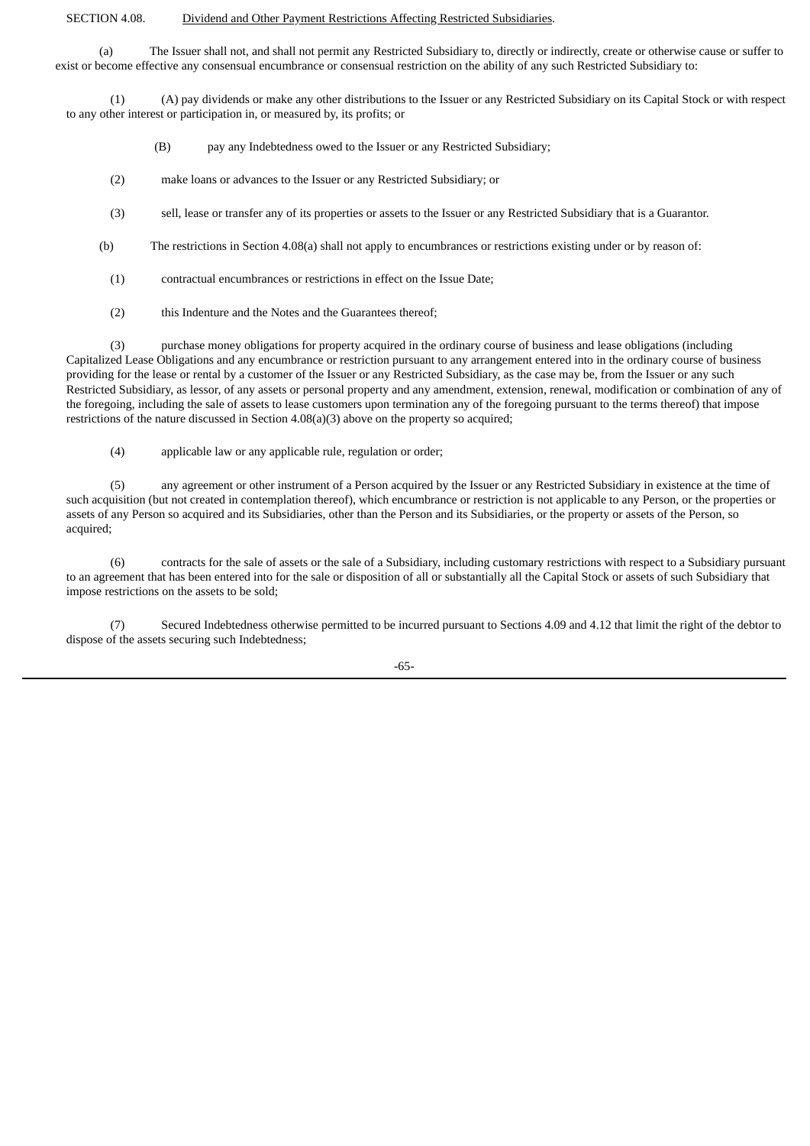### SECTION 4.08. Dividend and Other Payment Restrictions Affecting Restricted Subsidiaries.

(a) The Issuer shall not, and shall not permit any Restricted Subsidiary to, directly or indirectly, create or otherwise cause or suffer to exist or become effective any consensual encumbrance or consensual restriction on the ability of any such Restricted Subsidiary to:

(1) (A) pay dividends or make any other distributions to the Issuer or any Restricted Subsidiary on its Capital Stock or with respect to any other interest or participation in, or measured by, its profits; or

- (B) pay any Indebtedness owed to the Issuer or any Restricted Subsidiary;
- (2) make loans or advances to the Issuer or any Restricted Subsidiary; or
- (3) sell, lease or transfer any of its properties or assets to the Issuer or any Restricted Subsidiary that is a Guarantor.
- (b) The restrictions in Section 4.08(a) shall not apply to encumbrances or restrictions existing under or by reason of:
	- (1) contractual encumbrances or restrictions in effect on the Issue Date;
	- (2) this Indenture and the Notes and the Guarantees thereof;

(3) purchase money obligations for property acquired in the ordinary course of business and lease obligations (including Capitalized Lease Obligations and any encumbrance or restriction pursuant to any arrangement entered into in the ordinary course of business providing for the lease or rental by a customer of the Issuer or any Restricted Subsidiary, as the case may be, from the Issuer or any such Restricted Subsidiary, as lessor, of any assets or personal property and any amendment, extension, renewal, modification or combination of any of the foregoing, including the sale of assets to lease customers upon termination any of the foregoing pursuant to the terms thereof) that impose restrictions of the nature discussed in Section 4.08(a)(3) above on the property so acquired;

(4) applicable law or any applicable rule, regulation or order;

(5) any agreement or other instrument of a Person acquired by the Issuer or any Restricted Subsidiary in existence at the time of such acquisition (but not created in contemplation thereof), which encumbrance or restriction is not applicable to any Person, or the properties or assets of any Person so acquired and its Subsidiaries, other than the Person and its Subsidiaries, or the property or assets of the Person, so acquired;

(6) contracts for the sale of assets or the sale of a Subsidiary, including customary restrictions with respect to a Subsidiary pursuant to an agreement that has been entered into for the sale or disposition of all or substantially all the Capital Stock or assets of such Subsidiary that impose restrictions on the assets to be sold;

(7) Secured Indebtedness otherwise permitted to be incurred pursuant to Sections 4.09 and 4.12 that limit the right of the debtor to dispose of the assets securing such Indebtedness;

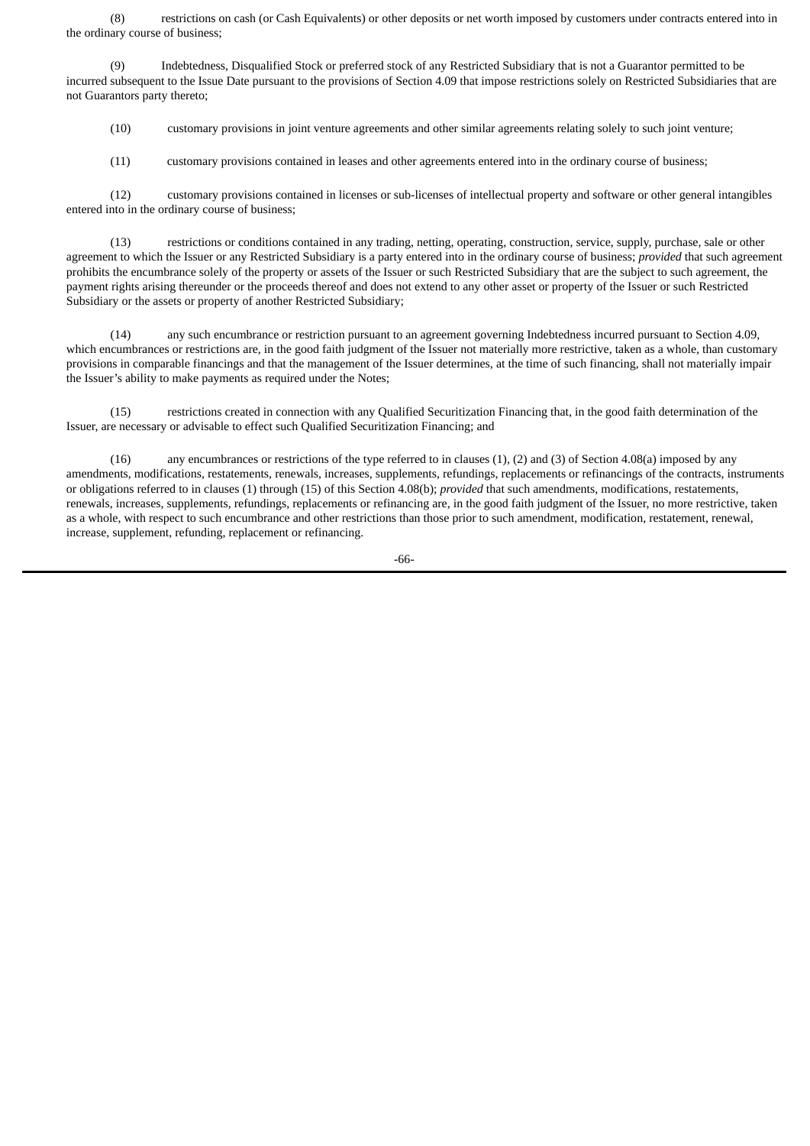(8) restrictions on cash (or Cash Equivalents) or other deposits or net worth imposed by customers under contracts entered into in the ordinary course of business;

(9) Indebtedness, Disqualified Stock or preferred stock of any Restricted Subsidiary that is not a Guarantor permitted to be incurred subsequent to the Issue Date pursuant to the provisions of Section 4.09 that impose restrictions solely on Restricted Subsidiaries that are not Guarantors party thereto;

(10) customary provisions in joint venture agreements and other similar agreements relating solely to such joint venture;

(11) customary provisions contained in leases and other agreements entered into in the ordinary course of business;

(12) customary provisions contained in licenses or sub-licenses of intellectual property and software or other general intangibles entered into in the ordinary course of business;

(13) restrictions or conditions contained in any trading, netting, operating, construction, service, supply, purchase, sale or other agreement to which the Issuer or any Restricted Subsidiary is a party entered into in the ordinary course of business; *provided* that such agreement prohibits the encumbrance solely of the property or assets of the Issuer or such Restricted Subsidiary that are the subject to such agreement, the payment rights arising thereunder or the proceeds thereof and does not extend to any other asset or property of the Issuer or such Restricted Subsidiary or the assets or property of another Restricted Subsidiary;

(14) any such encumbrance or restriction pursuant to an agreement governing Indebtedness incurred pursuant to Section 4.09, which encumbrances or restrictions are, in the good faith judgment of the Issuer not materially more restrictive, taken as a whole, than customary provisions in comparable financings and that the management of the Issuer determines, at the time of such financing, shall not materially impair the Issuer's ability to make payments as required under the Notes;

(15) restrictions created in connection with any Qualified Securitization Financing that, in the good faith determination of the Issuer, are necessary or advisable to effect such Qualified Securitization Financing; and

(16) any encumbrances or restrictions of the type referred to in clauses (1), (2) and (3) of Section 4.08(a) imposed by any amendments, modifications, restatements, renewals, increases, supplements, refundings, replacements or refinancings of the contracts, instruments or obligations referred to in clauses (1) through (15) of this Section 4.08(b); *provided* that such amendments, modifications, restatements, renewals, increases, supplements, refundings, replacements or refinancing are, in the good faith judgment of the Issuer, no more restrictive, taken as a whole, with respect to such encumbrance and other restrictions than those prior to such amendment, modification, restatement, renewal, increase, supplement, refunding, replacement or refinancing.

-66-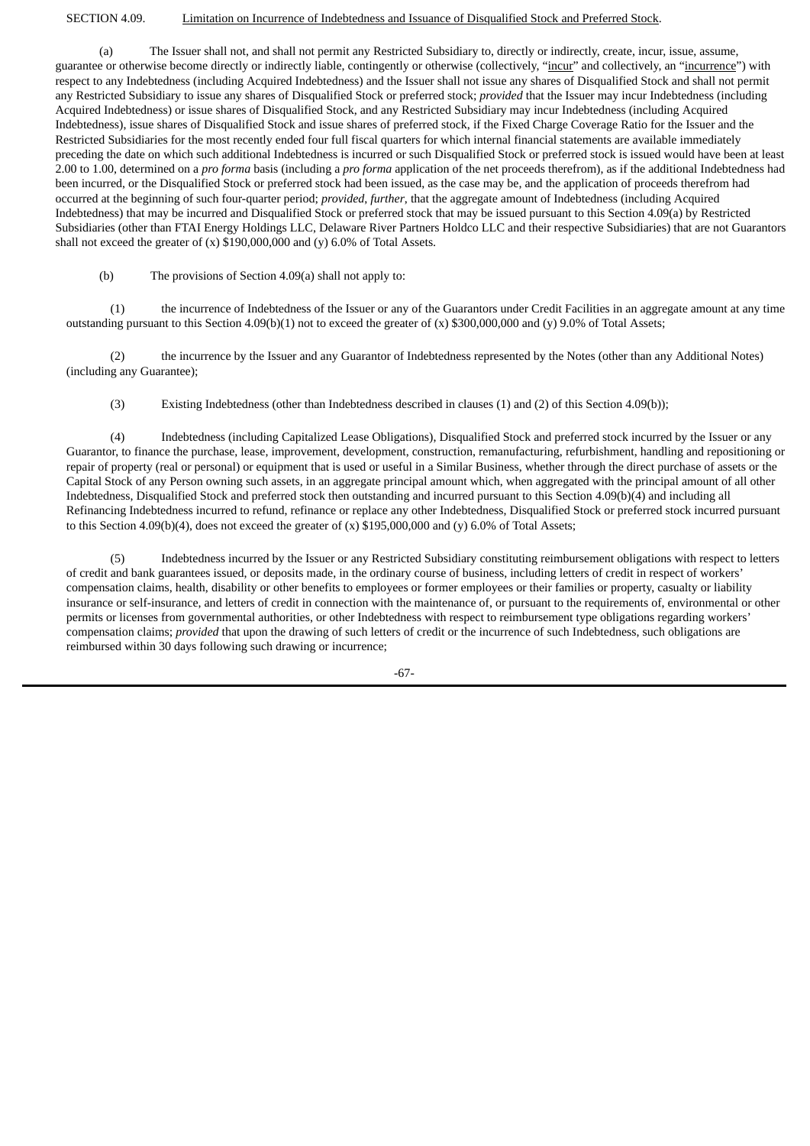### SECTION 4.09. Limitation on Incurrence of Indebtedness and Issuance of Disqualified Stock and Preferred Stock.

(a) The Issuer shall not, and shall not permit any Restricted Subsidiary to, directly or indirectly, create, incur, issue, assume, guarantee or otherwise become directly or indirectly liable, contingently or otherwise (collectively, "incur" and collectively, an "incurrence") with respect to any Indebtedness (including Acquired Indebtedness) and the Issuer shall not issue any shares of Disqualified Stock and shall not permit any Restricted Subsidiary to issue any shares of Disqualified Stock or preferred stock; *provided* that the Issuer may incur Indebtedness (including Acquired Indebtedness) or issue shares of Disqualified Stock, and any Restricted Subsidiary may incur Indebtedness (including Acquired Indebtedness), issue shares of Disqualified Stock and issue shares of preferred stock, if the Fixed Charge Coverage Ratio for the Issuer and the Restricted Subsidiaries for the most recently ended four full fiscal quarters for which internal financial statements are available immediately preceding the date on which such additional Indebtedness is incurred or such Disqualified Stock or preferred stock is issued would have been at least 2.00 to 1.00, determined on a *pro forma* basis (including a *pro forma* application of the net proceeds therefrom), as if the additional Indebtedness had been incurred, or the Disqualified Stock or preferred stock had been issued, as the case may be, and the application of proceeds therefrom had occurred at the beginning of such four-quarter period; *provided*, *further*, that the aggregate amount of Indebtedness (including Acquired Indebtedness) that may be incurred and Disqualified Stock or preferred stock that may be issued pursuant to this Section 4.09(a) by Restricted Subsidiaries (other than FTAI Energy Holdings LLC, Delaware River Partners Holdco LLC and their respective Subsidiaries) that are not Guarantors shall not exceed the greater of (x) \$190,000,000 and (y) 6.0% of Total Assets.

(b) The provisions of Section 4.09(a) shall not apply to:

(1) the incurrence of Indebtedness of the Issuer or any of the Guarantors under Credit Facilities in an aggregate amount at any time outstanding pursuant to this Section 4.09(b)(1) not to exceed the greater of (x) \$300,000,000 and (y) 9.0% of Total Assets;

(2) the incurrence by the Issuer and any Guarantor of Indebtedness represented by the Notes (other than any Additional Notes) (including any Guarantee);

(3) Existing Indebtedness (other than Indebtedness described in clauses (1) and (2) of this Section 4.09(b));

(4) Indebtedness (including Capitalized Lease Obligations), Disqualified Stock and preferred stock incurred by the Issuer or any Guarantor, to finance the purchase, lease, improvement, development, construction, remanufacturing, refurbishment, handling and repositioning or repair of property (real or personal) or equipment that is used or useful in a Similar Business, whether through the direct purchase of assets or the Capital Stock of any Person owning such assets, in an aggregate principal amount which, when aggregated with the principal amount of all other Indebtedness, Disqualified Stock and preferred stock then outstanding and incurred pursuant to this Section 4.09(b)(4) and including all Refinancing Indebtedness incurred to refund, refinance or replace any other Indebtedness, Disqualified Stock or preferred stock incurred pursuant to this Section 4.09(b)(4), does not exceed the greater of (x) \$195,000,000 and (y) 6.0% of Total Assets;

(5) Indebtedness incurred by the Issuer or any Restricted Subsidiary constituting reimbursement obligations with respect to letters of credit and bank guarantees issued, or deposits made, in the ordinary course of business, including letters of credit in respect of workers' compensation claims, health, disability or other benefits to employees or former employees or their families or property, casualty or liability insurance or self-insurance, and letters of credit in connection with the maintenance of, or pursuant to the requirements of, environmental or other permits or licenses from governmental authorities, or other Indebtedness with respect to reimbursement type obligations regarding workers' compensation claims; *provided* that upon the drawing of such letters of credit or the incurrence of such Indebtedness, such obligations are reimbursed within 30 days following such drawing or incurrence;

-67-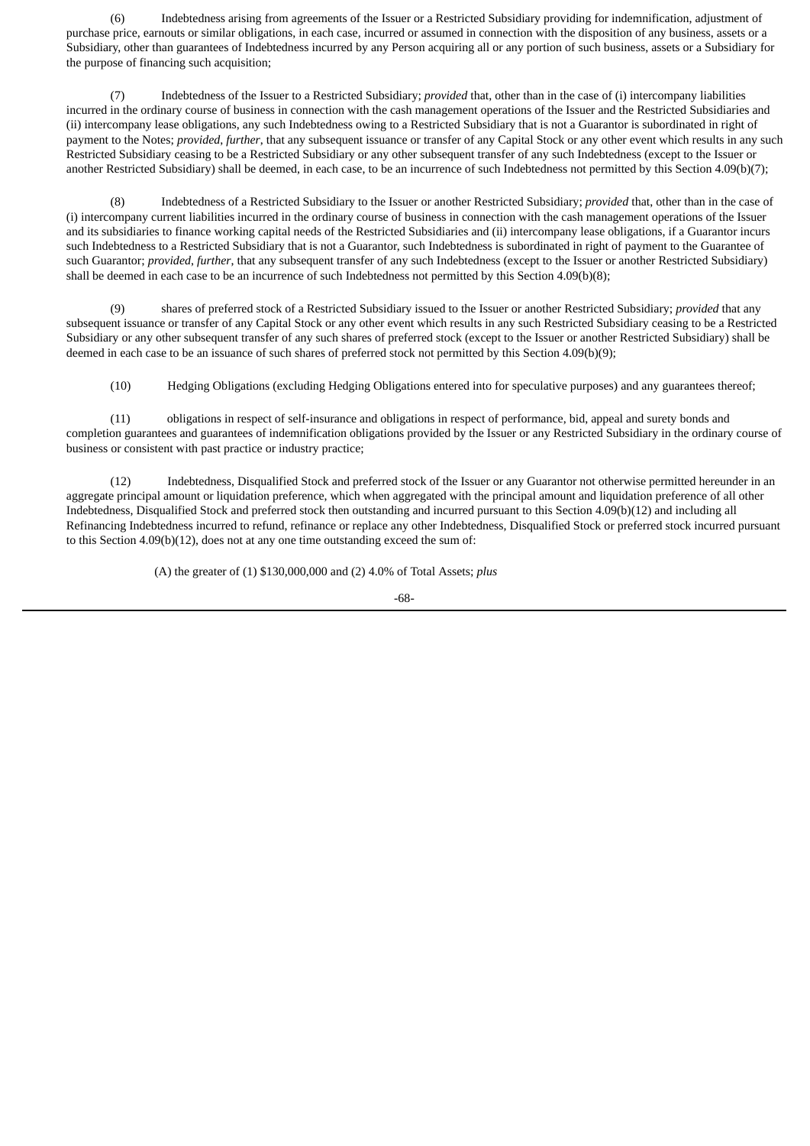(6) Indebtedness arising from agreements of the Issuer or a Restricted Subsidiary providing for indemnification, adjustment of purchase price, earnouts or similar obligations, in each case, incurred or assumed in connection with the disposition of any business, assets or a Subsidiary, other than guarantees of Indebtedness incurred by any Person acquiring all or any portion of such business, assets or a Subsidiary for the purpose of financing such acquisition;

(7) Indebtedness of the Issuer to a Restricted Subsidiary; *provided* that, other than in the case of (i) intercompany liabilities incurred in the ordinary course of business in connection with the cash management operations of the Issuer and the Restricted Subsidiaries and (ii) intercompany lease obligations, any such Indebtedness owing to a Restricted Subsidiary that is not a Guarantor is subordinated in right of payment to the Notes; *provided*, *further*, that any subsequent issuance or transfer of any Capital Stock or any other event which results in any such Restricted Subsidiary ceasing to be a Restricted Subsidiary or any other subsequent transfer of any such Indebtedness (except to the Issuer or another Restricted Subsidiary) shall be deemed, in each case, to be an incurrence of such Indebtedness not permitted by this Section 4.09(b)(7);

(8) Indebtedness of a Restricted Subsidiary to the Issuer or another Restricted Subsidiary; *provided* that, other than in the case of (i) intercompany current liabilities incurred in the ordinary course of business in connection with the cash management operations of the Issuer and its subsidiaries to finance working capital needs of the Restricted Subsidiaries and (ii) intercompany lease obligations, if a Guarantor incurs such Indebtedness to a Restricted Subsidiary that is not a Guarantor, such Indebtedness is subordinated in right of payment to the Guarantee of such Guarantor; *provided*, *further*, that any subsequent transfer of any such Indebtedness (except to the Issuer or another Restricted Subsidiary) shall be deemed in each case to be an incurrence of such Indebtedness not permitted by this Section 4.09(b)(8);

(9) shares of preferred stock of a Restricted Subsidiary issued to the Issuer or another Restricted Subsidiary; *provided* that any subsequent issuance or transfer of any Capital Stock or any other event which results in any such Restricted Subsidiary ceasing to be a Restricted Subsidiary or any other subsequent transfer of any such shares of preferred stock (except to the Issuer or another Restricted Subsidiary) shall be deemed in each case to be an issuance of such shares of preferred stock not permitted by this Section 4.09(b)(9);

(10) Hedging Obligations (excluding Hedging Obligations entered into for speculative purposes) and any guarantees thereof;

(11) obligations in respect of self-insurance and obligations in respect of performance, bid, appeal and surety bonds and completion guarantees and guarantees of indemnification obligations provided by the Issuer or any Restricted Subsidiary in the ordinary course of business or consistent with past practice or industry practice;

(12) Indebtedness, Disqualified Stock and preferred stock of the Issuer or any Guarantor not otherwise permitted hereunder in an aggregate principal amount or liquidation preference, which when aggregated with the principal amount and liquidation preference of all other Indebtedness, Disqualified Stock and preferred stock then outstanding and incurred pursuant to this Section 4.09(b)(12) and including all Refinancing Indebtedness incurred to refund, refinance or replace any other Indebtedness, Disqualified Stock or preferred stock incurred pursuant to this Section 4.09(b)(12), does not at any one time outstanding exceed the sum of:

(A) the greater of (1) \$130,000,000 and (2) 4.0% of Total Assets; *plus*

$$
\text{-}68\text{-}
$$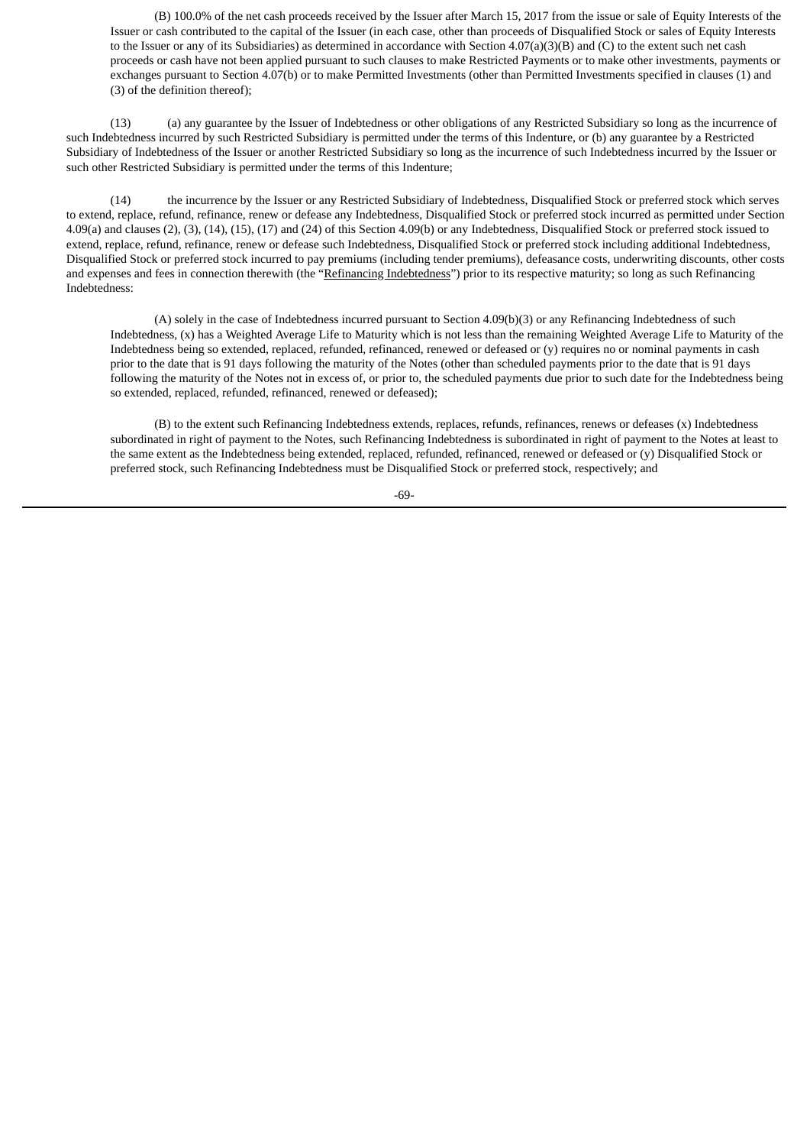(B) 100.0% of the net cash proceeds received by the Issuer after March 15, 2017 from the issue or sale of Equity Interests of the Issuer or cash contributed to the capital of the Issuer (in each case, other than proceeds of Disqualified Stock or sales of Equity Interests to the Issuer or any of its Subsidiaries) as determined in accordance with Section 4.07(a)(3)(B) and (C) to the extent such net cash proceeds or cash have not been applied pursuant to such clauses to make Restricted Payments or to make other investments, payments or exchanges pursuant to Section 4.07(b) or to make Permitted Investments (other than Permitted Investments specified in clauses (1) and (3) of the definition thereof);

(13) (a) any guarantee by the Issuer of Indebtedness or other obligations of any Restricted Subsidiary so long as the incurrence of such Indebtedness incurred by such Restricted Subsidiary is permitted under the terms of this Indenture, or (b) any guarantee by a Restricted Subsidiary of Indebtedness of the Issuer or another Restricted Subsidiary so long as the incurrence of such Indebtedness incurred by the Issuer or such other Restricted Subsidiary is permitted under the terms of this Indenture;

(14) the incurrence by the Issuer or any Restricted Subsidiary of Indebtedness, Disqualified Stock or preferred stock which serves to extend, replace, refund, refinance, renew or defease any Indebtedness, Disqualified Stock or preferred stock incurred as permitted under Section 4.09(a) and clauses (2), (3), (14), (15), (17) and (24) of this Section 4.09(b) or any Indebtedness, Disqualified Stock or preferred stock issued to extend, replace, refund, refinance, renew or defease such Indebtedness, Disqualified Stock or preferred stock including additional Indebtedness, Disqualified Stock or preferred stock incurred to pay premiums (including tender premiums), defeasance costs, underwriting discounts, other costs and expenses and fees in connection therewith (the "Refinancing Indebtedness") prior to its respective maturity; so long as such Refinancing Indebtedness:

(A) solely in the case of Indebtedness incurred pursuant to Section 4.09(b)(3) or any Refinancing Indebtedness of such Indebtedness, (x) has a Weighted Average Life to Maturity which is not less than the remaining Weighted Average Life to Maturity of the Indebtedness being so extended, replaced, refunded, refinanced, renewed or defeased or (y) requires no or nominal payments in cash prior to the date that is 91 days following the maturity of the Notes (other than scheduled payments prior to the date that is 91 days following the maturity of the Notes not in excess of, or prior to, the scheduled payments due prior to such date for the Indebtedness being so extended, replaced, refunded, refinanced, renewed or defeased);

(B) to the extent such Refinancing Indebtedness extends, replaces, refunds, refinances, renews or defeases (x) Indebtedness subordinated in right of payment to the Notes, such Refinancing Indebtedness is subordinated in right of payment to the Notes at least to the same extent as the Indebtedness being extended, replaced, refunded, refinanced, renewed or defeased or (y) Disqualified Stock or preferred stock, such Refinancing Indebtedness must be Disqualified Stock or preferred stock, respectively; and

-69-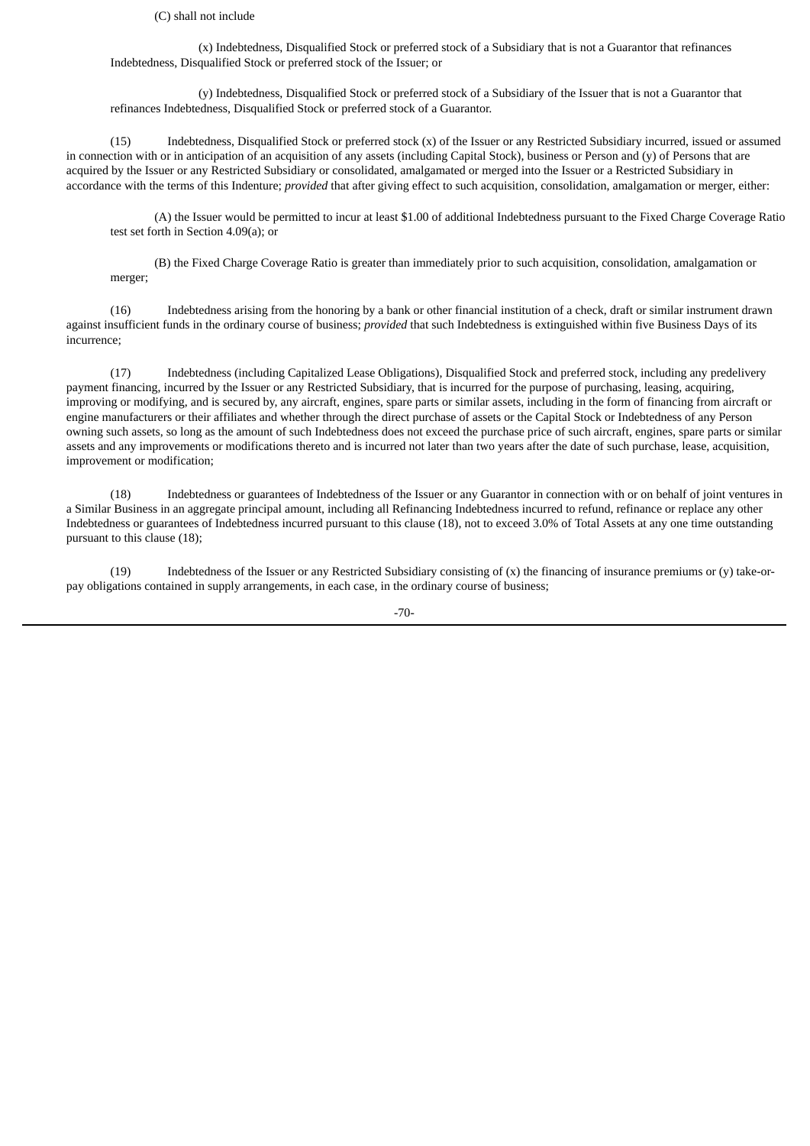(C) shall not include

(x) Indebtedness, Disqualified Stock or preferred stock of a Subsidiary that is not a Guarantor that refinances Indebtedness, Disqualified Stock or preferred stock of the Issuer; or

(y) Indebtedness, Disqualified Stock or preferred stock of a Subsidiary of the Issuer that is not a Guarantor that refinances Indebtedness, Disqualified Stock or preferred stock of a Guarantor.

(15) Indebtedness, Disqualified Stock or preferred stock (x) of the Issuer or any Restricted Subsidiary incurred, issued or assumed in connection with or in anticipation of an acquisition of any assets (including Capital Stock), business or Person and (y) of Persons that are acquired by the Issuer or any Restricted Subsidiary or consolidated, amalgamated or merged into the Issuer or a Restricted Subsidiary in accordance with the terms of this Indenture; *provided* that after giving effect to such acquisition, consolidation, amalgamation or merger, either:

(A) the Issuer would be permitted to incur at least \$1.00 of additional Indebtedness pursuant to the Fixed Charge Coverage Ratio test set forth in Section 4.09(a); or

(B) the Fixed Charge Coverage Ratio is greater than immediately prior to such acquisition, consolidation, amalgamation or merger;

(16) Indebtedness arising from the honoring by a bank or other financial institution of a check, draft or similar instrument drawn against insufficient funds in the ordinary course of business; *provided* that such Indebtedness is extinguished within five Business Days of its incurrence;

(17) Indebtedness (including Capitalized Lease Obligations), Disqualified Stock and preferred stock, including any predelivery payment financing, incurred by the Issuer or any Restricted Subsidiary, that is incurred for the purpose of purchasing, leasing, acquiring, improving or modifying, and is secured by, any aircraft, engines, spare parts or similar assets, including in the form of financing from aircraft or engine manufacturers or their affiliates and whether through the direct purchase of assets or the Capital Stock or Indebtedness of any Person owning such assets, so long as the amount of such Indebtedness does not exceed the purchase price of such aircraft, engines, spare parts or similar assets and any improvements or modifications thereto and is incurred not later than two years after the date of such purchase, lease, acquisition, improvement or modification;

(18) Indebtedness or guarantees of Indebtedness of the Issuer or any Guarantor in connection with or on behalf of joint ventures in a Similar Business in an aggregate principal amount, including all Refinancing Indebtedness incurred to refund, refinance or replace any other Indebtedness or guarantees of Indebtedness incurred pursuant to this clause (18), not to exceed 3.0% of Total Assets at any one time outstanding pursuant to this clause (18);

(19) Indebtedness of the Issuer or any Restricted Subsidiary consisting of (x) the financing of insurance premiums or (y) take-orpay obligations contained in supply arrangements, in each case, in the ordinary course of business;

-70-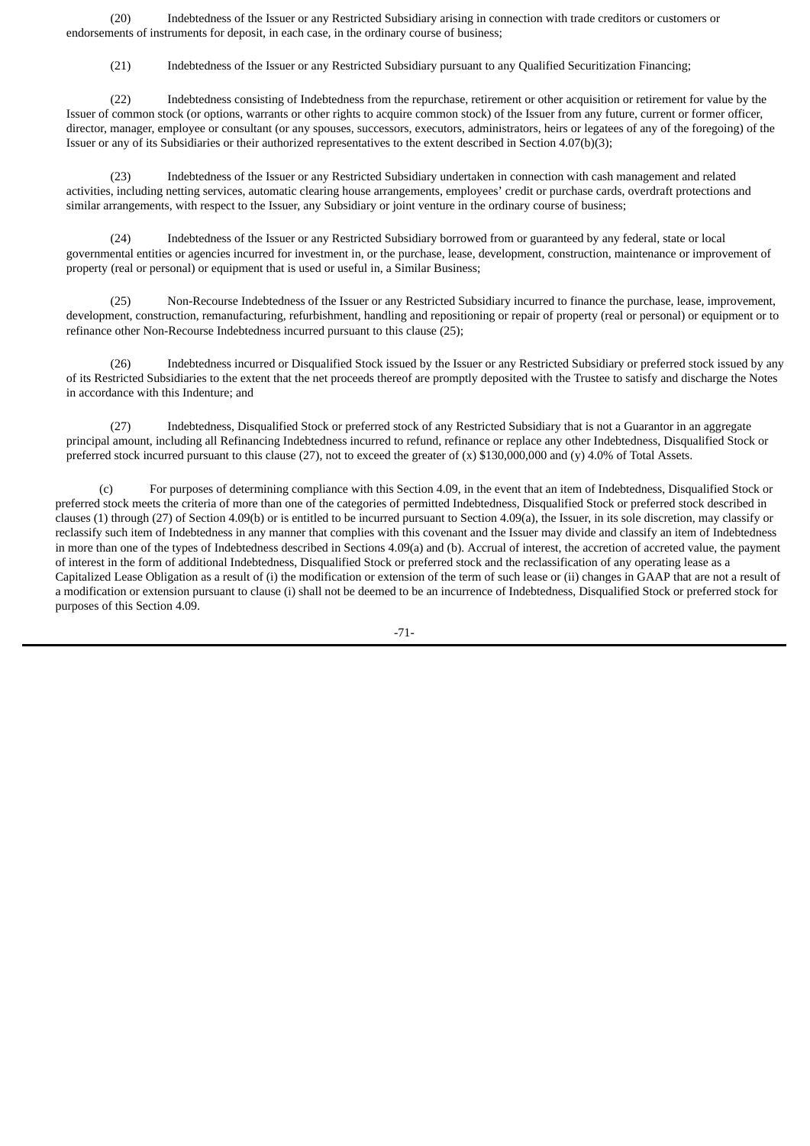(20) Indebtedness of the Issuer or any Restricted Subsidiary arising in connection with trade creditors or customers or endorsements of instruments for deposit, in each case, in the ordinary course of business;

(21) Indebtedness of the Issuer or any Restricted Subsidiary pursuant to any Qualified Securitization Financing;

(22) Indebtedness consisting of Indebtedness from the repurchase, retirement or other acquisition or retirement for value by the Issuer of common stock (or options, warrants or other rights to acquire common stock) of the Issuer from any future, current or former officer, director, manager, employee or consultant (or any spouses, successors, executors, administrators, heirs or legatees of any of the foregoing) of the Issuer or any of its Subsidiaries or their authorized representatives to the extent described in Section 4.07(b)(3);

(23) Indebtedness of the Issuer or any Restricted Subsidiary undertaken in connection with cash management and related activities, including netting services, automatic clearing house arrangements, employees' credit or purchase cards, overdraft protections and similar arrangements, with respect to the Issuer, any Subsidiary or joint venture in the ordinary course of business;

(24) Indebtedness of the Issuer or any Restricted Subsidiary borrowed from or guaranteed by any federal, state or local governmental entities or agencies incurred for investment in, or the purchase, lease, development, construction, maintenance or improvement of property (real or personal) or equipment that is used or useful in, a Similar Business;

(25) Non-Recourse Indebtedness of the Issuer or any Restricted Subsidiary incurred to finance the purchase, lease, improvement, development, construction, remanufacturing, refurbishment, handling and repositioning or repair of property (real or personal) or equipment or to refinance other Non-Recourse Indebtedness incurred pursuant to this clause (25);

(26) Indebtedness incurred or Disqualified Stock issued by the Issuer or any Restricted Subsidiary or preferred stock issued by any of its Restricted Subsidiaries to the extent that the net proceeds thereof are promptly deposited with the Trustee to satisfy and discharge the Notes in accordance with this Indenture; and

(27) Indebtedness, Disqualified Stock or preferred stock of any Restricted Subsidiary that is not a Guarantor in an aggregate principal amount, including all Refinancing Indebtedness incurred to refund, refinance or replace any other Indebtedness, Disqualified Stock or preferred stock incurred pursuant to this clause (27), not to exceed the greater of (x) \$130,000,000 and (y) 4.0% of Total Assets.

(c) For purposes of determining compliance with this Section 4.09, in the event that an item of Indebtedness, Disqualified Stock or preferred stock meets the criteria of more than one of the categories of permitted Indebtedness, Disqualified Stock or preferred stock described in clauses (1) through (27) of Section 4.09(b) or is entitled to be incurred pursuant to Section 4.09(a), the Issuer, in its sole discretion, may classify or reclassify such item of Indebtedness in any manner that complies with this covenant and the Issuer may divide and classify an item of Indebtedness in more than one of the types of Indebtedness described in Sections 4.09(a) and (b). Accrual of interest, the accretion of accreted value, the payment of interest in the form of additional Indebtedness, Disqualified Stock or preferred stock and the reclassification of any operating lease as a Capitalized Lease Obligation as a result of (i) the modification or extension of the term of such lease or (ii) changes in GAAP that are not a result of a modification or extension pursuant to clause (i) shall not be deemed to be an incurrence of Indebtedness, Disqualified Stock or preferred stock for purposes of this Section 4.09.

-71-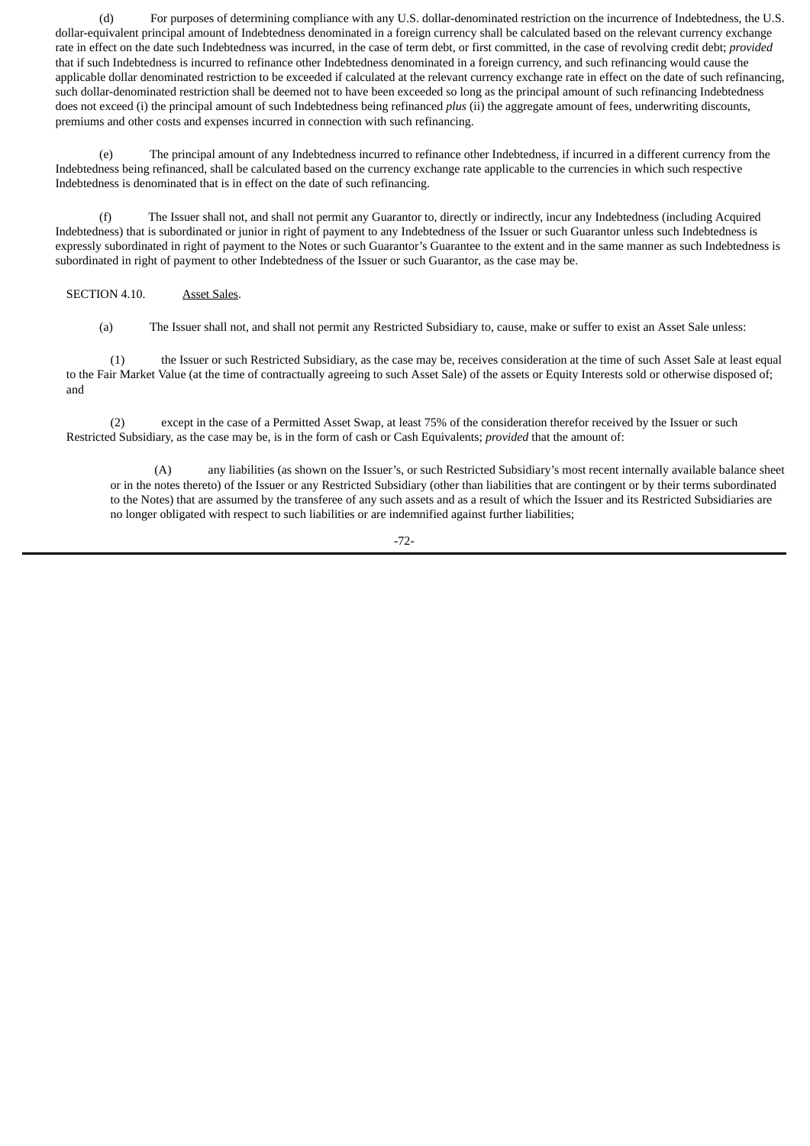(d) For purposes of determining compliance with any U.S. dollar-denominated restriction on the incurrence of Indebtedness, the U.S. dollar-equivalent principal amount of Indebtedness denominated in a foreign currency shall be calculated based on the relevant currency exchange rate in effect on the date such Indebtedness was incurred, in the case of term debt, or first committed, in the case of revolving credit debt; *provided* that if such Indebtedness is incurred to refinance other Indebtedness denominated in a foreign currency, and such refinancing would cause the applicable dollar denominated restriction to be exceeded if calculated at the relevant currency exchange rate in effect on the date of such refinancing, such dollar-denominated restriction shall be deemed not to have been exceeded so long as the principal amount of such refinancing Indebtedness does not exceed (i) the principal amount of such Indebtedness being refinanced *plus* (ii) the aggregate amount of fees, underwriting discounts, premiums and other costs and expenses incurred in connection with such refinancing.

(e) The principal amount of any Indebtedness incurred to refinance other Indebtedness, if incurred in a different currency from the Indebtedness being refinanced, shall be calculated based on the currency exchange rate applicable to the currencies in which such respective Indebtedness is denominated that is in effect on the date of such refinancing.

(f) The Issuer shall not, and shall not permit any Guarantor to, directly or indirectly, incur any Indebtedness (including Acquired Indebtedness) that is subordinated or junior in right of payment to any Indebtedness of the Issuer or such Guarantor unless such Indebtedness is expressly subordinated in right of payment to the Notes or such Guarantor's Guarantee to the extent and in the same manner as such Indebtedness is subordinated in right of payment to other Indebtedness of the Issuer or such Guarantor, as the case may be.

## SECTION 4.10. Asset Sales.

(a) The Issuer shall not, and shall not permit any Restricted Subsidiary to, cause, make or suffer to exist an Asset Sale unless:

(1) the Issuer or such Restricted Subsidiary, as the case may be, receives consideration at the time of such Asset Sale at least equal to the Fair Market Value (at the time of contractually agreeing to such Asset Sale) of the assets or Equity Interests sold or otherwise disposed of; and

(2) except in the case of a Permitted Asset Swap, at least 75% of the consideration therefor received by the Issuer or such Restricted Subsidiary, as the case may be, is in the form of cash or Cash Equivalents; *provided* that the amount of:

(A) any liabilities (as shown on the Issuer's, or such Restricted Subsidiary's most recent internally available balance sheet or in the notes thereto) of the Issuer or any Restricted Subsidiary (other than liabilities that are contingent or by their terms subordinated to the Notes) that are assumed by the transferee of any such assets and as a result of which the Issuer and its Restricted Subsidiaries are no longer obligated with respect to such liabilities or are indemnified against further liabilities;

-72-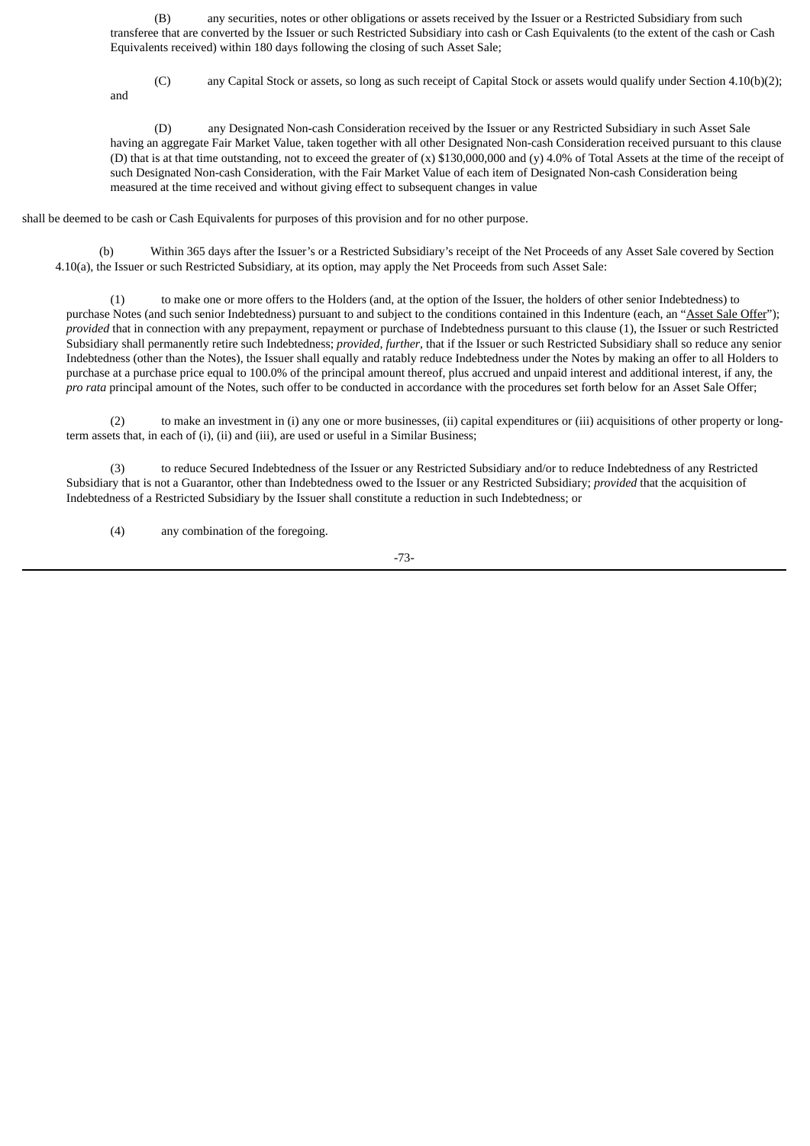(B) any securities, notes or other obligations or assets received by the Issuer or a Restricted Subsidiary from such transferee that are converted by the Issuer or such Restricted Subsidiary into cash or Cash Equivalents (to the extent of the cash or Cash Equivalents received) within 180 days following the closing of such Asset Sale;

and

(C) any Capital Stock or assets, so long as such receipt of Capital Stock or assets would qualify under Section 4.10(b)(2);

(D) any Designated Non-cash Consideration received by the Issuer or any Restricted Subsidiary in such Asset Sale having an aggregate Fair Market Value, taken together with all other Designated Non-cash Consideration received pursuant to this clause (D) that is at that time outstanding, not to exceed the greater of (x) \$130,000,000 and (y) 4.0% of Total Assets at the time of the receipt of such Designated Non-cash Consideration, with the Fair Market Value of each item of Designated Non-cash Consideration being measured at the time received and without giving effect to subsequent changes in value

shall be deemed to be cash or Cash Equivalents for purposes of this provision and for no other purpose.

(b) Within 365 days after the Issuer's or a Restricted Subsidiary's receipt of the Net Proceeds of any Asset Sale covered by Section 4.10(a), the Issuer or such Restricted Subsidiary, at its option, may apply the Net Proceeds from such Asset Sale:

(1) to make one or more offers to the Holders (and, at the option of the Issuer, the holders of other senior Indebtedness) to purchase Notes (and such senior Indebtedness) pursuant to and subject to the conditions contained in this Indenture (each, an "Asset Sale Offer"); *provided* that in connection with any prepayment, repayment or purchase of Indebtedness pursuant to this clause (1), the Issuer or such Restricted Subsidiary shall permanently retire such Indebtedness; *provided*, *further*, that if the Issuer or such Restricted Subsidiary shall so reduce any senior Indebtedness (other than the Notes), the Issuer shall equally and ratably reduce Indebtedness under the Notes by making an offer to all Holders to purchase at a purchase price equal to 100.0% of the principal amount thereof, plus accrued and unpaid interest and additional interest, if any, the *pro rata* principal amount of the Notes, such offer to be conducted in accordance with the procedures set forth below for an Asset Sale Offer;

(2) to make an investment in (i) any one or more businesses, (ii) capital expenditures or (iii) acquisitions of other property or longterm assets that, in each of (i), (ii) and (iii), are used or useful in a Similar Business;

(3) to reduce Secured Indebtedness of the Issuer or any Restricted Subsidiary and/or to reduce Indebtedness of any Restricted Subsidiary that is not a Guarantor, other than Indebtedness owed to the Issuer or any Restricted Subsidiary; *provided* that the acquisition of Indebtedness of a Restricted Subsidiary by the Issuer shall constitute a reduction in such Indebtedness; or

(4) any combination of the foregoing.

-73-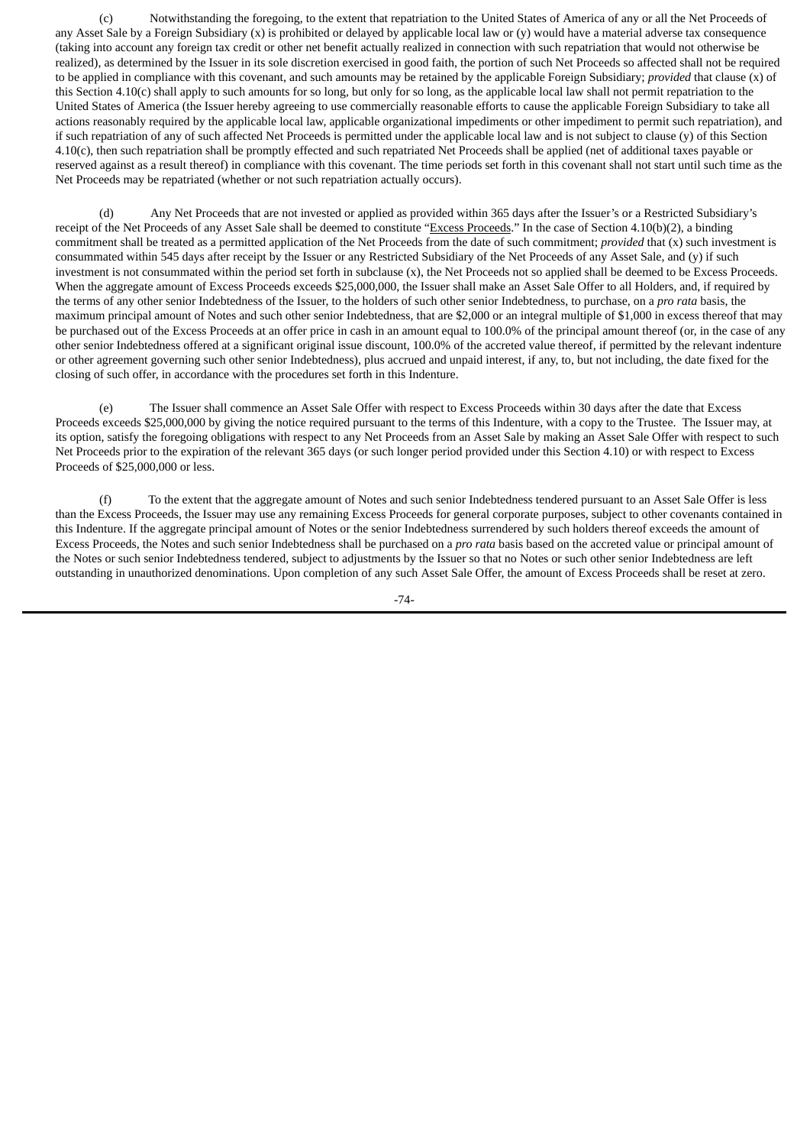(c) Notwithstanding the foregoing, to the extent that repatriation to the United States of America of any or all the Net Proceeds of any Asset Sale by a Foreign Subsidiary (x) is prohibited or delayed by applicable local law or (y) would have a material adverse tax consequence (taking into account any foreign tax credit or other net benefit actually realized in connection with such repatriation that would not otherwise be realized), as determined by the Issuer in its sole discretion exercised in good faith, the portion of such Net Proceeds so affected shall not be required to be applied in compliance with this covenant, and such amounts may be retained by the applicable Foreign Subsidiary; *provided* that clause (x) of this Section 4.10(c) shall apply to such amounts for so long, but only for so long, as the applicable local law shall not permit repatriation to the United States of America (the Issuer hereby agreeing to use commercially reasonable efforts to cause the applicable Foreign Subsidiary to take all actions reasonably required by the applicable local law, applicable organizational impediments or other impediment to permit such repatriation), and if such repatriation of any of such affected Net Proceeds is permitted under the applicable local law and is not subject to clause (y) of this Section 4.10(c), then such repatriation shall be promptly effected and such repatriated Net Proceeds shall be applied (net of additional taxes payable or reserved against as a result thereof) in compliance with this covenant. The time periods set forth in this covenant shall not start until such time as the Net Proceeds may be repatriated (whether or not such repatriation actually occurs).

(d) Any Net Proceeds that are not invested or applied as provided within 365 days after the Issuer's or a Restricted Subsidiary's receipt of the Net Proceeds of any Asset Sale shall be deemed to constitute "Excess Proceeds." In the case of Section 4.10(b)(2), a binding commitment shall be treated as a permitted application of the Net Proceeds from the date of such commitment; *provided* that (x) such investment is consummated within 545 days after receipt by the Issuer or any Restricted Subsidiary of the Net Proceeds of any Asset Sale, and (y) if such investment is not consummated within the period set forth in subclause (x), the Net Proceeds not so applied shall be deemed to be Excess Proceeds. When the aggregate amount of Excess Proceeds exceeds \$25,000,000, the Issuer shall make an Asset Sale Offer to all Holders, and, if required by the terms of any other senior Indebtedness of the Issuer, to the holders of such other senior Indebtedness, to purchase, on a *pro rata* basis, the maximum principal amount of Notes and such other senior Indebtedness, that are \$2,000 or an integral multiple of \$1,000 in excess thereof that may be purchased out of the Excess Proceeds at an offer price in cash in an amount equal to 100.0% of the principal amount thereof (or, in the case of any other senior Indebtedness offered at a significant original issue discount, 100.0% of the accreted value thereof, if permitted by the relevant indenture or other agreement governing such other senior Indebtedness), plus accrued and unpaid interest, if any, to, but not including, the date fixed for the closing of such offer, in accordance with the procedures set forth in this Indenture.

(e) The Issuer shall commence an Asset Sale Offer with respect to Excess Proceeds within 30 days after the date that Excess Proceeds exceeds \$25,000,000 by giving the notice required pursuant to the terms of this Indenture, with a copy to the Trustee. The Issuer may, at its option, satisfy the foregoing obligations with respect to any Net Proceeds from an Asset Sale by making an Asset Sale Offer with respect to such Net Proceeds prior to the expiration of the relevant 365 days (or such longer period provided under this Section 4.10) or with respect to Excess Proceeds of \$25,000,000 or less.

(f) To the extent that the aggregate amount of Notes and such senior Indebtedness tendered pursuant to an Asset Sale Offer is less than the Excess Proceeds, the Issuer may use any remaining Excess Proceeds for general corporate purposes, subject to other covenants contained in this Indenture. If the aggregate principal amount of Notes or the senior Indebtedness surrendered by such holders thereof exceeds the amount of Excess Proceeds, the Notes and such senior Indebtedness shall be purchased on a *pro rata* basis based on the accreted value or principal amount of the Notes or such senior Indebtedness tendered, subject to adjustments by the Issuer so that no Notes or such other senior Indebtedness are left outstanding in unauthorized denominations. Upon completion of any such Asset Sale Offer, the amount of Excess Proceeds shall be reset at zero.

-74-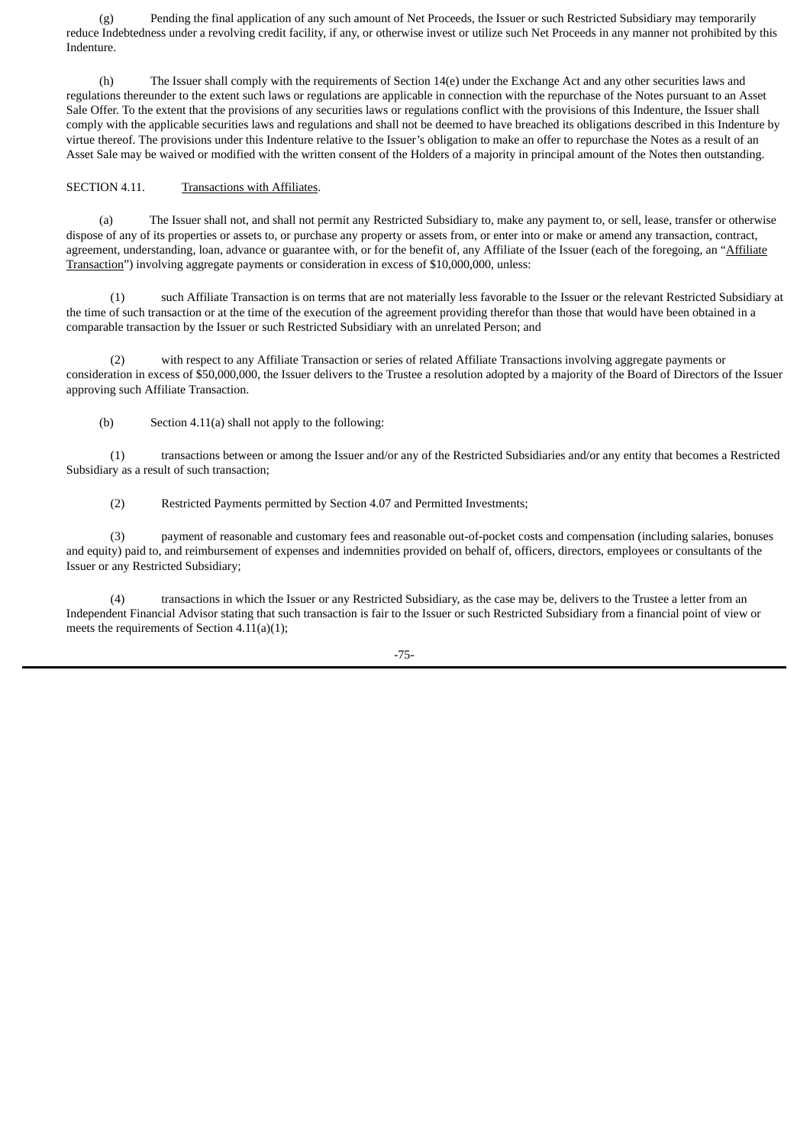(g) Pending the final application of any such amount of Net Proceeds, the Issuer or such Restricted Subsidiary may temporarily reduce Indebtedness under a revolving credit facility, if any, or otherwise invest or utilize such Net Proceeds in any manner not prohibited by this Indenture.

(h) The Issuer shall comply with the requirements of Section 14(e) under the Exchange Act and any other securities laws and regulations thereunder to the extent such laws or regulations are applicable in connection with the repurchase of the Notes pursuant to an Asset Sale Offer. To the extent that the provisions of any securities laws or regulations conflict with the provisions of this Indenture, the Issuer shall comply with the applicable securities laws and regulations and shall not be deemed to have breached its obligations described in this Indenture by virtue thereof. The provisions under this Indenture relative to the Issuer's obligation to make an offer to repurchase the Notes as a result of an Asset Sale may be waived or modified with the written consent of the Holders of a majority in principal amount of the Notes then outstanding.

## SECTION 4.11. Transactions with Affiliates.

(a) The Issuer shall not, and shall not permit any Restricted Subsidiary to, make any payment to, or sell, lease, transfer or otherwise dispose of any of its properties or assets to, or purchase any property or assets from, or enter into or make or amend any transaction, contract, agreement, understanding, loan, advance or guarantee with, or for the benefit of, any Affiliate of the Issuer (each of the foregoing, an "Affiliate Transaction") involving aggregate payments or consideration in excess of \$10,000,000, unless:

(1) such Affiliate Transaction is on terms that are not materially less favorable to the Issuer or the relevant Restricted Subsidiary at the time of such transaction or at the time of the execution of the agreement providing therefor than those that would have been obtained in a comparable transaction by the Issuer or such Restricted Subsidiary with an unrelated Person; and

(2) with respect to any Affiliate Transaction or series of related Affiliate Transactions involving aggregate payments or consideration in excess of \$50,000,000, the Issuer delivers to the Trustee a resolution adopted by a majority of the Board of Directors of the Issuer approving such Affiliate Transaction.

(b) Section 4.11(a) shall not apply to the following:

(1) transactions between or among the Issuer and/or any of the Restricted Subsidiaries and/or any entity that becomes a Restricted Subsidiary as a result of such transaction;

(2) Restricted Payments permitted by Section 4.07 and Permitted Investments;

(3) payment of reasonable and customary fees and reasonable out-of-pocket costs and compensation (including salaries, bonuses and equity) paid to, and reimbursement of expenses and indemnities provided on behalf of, officers, directors, employees or consultants of the Issuer or any Restricted Subsidiary;

(4) transactions in which the Issuer or any Restricted Subsidiary, as the case may be, delivers to the Trustee a letter from an Independent Financial Advisor stating that such transaction is fair to the Issuer or such Restricted Subsidiary from a financial point of view or meets the requirements of Section 4.11(a)(1);

-75-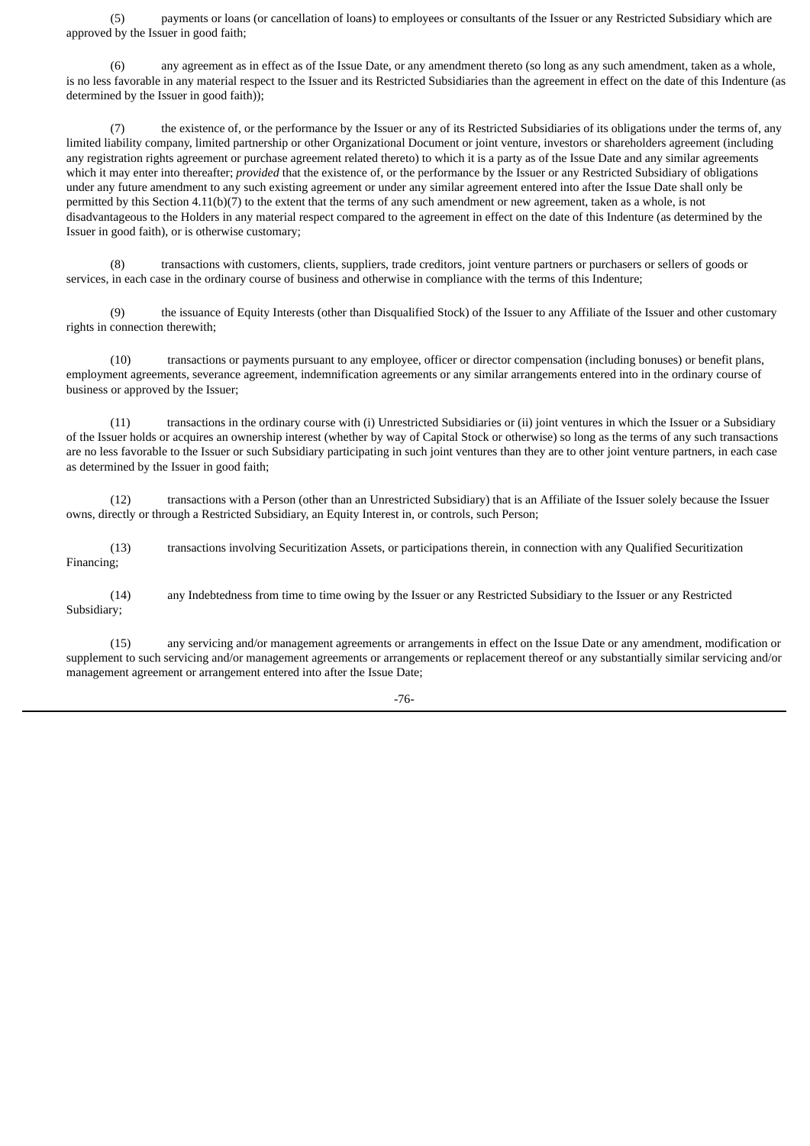(5) payments or loans (or cancellation of loans) to employees or consultants of the Issuer or any Restricted Subsidiary which are approved by the Issuer in good faith;

(6) any agreement as in effect as of the Issue Date, or any amendment thereto (so long as any such amendment, taken as a whole, is no less favorable in any material respect to the Issuer and its Restricted Subsidiaries than the agreement in effect on the date of this Indenture (as determined by the Issuer in good faith));

(7) the existence of, or the performance by the Issuer or any of its Restricted Subsidiaries of its obligations under the terms of, any limited liability company, limited partnership or other Organizational Document or joint venture, investors or shareholders agreement (including any registration rights agreement or purchase agreement related thereto) to which it is a party as of the Issue Date and any similar agreements which it may enter into thereafter; *provided* that the existence of, or the performance by the Issuer or any Restricted Subsidiary of obligations under any future amendment to any such existing agreement or under any similar agreement entered into after the Issue Date shall only be permitted by this Section 4.11(b)(7) to the extent that the terms of any such amendment or new agreement, taken as a whole, is not disadvantageous to the Holders in any material respect compared to the agreement in effect on the date of this Indenture (as determined by the Issuer in good faith), or is otherwise customary;

(8) transactions with customers, clients, suppliers, trade creditors, joint venture partners or purchasers or sellers of goods or services, in each case in the ordinary course of business and otherwise in compliance with the terms of this Indenture;

(9) the issuance of Equity Interests (other than Disqualified Stock) of the Issuer to any Affiliate of the Issuer and other customary rights in connection therewith;

(10) transactions or payments pursuant to any employee, officer or director compensation (including bonuses) or benefit plans, employment agreements, severance agreement, indemnification agreements or any similar arrangements entered into in the ordinary course of business or approved by the Issuer;

(11) transactions in the ordinary course with (i) Unrestricted Subsidiaries or (ii) joint ventures in which the Issuer or a Subsidiary of the Issuer holds or acquires an ownership interest (whether by way of Capital Stock or otherwise) so long as the terms of any such transactions are no less favorable to the Issuer or such Subsidiary participating in such joint ventures than they are to other joint venture partners, in each case as determined by the Issuer in good faith;

(12) transactions with a Person (other than an Unrestricted Subsidiary) that is an Affiliate of the Issuer solely because the Issuer owns, directly or through a Restricted Subsidiary, an Equity Interest in, or controls, such Person;

(13) transactions involving Securitization Assets, or participations therein, in connection with any Qualified Securitization Financing;

(14) any Indebtedness from time to time owing by the Issuer or any Restricted Subsidiary to the Issuer or any Restricted Subsidiary;

(15) any servicing and/or management agreements or arrangements in effect on the Issue Date or any amendment, modification or supplement to such servicing and/or management agreements or arrangements or replacement thereof or any substantially similar servicing and/or management agreement or arrangement entered into after the Issue Date;

-76-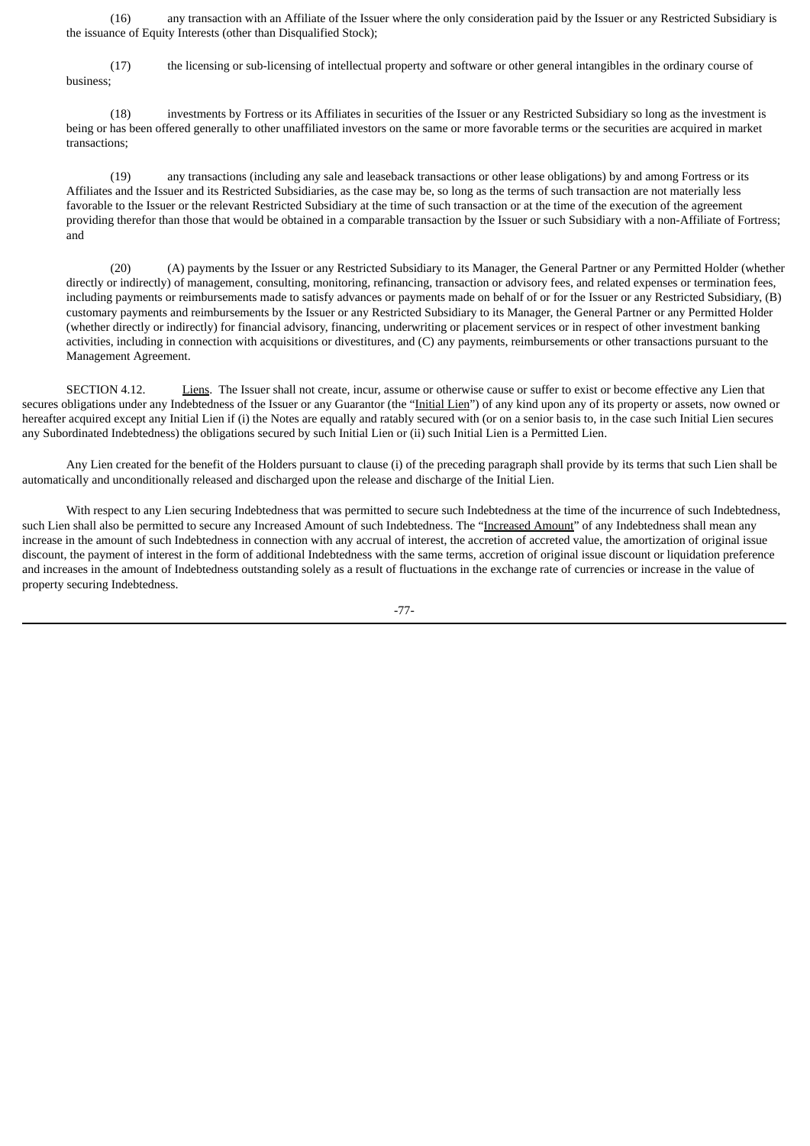(16) any transaction with an Affiliate of the Issuer where the only consideration paid by the Issuer or any Restricted Subsidiary is the issuance of Equity Interests (other than Disqualified Stock);

(17) the licensing or sub-licensing of intellectual property and software or other general intangibles in the ordinary course of business;

(18) investments by Fortress or its Affiliates in securities of the Issuer or any Restricted Subsidiary so long as the investment is being or has been offered generally to other unaffiliated investors on the same or more favorable terms or the securities are acquired in market transactions;

(19) any transactions (including any sale and leaseback transactions or other lease obligations) by and among Fortress or its Affiliates and the Issuer and its Restricted Subsidiaries, as the case may be, so long as the terms of such transaction are not materially less favorable to the Issuer or the relevant Restricted Subsidiary at the time of such transaction or at the time of the execution of the agreement providing therefor than those that would be obtained in a comparable transaction by the Issuer or such Subsidiary with a non-Affiliate of Fortress; and

(20) (A) payments by the Issuer or any Restricted Subsidiary to its Manager, the General Partner or any Permitted Holder (whether directly or indirectly) of management, consulting, monitoring, refinancing, transaction or advisory fees, and related expenses or termination fees, including payments or reimbursements made to satisfy advances or payments made on behalf of or for the Issuer or any Restricted Subsidiary, (B) customary payments and reimbursements by the Issuer or any Restricted Subsidiary to its Manager, the General Partner or any Permitted Holder (whether directly or indirectly) for financial advisory, financing, underwriting or placement services or in respect of other investment banking activities, including in connection with acquisitions or divestitures, and (C) any payments, reimbursements or other transactions pursuant to the Management Agreement.

SECTION 4.12. Liens. The Issuer shall not create, incur, assume or otherwise cause or suffer to exist or become effective any Lien that secures obligations under any Indebtedness of the Issuer or any Guarantor (the "Initial Lien") of any kind upon any of its property or assets, now owned or hereafter acquired except any Initial Lien if (i) the Notes are equally and ratably secured with (or on a senior basis to, in the case such Initial Lien secures any Subordinated Indebtedness) the obligations secured by such Initial Lien or (ii) such Initial Lien is a Permitted Lien.

Any Lien created for the benefit of the Holders pursuant to clause (i) of the preceding paragraph shall provide by its terms that such Lien shall be automatically and unconditionally released and discharged upon the release and discharge of the Initial Lien.

With respect to any Lien securing Indebtedness that was permitted to secure such Indebtedness at the time of the incurrence of such Indebtedness, such Lien shall also be permitted to secure any Increased Amount of such Indebtedness. The "Increased Amount" of any Indebtedness shall mean any increase in the amount of such Indebtedness in connection with any accrual of interest, the accretion of accreted value, the amortization of original issue discount, the payment of interest in the form of additional Indebtedness with the same terms, accretion of original issue discount or liquidation preference and increases in the amount of Indebtedness outstanding solely as a result of fluctuations in the exchange rate of currencies or increase in the value of property securing Indebtedness.

-77-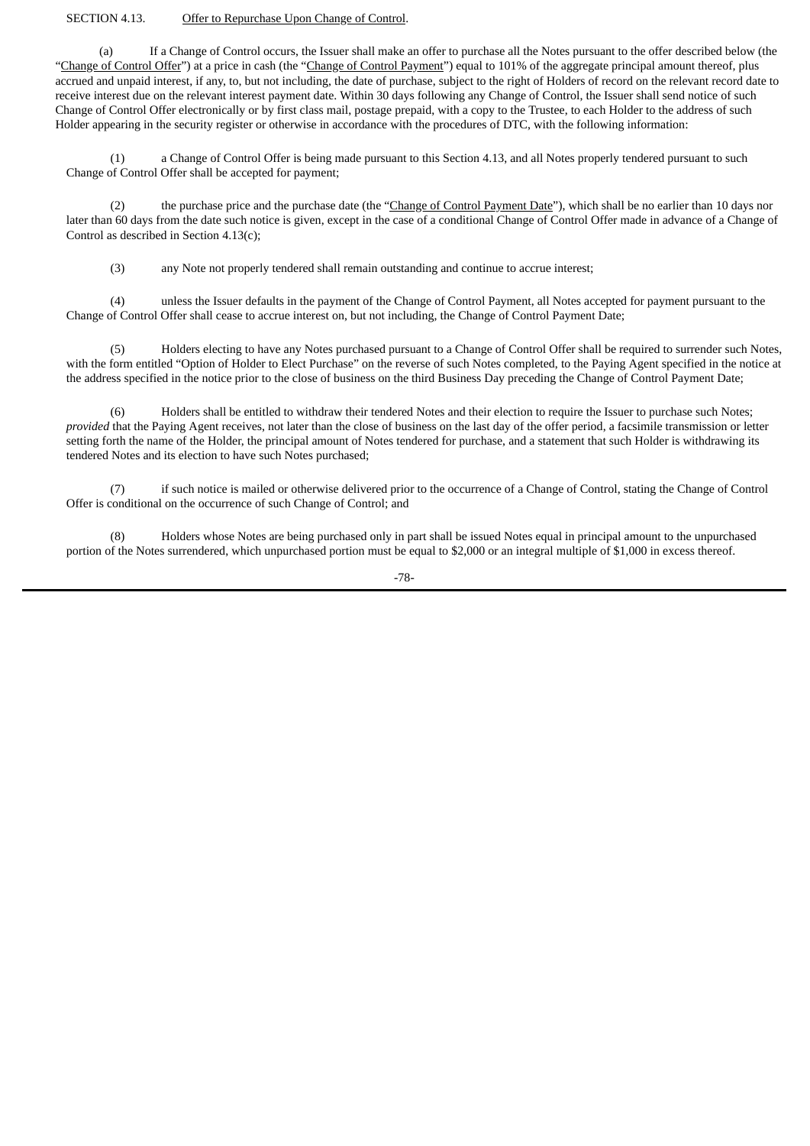### SECTION 4.13. Offer to Repurchase Upon Change of Control.

(a) If a Change of Control occurs, the Issuer shall make an offer to purchase all the Notes pursuant to the offer described below (the "Change of Control Offer") at a price in cash (the "Change of Control Payment") equal to 101% of the aggregate principal amount thereof, plus accrued and unpaid interest, if any, to, but not including, the date of purchase, subject to the right of Holders of record on the relevant record date to receive interest due on the relevant interest payment date. Within 30 days following any Change of Control, the Issuer shall send notice of such Change of Control Offer electronically or by first class mail, postage prepaid, with a copy to the Trustee, to each Holder to the address of such Holder appearing in the security register or otherwise in accordance with the procedures of DTC, with the following information:

(1) a Change of Control Offer is being made pursuant to this Section 4.13, and all Notes properly tendered pursuant to such Change of Control Offer shall be accepted for payment;

the purchase price and the purchase date (the "Change of Control Payment Date"), which shall be no earlier than 10 days nor later than 60 days from the date such notice is given, except in the case of a conditional Change of Control Offer made in advance of a Change of Control as described in Section 4.13(c);

(3) any Note not properly tendered shall remain outstanding and continue to accrue interest;

(4) unless the Issuer defaults in the payment of the Change of Control Payment, all Notes accepted for payment pursuant to the Change of Control Offer shall cease to accrue interest on, but not including, the Change of Control Payment Date;

(5) Holders electing to have any Notes purchased pursuant to a Change of Control Offer shall be required to surrender such Notes, with the form entitled "Option of Holder to Elect Purchase" on the reverse of such Notes completed, to the Paying Agent specified in the notice at the address specified in the notice prior to the close of business on the third Business Day preceding the Change of Control Payment Date;

(6) Holders shall be entitled to withdraw their tendered Notes and their election to require the Issuer to purchase such Notes; *provided* that the Paying Agent receives, not later than the close of business on the last day of the offer period, a facsimile transmission or letter setting forth the name of the Holder, the principal amount of Notes tendered for purchase, and a statement that such Holder is withdrawing its tendered Notes and its election to have such Notes purchased;

(7) if such notice is mailed or otherwise delivered prior to the occurrence of a Change of Control, stating the Change of Control Offer is conditional on the occurrence of such Change of Control; and

(8) Holders whose Notes are being purchased only in part shall be issued Notes equal in principal amount to the unpurchased portion of the Notes surrendered, which unpurchased portion must be equal to \$2,000 or an integral multiple of \$1,000 in excess thereof.

-78-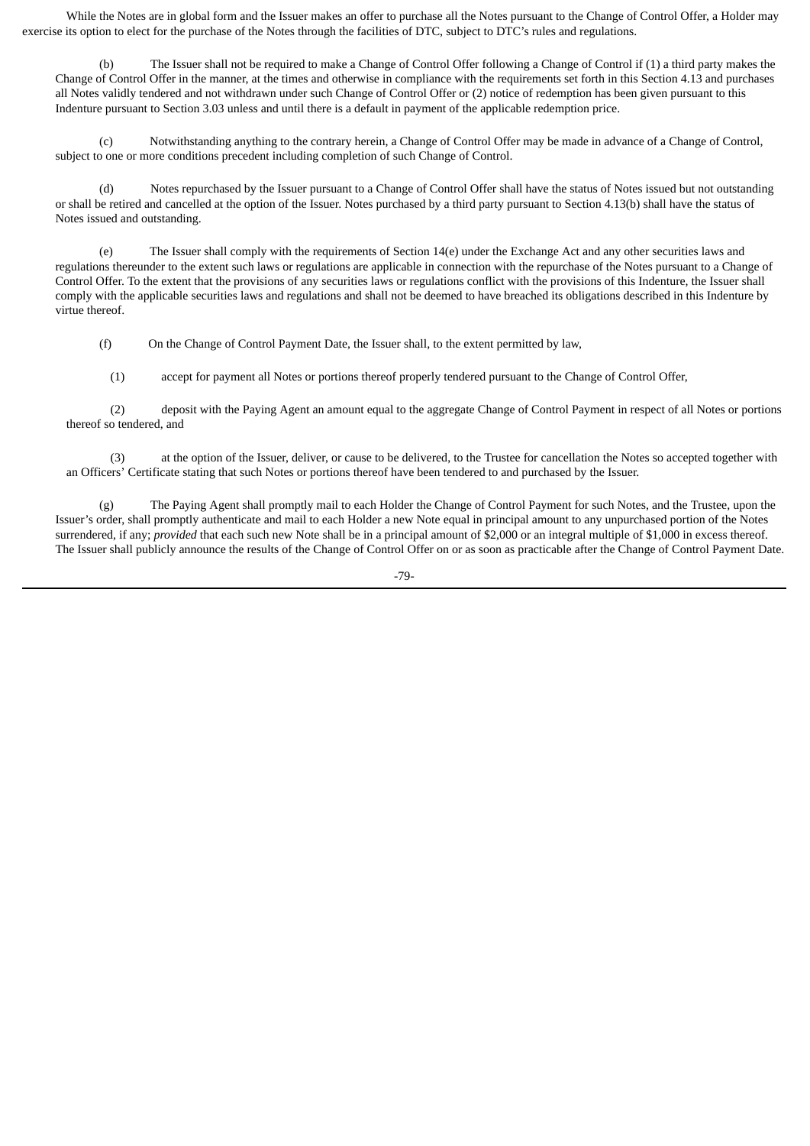While the Notes are in global form and the Issuer makes an offer to purchase all the Notes pursuant to the Change of Control Offer, a Holder may exercise its option to elect for the purchase of the Notes through the facilities of DTC, subject to DTC's rules and regulations.

(b) The Issuer shall not be required to make a Change of Control Offer following a Change of Control if (1) a third party makes the Change of Control Offer in the manner, at the times and otherwise in compliance with the requirements set forth in this Section 4.13 and purchases all Notes validly tendered and not withdrawn under such Change of Control Offer or (2) notice of redemption has been given pursuant to this Indenture pursuant to Section 3.03 unless and until there is a default in payment of the applicable redemption price.

(c) Notwithstanding anything to the contrary herein, a Change of Control Offer may be made in advance of a Change of Control, subject to one or more conditions precedent including completion of such Change of Control.

(d) Notes repurchased by the Issuer pursuant to a Change of Control Offer shall have the status of Notes issued but not outstanding or shall be retired and cancelled at the option of the Issuer. Notes purchased by a third party pursuant to Section 4.13(b) shall have the status of Notes issued and outstanding.

(e) The Issuer shall comply with the requirements of Section 14(e) under the Exchange Act and any other securities laws and regulations thereunder to the extent such laws or regulations are applicable in connection with the repurchase of the Notes pursuant to a Change of Control Offer. To the extent that the provisions of any securities laws or regulations conflict with the provisions of this Indenture, the Issuer shall comply with the applicable securities laws and regulations and shall not be deemed to have breached its obligations described in this Indenture by virtue thereof.

(f) On the Change of Control Payment Date, the Issuer shall, to the extent permitted by law,

(1) accept for payment all Notes or portions thereof properly tendered pursuant to the Change of Control Offer,

(2) deposit with the Paying Agent an amount equal to the aggregate Change of Control Payment in respect of all Notes or portions thereof so tendered, and

(3) at the option of the Issuer, deliver, or cause to be delivered, to the Trustee for cancellation the Notes so accepted together with an Officers' Certificate stating that such Notes or portions thereof have been tendered to and purchased by the Issuer.

(g) The Paying Agent shall promptly mail to each Holder the Change of Control Payment for such Notes, and the Trustee, upon the Issuer's order, shall promptly authenticate and mail to each Holder a new Note equal in principal amount to any unpurchased portion of the Notes surrendered, if any; *provided* that each such new Note shall be in a principal amount of \$2,000 or an integral multiple of \$1,000 in excess thereof. The Issuer shall publicly announce the results of the Change of Control Offer on or as soon as practicable after the Change of Control Payment Date.

-79-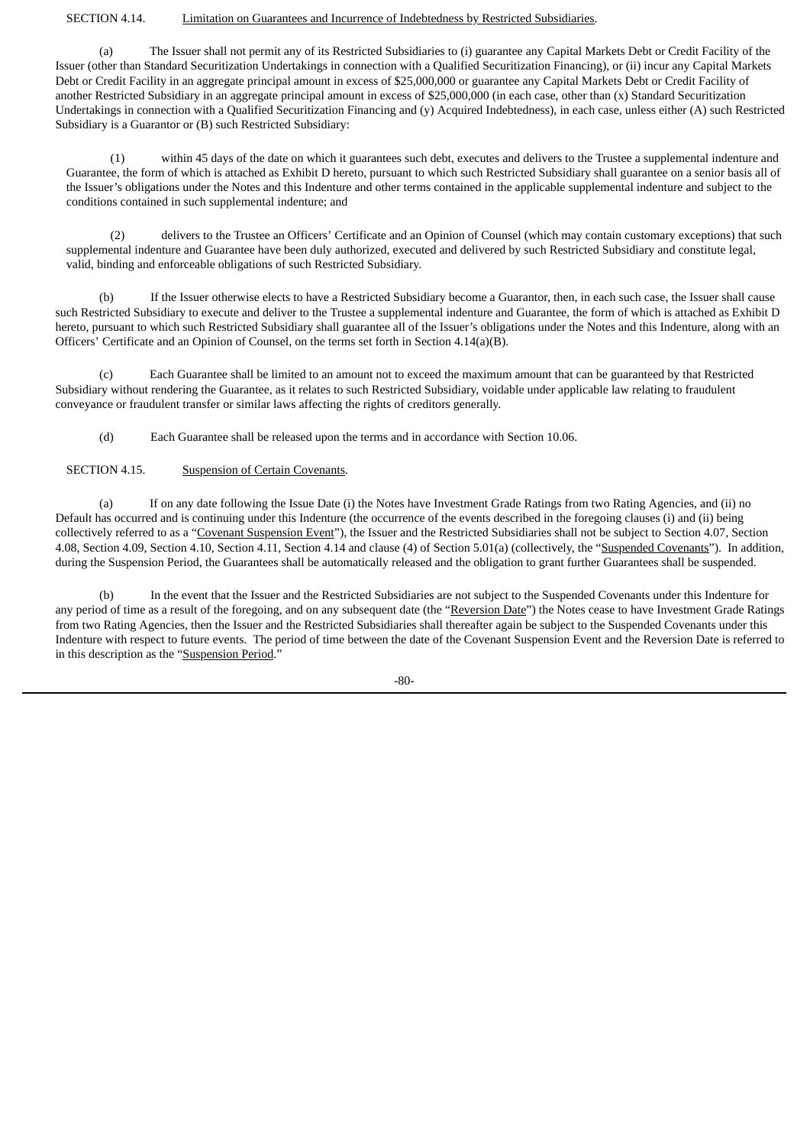### SECTION 4.14. Limitation on Guarantees and Incurrence of Indebtedness by Restricted Subsidiaries.

(a) The Issuer shall not permit any of its Restricted Subsidiaries to (i) guarantee any Capital Markets Debt or Credit Facility of the Issuer (other than Standard Securitization Undertakings in connection with a Qualified Securitization Financing), or (ii) incur any Capital Markets Debt or Credit Facility in an aggregate principal amount in excess of \$25,000,000 or guarantee any Capital Markets Debt or Credit Facility of another Restricted Subsidiary in an aggregate principal amount in excess of \$25,000,000 (in each case, other than (x) Standard Securitization Undertakings in connection with a Qualified Securitization Financing and (y) Acquired Indebtedness), in each case, unless either (A) such Restricted Subsidiary is a Guarantor or (B) such Restricted Subsidiary:

(1) within 45 days of the date on which it guarantees such debt, executes and delivers to the Trustee a supplemental indenture and Guarantee, the form of which is attached as Exhibit D hereto, pursuant to which such Restricted Subsidiary shall guarantee on a senior basis all of the Issuer's obligations under the Notes and this Indenture and other terms contained in the applicable supplemental indenture and subject to the conditions contained in such supplemental indenture; and

(2) delivers to the Trustee an Officers' Certificate and an Opinion of Counsel (which may contain customary exceptions) that such supplemental indenture and Guarantee have been duly authorized, executed and delivered by such Restricted Subsidiary and constitute legal, valid, binding and enforceable obligations of such Restricted Subsidiary.

(b) If the Issuer otherwise elects to have a Restricted Subsidiary become a Guarantor, then, in each such case, the Issuer shall cause such Restricted Subsidiary to execute and deliver to the Trustee a supplemental indenture and Guarantee, the form of which is attached as Exhibit D hereto, pursuant to which such Restricted Subsidiary shall guarantee all of the Issuer's obligations under the Notes and this Indenture, along with an Officers' Certificate and an Opinion of Counsel, on the terms set forth in Section 4.14(a)(B).

(c) Each Guarantee shall be limited to an amount not to exceed the maximum amount that can be guaranteed by that Restricted Subsidiary without rendering the Guarantee, as it relates to such Restricted Subsidiary, voidable under applicable law relating to fraudulent conveyance or fraudulent transfer or similar laws affecting the rights of creditors generally.

(d) Each Guarantee shall be released upon the terms and in accordance with Section 10.06.

SECTION 4.15. Suspension of Certain Covenants.

(a) If on any date following the Issue Date (i) the Notes have Investment Grade Ratings from two Rating Agencies, and (ii) no Default has occurred and is continuing under this Indenture (the occurrence of the events described in the foregoing clauses (i) and (ii) being collectively referred to as a "Covenant Suspension Event"), the Issuer and the Restricted Subsidiaries shall not be subject to Section 4.07, Section 4.08, Section 4.09, Section 4.10, Section 4.11, Section 4.14 and clause (4) of Section 5.01(a) (collectively, the "Suspended Covenants"). In addition, during the Suspension Period, the Guarantees shall be automatically released and the obligation to grant further Guarantees shall be suspended.

(b) In the event that the Issuer and the Restricted Subsidiaries are not subject to the Suspended Covenants under this Indenture for any period of time as a result of the foregoing, and on any subsequent date (the "Reversion Date") the Notes cease to have Investment Grade Ratings from two Rating Agencies, then the Issuer and the Restricted Subsidiaries shall thereafter again be subject to the Suspended Covenants under this Indenture with respect to future events. The period of time between the date of the Covenant Suspension Event and the Reversion Date is referred to in this description as the "Suspension Period."

-80-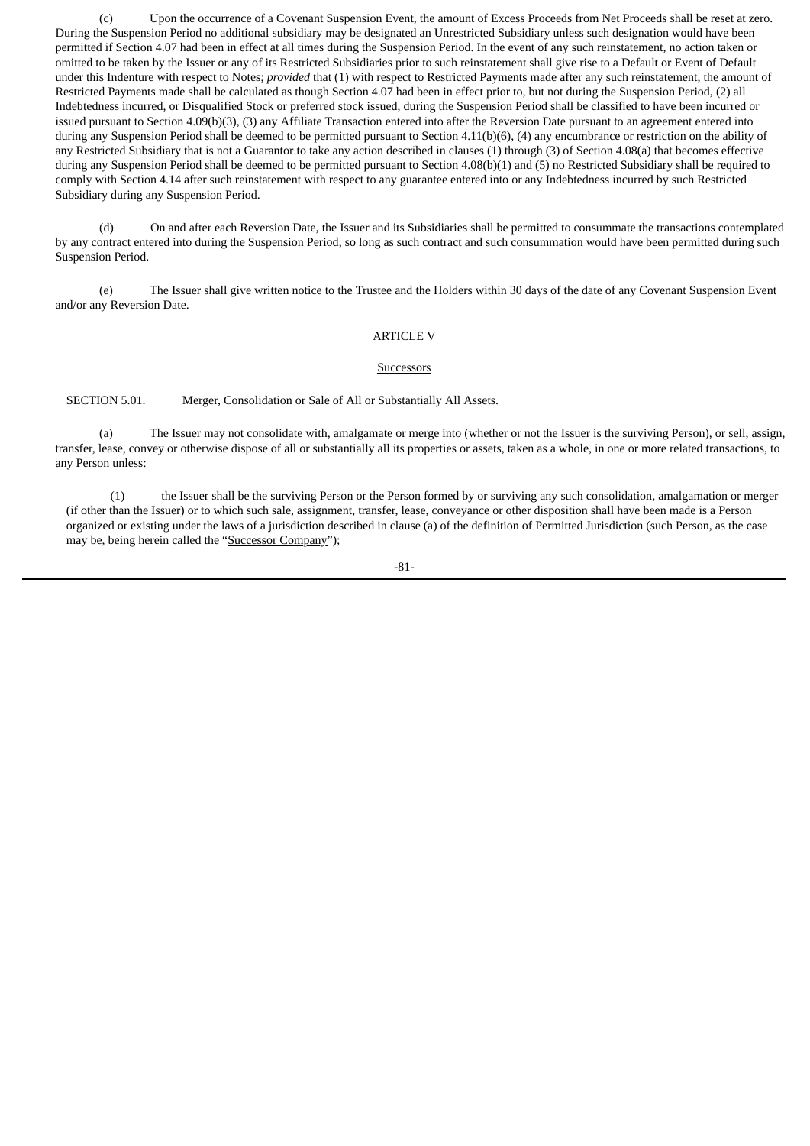(c) Upon the occurrence of a Covenant Suspension Event, the amount of Excess Proceeds from Net Proceeds shall be reset at zero. During the Suspension Period no additional subsidiary may be designated an Unrestricted Subsidiary unless such designation would have been permitted if Section 4.07 had been in effect at all times during the Suspension Period. In the event of any such reinstatement, no action taken or omitted to be taken by the Issuer or any of its Restricted Subsidiaries prior to such reinstatement shall give rise to a Default or Event of Default under this Indenture with respect to Notes; *provided* that (1) with respect to Restricted Payments made after any such reinstatement, the amount of Restricted Payments made shall be calculated as though Section 4.07 had been in effect prior to, but not during the Suspension Period, (2) all Indebtedness incurred, or Disqualified Stock or preferred stock issued, during the Suspension Period shall be classified to have been incurred or issued pursuant to Section 4.09(b)(3), (3) any Affiliate Transaction entered into after the Reversion Date pursuant to an agreement entered into during any Suspension Period shall be deemed to be permitted pursuant to Section 4.11(b)(6), (4) any encumbrance or restriction on the ability of any Restricted Subsidiary that is not a Guarantor to take any action described in clauses (1) through (3) of Section 4.08(a) that becomes effective during any Suspension Period shall be deemed to be permitted pursuant to Section 4.08(b)(1) and (5) no Restricted Subsidiary shall be required to comply with Section 4.14 after such reinstatement with respect to any guarantee entered into or any Indebtedness incurred by such Restricted Subsidiary during any Suspension Period.

(d) On and after each Reversion Date, the Issuer and its Subsidiaries shall be permitted to consummate the transactions contemplated by any contract entered into during the Suspension Period, so long as such contract and such consummation would have been permitted during such Suspension Period.

(e) The Issuer shall give written notice to the Trustee and the Holders within 30 days of the date of any Covenant Suspension Event and/or any Reversion Date.

### ARTICLE V

#### Successors

SECTION 5.01. Merger, Consolidation or Sale of All or Substantially All Assets.

(a) The Issuer may not consolidate with, amalgamate or merge into (whether or not the Issuer is the surviving Person), or sell, assign, transfer, lease, convey or otherwise dispose of all or substantially all its properties or assets, taken as a whole, in one or more related transactions, to any Person unless:

(1) the Issuer shall be the surviving Person or the Person formed by or surviving any such consolidation, amalgamation or merger (if other than the Issuer) or to which such sale, assignment, transfer, lease, conveyance or other disposition shall have been made is a Person organized or existing under the laws of a jurisdiction described in clause (a) of the definition of Permitted Jurisdiction (such Person, as the case may be, being herein called the "Successor Company");

-81-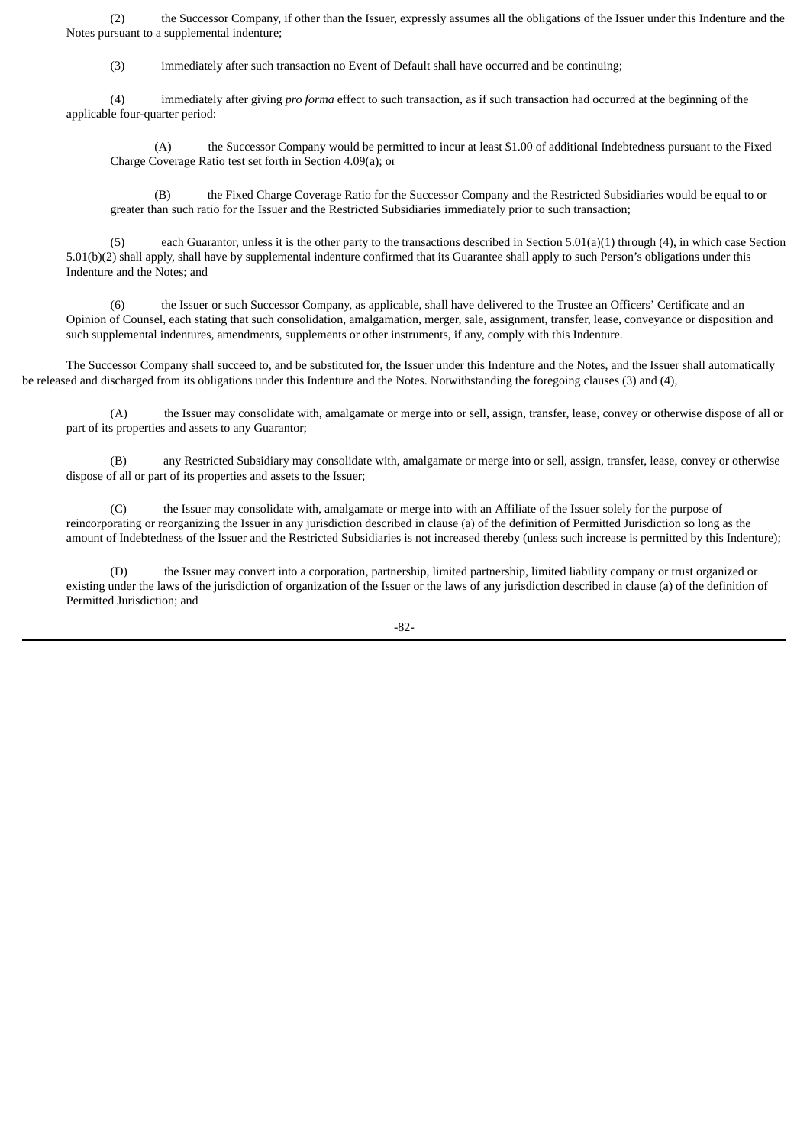(2) the Successor Company, if other than the Issuer, expressly assumes all the obligations of the Issuer under this Indenture and the Notes pursuant to a supplemental indenture;

(3) immediately after such transaction no Event of Default shall have occurred and be continuing;

(4) immediately after giving *pro forma* effect to such transaction, as if such transaction had occurred at the beginning of the applicable four-quarter period:

(A) the Successor Company would be permitted to incur at least \$1.00 of additional Indebtedness pursuant to the Fixed Charge Coverage Ratio test set forth in Section 4.09(a); or

(B) the Fixed Charge Coverage Ratio for the Successor Company and the Restricted Subsidiaries would be equal to or greater than such ratio for the Issuer and the Restricted Subsidiaries immediately prior to such transaction;

each Guarantor, unless it is the other party to the transactions described in Section 5.01(a)(1) through (4), in which case Section 5.01(b)(2) shall apply, shall have by supplemental indenture confirmed that its Guarantee shall apply to such Person's obligations under this Indenture and the Notes; and

(6) the Issuer or such Successor Company, as applicable, shall have delivered to the Trustee an Officers' Certificate and an Opinion of Counsel, each stating that such consolidation, amalgamation, merger, sale, assignment, transfer, lease, conveyance or disposition and such supplemental indentures, amendments, supplements or other instruments, if any, comply with this Indenture.

The Successor Company shall succeed to, and be substituted for, the Issuer under this Indenture and the Notes, and the Issuer shall automatically be released and discharged from its obligations under this Indenture and the Notes. Notwithstanding the foregoing clauses (3) and (4),

(A) the Issuer may consolidate with, amalgamate or merge into or sell, assign, transfer, lease, convey or otherwise dispose of all or part of its properties and assets to any Guarantor;

(B) any Restricted Subsidiary may consolidate with, amalgamate or merge into or sell, assign, transfer, lease, convey or otherwise dispose of all or part of its properties and assets to the Issuer;

(C) the Issuer may consolidate with, amalgamate or merge into with an Affiliate of the Issuer solely for the purpose of reincorporating or reorganizing the Issuer in any jurisdiction described in clause (a) of the definition of Permitted Jurisdiction so long as the amount of Indebtedness of the Issuer and the Restricted Subsidiaries is not increased thereby (unless such increase is permitted by this Indenture);

(D) the Issuer may convert into a corporation, partnership, limited partnership, limited liability company or trust organized or existing under the laws of the jurisdiction of organization of the Issuer or the laws of any jurisdiction described in clause (a) of the definition of Permitted Jurisdiction; and

-82-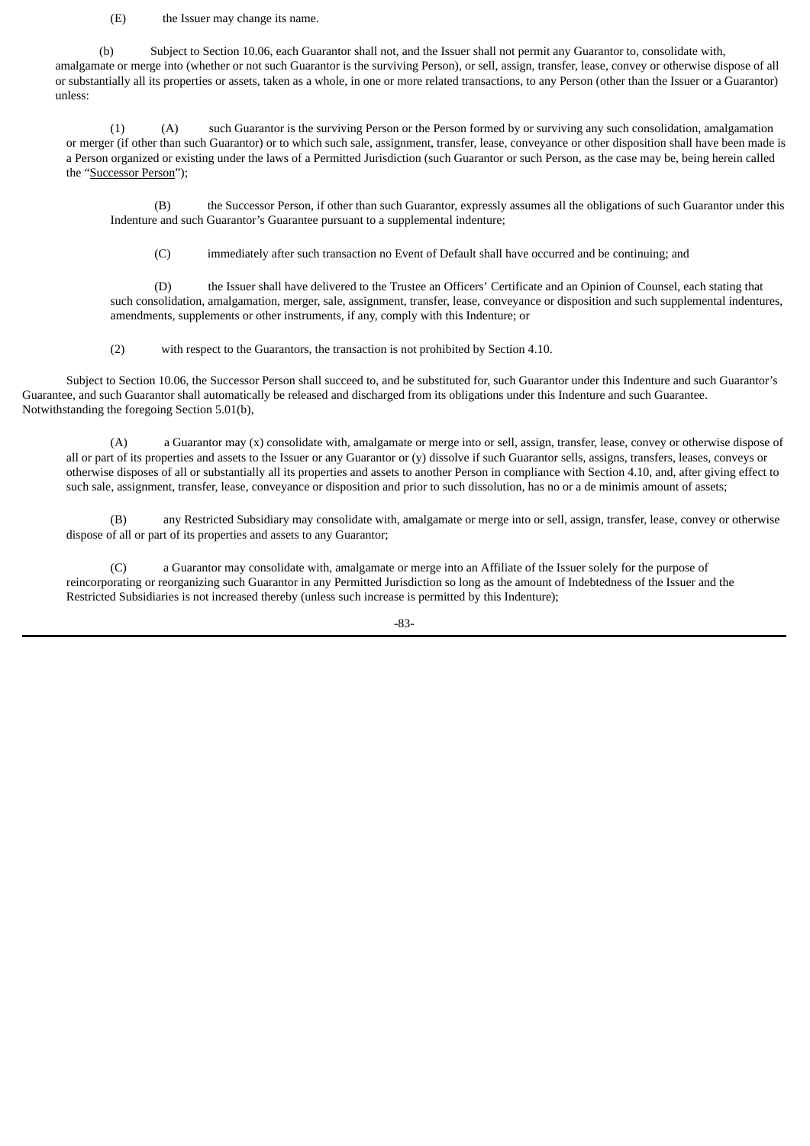(E) the Issuer may change its name.

(b) Subject to Section 10.06, each Guarantor shall not, and the Issuer shall not permit any Guarantor to, consolidate with, amalgamate or merge into (whether or not such Guarantor is the surviving Person), or sell, assign, transfer, lease, convey or otherwise dispose of all or substantially all its properties or assets, taken as a whole, in one or more related transactions, to any Person (other than the Issuer or a Guarantor) unless:

(1) (A) such Guarantor is the surviving Person or the Person formed by or surviving any such consolidation, amalgamation or merger (if other than such Guarantor) or to which such sale, assignment, transfer, lease, conveyance or other disposition shall have been made is a Person organized or existing under the laws of a Permitted Jurisdiction (such Guarantor or such Person, as the case may be, being herein called the "Successor Person");

(B) the Successor Person, if other than such Guarantor, expressly assumes all the obligations of such Guarantor under this Indenture and such Guarantor's Guarantee pursuant to a supplemental indenture;

(C) immediately after such transaction no Event of Default shall have occurred and be continuing; and

(D) the Issuer shall have delivered to the Trustee an Officers' Certificate and an Opinion of Counsel, each stating that such consolidation, amalgamation, merger, sale, assignment, transfer, lease, conveyance or disposition and such supplemental indentures, amendments, supplements or other instruments, if any, comply with this Indenture; or

(2) with respect to the Guarantors, the transaction is not prohibited by Section 4.10.

Subject to Section 10.06, the Successor Person shall succeed to, and be substituted for, such Guarantor under this Indenture and such Guarantor's Guarantee, and such Guarantor shall automatically be released and discharged from its obligations under this Indenture and such Guarantee. Notwithstanding the foregoing Section 5.01(b),

(A) a Guarantor may (x) consolidate with, amalgamate or merge into or sell, assign, transfer, lease, convey or otherwise dispose of all or part of its properties and assets to the Issuer or any Guarantor or (y) dissolve if such Guarantor sells, assigns, transfers, leases, conveys or otherwise disposes of all or substantially all its properties and assets to another Person in compliance with Section 4.10, and, after giving effect to such sale, assignment, transfer, lease, conveyance or disposition and prior to such dissolution, has no or a de minimis amount of assets;

(B) any Restricted Subsidiary may consolidate with, amalgamate or merge into or sell, assign, transfer, lease, convey or otherwise dispose of all or part of its properties and assets to any Guarantor;

(C) a Guarantor may consolidate with, amalgamate or merge into an Affiliate of the Issuer solely for the purpose of reincorporating or reorganizing such Guarantor in any Permitted Jurisdiction so long as the amount of Indebtedness of the Issuer and the Restricted Subsidiaries is not increased thereby (unless such increase is permitted by this Indenture);

-83-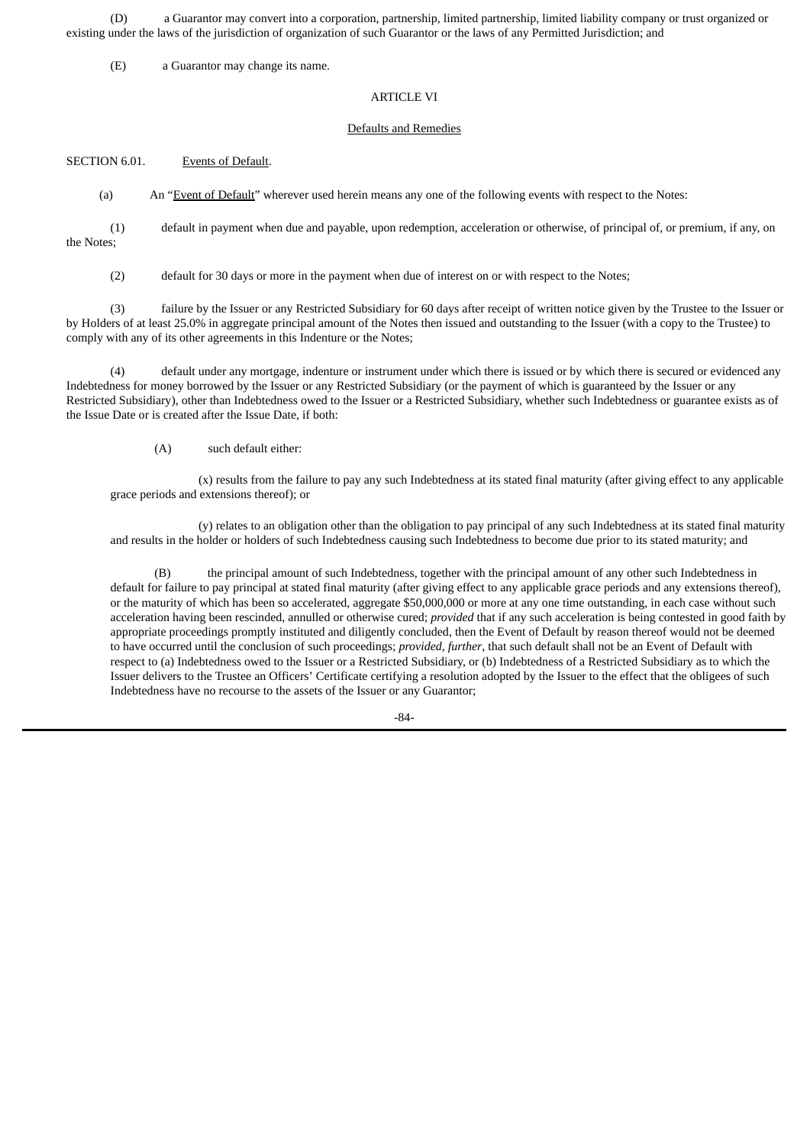(D) a Guarantor may convert into a corporation, partnership, limited partnership, limited liability company or trust organized or existing under the laws of the jurisdiction of organization of such Guarantor or the laws of any Permitted Jurisdiction; and

(E) a Guarantor may change its name.

### ARTICLE VI

### Defaults and Remedies

SECTION 6.01. Events of Default.

(a) An "Event of Default" wherever used herein means any one of the following events with respect to the Notes:

(1) default in payment when due and payable, upon redemption, acceleration or otherwise, of principal of, or premium, if any, on the Notes;

(2) default for 30 days or more in the payment when due of interest on or with respect to the Notes;

(3) failure by the Issuer or any Restricted Subsidiary for 60 days after receipt of written notice given by the Trustee to the Issuer or by Holders of at least 25.0% in aggregate principal amount of the Notes then issued and outstanding to the Issuer (with a copy to the Trustee) to comply with any of its other agreements in this Indenture or the Notes;

(4) default under any mortgage, indenture or instrument under which there is issued or by which there is secured or evidenced any Indebtedness for money borrowed by the Issuer or any Restricted Subsidiary (or the payment of which is guaranteed by the Issuer or any Restricted Subsidiary), other than Indebtedness owed to the Issuer or a Restricted Subsidiary, whether such Indebtedness or guarantee exists as of the Issue Date or is created after the Issue Date, if both:

(A) such default either:

(x) results from the failure to pay any such Indebtedness at its stated final maturity (after giving effect to any applicable grace periods and extensions thereof); or

(y) relates to an obligation other than the obligation to pay principal of any such Indebtedness at its stated final maturity and results in the holder or holders of such Indebtedness causing such Indebtedness to become due prior to its stated maturity; and

(B) the principal amount of such Indebtedness, together with the principal amount of any other such Indebtedness in default for failure to pay principal at stated final maturity (after giving effect to any applicable grace periods and any extensions thereof), or the maturity of which has been so accelerated, aggregate \$50,000,000 or more at any one time outstanding, in each case without such acceleration having been rescinded, annulled or otherwise cured; *provided* that if any such acceleration is being contested in good faith by appropriate proceedings promptly instituted and diligently concluded, then the Event of Default by reason thereof would not be deemed to have occurred until the conclusion of such proceedings; *provided*, *further*, that such default shall not be an Event of Default with respect to (a) Indebtedness owed to the Issuer or a Restricted Subsidiary, or (b) Indebtedness of a Restricted Subsidiary as to which the Issuer delivers to the Trustee an Officers' Certificate certifying a resolution adopted by the Issuer to the effect that the obligees of such Indebtedness have no recourse to the assets of the Issuer or any Guarantor;

-84-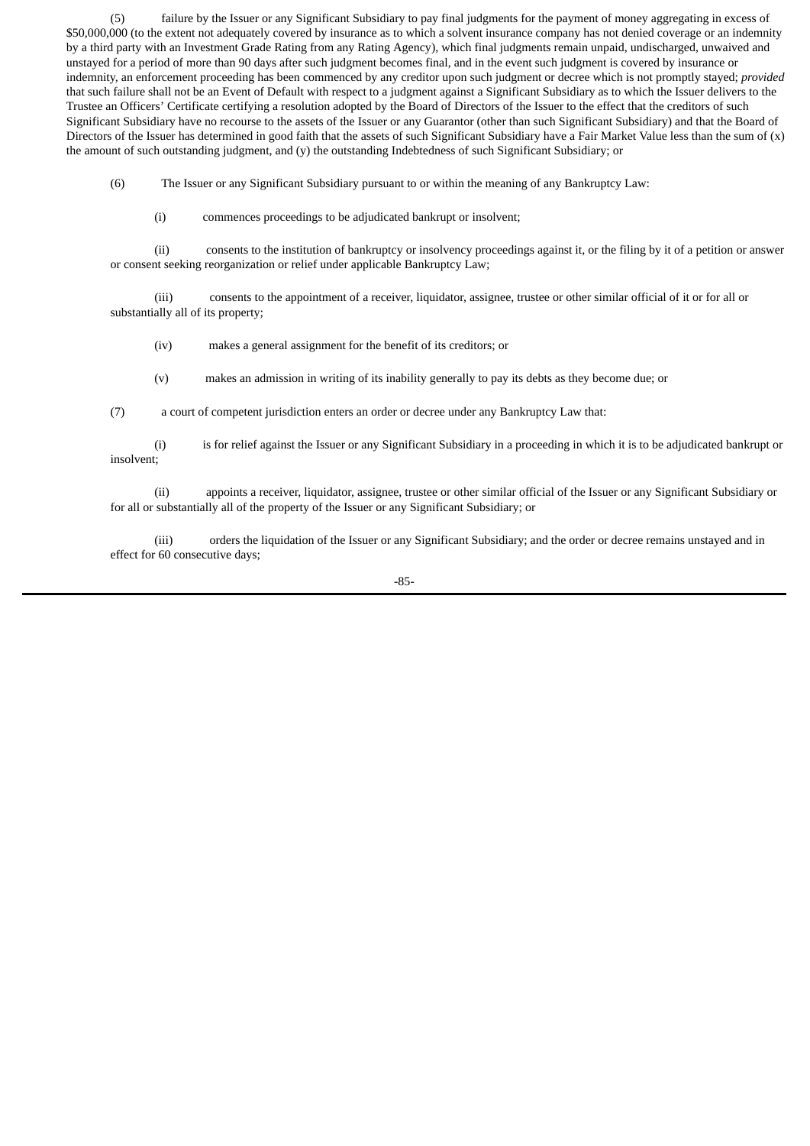(5) failure by the Issuer or any Significant Subsidiary to pay final judgments for the payment of money aggregating in excess of \$50,000,000 (to the extent not adequately covered by insurance as to which a solvent insurance company has not denied coverage or an indemnity by a third party with an Investment Grade Rating from any Rating Agency), which final judgments remain unpaid, undischarged, unwaived and unstayed for a period of more than 90 days after such judgment becomes final, and in the event such judgment is covered by insurance or indemnity, an enforcement proceeding has been commenced by any creditor upon such judgment or decree which is not promptly stayed; *provided* that such failure shall not be an Event of Default with respect to a judgment against a Significant Subsidiary as to which the Issuer delivers to the Trustee an Officers' Certificate certifying a resolution adopted by the Board of Directors of the Issuer to the effect that the creditors of such Significant Subsidiary have no recourse to the assets of the Issuer or any Guarantor (other than such Significant Subsidiary) and that the Board of Directors of the Issuer has determined in good faith that the assets of such Significant Subsidiary have a Fair Market Value less than the sum of (x) the amount of such outstanding judgment, and (y) the outstanding Indebtedness of such Significant Subsidiary; or

(6) The Issuer or any Significant Subsidiary pursuant to or within the meaning of any Bankruptcy Law:

(i) commences proceedings to be adjudicated bankrupt or insolvent;

(ii) consents to the institution of bankruptcy or insolvency proceedings against it, or the filing by it of a petition or answer or consent seeking reorganization or relief under applicable Bankruptcy Law;

(iii) consents to the appointment of a receiver, liquidator, assignee, trustee or other similar official of it or for all or substantially all of its property;

(iv) makes a general assignment for the benefit of its creditors; or

(v) makes an admission in writing of its inability generally to pay its debts as they become due; or

(7) a court of competent jurisdiction enters an order or decree under any Bankruptcy Law that:

(i) is for relief against the Issuer or any Significant Subsidiary in a proceeding in which it is to be adjudicated bankrupt or insolvent;

(ii) appoints a receiver, liquidator, assignee, trustee or other similar official of the Issuer or any Significant Subsidiary or for all or substantially all of the property of the Issuer or any Significant Subsidiary; or

(iii) orders the liquidation of the Issuer or any Significant Subsidiary; and the order or decree remains unstayed and in effect for 60 consecutive days;

-85-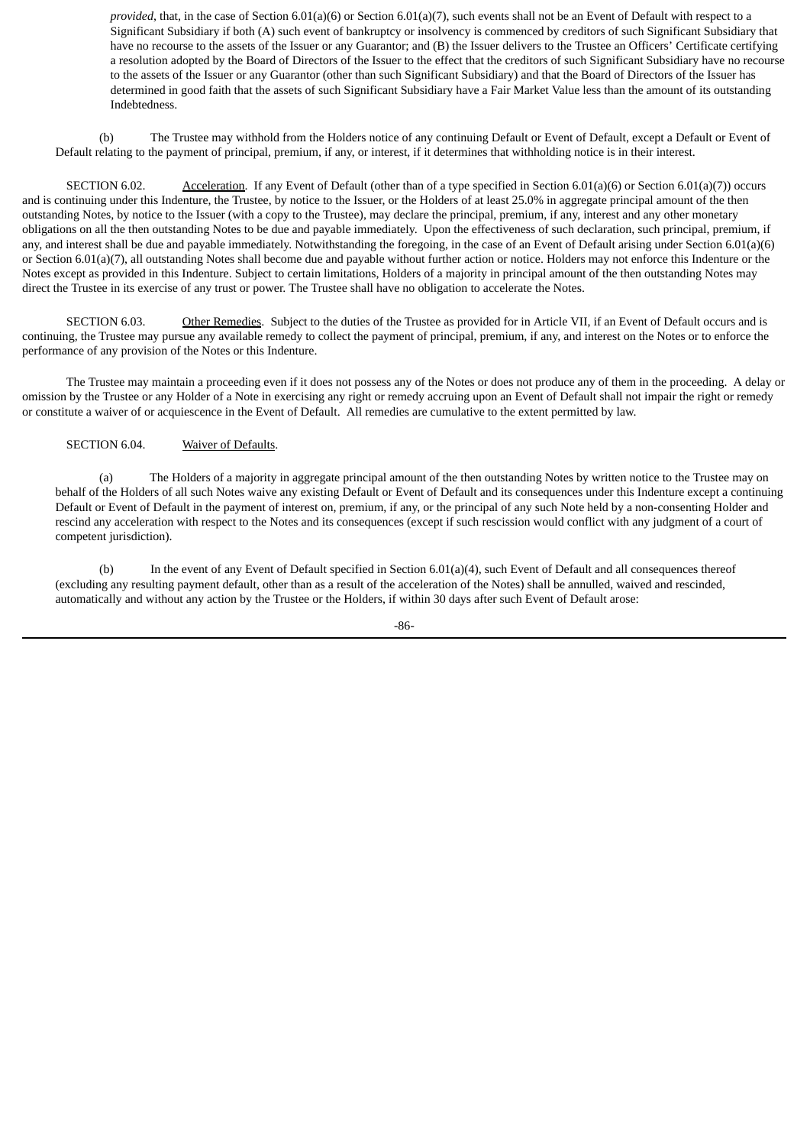*provided*, that, in the case of Section 6.01(a)(6) or Section 6.01(a)(7), such events shall not be an Event of Default with respect to a Significant Subsidiary if both (A) such event of bankruptcy or insolvency is commenced by creditors of such Significant Subsidiary that have no recourse to the assets of the Issuer or any Guarantor; and (B) the Issuer delivers to the Trustee an Officers' Certificate certifying a resolution adopted by the Board of Directors of the Issuer to the effect that the creditors of such Significant Subsidiary have no recourse to the assets of the Issuer or any Guarantor (other than such Significant Subsidiary) and that the Board of Directors of the Issuer has determined in good faith that the assets of such Significant Subsidiary have a Fair Market Value less than the amount of its outstanding Indebtedness.

(b) The Trustee may withhold from the Holders notice of any continuing Default or Event of Default, except a Default or Event of Default relating to the payment of principal, premium, if any, or interest, if it determines that withholding notice is in their interest.

SECTION 6.02. Acceleration. If any Event of Default (other than of a type specified in Section 6.01(a)(6) or Section 6.01(a)(7)) occurs and is continuing under this Indenture, the Trustee, by notice to the Issuer, or the Holders of at least 25.0% in aggregate principal amount of the then outstanding Notes, by notice to the Issuer (with a copy to the Trustee), may declare the principal, premium, if any, interest and any other monetary obligations on all the then outstanding Notes to be due and payable immediately. Upon the effectiveness of such declaration, such principal, premium, if any, and interest shall be due and payable immediately. Notwithstanding the foregoing, in the case of an Event of Default arising under Section 6.01(a)(6) or Section 6.01(a)(7), all outstanding Notes shall become due and payable without further action or notice. Holders may not enforce this Indenture or the Notes except as provided in this Indenture. Subject to certain limitations, Holders of a majority in principal amount of the then outstanding Notes may direct the Trustee in its exercise of any trust or power. The Trustee shall have no obligation to accelerate the Notes.

SECTION 6.03. Other Remedies. Subject to the duties of the Trustee as provided for in Article VII, if an Event of Default occurs and is continuing, the Trustee may pursue any available remedy to collect the payment of principal, premium, if any, and interest on the Notes or to enforce the performance of any provision of the Notes or this Indenture.

The Trustee may maintain a proceeding even if it does not possess any of the Notes or does not produce any of them in the proceeding. A delay or omission by the Trustee or any Holder of a Note in exercising any right or remedy accruing upon an Event of Default shall not impair the right or remedy or constitute a waiver of or acquiescence in the Event of Default. All remedies are cumulative to the extent permitted by law.

# SECTION 6.04. Waiver of Defaults.

(a) The Holders of a majority in aggregate principal amount of the then outstanding Notes by written notice to the Trustee may on behalf of the Holders of all such Notes waive any existing Default or Event of Default and its consequences under this Indenture except a continuing Default or Event of Default in the payment of interest on, premium, if any, or the principal of any such Note held by a non-consenting Holder and rescind any acceleration with respect to the Notes and its consequences (except if such rescission would conflict with any judgment of a court of competent jurisdiction).

(b) In the event of any Event of Default specified in Section 6.01(a)(4), such Event of Default and all consequences thereof (excluding any resulting payment default, other than as a result of the acceleration of the Notes) shall be annulled, waived and rescinded, automatically and without any action by the Trustee or the Holders, if within 30 days after such Event of Default arose:

-86-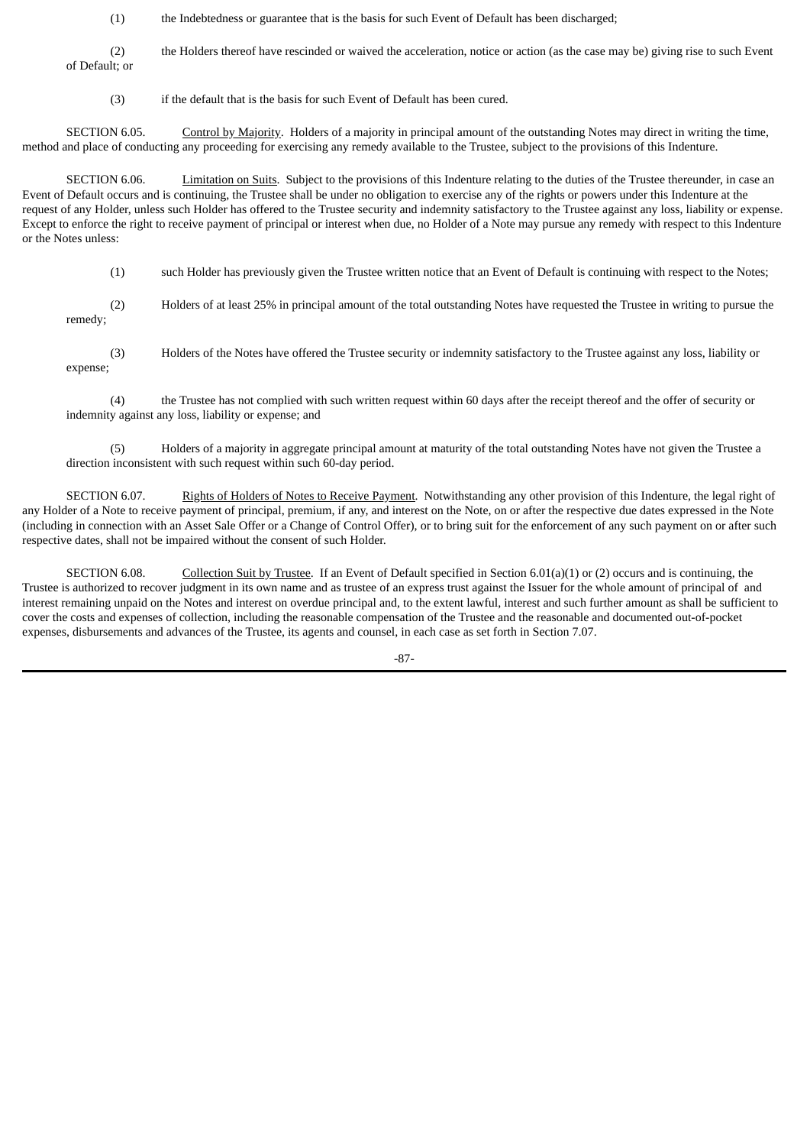(1) the Indebtedness or guarantee that is the basis for such Event of Default has been discharged;

(2) the Holders thereof have rescinded or waived the acceleration, notice or action (as the case may be) giving rise to such Event of Default; or

(3) if the default that is the basis for such Event of Default has been cured.

SECTION 6.05. Control by Majority. Holders of a majority in principal amount of the outstanding Notes may direct in writing the time, method and place of conducting any proceeding for exercising any remedy available to the Trustee, subject to the provisions of this Indenture.

SECTION 6.06. Limitation on Suits. Subject to the provisions of this Indenture relating to the duties of the Trustee thereunder, in case an Event of Default occurs and is continuing, the Trustee shall be under no obligation to exercise any of the rights or powers under this Indenture at the request of any Holder, unless such Holder has offered to the Trustee security and indemnity satisfactory to the Trustee against any loss, liability or expense. Except to enforce the right to receive payment of principal or interest when due, no Holder of a Note may pursue any remedy with respect to this Indenture or the Notes unless:

(1) such Holder has previously given the Trustee written notice that an Event of Default is continuing with respect to the Notes;

(2) Holders of at least 25% in principal amount of the total outstanding Notes have requested the Trustee in writing to pursue the remedy;

(3) Holders of the Notes have offered the Trustee security or indemnity satisfactory to the Trustee against any loss, liability or expense;

(4) the Trustee has not complied with such written request within 60 days after the receipt thereof and the offer of security or indemnity against any loss, liability or expense; and

(5) Holders of a majority in aggregate principal amount at maturity of the total outstanding Notes have not given the Trustee a direction inconsistent with such request within such 60-day period.

SECTION 6.07. Rights of Holders of Notes to Receive Payment. Notwithstanding any other provision of this Indenture, the legal right of any Holder of a Note to receive payment of principal, premium, if any, and interest on the Note, on or after the respective due dates expressed in the Note (including in connection with an Asset Sale Offer or a Change of Control Offer), or to bring suit for the enforcement of any such payment on or after such respective dates, shall not be impaired without the consent of such Holder.

SECTION 6.08. Collection Suit by Trustee. If an Event of Default specified in Section 6.01(a)(1) or (2) occurs and is continuing, the Trustee is authorized to recover judgment in its own name and as trustee of an express trust against the Issuer for the whole amount of principal of and interest remaining unpaid on the Notes and interest on overdue principal and, to the extent lawful, interest and such further amount as shall be sufficient to cover the costs and expenses of collection, including the reasonable compensation of the Trustee and the reasonable and documented out-of-pocket expenses, disbursements and advances of the Trustee, its agents and counsel, in each case as set forth in Section 7.07.

-87-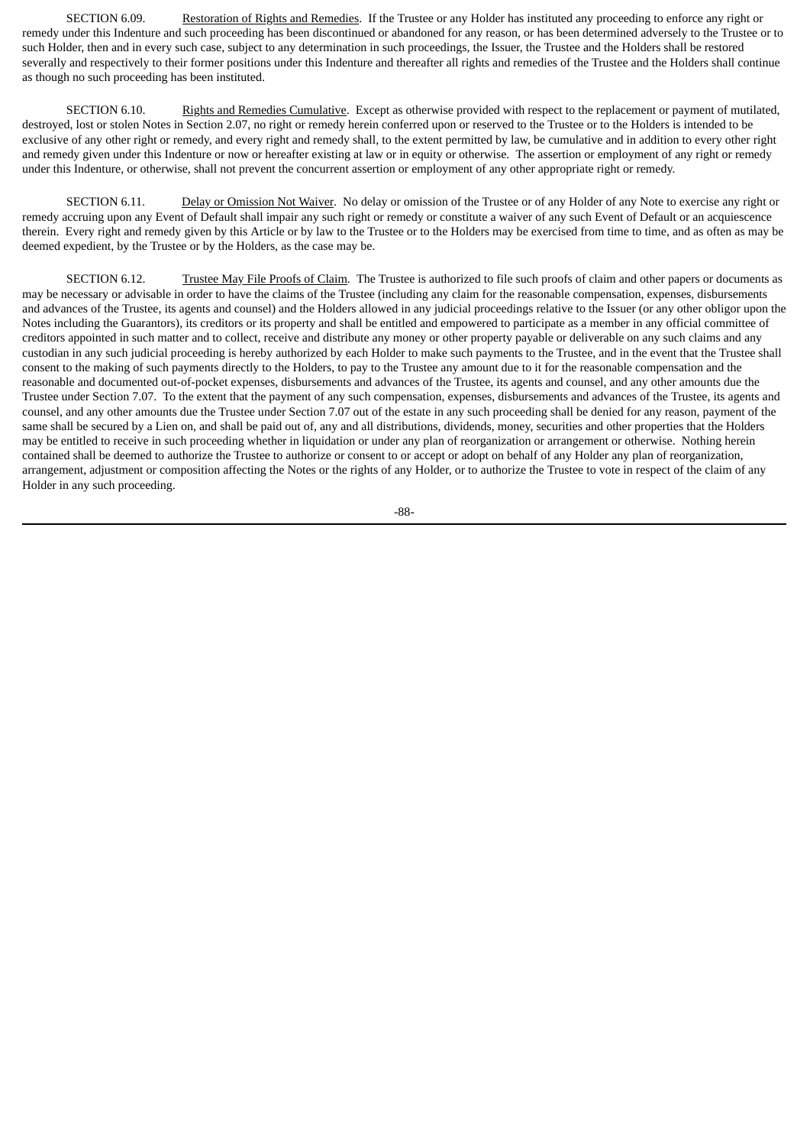SECTION 6.09. Restoration of Rights and Remedies. If the Trustee or any Holder has instituted any proceeding to enforce any right or remedy under this Indenture and such proceeding has been discontinued or abandoned for any reason, or has been determined adversely to the Trustee or to such Holder, then and in every such case, subject to any determination in such proceedings, the Issuer, the Trustee and the Holders shall be restored severally and respectively to their former positions under this Indenture and thereafter all rights and remedies of the Trustee and the Holders shall continue as though no such proceeding has been instituted.

SECTION 6.10. Rights and Remedies Cumulative. Except as otherwise provided with respect to the replacement or payment of mutilated, destroyed, lost or stolen Notes in Section 2.07, no right or remedy herein conferred upon or reserved to the Trustee or to the Holders is intended to be exclusive of any other right or remedy, and every right and remedy shall, to the extent permitted by law, be cumulative and in addition to every other right and remedy given under this Indenture or now or hereafter existing at law or in equity or otherwise. The assertion or employment of any right or remedy under this Indenture, or otherwise, shall not prevent the concurrent assertion or employment of any other appropriate right or remedy.

SECTION 6.11. Delay or Omission Not Waiver. No delay or omission of the Trustee or of any Holder of any Note to exercise any right or remedy accruing upon any Event of Default shall impair any such right or remedy or constitute a waiver of any such Event of Default or an acquiescence therein. Every right and remedy given by this Article or by law to the Trustee or to the Holders may be exercised from time to time, and as often as may be deemed expedient, by the Trustee or by the Holders, as the case may be.

SECTION 6.12. Trustee May File Proofs of Claim. The Trustee is authorized to file such proofs of claim and other papers or documents as may be necessary or advisable in order to have the claims of the Trustee (including any claim for the reasonable compensation, expenses, disbursements and advances of the Trustee, its agents and counsel) and the Holders allowed in any judicial proceedings relative to the Issuer (or any other obligor upon the Notes including the Guarantors), its creditors or its property and shall be entitled and empowered to participate as a member in any official committee of creditors appointed in such matter and to collect, receive and distribute any money or other property payable or deliverable on any such claims and any custodian in any such judicial proceeding is hereby authorized by each Holder to make such payments to the Trustee, and in the event that the Trustee shall consent to the making of such payments directly to the Holders, to pay to the Trustee any amount due to it for the reasonable compensation and the reasonable and documented out-of-pocket expenses, disbursements and advances of the Trustee, its agents and counsel, and any other amounts due the Trustee under Section 7.07. To the extent that the payment of any such compensation, expenses, disbursements and advances of the Trustee, its agents and counsel, and any other amounts due the Trustee under Section 7.07 out of the estate in any such proceeding shall be denied for any reason, payment of the same shall be secured by a Lien on, and shall be paid out of, any and all distributions, dividends, money, securities and other properties that the Holders may be entitled to receive in such proceeding whether in liquidation or under any plan of reorganization or arrangement or otherwise. Nothing herein contained shall be deemed to authorize the Trustee to authorize or consent to or accept or adopt on behalf of any Holder any plan of reorganization, arrangement, adjustment or composition affecting the Notes or the rights of any Holder, or to authorize the Trustee to vote in respect of the claim of any Holder in any such proceeding.

-88-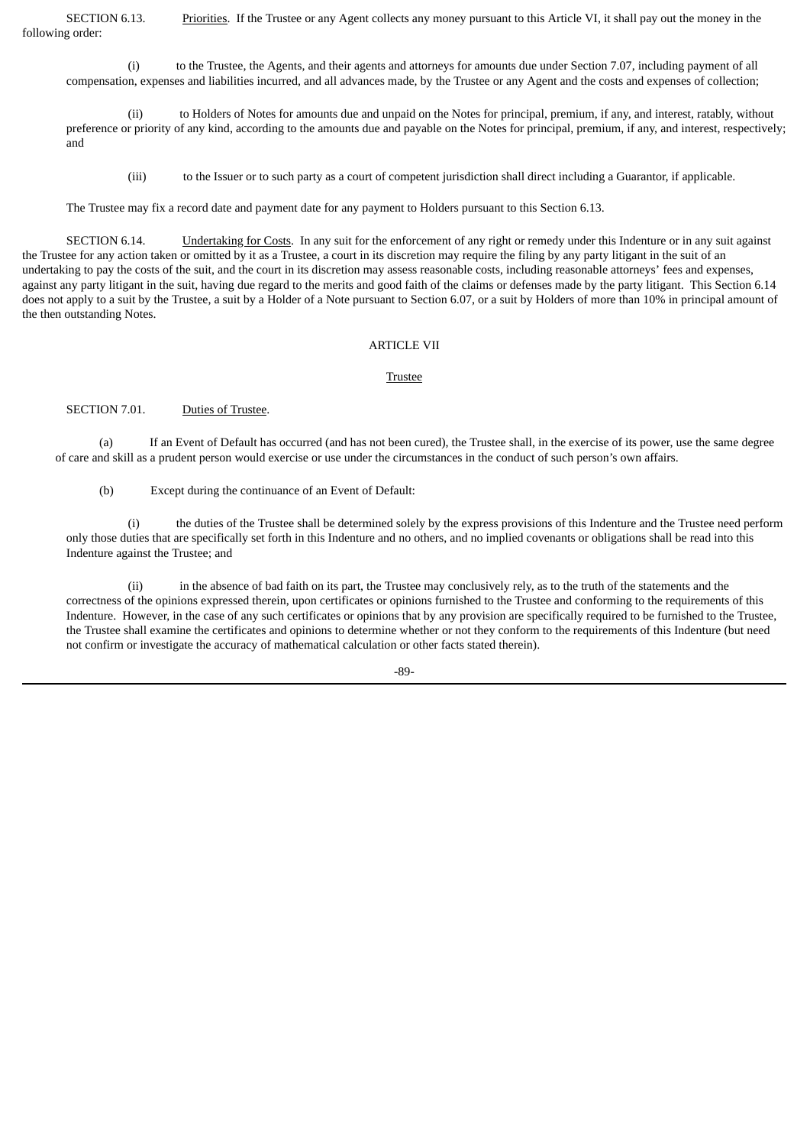SECTION 6.13. Priorities. If the Trustee or any Agent collects any money pursuant to this Article VI, it shall pay out the money in the following order:

(i) to the Trustee, the Agents, and their agents and attorneys for amounts due under Section 7.07, including payment of all compensation, expenses and liabilities incurred, and all advances made, by the Trustee or any Agent and the costs and expenses of collection;

(ii) to Holders of Notes for amounts due and unpaid on the Notes for principal, premium, if any, and interest, ratably, without preference or priority of any kind, according to the amounts due and payable on the Notes for principal, premium, if any, and interest, respectively; and

(iii) to the Issuer or to such party as a court of competent jurisdiction shall direct including a Guarantor, if applicable.

The Trustee may fix a record date and payment date for any payment to Holders pursuant to this Section 6.13.

SECTION 6.14. Undertaking for Costs. In any suit for the enforcement of any right or remedy under this Indenture or in any suit against the Trustee for any action taken or omitted by it as a Trustee, a court in its discretion may require the filing by any party litigant in the suit of an undertaking to pay the costs of the suit, and the court in its discretion may assess reasonable costs, including reasonable attorneys' fees and expenses, against any party litigant in the suit, having due regard to the merits and good faith of the claims or defenses made by the party litigant. This Section 6.14 does not apply to a suit by the Trustee, a suit by a Holder of a Note pursuant to Section 6.07, or a suit by Holders of more than 10% in principal amount of the then outstanding Notes.

### ARTICLE VII

#### Trustee

SECTION 7.01. Duties of Trustee.

(a) If an Event of Default has occurred (and has not been cured), the Trustee shall, in the exercise of its power, use the same degree of care and skill as a prudent person would exercise or use under the circumstances in the conduct of such person's own affairs.

(b) Except during the continuance of an Event of Default:

(i) the duties of the Trustee shall be determined solely by the express provisions of this Indenture and the Trustee need perform only those duties that are specifically set forth in this Indenture and no others, and no implied covenants or obligations shall be read into this Indenture against the Trustee; and

(ii) in the absence of bad faith on its part, the Trustee may conclusively rely, as to the truth of the statements and the correctness of the opinions expressed therein, upon certificates or opinions furnished to the Trustee and conforming to the requirements of this Indenture. However, in the case of any such certificates or opinions that by any provision are specifically required to be furnished to the Trustee, the Trustee shall examine the certificates and opinions to determine whether or not they conform to the requirements of this Indenture (but need not confirm or investigate the accuracy of mathematical calculation or other facts stated therein).

-89-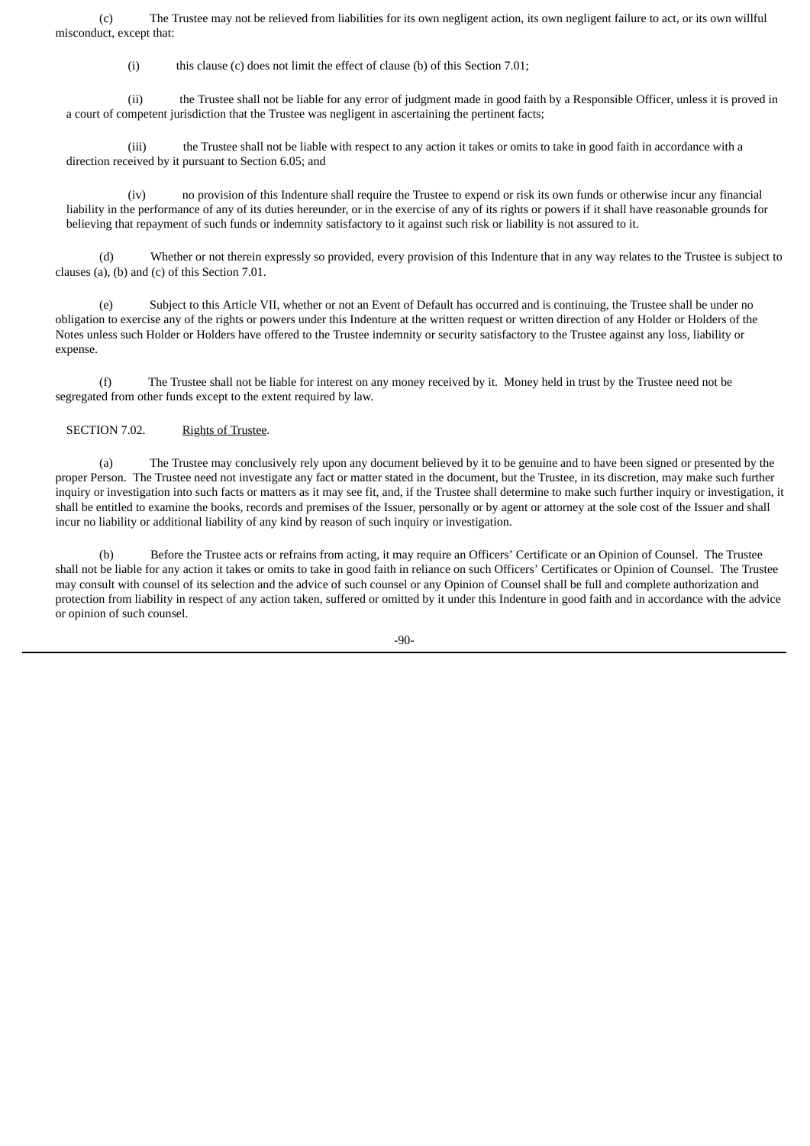(c) The Trustee may not be relieved from liabilities for its own negligent action, its own negligent failure to act, or its own willful misconduct, except that:

(i) this clause (c) does not limit the effect of clause (b) of this Section 7.01;

(ii) the Trustee shall not be liable for any error of judgment made in good faith by a Responsible Officer, unless it is proved in a court of competent jurisdiction that the Trustee was negligent in ascertaining the pertinent facts;

(iii) the Trustee shall not be liable with respect to any action it takes or omits to take in good faith in accordance with a direction received by it pursuant to Section 6.05; and

(iv) no provision of this Indenture shall require the Trustee to expend or risk its own funds or otherwise incur any financial liability in the performance of any of its duties hereunder, or in the exercise of any of its rights or powers if it shall have reasonable grounds for believing that repayment of such funds or indemnity satisfactory to it against such risk or liability is not assured to it.

(d) Whether or not therein expressly so provided, every provision of this Indenture that in any way relates to the Trustee is subject to clauses (a), (b) and (c) of this Section 7.01.

(e) Subject to this Article VII, whether or not an Event of Default has occurred and is continuing, the Trustee shall be under no obligation to exercise any of the rights or powers under this Indenture at the written request or written direction of any Holder or Holders of the Notes unless such Holder or Holders have offered to the Trustee indemnity or security satisfactory to the Trustee against any loss, liability or expense.

(f) The Trustee shall not be liable for interest on any money received by it. Money held in trust by the Trustee need not be segregated from other funds except to the extent required by law.

# SECTION 7.02. Rights of Trustee.

(a) The Trustee may conclusively rely upon any document believed by it to be genuine and to have been signed or presented by the proper Person. The Trustee need not investigate any fact or matter stated in the document, but the Trustee, in its discretion, may make such further inquiry or investigation into such facts or matters as it may see fit, and, if the Trustee shall determine to make such further inquiry or investigation, it shall be entitled to examine the books, records and premises of the Issuer, personally or by agent or attorney at the sole cost of the Issuer and shall incur no liability or additional liability of any kind by reason of such inquiry or investigation.

(b) Before the Trustee acts or refrains from acting, it may require an Officers' Certificate or an Opinion of Counsel. The Trustee shall not be liable for any action it takes or omits to take in good faith in reliance on such Officers' Certificates or Opinion of Counsel. The Trustee may consult with counsel of its selection and the advice of such counsel or any Opinion of Counsel shall be full and complete authorization and protection from liability in respect of any action taken, suffered or omitted by it under this Indenture in good faith and in accordance with the advice or opinion of such counsel.

-90-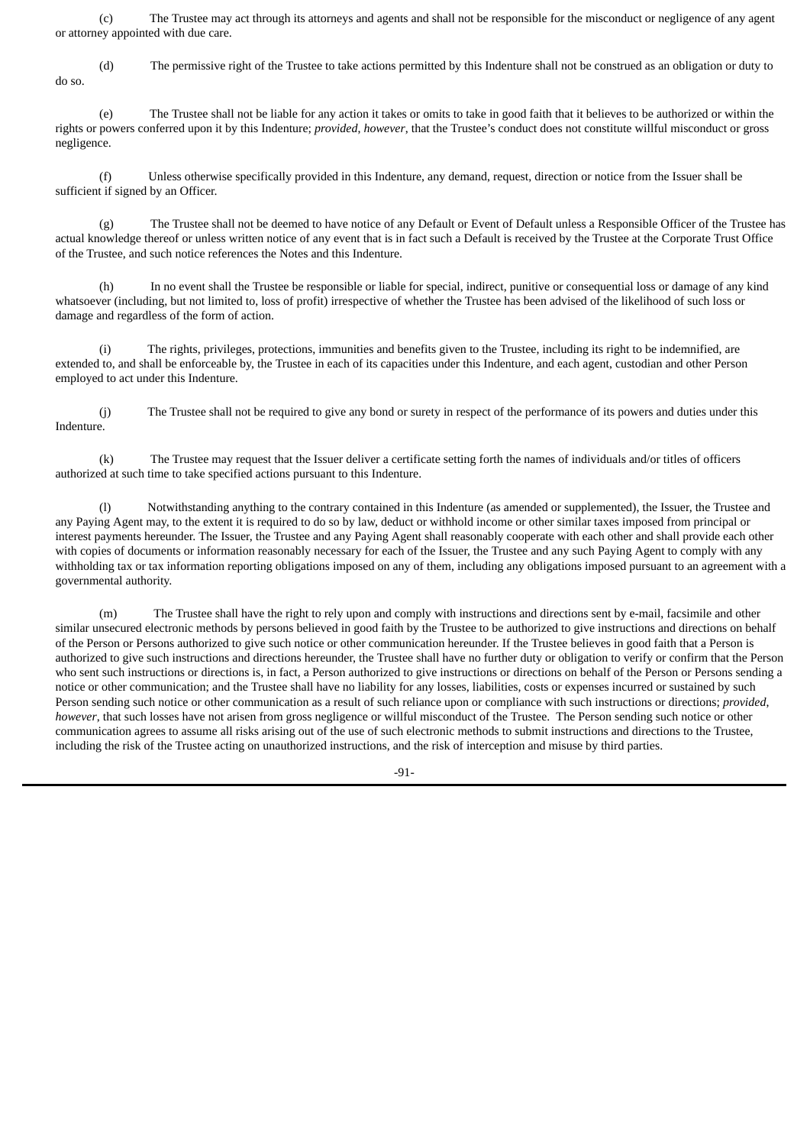(c) The Trustee may act through its attorneys and agents and shall not be responsible for the misconduct or negligence of any agent or attorney appointed with due care.

(d) The permissive right of the Trustee to take actions permitted by this Indenture shall not be construed as an obligation or duty to do so.

(e) The Trustee shall not be liable for any action it takes or omits to take in good faith that it believes to be authorized or within the rights or powers conferred upon it by this Indenture; *provided*, *however*, that the Trustee's conduct does not constitute willful misconduct or gross negligence.

(f) Unless otherwise specifically provided in this Indenture, any demand, request, direction or notice from the Issuer shall be sufficient if signed by an Officer.

(g) The Trustee shall not be deemed to have notice of any Default or Event of Default unless a Responsible Officer of the Trustee has actual knowledge thereof or unless written notice of any event that is in fact such a Default is received by the Trustee at the Corporate Trust Office of the Trustee, and such notice references the Notes and this Indenture.

(h) In no event shall the Trustee be responsible or liable for special, indirect, punitive or consequential loss or damage of any kind whatsoever (including, but not limited to, loss of profit) irrespective of whether the Trustee has been advised of the likelihood of such loss or damage and regardless of the form of action.

(i) The rights, privileges, protections, immunities and benefits given to the Trustee, including its right to be indemnified, are extended to, and shall be enforceable by, the Trustee in each of its capacities under this Indenture, and each agent, custodian and other Person employed to act under this Indenture.

(j) The Trustee shall not be required to give any bond or surety in respect of the performance of its powers and duties under this Indenture.

(k) The Trustee may request that the Issuer deliver a certificate setting forth the names of individuals and/or titles of officers authorized at such time to take specified actions pursuant to this Indenture.

(l) Notwithstanding anything to the contrary contained in this Indenture (as amended or supplemented), the Issuer, the Trustee and any Paying Agent may, to the extent it is required to do so by law, deduct or withhold income or other similar taxes imposed from principal or interest payments hereunder. The Issuer, the Trustee and any Paying Agent shall reasonably cooperate with each other and shall provide each other with copies of documents or information reasonably necessary for each of the Issuer, the Trustee and any such Paying Agent to comply with any withholding tax or tax information reporting obligations imposed on any of them, including any obligations imposed pursuant to an agreement with a governmental authority.

(m) The Trustee shall have the right to rely upon and comply with instructions and directions sent by e-mail, facsimile and other similar unsecured electronic methods by persons believed in good faith by the Trustee to be authorized to give instructions and directions on behalf of the Person or Persons authorized to give such notice or other communication hereunder. If the Trustee believes in good faith that a Person is authorized to give such instructions and directions hereunder, the Trustee shall have no further duty or obligation to verify or confirm that the Person who sent such instructions or directions is, in fact, a Person authorized to give instructions or directions on behalf of the Person or Persons sending a notice or other communication; and the Trustee shall have no liability for any losses, liabilities, costs or expenses incurred or sustained by such Person sending such notice or other communication as a result of such reliance upon or compliance with such instructions or directions; *provided*, *however*, that such losses have not arisen from gross negligence or willful misconduct of the Trustee. The Person sending such notice or other communication agrees to assume all risks arising out of the use of such electronic methods to submit instructions and directions to the Trustee, including the risk of the Trustee acting on unauthorized instructions, and the risk of interception and misuse by third parties.

-91-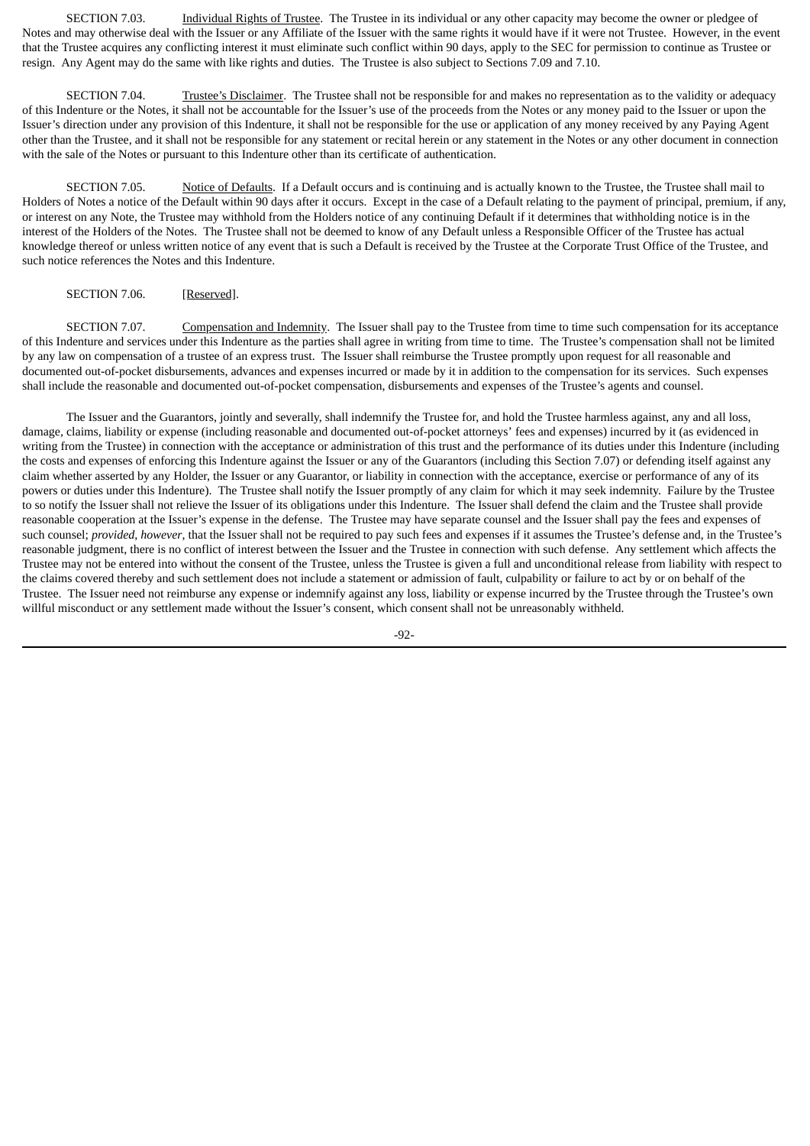SECTION 7.03. Individual Rights of Trustee. The Trustee in its individual or any other capacity may become the owner or pledgee of Notes and may otherwise deal with the Issuer or any Affiliate of the Issuer with the same rights it would have if it were not Trustee. However, in the event that the Trustee acquires any conflicting interest it must eliminate such conflict within 90 days, apply to the SEC for permission to continue as Trustee or resign. Any Agent may do the same with like rights and duties. The Trustee is also subject to Sections 7.09 and 7.10.

SECTION 7.04. Trustee's Disclaimer. The Trustee shall not be responsible for and makes no representation as to the validity or adequacy of this Indenture or the Notes, it shall not be accountable for the Issuer's use of the proceeds from the Notes or any money paid to the Issuer or upon the Issuer's direction under any provision of this Indenture, it shall not be responsible for the use or application of any money received by any Paying Agent other than the Trustee, and it shall not be responsible for any statement or recital herein or any statement in the Notes or any other document in connection with the sale of the Notes or pursuant to this Indenture other than its certificate of authentication.

SECTION 7.05. Notice of Defaults. If a Default occurs and is continuing and is actually known to the Trustee, the Trustee shall mail to Holders of Notes a notice of the Default within 90 days after it occurs. Except in the case of a Default relating to the payment of principal, premium, if any, or interest on any Note, the Trustee may withhold from the Holders notice of any continuing Default if it determines that withholding notice is in the interest of the Holders of the Notes. The Trustee shall not be deemed to know of any Default unless a Responsible Officer of the Trustee has actual knowledge thereof or unless written notice of any event that is such a Default is received by the Trustee at the Corporate Trust Office of the Trustee, and such notice references the Notes and this Indenture.

### SECTION 7.06. [Reserved].

SECTION 7.07. Compensation and Indemnity. The Issuer shall pay to the Trustee from time to time such compensation for its acceptance of this Indenture and services under this Indenture as the parties shall agree in writing from time to time. The Trustee's compensation shall not be limited by any law on compensation of a trustee of an express trust. The Issuer shall reimburse the Trustee promptly upon request for all reasonable and documented out-of-pocket disbursements, advances and expenses incurred or made by it in addition to the compensation for its services. Such expenses shall include the reasonable and documented out-of-pocket compensation, disbursements and expenses of the Trustee's agents and counsel.

The Issuer and the Guarantors, jointly and severally, shall indemnify the Trustee for, and hold the Trustee harmless against, any and all loss, damage, claims, liability or expense (including reasonable and documented out-of-pocket attorneys' fees and expenses) incurred by it (as evidenced in writing from the Trustee) in connection with the acceptance or administration of this trust and the performance of its duties under this Indenture (including the costs and expenses of enforcing this Indenture against the Issuer or any of the Guarantors (including this Section 7.07) or defending itself against any claim whether asserted by any Holder, the Issuer or any Guarantor, or liability in connection with the acceptance, exercise or performance of any of its powers or duties under this Indenture). The Trustee shall notify the Issuer promptly of any claim for which it may seek indemnity. Failure by the Trustee to so notify the Issuer shall not relieve the Issuer of its obligations under this Indenture. The Issuer shall defend the claim and the Trustee shall provide reasonable cooperation at the Issuer's expense in the defense. The Trustee may have separate counsel and the Issuer shall pay the fees and expenses of such counsel; *provided*, *however*, that the Issuer shall not be required to pay such fees and expenses if it assumes the Trustee's defense and, in the Trustee's reasonable judgment, there is no conflict of interest between the Issuer and the Trustee in connection with such defense. Any settlement which affects the Trustee may not be entered into without the consent of the Trustee, unless the Trustee is given a full and unconditional release from liability with respect to the claims covered thereby and such settlement does not include a statement or admission of fault, culpability or failure to act by or on behalf of the Trustee. The Issuer need not reimburse any expense or indemnify against any loss, liability or expense incurred by the Trustee through the Trustee's own willful misconduct or any settlement made without the Issuer's consent, which consent shall not be unreasonably withheld.

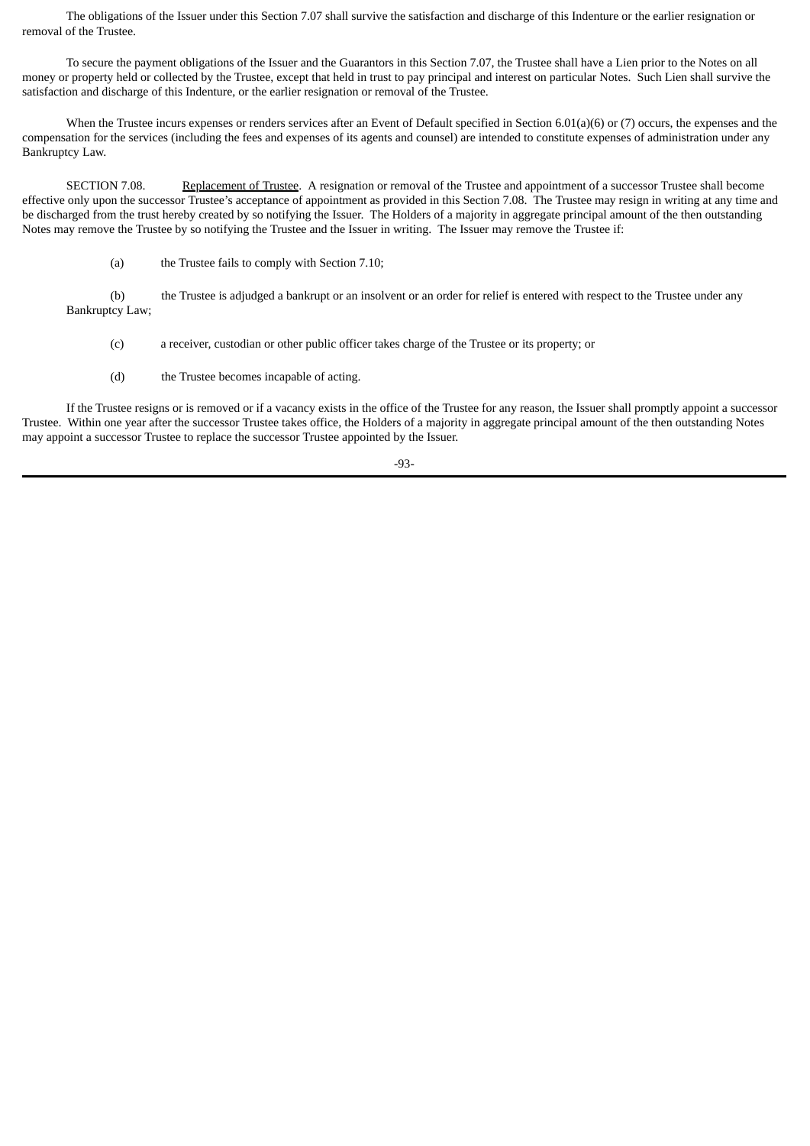The obligations of the Issuer under this Section 7.07 shall survive the satisfaction and discharge of this Indenture or the earlier resignation or removal of the Trustee.

To secure the payment obligations of the Issuer and the Guarantors in this Section 7.07, the Trustee shall have a Lien prior to the Notes on all money or property held or collected by the Trustee, except that held in trust to pay principal and interest on particular Notes. Such Lien shall survive the satisfaction and discharge of this Indenture, or the earlier resignation or removal of the Trustee.

When the Trustee incurs expenses or renders services after an Event of Default specified in Section 6.01(a)(6) or (7) occurs, the expenses and the compensation for the services (including the fees and expenses of its agents and counsel) are intended to constitute expenses of administration under any Bankruptcy Law.

SECTION 7.08. Replacement of Trustee. A resignation or removal of the Trustee and appointment of a successor Trustee shall become effective only upon the successor Trustee's acceptance of appointment as provided in this Section 7.08. The Trustee may resign in writing at any time and be discharged from the trust hereby created by so notifying the Issuer. The Holders of a majority in aggregate principal amount of the then outstanding Notes may remove the Trustee by so notifying the Trustee and the Issuer in writing. The Issuer may remove the Trustee if:

(a) the Trustee fails to comply with Section 7.10;

(b) the Trustee is adjudged a bankrupt or an insolvent or an order for relief is entered with respect to the Trustee under any Bankruptcy Law;

- (c) a receiver, custodian or other public officer takes charge of the Trustee or its property; or
- (d) the Trustee becomes incapable of acting.

If the Trustee resigns or is removed or if a vacancy exists in the office of the Trustee for any reason, the Issuer shall promptly appoint a successor Trustee. Within one year after the successor Trustee takes office, the Holders of a majority in aggregate principal amount of the then outstanding Notes may appoint a successor Trustee to replace the successor Trustee appointed by the Issuer.

-93-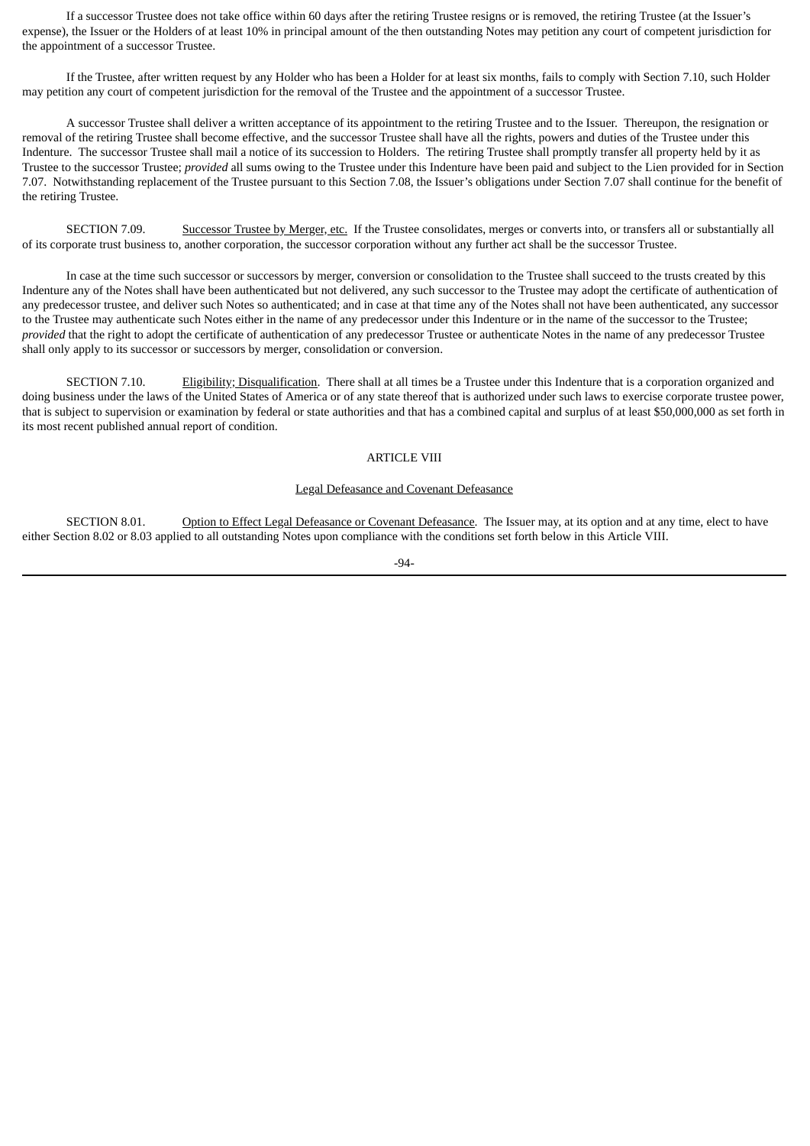If a successor Trustee does not take office within 60 days after the retiring Trustee resigns or is removed, the retiring Trustee (at the Issuer's expense), the Issuer or the Holders of at least 10% in principal amount of the then outstanding Notes may petition any court of competent jurisdiction for the appointment of a successor Trustee.

If the Trustee, after written request by any Holder who has been a Holder for at least six months, fails to comply with Section 7.10, such Holder may petition any court of competent jurisdiction for the removal of the Trustee and the appointment of a successor Trustee.

A successor Trustee shall deliver a written acceptance of its appointment to the retiring Trustee and to the Issuer. Thereupon, the resignation or removal of the retiring Trustee shall become effective, and the successor Trustee shall have all the rights, powers and duties of the Trustee under this Indenture. The successor Trustee shall mail a notice of its succession to Holders. The retiring Trustee shall promptly transfer all property held by it as Trustee to the successor Trustee; *provided* all sums owing to the Trustee under this Indenture have been paid and subject to the Lien provided for in Section 7.07. Notwithstanding replacement of the Trustee pursuant to this Section 7.08, the Issuer's obligations under Section 7.07 shall continue for the benefit of the retiring Trustee.

SECTION 7.09. Successor Trustee by Merger, etc. If the Trustee consolidates, merges or converts into, or transfers all or substantially all of its corporate trust business to, another corporation, the successor corporation without any further act shall be the successor Trustee.

In case at the time such successor or successors by merger, conversion or consolidation to the Trustee shall succeed to the trusts created by this Indenture any of the Notes shall have been authenticated but not delivered, any such successor to the Trustee may adopt the certificate of authentication of any predecessor trustee, and deliver such Notes so authenticated; and in case at that time any of the Notes shall not have been authenticated, any successor to the Trustee may authenticate such Notes either in the name of any predecessor under this Indenture or in the name of the successor to the Trustee; *provided* that the right to adopt the certificate of authentication of any predecessor Trustee or authenticate Notes in the name of any predecessor Trustee shall only apply to its successor or successors by merger, consolidation or conversion.

SECTION 7.10. Eligibility; Disqualification. There shall at all times be a Trustee under this Indenture that is a corporation organized and doing business under the laws of the United States of America or of any state thereof that is authorized under such laws to exercise corporate trustee power, that is subject to supervision or examination by federal or state authorities and that has a combined capital and surplus of at least \$50,000,000 as set forth in its most recent published annual report of condition.

## ARTICLE VIII

### Legal Defeasance and Covenant Defeasance

SECTION 8.01. Option to Effect Legal Defeasance or Covenant Defeasance. The Issuer may, at its option and at any time, elect to have either Section 8.02 or 8.03 applied to all outstanding Notes upon compliance with the conditions set forth below in this Article VIII.

$$
-94-
$$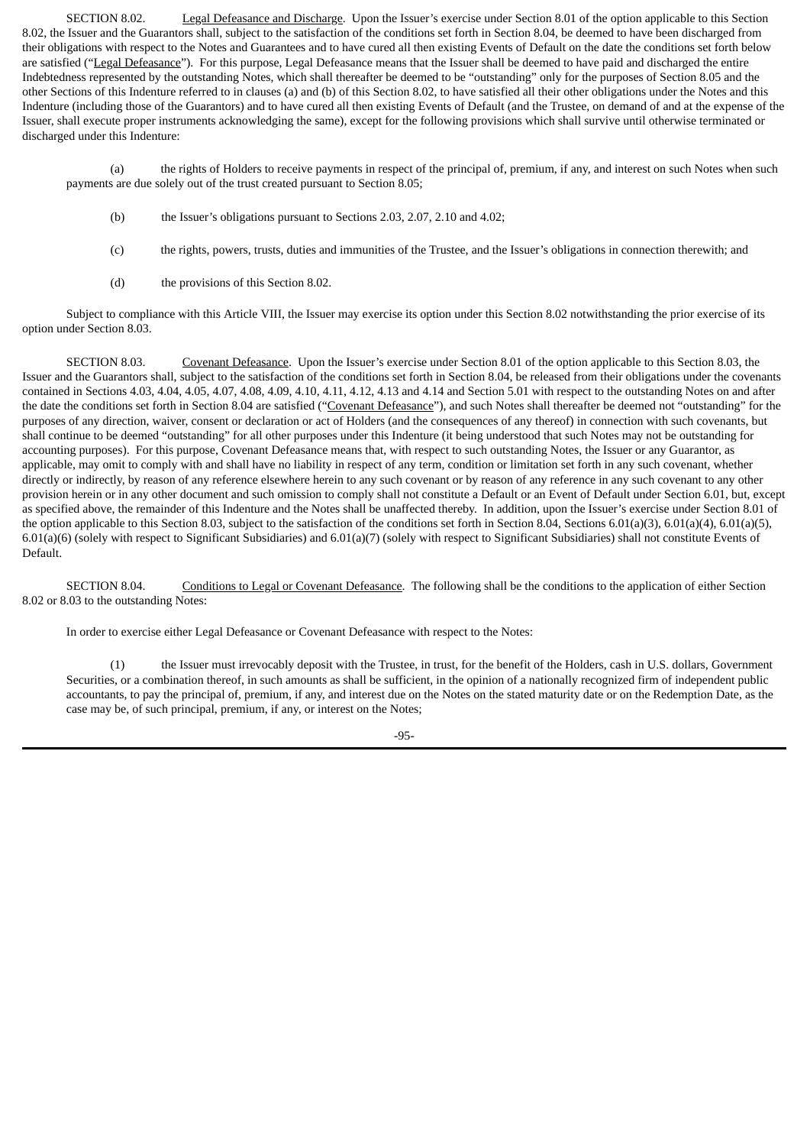SECTION 8.02. Legal Defeasance and Discharge. Upon the Issuer's exercise under Section 8.01 of the option applicable to this Section 8.02, the Issuer and the Guarantors shall, subject to the satisfaction of the conditions set forth in Section 8.04, be deemed to have been discharged from their obligations with respect to the Notes and Guarantees and to have cured all then existing Events of Default on the date the conditions set forth below are satisfied ("Legal Defeasance"). For this purpose, Legal Defeasance means that the Issuer shall be deemed to have paid and discharged the entire Indebtedness represented by the outstanding Notes, which shall thereafter be deemed to be "outstanding" only for the purposes of Section 8.05 and the other Sections of this Indenture referred to in clauses (a) and (b) of this Section 8.02, to have satisfied all their other obligations under the Notes and this Indenture (including those of the Guarantors) and to have cured all then existing Events of Default (and the Trustee, on demand of and at the expense of the Issuer, shall execute proper instruments acknowledging the same), except for the following provisions which shall survive until otherwise terminated or discharged under this Indenture:

(a) the rights of Holders to receive payments in respect of the principal of, premium, if any, and interest on such Notes when such payments are due solely out of the trust created pursuant to Section 8.05;

- (b) the Issuer's obligations pursuant to Sections 2.03, 2.07, 2.10 and 4.02;
- (c) the rights, powers, trusts, duties and immunities of the Trustee, and the Issuer's obligations in connection therewith; and
- (d) the provisions of this Section 8.02.

Subject to compliance with this Article VIII, the Issuer may exercise its option under this Section 8.02 notwithstanding the prior exercise of its option under Section 8.03.

SECTION 8.03. Covenant Defeasance. Upon the Issuer's exercise under Section 8.01 of the option applicable to this Section 8.03, the Issuer and the Guarantors shall, subject to the satisfaction of the conditions set forth in Section 8.04, be released from their obligations under the covenants contained in Sections 4.03, 4.04, 4.05, 4.07, 4.08, 4.09, 4.10, 4.11, 4.12, 4.13 and 4.14 and Section 5.01 with respect to the outstanding Notes on and after the date the conditions set forth in Section 8.04 are satisfied ("Covenant Defeasance"), and such Notes shall thereafter be deemed not "outstanding" for the purposes of any direction, waiver, consent or declaration or act of Holders (and the consequences of any thereof) in connection with such covenants, but shall continue to be deemed "outstanding" for all other purposes under this Indenture (it being understood that such Notes may not be outstanding for accounting purposes). For this purpose, Covenant Defeasance means that, with respect to such outstanding Notes, the Issuer or any Guarantor, as applicable, may omit to comply with and shall have no liability in respect of any term, condition or limitation set forth in any such covenant, whether directly or indirectly, by reason of any reference elsewhere herein to any such covenant or by reason of any reference in any such covenant to any other provision herein or in any other document and such omission to comply shall not constitute a Default or an Event of Default under Section 6.01, but, except as specified above, the remainder of this Indenture and the Notes shall be unaffected thereby. In addition, upon the Issuer's exercise under Section 8.01 of the option applicable to this Section 8.03, subject to the satisfaction of the conditions set forth in Section 8.04, Sections 6.01(a)(3), 6.01(a)(4), 6.01(a)(5),  $6.01(a)(6)$  (solely with respect to Significant Subsidiaries) and  $6.01(a)(7)$  (solely with respect to Significant Subsidiaries) shall not constitute Events of Default.

SECTION 8.04. Conditions to Legal or Covenant Defeasance. The following shall be the conditions to the application of either Section 8.02 or 8.03 to the outstanding Notes:

In order to exercise either Legal Defeasance or Covenant Defeasance with respect to the Notes:

(1) the Issuer must irrevocably deposit with the Trustee, in trust, for the benefit of the Holders, cash in U.S. dollars, Government Securities, or a combination thereof, in such amounts as shall be sufficient, in the opinion of a nationally recognized firm of independent public accountants, to pay the principal of, premium, if any, and interest due on the Notes on the stated maturity date or on the Redemption Date, as the case may be, of such principal, premium, if any, or interest on the Notes;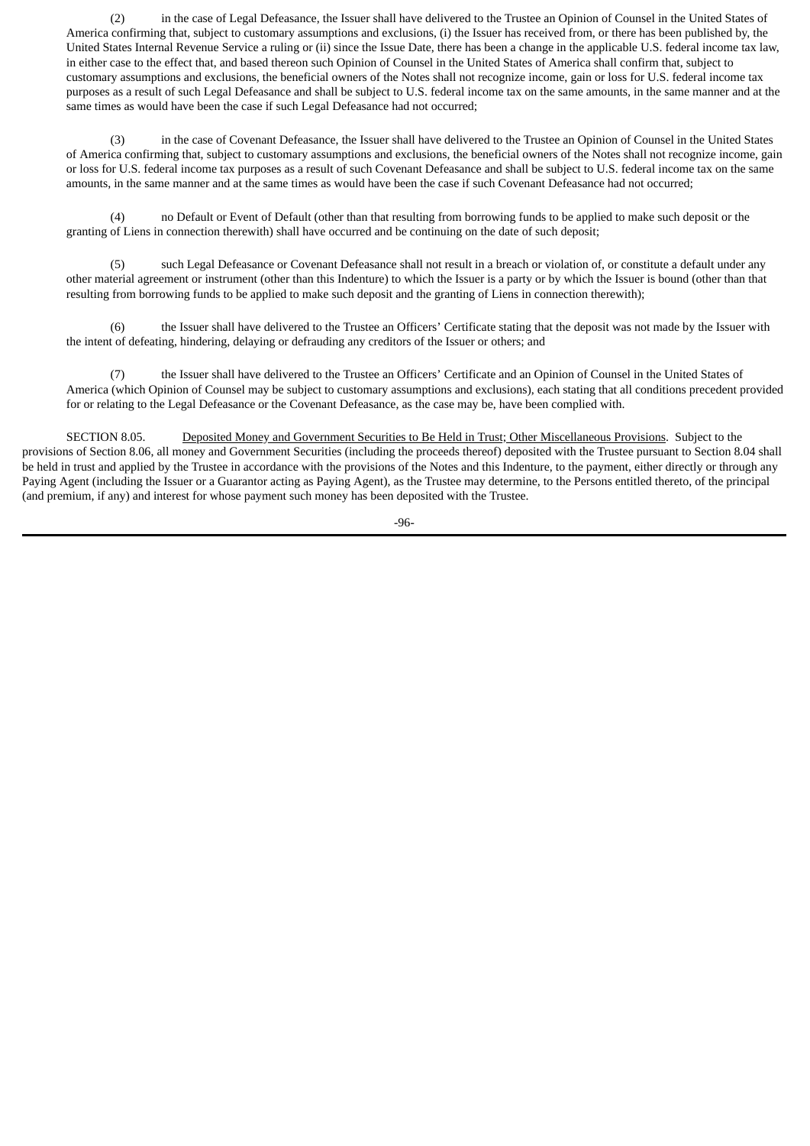(2) in the case of Legal Defeasance, the Issuer shall have delivered to the Trustee an Opinion of Counsel in the United States of America confirming that, subject to customary assumptions and exclusions, (i) the Issuer has received from, or there has been published by, the United States Internal Revenue Service a ruling or (ii) since the Issue Date, there has been a change in the applicable U.S. federal income tax law, in either case to the effect that, and based thereon such Opinion of Counsel in the United States of America shall confirm that, subject to customary assumptions and exclusions, the beneficial owners of the Notes shall not recognize income, gain or loss for U.S. federal income tax purposes as a result of such Legal Defeasance and shall be subject to U.S. federal income tax on the same amounts, in the same manner and at the same times as would have been the case if such Legal Defeasance had not occurred;

(3) in the case of Covenant Defeasance, the Issuer shall have delivered to the Trustee an Opinion of Counsel in the United States of America confirming that, subject to customary assumptions and exclusions, the beneficial owners of the Notes shall not recognize income, gain or loss for U.S. federal income tax purposes as a result of such Covenant Defeasance and shall be subject to U.S. federal income tax on the same amounts, in the same manner and at the same times as would have been the case if such Covenant Defeasance had not occurred;

(4) no Default or Event of Default (other than that resulting from borrowing funds to be applied to make such deposit or the granting of Liens in connection therewith) shall have occurred and be continuing on the date of such deposit;

(5) such Legal Defeasance or Covenant Defeasance shall not result in a breach or violation of, or constitute a default under any other material agreement or instrument (other than this Indenture) to which the Issuer is a party or by which the Issuer is bound (other than that resulting from borrowing funds to be applied to make such deposit and the granting of Liens in connection therewith);

(6) the Issuer shall have delivered to the Trustee an Officers' Certificate stating that the deposit was not made by the Issuer with the intent of defeating, hindering, delaying or defrauding any creditors of the Issuer or others; and

(7) the Issuer shall have delivered to the Trustee an Officers' Certificate and an Opinion of Counsel in the United States of America (which Opinion of Counsel may be subject to customary assumptions and exclusions), each stating that all conditions precedent provided for or relating to the Legal Defeasance or the Covenant Defeasance, as the case may be, have been complied with.

SECTION 8.05. Deposited Money and Government Securities to Be Held in Trust; Other Miscellaneous Provisions. Subject to the provisions of Section 8.06, all money and Government Securities (including the proceeds thereof) deposited with the Trustee pursuant to Section 8.04 shall be held in trust and applied by the Trustee in accordance with the provisions of the Notes and this Indenture, to the payment, either directly or through any Paying Agent (including the Issuer or a Guarantor acting as Paying Agent), as the Trustee may determine, to the Persons entitled thereto, of the principal (and premium, if any) and interest for whose payment such money has been deposited with the Trustee.

-96-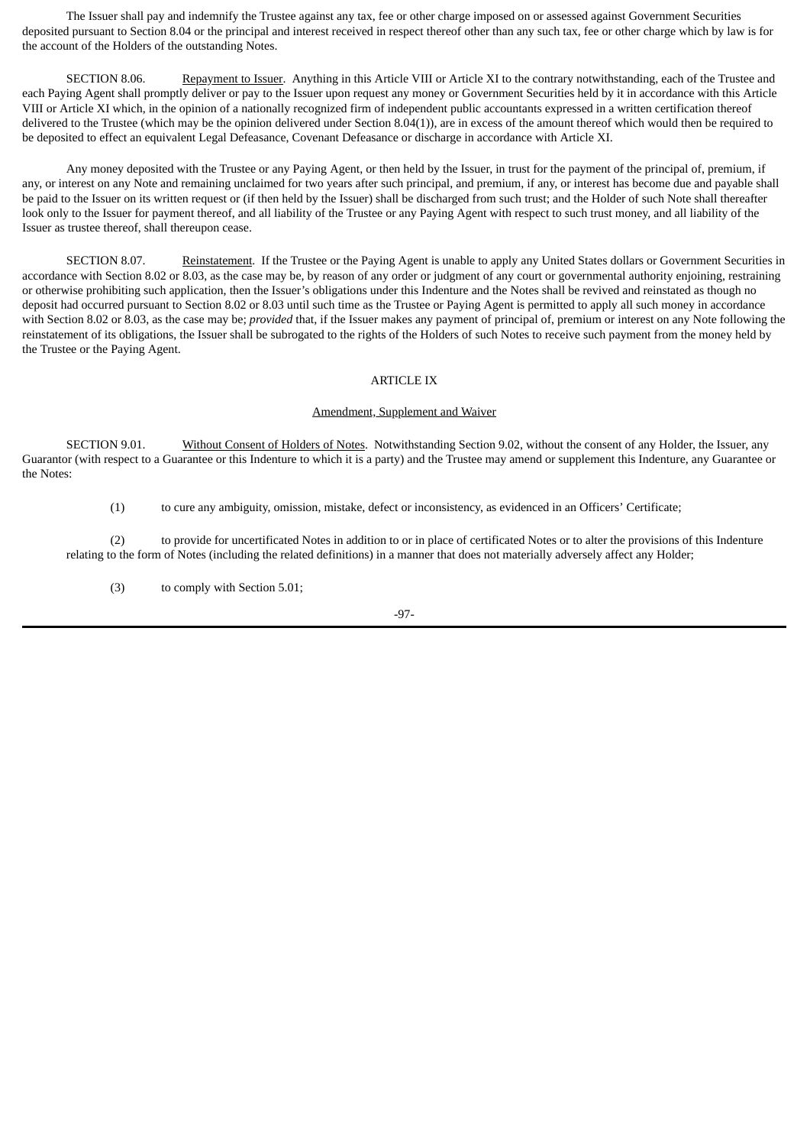The Issuer shall pay and indemnify the Trustee against any tax, fee or other charge imposed on or assessed against Government Securities deposited pursuant to Section 8.04 or the principal and interest received in respect thereof other than any such tax, fee or other charge which by law is for the account of the Holders of the outstanding Notes.

SECTION 8.06. Repayment to Issuer. Anything in this Article VIII or Article XI to the contrary notwithstanding, each of the Trustee and each Paying Agent shall promptly deliver or pay to the Issuer upon request any money or Government Securities held by it in accordance with this Article VIII or Article XI which, in the opinion of a nationally recognized firm of independent public accountants expressed in a written certification thereof delivered to the Trustee (which may be the opinion delivered under Section 8.04(1)), are in excess of the amount thereof which would then be required to be deposited to effect an equivalent Legal Defeasance, Covenant Defeasance or discharge in accordance with Article XI.

Any money deposited with the Trustee or any Paying Agent, or then held by the Issuer, in trust for the payment of the principal of, premium, if any, or interest on any Note and remaining unclaimed for two years after such principal, and premium, if any, or interest has become due and payable shall be paid to the Issuer on its written request or (if then held by the Issuer) shall be discharged from such trust; and the Holder of such Note shall thereafter look only to the Issuer for payment thereof, and all liability of the Trustee or any Paying Agent with respect to such trust money, and all liability of the Issuer as trustee thereof, shall thereupon cease.

SECTION 8.07. Reinstatement. If the Trustee or the Paying Agent is unable to apply any United States dollars or Government Securities in accordance with Section 8.02 or 8.03, as the case may be, by reason of any order or judgment of any court or governmental authority enjoining, restraining or otherwise prohibiting such application, then the Issuer's obligations under this Indenture and the Notes shall be revived and reinstated as though no deposit had occurred pursuant to Section 8.02 or 8.03 until such time as the Trustee or Paying Agent is permitted to apply all such money in accordance with Section 8.02 or 8.03, as the case may be; *provided* that, if the Issuer makes any payment of principal of, premium or interest on any Note following the reinstatement of its obligations, the Issuer shall be subrogated to the rights of the Holders of such Notes to receive such payment from the money held by the Trustee or the Paying Agent.

## ARTICLE IX

#### Amendment, Supplement and Waiver

SECTION 9.01. Without Consent of Holders of Notes. Notwithstanding Section 9.02, without the consent of any Holder, the Issuer, any Guarantor (with respect to a Guarantee or this Indenture to which it is a party) and the Trustee may amend or supplement this Indenture, any Guarantee or the Notes:

(1) to cure any ambiguity, omission, mistake, defect or inconsistency, as evidenced in an Officers' Certificate;

(2) to provide for uncertificated Notes in addition to or in place of certificated Notes or to alter the provisions of this Indenture relating to the form of Notes (including the related definitions) in a manner that does not materially adversely affect any Holder;

(3) to comply with Section 5.01;

-97-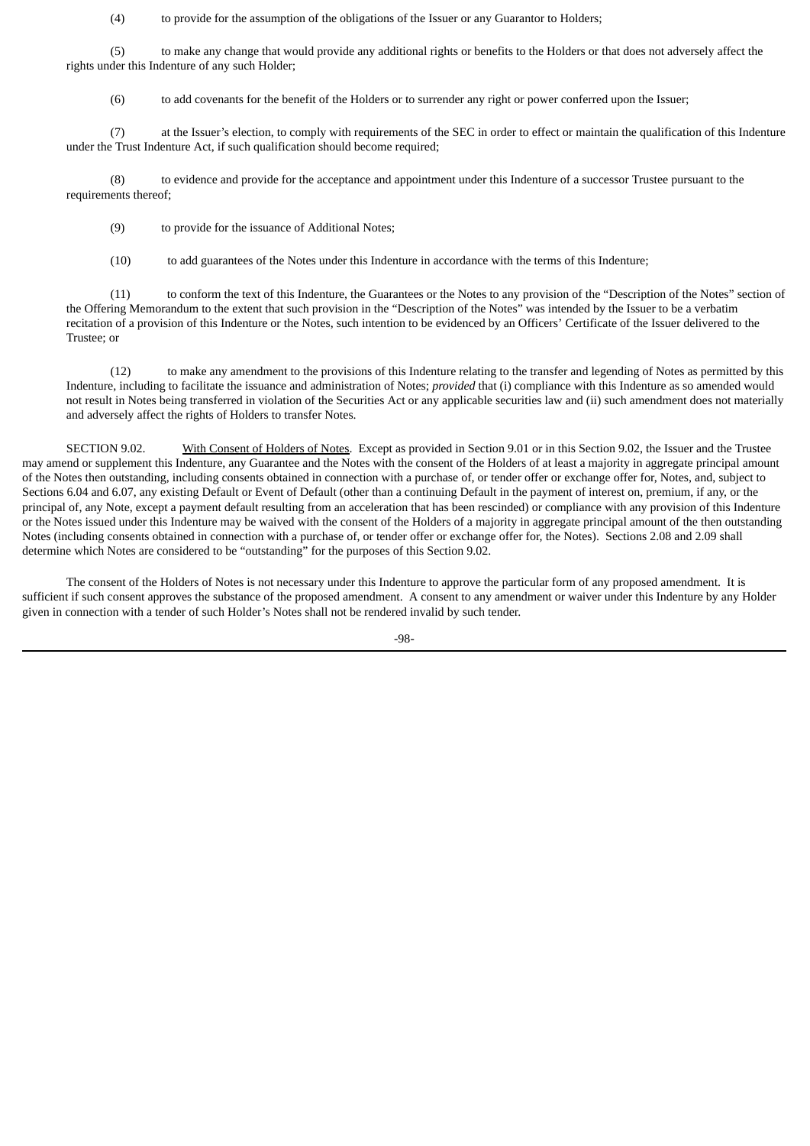(4) to provide for the assumption of the obligations of the Issuer or any Guarantor to Holders;

(5) to make any change that would provide any additional rights or benefits to the Holders or that does not adversely affect the rights under this Indenture of any such Holder;

(6) to add covenants for the benefit of the Holders or to surrender any right or power conferred upon the Issuer;

(7) at the Issuer's election, to comply with requirements of the SEC in order to effect or maintain the qualification of this Indenture under the Trust Indenture Act, if such qualification should become required;

(8) to evidence and provide for the acceptance and appointment under this Indenture of a successor Trustee pursuant to the requirements thereof;

(9) to provide for the issuance of Additional Notes;

(10) to add guarantees of the Notes under this Indenture in accordance with the terms of this Indenture;

(11) to conform the text of this Indenture, the Guarantees or the Notes to any provision of the "Description of the Notes" section of the Offering Memorandum to the extent that such provision in the "Description of the Notes" was intended by the Issuer to be a verbatim recitation of a provision of this Indenture or the Notes, such intention to be evidenced by an Officers' Certificate of the Issuer delivered to the Trustee; or

(12) to make any amendment to the provisions of this Indenture relating to the transfer and legending of Notes as permitted by this Indenture, including to facilitate the issuance and administration of Notes; *provided* that (i) compliance with this Indenture as so amended would not result in Notes being transferred in violation of the Securities Act or any applicable securities law and (ii) such amendment does not materially and adversely affect the rights of Holders to transfer Notes.

SECTION 9.02. With Consent of Holders of Notes. Except as provided in Section 9.01 or in this Section 9.02, the Issuer and the Trustee may amend or supplement this Indenture, any Guarantee and the Notes with the consent of the Holders of at least a majority in aggregate principal amount of the Notes then outstanding, including consents obtained in connection with a purchase of, or tender offer or exchange offer for, Notes, and, subject to Sections 6.04 and 6.07, any existing Default or Event of Default (other than a continuing Default in the payment of interest on, premium, if any, or the principal of, any Note, except a payment default resulting from an acceleration that has been rescinded) or compliance with any provision of this Indenture or the Notes issued under this Indenture may be waived with the consent of the Holders of a majority in aggregate principal amount of the then outstanding Notes (including consents obtained in connection with a purchase of, or tender offer or exchange offer for, the Notes). Sections 2.08 and 2.09 shall determine which Notes are considered to be "outstanding" for the purposes of this Section 9.02.

The consent of the Holders of Notes is not necessary under this Indenture to approve the particular form of any proposed amendment. It is sufficient if such consent approves the substance of the proposed amendment. A consent to any amendment or waiver under this Indenture by any Holder given in connection with a tender of such Holder's Notes shall not be rendered invalid by such tender.

-98-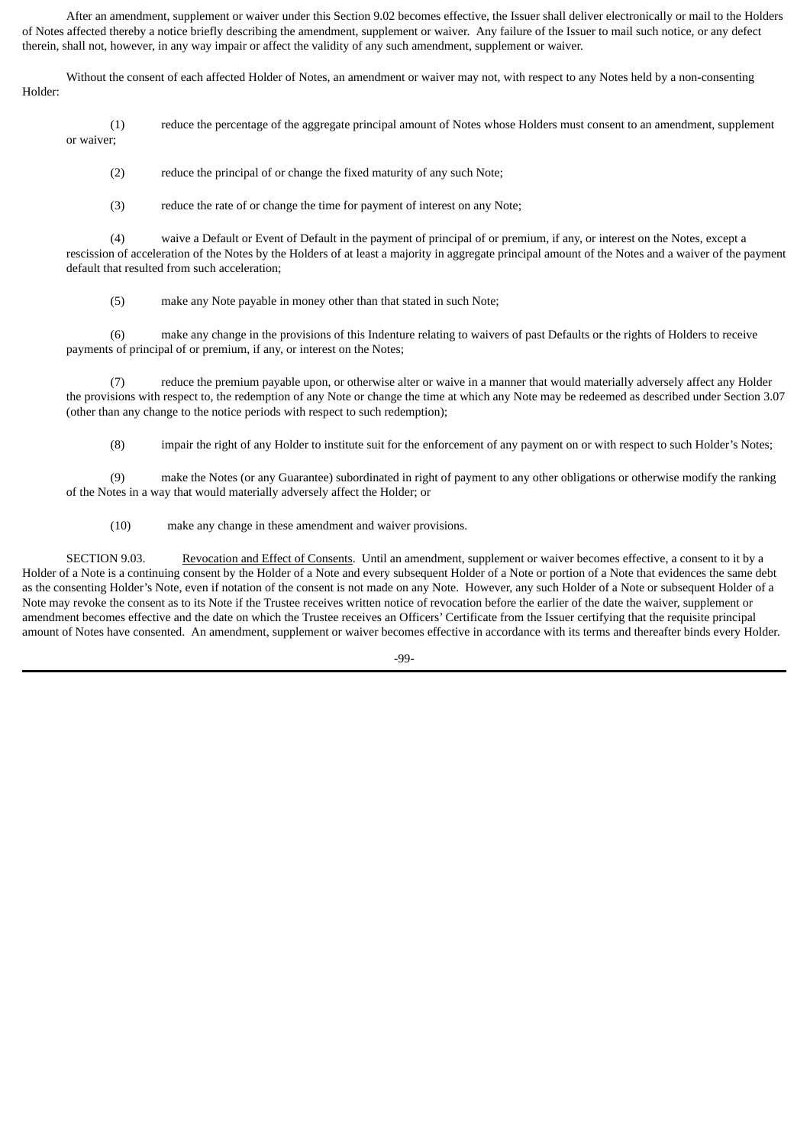After an amendment, supplement or waiver under this Section 9.02 becomes effective, the Issuer shall deliver electronically or mail to the Holders of Notes affected thereby a notice briefly describing the amendment, supplement or waiver. Any failure of the Issuer to mail such notice, or any defect therein, shall not, however, in any way impair or affect the validity of any such amendment, supplement or waiver.

Without the consent of each affected Holder of Notes, an amendment or waiver may not, with respect to any Notes held by a non-consenting Holder:

- (1) reduce the percentage of the aggregate principal amount of Notes whose Holders must consent to an amendment, supplement or waiver;
	- (2) reduce the principal of or change the fixed maturity of any such Note;
	- (3) reduce the rate of or change the time for payment of interest on any Note;

(4) waive a Default or Event of Default in the payment of principal of or premium, if any, or interest on the Notes, except a rescission of acceleration of the Notes by the Holders of at least a majority in aggregate principal amount of the Notes and a waiver of the payment default that resulted from such acceleration;

(5) make any Note payable in money other than that stated in such Note;

(6) make any change in the provisions of this Indenture relating to waivers of past Defaults or the rights of Holders to receive payments of principal of or premium, if any, or interest on the Notes;

(7) reduce the premium payable upon, or otherwise alter or waive in a manner that would materially adversely affect any Holder the provisions with respect to, the redemption of any Note or change the time at which any Note may be redeemed as described under Section 3.07 (other than any change to the notice periods with respect to such redemption);

(8) impair the right of any Holder to institute suit for the enforcement of any payment on or with respect to such Holder's Notes;

(9) make the Notes (or any Guarantee) subordinated in right of payment to any other obligations or otherwise modify the ranking of the Notes in a way that would materially adversely affect the Holder; or

(10) make any change in these amendment and waiver provisions.

SECTION 9.03. Revocation and Effect of Consents. Until an amendment, supplement or waiver becomes effective, a consent to it by a Holder of a Note is a continuing consent by the Holder of a Note and every subsequent Holder of a Note or portion of a Note that evidences the same debt as the consenting Holder's Note, even if notation of the consent is not made on any Note. However, any such Holder of a Note or subsequent Holder of a Note may revoke the consent as to its Note if the Trustee receives written notice of revocation before the earlier of the date the waiver, supplement or amendment becomes effective and the date on which the Trustee receives an Officers' Certificate from the Issuer certifying that the requisite principal amount of Notes have consented. An amendment, supplement or waiver becomes effective in accordance with its terms and thereafter binds every Holder.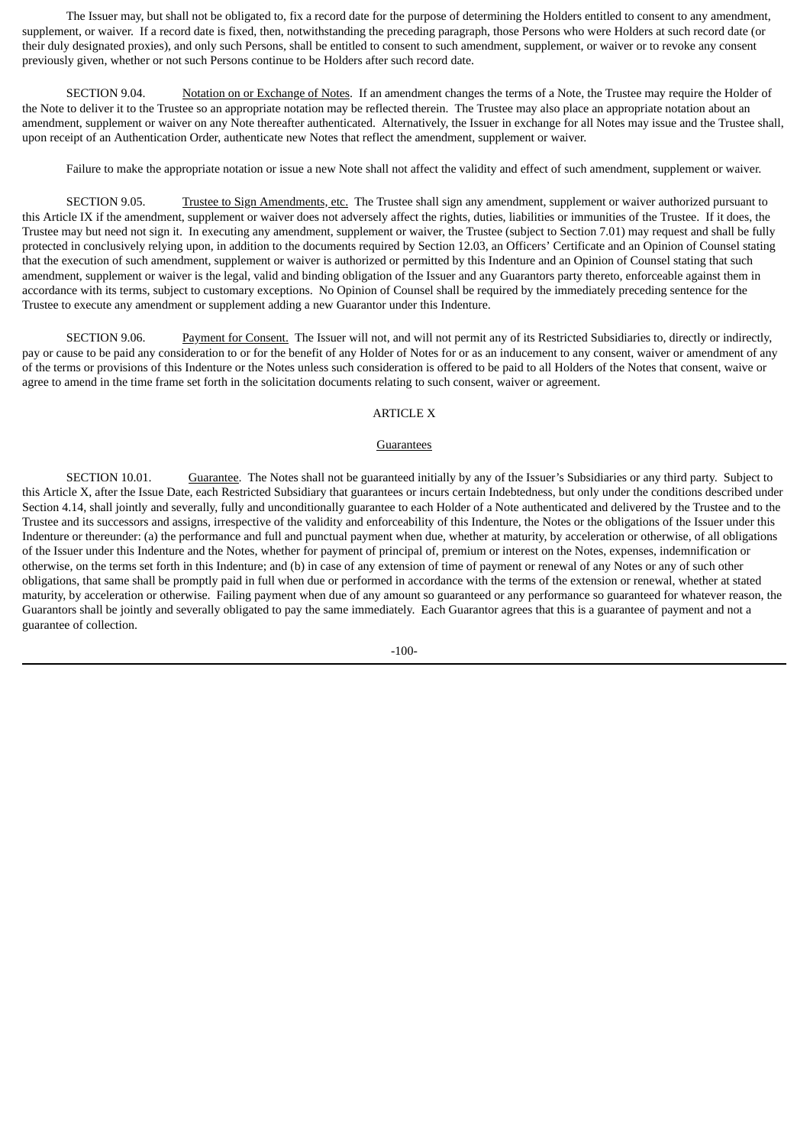The Issuer may, but shall not be obligated to, fix a record date for the purpose of determining the Holders entitled to consent to any amendment, supplement, or waiver. If a record date is fixed, then, notwithstanding the preceding paragraph, those Persons who were Holders at such record date (or their duly designated proxies), and only such Persons, shall be entitled to consent to such amendment, supplement, or waiver or to revoke any consent previously given, whether or not such Persons continue to be Holders after such record date.

SECTION 9.04. Notation on or Exchange of Notes. If an amendment changes the terms of a Note, the Trustee may require the Holder of the Note to deliver it to the Trustee so an appropriate notation may be reflected therein. The Trustee may also place an appropriate notation about an amendment, supplement or waiver on any Note thereafter authenticated. Alternatively, the Issuer in exchange for all Notes may issue and the Trustee shall, upon receipt of an Authentication Order, authenticate new Notes that reflect the amendment, supplement or waiver.

Failure to make the appropriate notation or issue a new Note shall not affect the validity and effect of such amendment, supplement or waiver.

SECTION 9.05. Trustee to Sign Amendments, etc. The Trustee shall sign any amendment, supplement or waiver authorized pursuant to this Article IX if the amendment, supplement or waiver does not adversely affect the rights, duties, liabilities or immunities of the Trustee. If it does, the Trustee may but need not sign it. In executing any amendment, supplement or waiver, the Trustee (subject to Section 7.01) may request and shall be fully protected in conclusively relying upon, in addition to the documents required by Section 12.03, an Officers' Certificate and an Opinion of Counsel stating that the execution of such amendment, supplement or waiver is authorized or permitted by this Indenture and an Opinion of Counsel stating that such amendment, supplement or waiver is the legal, valid and binding obligation of the Issuer and any Guarantors party thereto, enforceable against them in accordance with its terms, subject to customary exceptions. No Opinion of Counsel shall be required by the immediately preceding sentence for the Trustee to execute any amendment or supplement adding a new Guarantor under this Indenture.

SECTION 9.06. Payment for Consent. The Issuer will not, and will not permit any of its Restricted Subsidiaries to, directly or indirectly, pay or cause to be paid any consideration to or for the benefit of any Holder of Notes for or as an inducement to any consent, waiver or amendment of any of the terms or provisions of this Indenture or the Notes unless such consideration is offered to be paid to all Holders of the Notes that consent, waive or agree to amend in the time frame set forth in the solicitation documents relating to such consent, waiver or agreement.

### ARTICLE X

#### Guarantees

SECTION 10.01. Guarantee. The Notes shall not be guaranteed initially by any of the Issuer's Subsidiaries or any third party. Subject to this Article X, after the Issue Date, each Restricted Subsidiary that guarantees or incurs certain Indebtedness, but only under the conditions described under Section 4.14, shall jointly and severally, fully and unconditionally guarantee to each Holder of a Note authenticated and delivered by the Trustee and to the Trustee and its successors and assigns, irrespective of the validity and enforceability of this Indenture, the Notes or the obligations of the Issuer under this Indenture or thereunder: (a) the performance and full and punctual payment when due, whether at maturity, by acceleration or otherwise, of all obligations of the Issuer under this Indenture and the Notes, whether for payment of principal of, premium or interest on the Notes, expenses, indemnification or otherwise, on the terms set forth in this Indenture; and (b) in case of any extension of time of payment or renewal of any Notes or any of such other obligations, that same shall be promptly paid in full when due or performed in accordance with the terms of the extension or renewal, whether at stated maturity, by acceleration or otherwise. Failing payment when due of any amount so guaranteed or any performance so guaranteed for whatever reason, the Guarantors shall be jointly and severally obligated to pay the same immediately. Each Guarantor agrees that this is a guarantee of payment and not a guarantee of collection.

-100-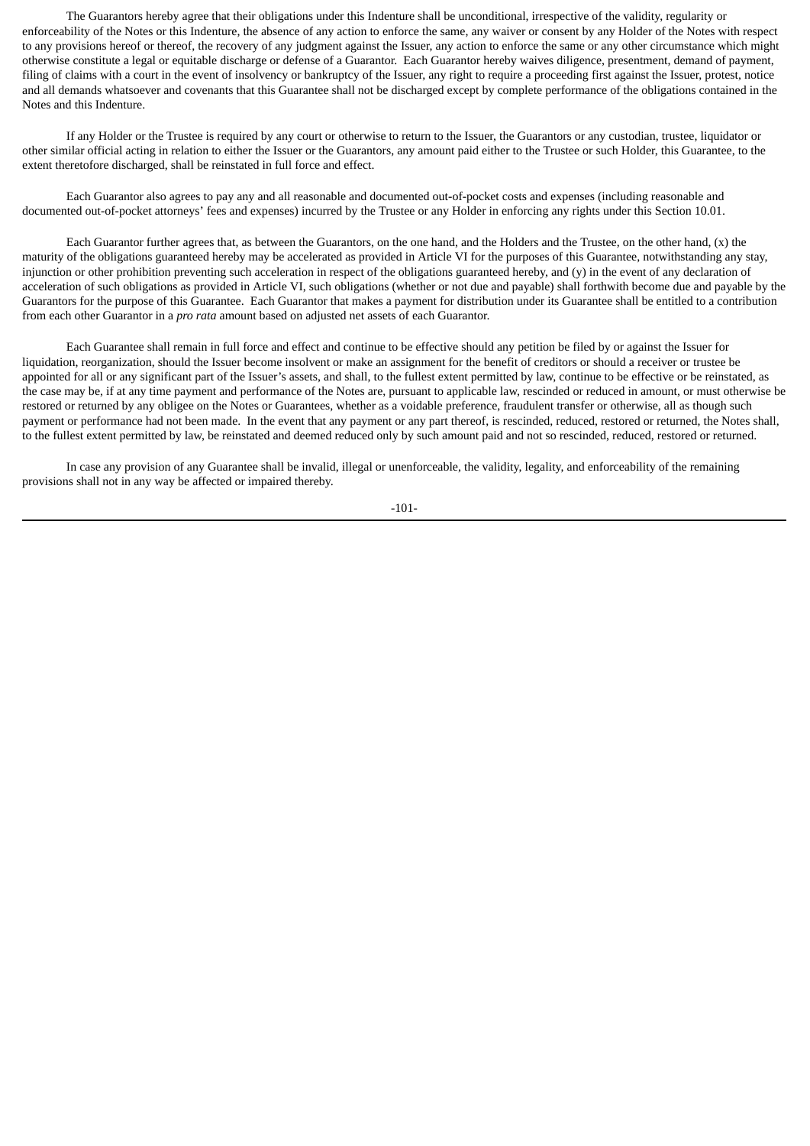The Guarantors hereby agree that their obligations under this Indenture shall be unconditional, irrespective of the validity, regularity or enforceability of the Notes or this Indenture, the absence of any action to enforce the same, any waiver or consent by any Holder of the Notes with respect to any provisions hereof or thereof, the recovery of any judgment against the Issuer, any action to enforce the same or any other circumstance which might otherwise constitute a legal or equitable discharge or defense of a Guarantor. Each Guarantor hereby waives diligence, presentment, demand of payment, filing of claims with a court in the event of insolvency or bankruptcy of the Issuer, any right to require a proceeding first against the Issuer, protest, notice and all demands whatsoever and covenants that this Guarantee shall not be discharged except by complete performance of the obligations contained in the Notes and this Indenture.

If any Holder or the Trustee is required by any court or otherwise to return to the Issuer, the Guarantors or any custodian, trustee, liquidator or other similar official acting in relation to either the Issuer or the Guarantors, any amount paid either to the Trustee or such Holder, this Guarantee, to the extent theretofore discharged, shall be reinstated in full force and effect.

Each Guarantor also agrees to pay any and all reasonable and documented out-of-pocket costs and expenses (including reasonable and documented out-of-pocket attorneys' fees and expenses) incurred by the Trustee or any Holder in enforcing any rights under this Section 10.01.

Each Guarantor further agrees that, as between the Guarantors, on the one hand, and the Holders and the Trustee, on the other hand, (x) the maturity of the obligations guaranteed hereby may be accelerated as provided in Article VI for the purposes of this Guarantee, notwithstanding any stay, injunction or other prohibition preventing such acceleration in respect of the obligations guaranteed hereby, and (y) in the event of any declaration of acceleration of such obligations as provided in Article VI, such obligations (whether or not due and payable) shall forthwith become due and payable by the Guarantors for the purpose of this Guarantee. Each Guarantor that makes a payment for distribution under its Guarantee shall be entitled to a contribution from each other Guarantor in a *pro rata* amount based on adjusted net assets of each Guarantor.

Each Guarantee shall remain in full force and effect and continue to be effective should any petition be filed by or against the Issuer for liquidation, reorganization, should the Issuer become insolvent or make an assignment for the benefit of creditors or should a receiver or trustee be appointed for all or any significant part of the Issuer's assets, and shall, to the fullest extent permitted by law, continue to be effective or be reinstated, as the case may be, if at any time payment and performance of the Notes are, pursuant to applicable law, rescinded or reduced in amount, or must otherwise be restored or returned by any obligee on the Notes or Guarantees, whether as a voidable preference, fraudulent transfer or otherwise, all as though such payment or performance had not been made. In the event that any payment or any part thereof, is rescinded, reduced, restored or returned, the Notes shall, to the fullest extent permitted by law, be reinstated and deemed reduced only by such amount paid and not so rescinded, reduced, restored or returned.

In case any provision of any Guarantee shall be invalid, illegal or unenforceable, the validity, legality, and enforceability of the remaining provisions shall not in any way be affected or impaired thereby.

-101-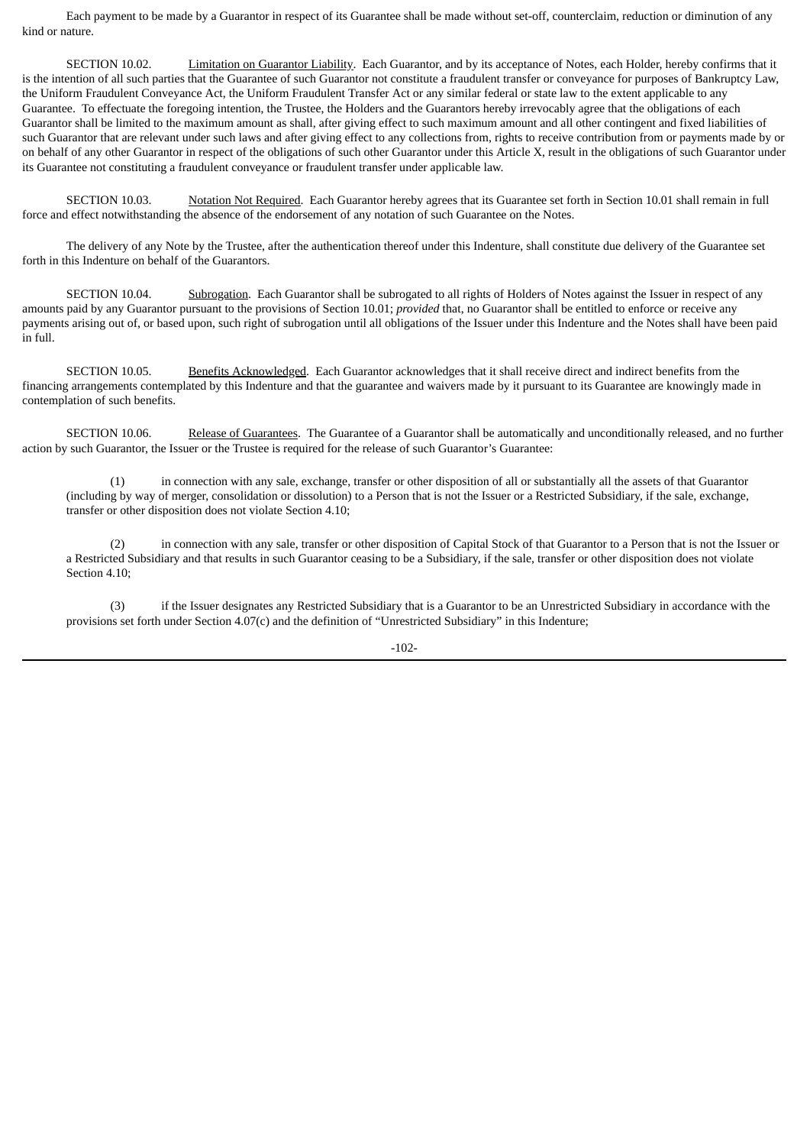Each payment to be made by a Guarantor in respect of its Guarantee shall be made without set-off, counterclaim, reduction or diminution of any kind or nature.

SECTION 10.02. Limitation on Guarantor Liability. Each Guarantor, and by its acceptance of Notes, each Holder, hereby confirms that it is the intention of all such parties that the Guarantee of such Guarantor not constitute a fraudulent transfer or conveyance for purposes of Bankruptcy Law, the Uniform Fraudulent Conveyance Act, the Uniform Fraudulent Transfer Act or any similar federal or state law to the extent applicable to any Guarantee. To effectuate the foregoing intention, the Trustee, the Holders and the Guarantors hereby irrevocably agree that the obligations of each Guarantor shall be limited to the maximum amount as shall, after giving effect to such maximum amount and all other contingent and fixed liabilities of such Guarantor that are relevant under such laws and after giving effect to any collections from, rights to receive contribution from or payments made by or on behalf of any other Guarantor in respect of the obligations of such other Guarantor under this Article X, result in the obligations of such Guarantor under its Guarantee not constituting a fraudulent conveyance or fraudulent transfer under applicable law.

SECTION 10.03. Notation Not Required. Each Guarantor hereby agrees that its Guarantee set forth in Section 10.01 shall remain in full force and effect notwithstanding the absence of the endorsement of any notation of such Guarantee on the Notes.

The delivery of any Note by the Trustee, after the authentication thereof under this Indenture, shall constitute due delivery of the Guarantee set forth in this Indenture on behalf of the Guarantors.

SECTION 10.04. Subrogation. Each Guarantor shall be subrogated to all rights of Holders of Notes against the Issuer in respect of any amounts paid by any Guarantor pursuant to the provisions of Section 10.01; *provided* that, no Guarantor shall be entitled to enforce or receive any payments arising out of, or based upon, such right of subrogation until all obligations of the Issuer under this Indenture and the Notes shall have been paid in full.

SECTION 10.05. Benefits Acknowledged. Each Guarantor acknowledges that it shall receive direct and indirect benefits from the financing arrangements contemplated by this Indenture and that the guarantee and waivers made by it pursuant to its Guarantee are knowingly made in contemplation of such benefits.

SECTION 10.06. Release of Guarantees. The Guarantee of a Guarantor shall be automatically and unconditionally released, and no further action by such Guarantor, the Issuer or the Trustee is required for the release of such Guarantor's Guarantee:

(1) in connection with any sale, exchange, transfer or other disposition of all or substantially all the assets of that Guarantor (including by way of merger, consolidation or dissolution) to a Person that is not the Issuer or a Restricted Subsidiary, if the sale, exchange, transfer or other disposition does not violate Section 4.10;

(2) in connection with any sale, transfer or other disposition of Capital Stock of that Guarantor to a Person that is not the Issuer or a Restricted Subsidiary and that results in such Guarantor ceasing to be a Subsidiary, if the sale, transfer or other disposition does not violate Section 4.10;

(3) if the Issuer designates any Restricted Subsidiary that is a Guarantor to be an Unrestricted Subsidiary in accordance with the provisions set forth under Section 4.07(c) and the definition of "Unrestricted Subsidiary" in this Indenture;

-102-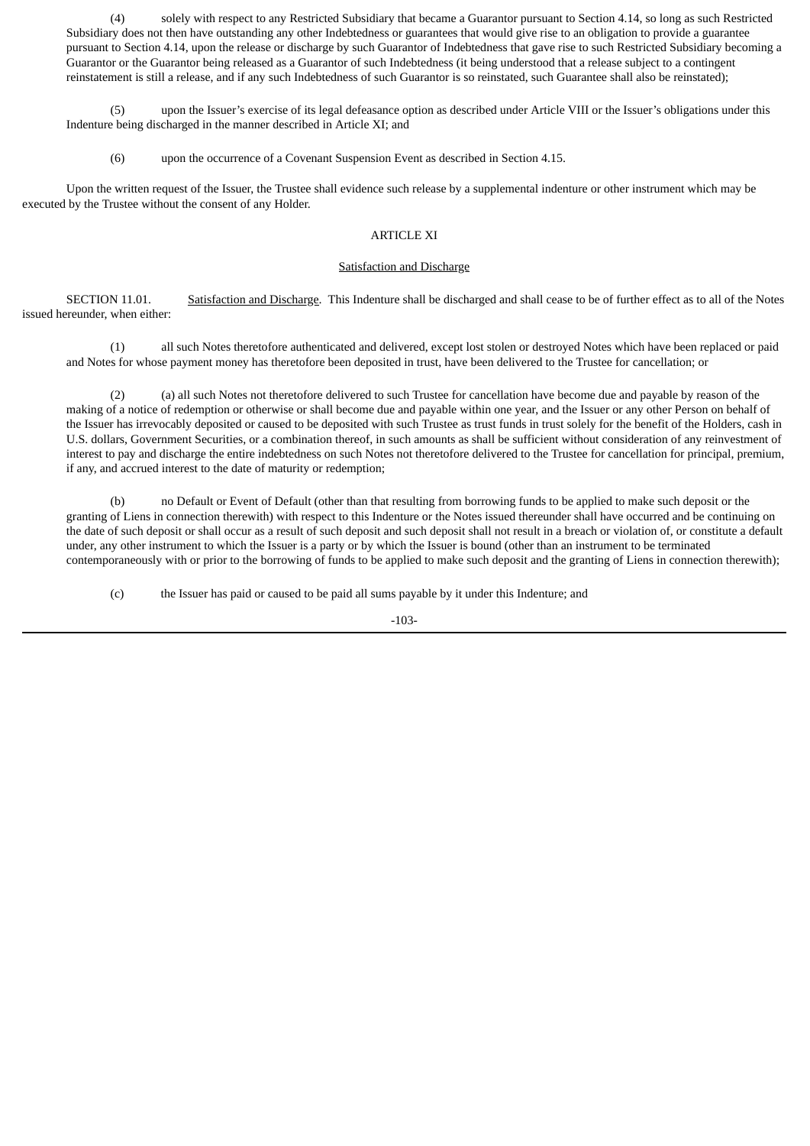(4) solely with respect to any Restricted Subsidiary that became a Guarantor pursuant to Section 4.14, so long as such Restricted Subsidiary does not then have outstanding any other Indebtedness or guarantees that would give rise to an obligation to provide a guarantee pursuant to Section 4.14, upon the release or discharge by such Guarantor of Indebtedness that gave rise to such Restricted Subsidiary becoming a Guarantor or the Guarantor being released as a Guarantor of such Indebtedness (it being understood that a release subject to a contingent reinstatement is still a release, and if any such Indebtedness of such Guarantor is so reinstated, such Guarantee shall also be reinstated);

(5) upon the Issuer's exercise of its legal defeasance option as described under Article VIII or the Issuer's obligations under this Indenture being discharged in the manner described in Article XI; and

(6) upon the occurrence of a Covenant Suspension Event as described in Section 4.15.

Upon the written request of the Issuer, the Trustee shall evidence such release by a supplemental indenture or other instrument which may be executed by the Trustee without the consent of any Holder.

### ARTICLE XI

#### Satisfaction and Discharge

SECTION 11.01. Satisfaction and Discharge. This Indenture shall be discharged and shall cease to be of further effect as to all of the Notes issued hereunder, when either:

(1) all such Notes theretofore authenticated and delivered, except lost stolen or destroyed Notes which have been replaced or paid and Notes for whose payment money has theretofore been deposited in trust, have been delivered to the Trustee for cancellation; or

(2) (a) all such Notes not theretofore delivered to such Trustee for cancellation have become due and payable by reason of the making of a notice of redemption or otherwise or shall become due and payable within one year, and the Issuer or any other Person on behalf of the Issuer has irrevocably deposited or caused to be deposited with such Trustee as trust funds in trust solely for the benefit of the Holders, cash in U.S. dollars, Government Securities, or a combination thereof, in such amounts as shall be sufficient without consideration of any reinvestment of interest to pay and discharge the entire indebtedness on such Notes not theretofore delivered to the Trustee for cancellation for principal, premium, if any, and accrued interest to the date of maturity or redemption;

(b) no Default or Event of Default (other than that resulting from borrowing funds to be applied to make such deposit or the granting of Liens in connection therewith) with respect to this Indenture or the Notes issued thereunder shall have occurred and be continuing on the date of such deposit or shall occur as a result of such deposit and such deposit shall not result in a breach or violation of, or constitute a default under, any other instrument to which the Issuer is a party or by which the Issuer is bound (other than an instrument to be terminated contemporaneously with or prior to the borrowing of funds to be applied to make such deposit and the granting of Liens in connection therewith);

(c) the Issuer has paid or caused to be paid all sums payable by it under this Indenture; and

-103-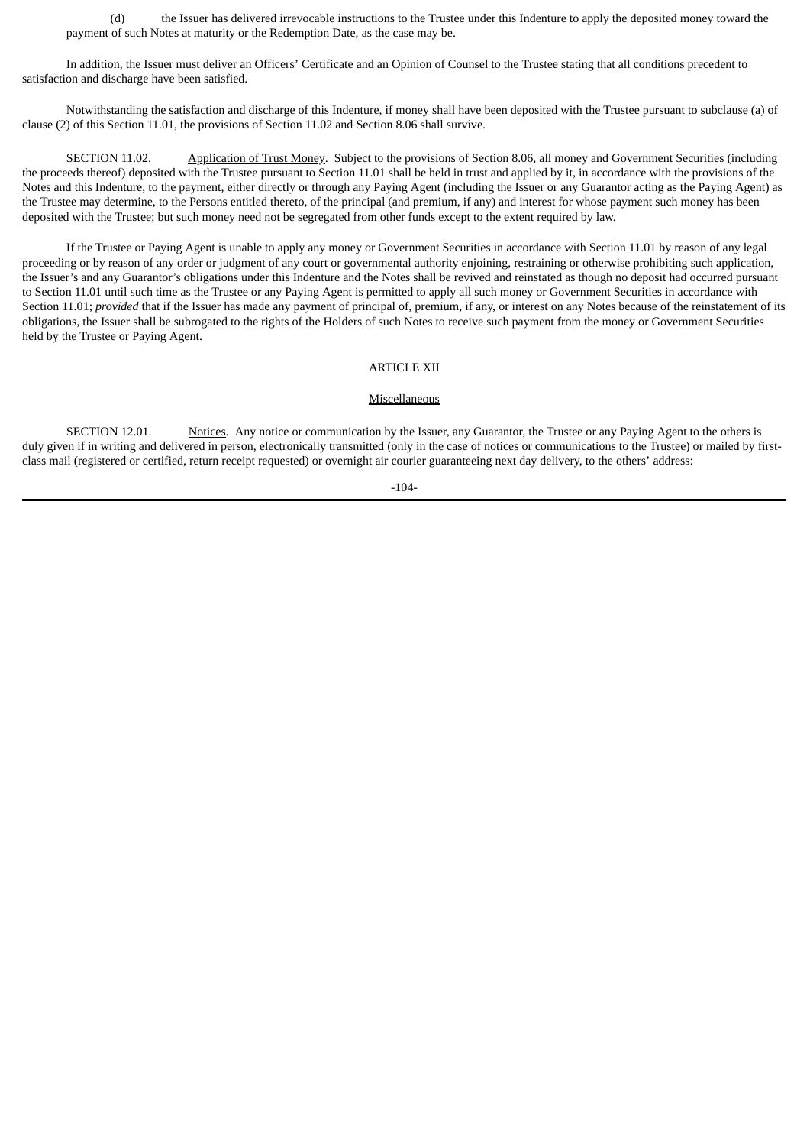(d) the Issuer has delivered irrevocable instructions to the Trustee under this Indenture to apply the deposited money toward the payment of such Notes at maturity or the Redemption Date, as the case may be.

In addition, the Issuer must deliver an Officers' Certificate and an Opinion of Counsel to the Trustee stating that all conditions precedent to satisfaction and discharge have been satisfied.

Notwithstanding the satisfaction and discharge of this Indenture, if money shall have been deposited with the Trustee pursuant to subclause (a) of clause (2) of this Section 11.01, the provisions of Section 11.02 and Section 8.06 shall survive.

SECTION 11.02. Application of Trust Money. Subject to the provisions of Section 8.06, all money and Government Securities (including the proceeds thereof) deposited with the Trustee pursuant to Section 11.01 shall be held in trust and applied by it, in accordance with the provisions of the Notes and this Indenture, to the payment, either directly or through any Paying Agent (including the Issuer or any Guarantor acting as the Paying Agent) as the Trustee may determine, to the Persons entitled thereto, of the principal (and premium, if any) and interest for whose payment such money has been deposited with the Trustee; but such money need not be segregated from other funds except to the extent required by law.

If the Trustee or Paying Agent is unable to apply any money or Government Securities in accordance with Section 11.01 by reason of any legal proceeding or by reason of any order or judgment of any court or governmental authority enjoining, restraining or otherwise prohibiting such application, the Issuer's and any Guarantor's obligations under this Indenture and the Notes shall be revived and reinstated as though no deposit had occurred pursuant to Section 11.01 until such time as the Trustee or any Paying Agent is permitted to apply all such money or Government Securities in accordance with Section 11.01; *provided* that if the Issuer has made any payment of principal of, premium, if any, or interest on any Notes because of the reinstatement of its obligations, the Issuer shall be subrogated to the rights of the Holders of such Notes to receive such payment from the money or Government Securities held by the Trustee or Paying Agent.

# ARTICLE XII

#### Miscellaneous

SECTION 12.01. Notices. Any notice or communication by the Issuer, any Guarantor, the Trustee or any Paying Agent to the others is duly given if in writing and delivered in person, electronically transmitted (only in the case of notices or communications to the Trustee) or mailed by firstclass mail (registered or certified, return receipt requested) or overnight air courier guaranteeing next day delivery, to the others' address:

-104-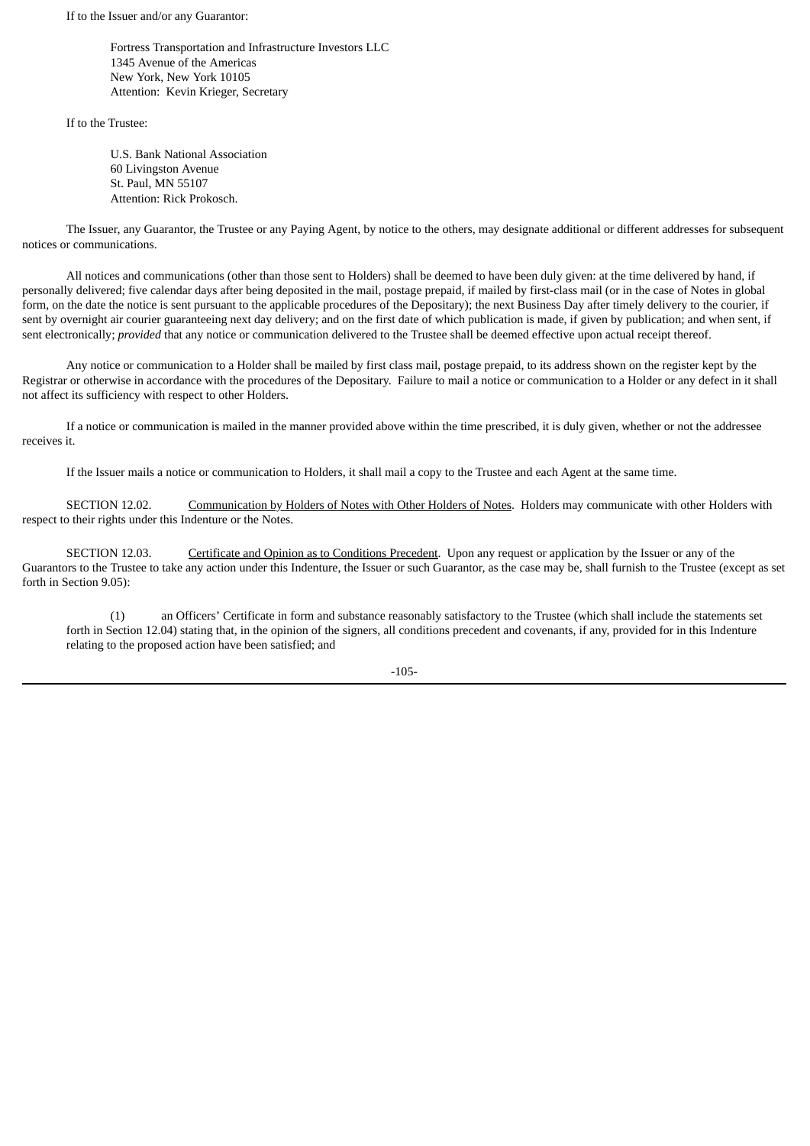If to the Issuer and/or any Guarantor:

Fortress Transportation and Infrastructure Investors LLC 1345 Avenue of the Americas New York, New York 10105 Attention: Kevin Krieger, Secretary

If to the Trustee:

U.S. Bank National Association 60 Livingston Avenue St. Paul, MN 55107 Attention: Rick Prokosch.

The Issuer, any Guarantor, the Trustee or any Paying Agent, by notice to the others, may designate additional or different addresses for subsequent notices or communications.

All notices and communications (other than those sent to Holders) shall be deemed to have been duly given: at the time delivered by hand, if personally delivered; five calendar days after being deposited in the mail, postage prepaid, if mailed by first-class mail (or in the case of Notes in global form, on the date the notice is sent pursuant to the applicable procedures of the Depositary); the next Business Day after timely delivery to the courier, if sent by overnight air courier guaranteeing next day delivery; and on the first date of which publication is made, if given by publication; and when sent, if sent electronically; *provided* that any notice or communication delivered to the Trustee shall be deemed effective upon actual receipt thereof.

Any notice or communication to a Holder shall be mailed by first class mail, postage prepaid, to its address shown on the register kept by the Registrar or otherwise in accordance with the procedures of the Depositary. Failure to mail a notice or communication to a Holder or any defect in it shall not affect its sufficiency with respect to other Holders.

If a notice or communication is mailed in the manner provided above within the time prescribed, it is duly given, whether or not the addressee receives it.

If the Issuer mails a notice or communication to Holders, it shall mail a copy to the Trustee and each Agent at the same time.

SECTION 12.02. Communication by Holders of Notes with Other Holders of Notes. Holders may communicate with other Holders with respect to their rights under this Indenture or the Notes.

SECTION 12.03. Certificate and Opinion as to Conditions Precedent. Upon any request or application by the Issuer or any of the Guarantors to the Trustee to take any action under this Indenture, the Issuer or such Guarantor, as the case may be, shall furnish to the Trustee (except as set forth in Section 9.05):

(1) an Officers' Certificate in form and substance reasonably satisfactory to the Trustee (which shall include the statements set forth in Section 12.04) stating that, in the opinion of the signers, all conditions precedent and covenants, if any, provided for in this Indenture relating to the proposed action have been satisfied; and

-105-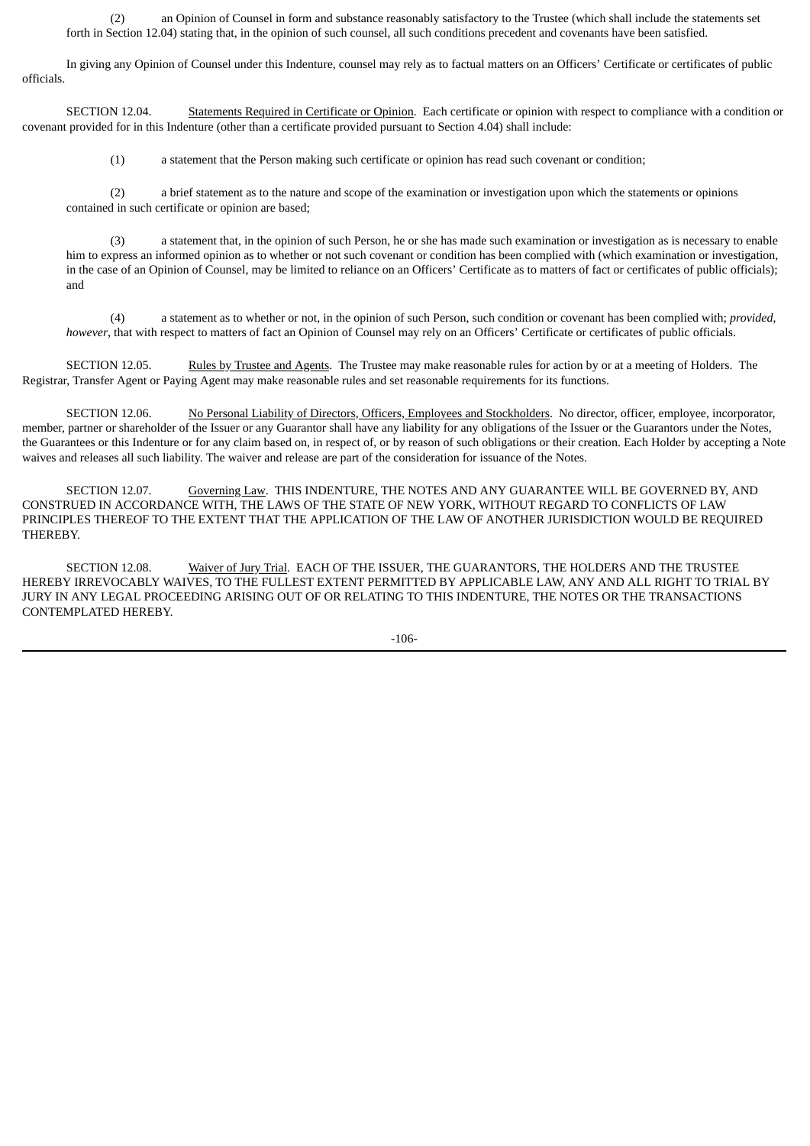(2) an Opinion of Counsel in form and substance reasonably satisfactory to the Trustee (which shall include the statements set forth in Section 12.04) stating that, in the opinion of such counsel, all such conditions precedent and covenants have been satisfied.

In giving any Opinion of Counsel under this Indenture, counsel may rely as to factual matters on an Officers' Certificate or certificates of public officials.

SECTION 12.04. Statements Required in Certificate or Opinion. Each certificate or opinion with respect to compliance with a condition or covenant provided for in this Indenture (other than a certificate provided pursuant to Section 4.04) shall include:

(1) a statement that the Person making such certificate or opinion has read such covenant or condition;

(2) a brief statement as to the nature and scope of the examination or investigation upon which the statements or opinions contained in such certificate or opinion are based;

(3) a statement that, in the opinion of such Person, he or she has made such examination or investigation as is necessary to enable him to express an informed opinion as to whether or not such covenant or condition has been complied with (which examination or investigation, in the case of an Opinion of Counsel, may be limited to reliance on an Officers' Certificate as to matters of fact or certificates of public officials); and

(4) a statement as to whether or not, in the opinion of such Person, such condition or covenant has been complied with; *provided*, *however*, that with respect to matters of fact an Opinion of Counsel may rely on an Officers' Certificate or certificates of public officials.

SECTION 12.05. Rules by Trustee and Agents. The Trustee may make reasonable rules for action by or at a meeting of Holders. The Registrar, Transfer Agent or Paying Agent may make reasonable rules and set reasonable requirements for its functions.

SECTION 12.06. No Personal Liability of Directors, Officers, Employees and Stockholders. No director, officer, employee, incorporator, member, partner or shareholder of the Issuer or any Guarantor shall have any liability for any obligations of the Issuer or the Guarantors under the Notes, the Guarantees or this Indenture or for any claim based on, in respect of, or by reason of such obligations or their creation. Each Holder by accepting a Note waives and releases all such liability. The waiver and release are part of the consideration for issuance of the Notes.

SECTION 12.07. Governing Law. THIS INDENTURE, THE NOTES AND ANY GUARANTEE WILL BE GOVERNED BY, AND CONSTRUED IN ACCORDANCE WITH, THE LAWS OF THE STATE OF NEW YORK, WITHOUT REGARD TO CONFLICTS OF LAW PRINCIPLES THEREOF TO THE EXTENT THAT THE APPLICATION OF THE LAW OF ANOTHER JURISDICTION WOULD BE REQUIRED THEREBY.

SECTION 12.08. Waiver of Jury Trial. EACH OF THE ISSUER, THE GUARANTORS, THE HOLDERS AND THE TRUSTEE HEREBY IRREVOCABLY WAIVES, TO THE FULLEST EXTENT PERMITTED BY APPLICABLE LAW, ANY AND ALL RIGHT TO TRIAL BY JURY IN ANY LEGAL PROCEEDING ARISING OUT OF OR RELATING TO THIS INDENTURE, THE NOTES OR THE TRANSACTIONS CONTEMPLATED HEREBY.

-106-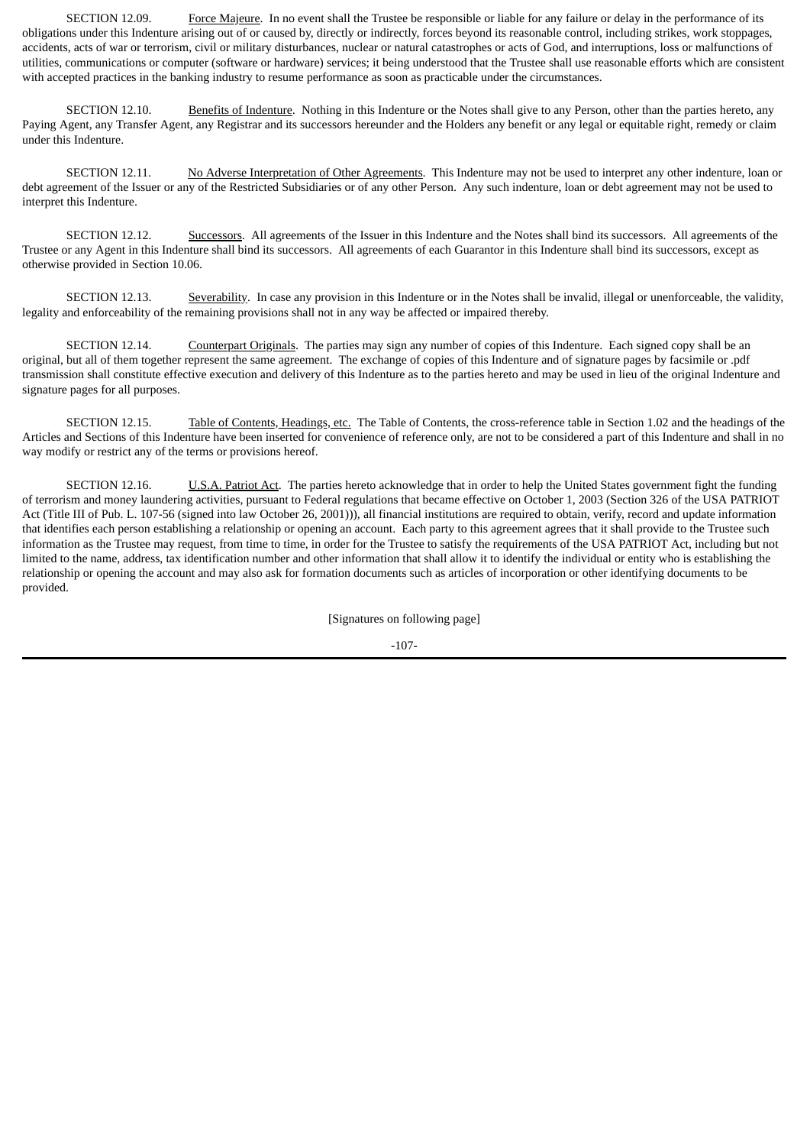SECTION 12.09. Force Majeure. In no event shall the Trustee be responsible or liable for any failure or delay in the performance of its obligations under this Indenture arising out of or caused by, directly or indirectly, forces beyond its reasonable control, including strikes, work stoppages, accidents, acts of war or terrorism, civil or military disturbances, nuclear or natural catastrophes or acts of God, and interruptions, loss or malfunctions of utilities, communications or computer (software or hardware) services; it being understood that the Trustee shall use reasonable efforts which are consistent with accepted practices in the banking industry to resume performance as soon as practicable under the circumstances.

SECTION 12.10. Benefits of Indenture. Nothing in this Indenture or the Notes shall give to any Person, other than the parties hereto, any Paying Agent, any Transfer Agent, any Registrar and its successors hereunder and the Holders any benefit or any legal or equitable right, remedy or claim under this Indenture.

SECTION 12.11. No Adverse Interpretation of Other Agreements. This Indenture may not be used to interpret any other indenture, loan or debt agreement of the Issuer or any of the Restricted Subsidiaries or of any other Person. Any such indenture, loan or debt agreement may not be used to interpret this Indenture.

SECTION 12.12. Successors. All agreements of the Issuer in this Indenture and the Notes shall bind its successors. All agreements of the Trustee or any Agent in this Indenture shall bind its successors. All agreements of each Guarantor in this Indenture shall bind its successors, except as otherwise provided in Section 10.06.

SECTION 12.13. Severability. In case any provision in this Indenture or in the Notes shall be invalid, illegal or unenforceable, the validity, legality and enforceability of the remaining provisions shall not in any way be affected or impaired thereby.

SECTION 12.14. Counterpart Originals. The parties may sign any number of copies of this Indenture. Each signed copy shall be an original, but all of them together represent the same agreement. The exchange of copies of this Indenture and of signature pages by facsimile or .pdf transmission shall constitute effective execution and delivery of this Indenture as to the parties hereto and may be used in lieu of the original Indenture and signature pages for all purposes.

SECTION 12.15. Table of Contents, Headings, etc. The Table of Contents, the cross-reference table in Section 1.02 and the headings of the Articles and Sections of this Indenture have been inserted for convenience of reference only, are not to be considered a part of this Indenture and shall in no way modify or restrict any of the terms or provisions hereof.

SECTION 12.16. U.S.A. Patriot Act. The parties hereto acknowledge that in order to help the United States government fight the funding of terrorism and money laundering activities, pursuant to Federal regulations that became effective on October 1, 2003 (Section 326 of the USA PATRIOT Act (Title III of Pub. L. 107-56 (signed into law October 26, 2001))), all financial institutions are required to obtain, verify, record and update information that identifies each person establishing a relationship or opening an account. Each party to this agreement agrees that it shall provide to the Trustee such information as the Trustee may request, from time to time, in order for the Trustee to satisfy the requirements of the USA PATRIOT Act, including but not limited to the name, address, tax identification number and other information that shall allow it to identify the individual or entity who is establishing the relationship or opening the account and may also ask for formation documents such as articles of incorporation or other identifying documents to be provided.

[Signatures on following page]

$$
-107-
$$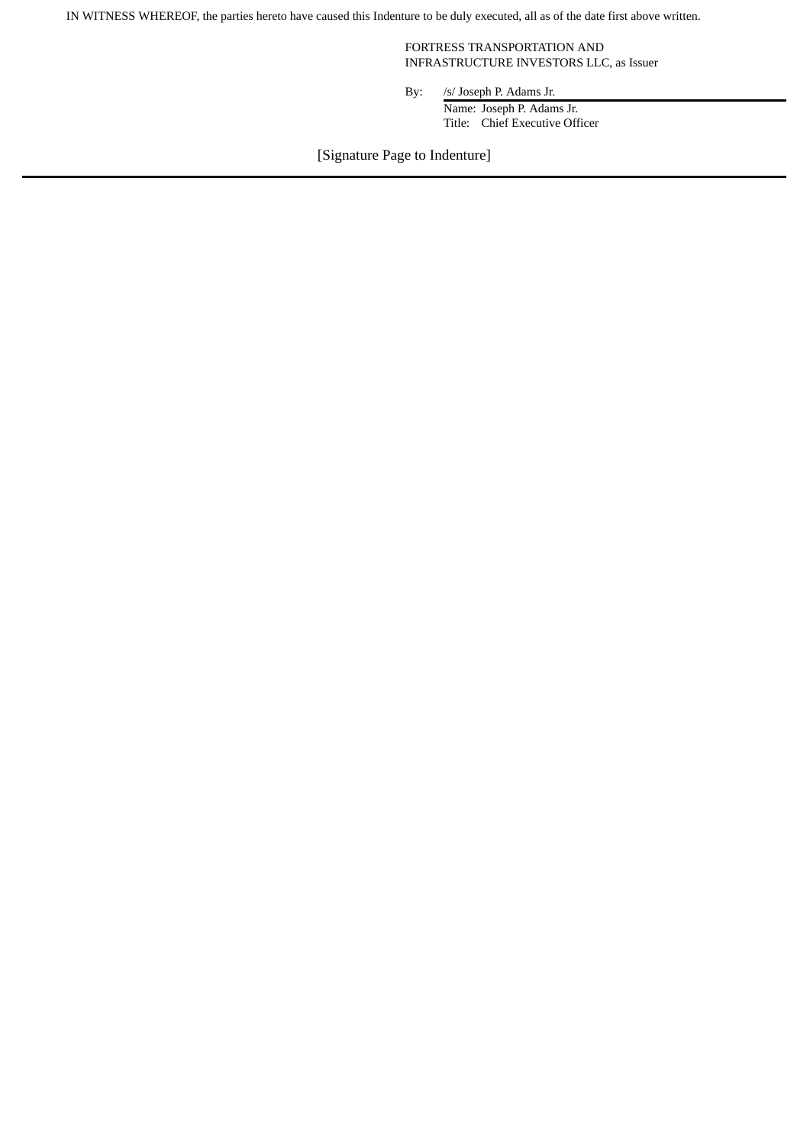IN WITNESS WHEREOF, the parties hereto have caused this Indenture to be duly executed, all as of the date first above written.

FORTRESS TRANSPORTATION AND INFRASTRUCTURE INVESTORS LLC, as Issuer

By: /s/ Joseph P. Adams Jr. Name: Joseph P. Adams Jr. Title: Chief Executive Officer

[Signature Page to Indenture]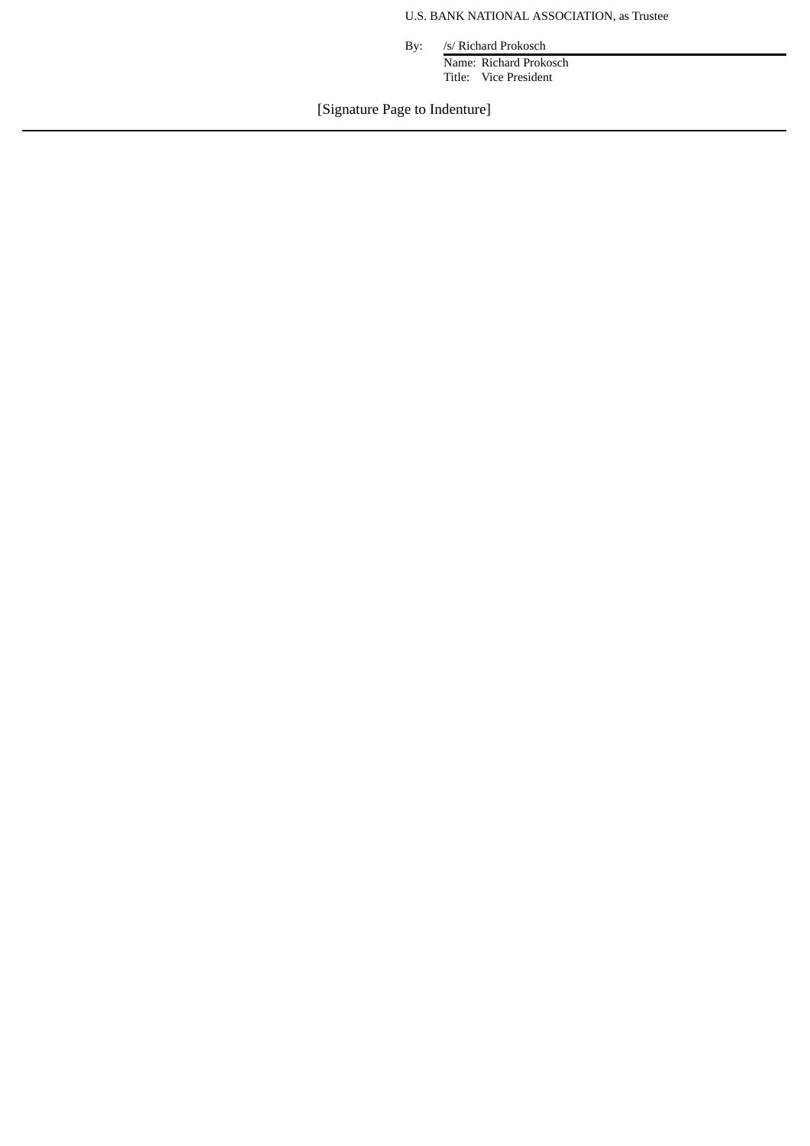# U.S. BANK NATIONAL ASSOCIATION, as Trustee

By: /s/ Richard Prokosch

Name: Richard Prokosch Title: Vice President

[Signature Page to Indenture]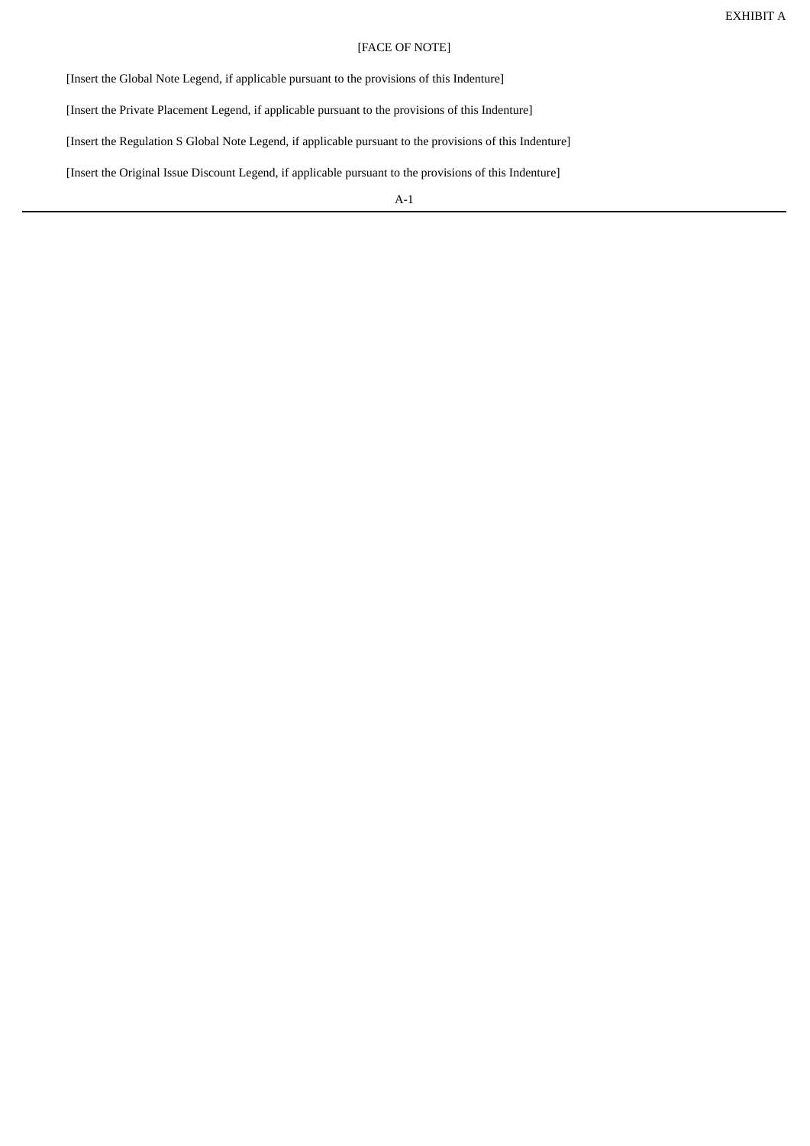# [FACE OF NOTE]

[Insert the Global Note Legend, if applicable pursuant to the provisions of this Indenture]

[Insert the Private Placement Legend, if applicable pursuant to the provisions of this Indenture]

[Insert the Regulation S Global Note Legend, if applicable pursuant to the provisions of this Indenture]

[Insert the Original Issue Discount Legend, if applicable pursuant to the provisions of this Indenture]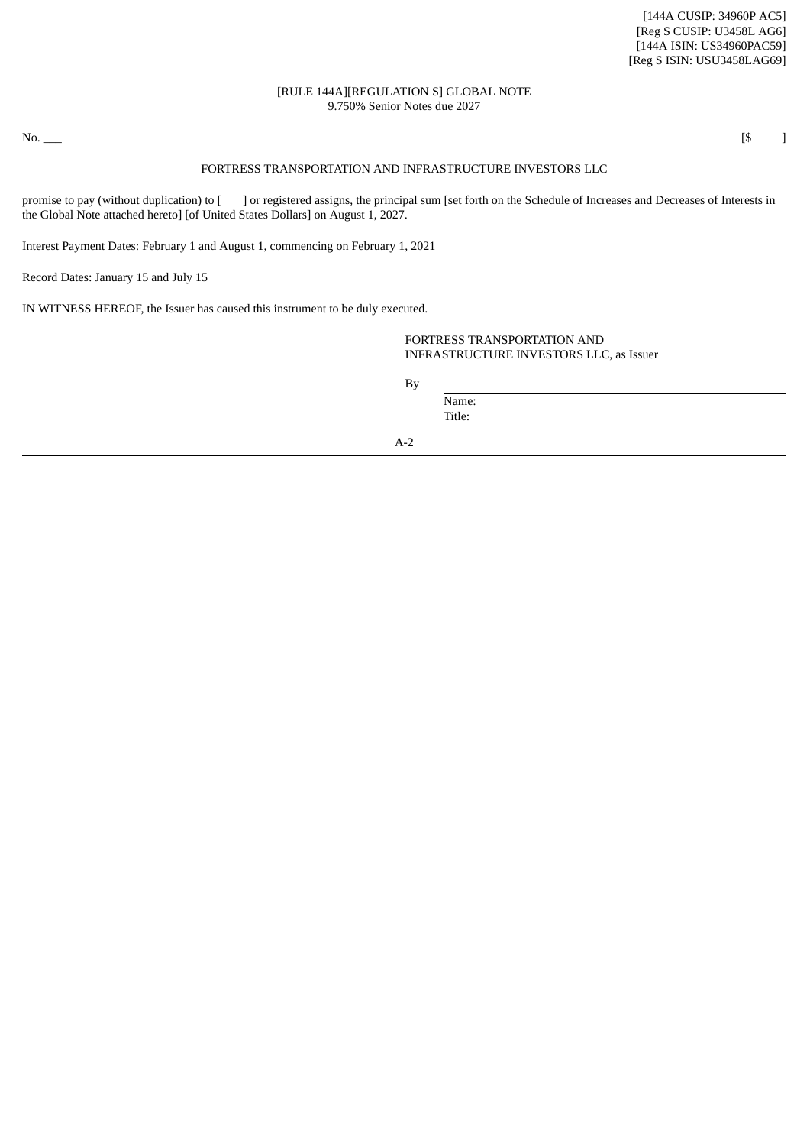## [RULE 144A][REGULATION S] GLOBAL NOTE 9.750% Senior Notes due 2027

No. \_\_\_ (\$ )

## FORTRESS TRANSPORTATION AND INFRASTRUCTURE INVESTORS LLC

promise to pay (without duplication) to [ ] or registered assigns, the principal sum [set forth on the Schedule of Increases and Decreases of Interests in the Global Note attached hereto] [of United States Dollars] on August 1, 2027.

Interest Payment Dates: February 1 and August 1, commencing on February 1, 2021

Record Dates: January 15 and July 15

IN WITNESS HEREOF, the Issuer has caused this instrument to be duly executed.

FORTRESS TRANSPORTATION AND INFRASTRUCTURE INVESTORS LLC, as Issuer

By

Name: Title: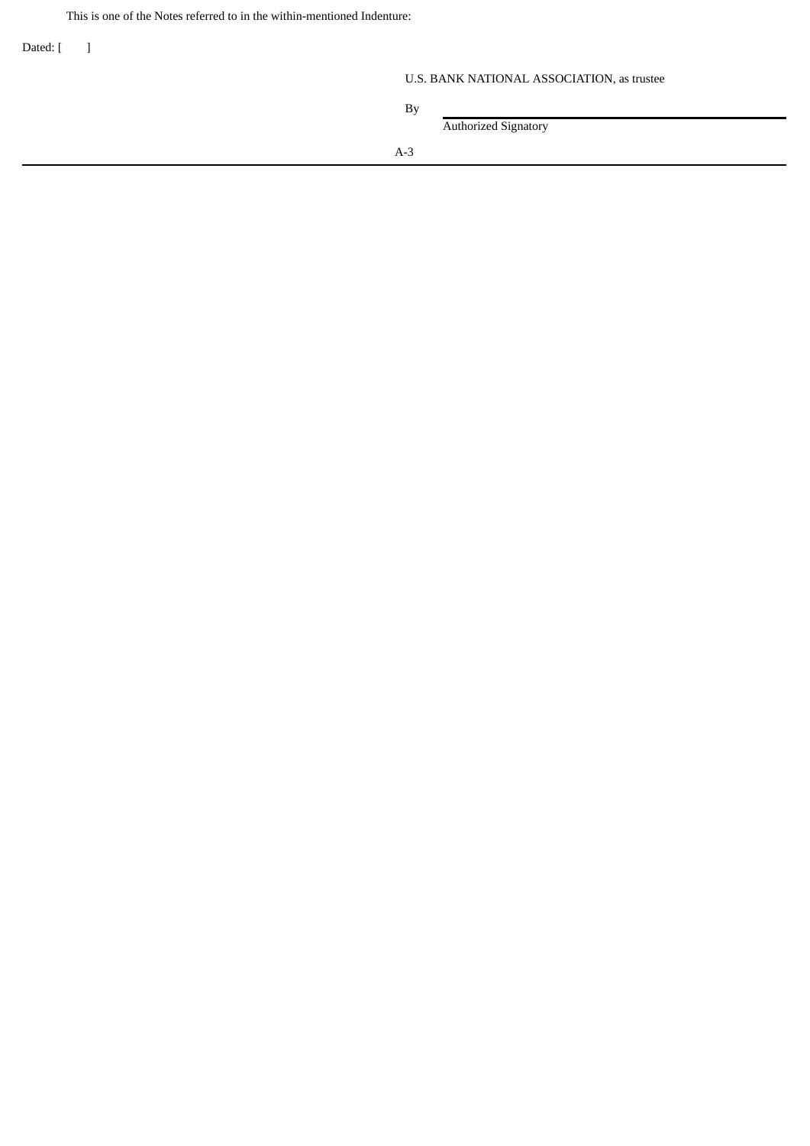This is one of the Notes referred to in the within-mentioned Indenture:

Dated: [ ]

# U.S. BANK NATIONAL ASSOCIATION, as trustee

|       | <b>Authorized Signatory</b> |  |  |
|-------|-----------------------------|--|--|
| $A-3$ |                             |  |  |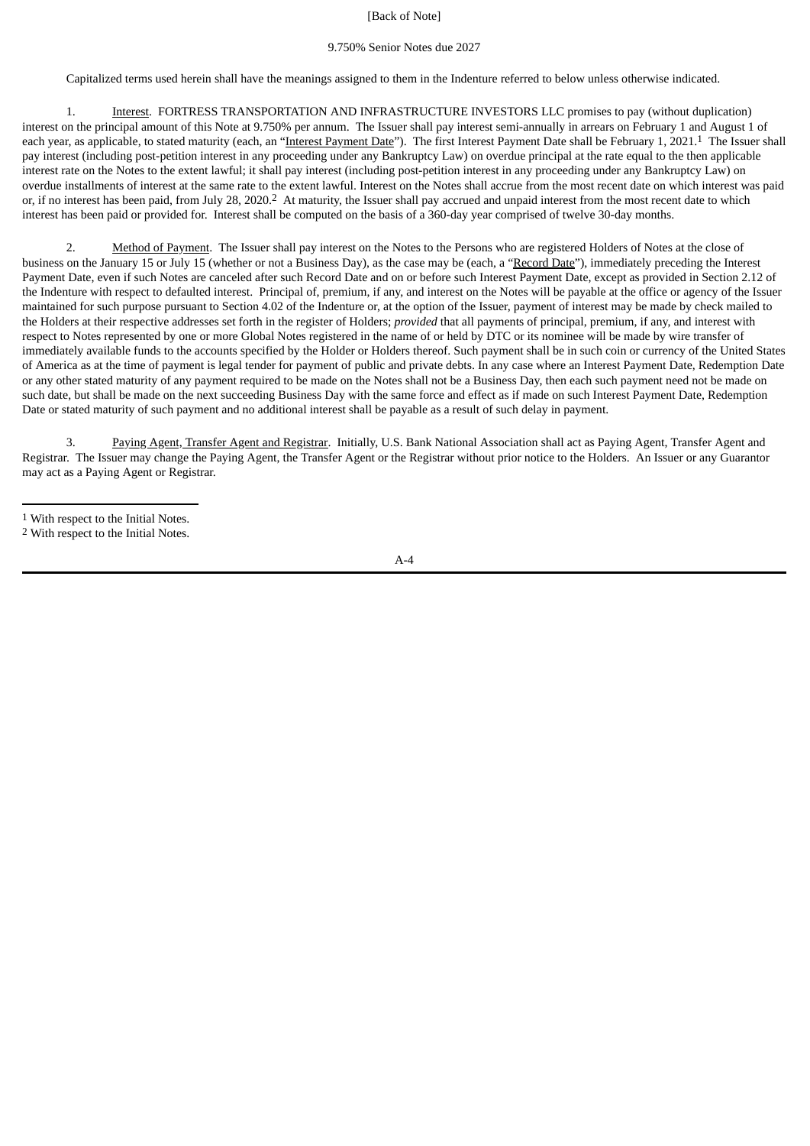# [Back of Note]

# 9.750% Senior Notes due 2027

Capitalized terms used herein shall have the meanings assigned to them in the Indenture referred to below unless otherwise indicated.

1. Interest. FORTRESS TRANSPORTATION AND INFRASTRUCTURE INVESTORS LLC promises to pay (without duplication) interest on the principal amount of this Note at 9.750% per annum. The Issuer shall pay interest semi-annually in arrears on February 1 and August 1 of each year, as applicable, to stated maturity (each, an "Interest Payment Date"). The first Interest Payment Date shall be February 1, 2021.<sup>1</sup> The Issuer shall pay interest (including post-petition interest in any proceeding under any Bankruptcy Law) on overdue principal at the rate equal to the then applicable interest rate on the Notes to the extent lawful; it shall pay interest (including post-petition interest in any proceeding under any Bankruptcy Law) on overdue installments of interest at the same rate to the extent lawful. Interest on the Notes shall accrue from the most recent date on which interest was paid or, if no interest has been paid, from July 28, 2020.2 At maturity, the Issuer shall pay accrued and unpaid interest from the most recent date to which interest has been paid or provided for. Interest shall be computed on the basis of a 360-day year comprised of twelve 30-day months.

2. Method of Payment. The Issuer shall pay interest on the Notes to the Persons who are registered Holders of Notes at the close of business on the January 15 or July 15 (whether or not a Business Day), as the case may be (each, a "Record Date"), immediately preceding the Interest Payment Date, even if such Notes are canceled after such Record Date and on or before such Interest Payment Date, except as provided in Section 2.12 of the Indenture with respect to defaulted interest. Principal of, premium, if any, and interest on the Notes will be payable at the office or agency of the Issuer maintained for such purpose pursuant to Section 4.02 of the Indenture or, at the option of the Issuer, payment of interest may be made by check mailed to the Holders at their respective addresses set forth in the register of Holders; *provided* that all payments of principal, premium, if any, and interest with respect to Notes represented by one or more Global Notes registered in the name of or held by DTC or its nominee will be made by wire transfer of immediately available funds to the accounts specified by the Holder or Holders thereof. Such payment shall be in such coin or currency of the United States of America as at the time of payment is legal tender for payment of public and private debts. In any case where an Interest Payment Date, Redemption Date or any other stated maturity of any payment required to be made on the Notes shall not be a Business Day, then each such payment need not be made on such date, but shall be made on the next succeeding Business Day with the same force and effect as if made on such Interest Payment Date, Redemption Date or stated maturity of such payment and no additional interest shall be payable as a result of such delay in payment.

3. Paying Agent, Transfer Agent and Registrar. Initially, U.S. Bank National Association shall act as Paying Agent, Transfer Agent and Registrar. The Issuer may change the Paying Agent, the Transfer Agent or the Registrar without prior notice to the Holders. An Issuer or any Guarantor may act as a Paying Agent or Registrar.

 $A - 4$ 

<sup>1</sup> With respect to the Initial Notes.

<sup>2</sup> With respect to the Initial Notes.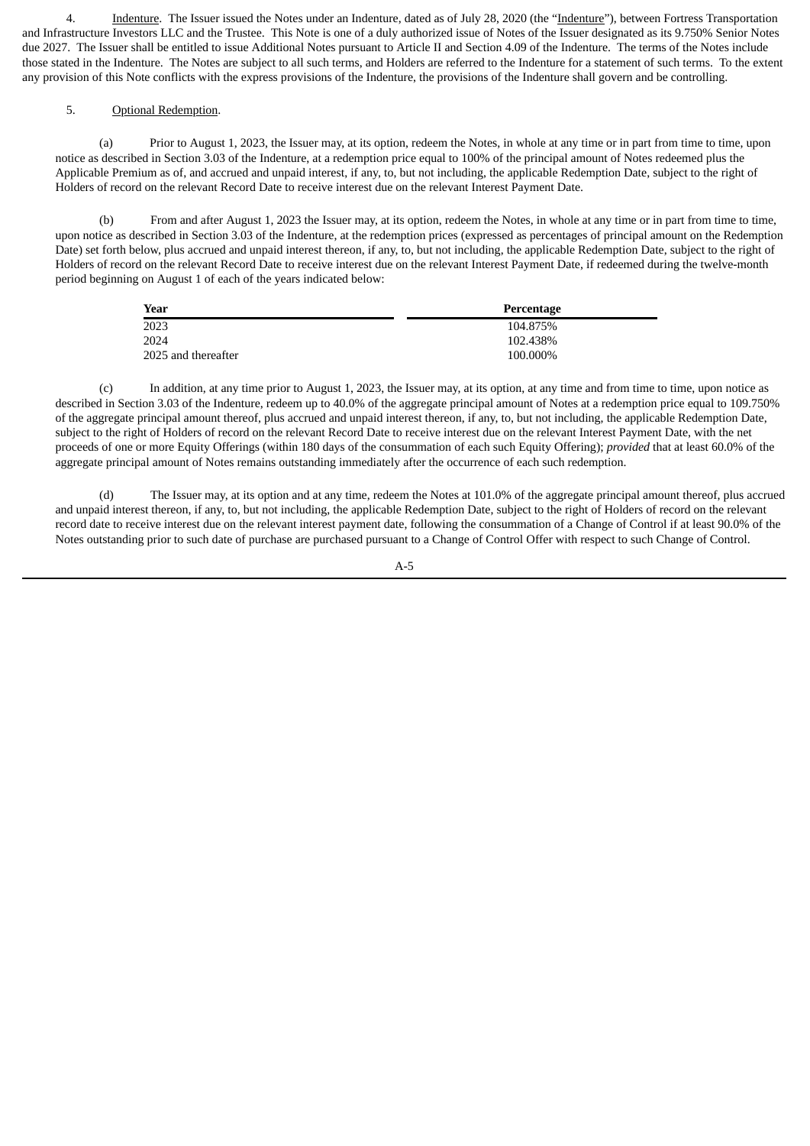4. Indenture. The Issuer issued the Notes under an Indenture, dated as of July 28, 2020 (the "Indenture"), between Fortress Transportation and Infrastructure Investors LLC and the Trustee. This Note is one of a duly authorized issue of Notes of the Issuer designated as its 9.750% Senior Notes due 2027. The Issuer shall be entitled to issue Additional Notes pursuant to Article II and Section 4.09 of the Indenture. The terms of the Notes include those stated in the Indenture. The Notes are subject to all such terms, and Holders are referred to the Indenture for a statement of such terms. To the extent any provision of this Note conflicts with the express provisions of the Indenture, the provisions of the Indenture shall govern and be controlling.

# 5. Optional Redemption.

(a) Prior to August 1, 2023, the Issuer may, at its option, redeem the Notes, in whole at any time or in part from time to time, upon notice as described in Section 3.03 of the Indenture, at a redemption price equal to 100% of the principal amount of Notes redeemed plus the Applicable Premium as of, and accrued and unpaid interest, if any, to, but not including, the applicable Redemption Date, subject to the right of Holders of record on the relevant Record Date to receive interest due on the relevant Interest Payment Date.

(b) From and after August 1, 2023 the Issuer may, at its option, redeem the Notes, in whole at any time or in part from time to time, upon notice as described in Section 3.03 of the Indenture, at the redemption prices (expressed as percentages of principal amount on the Redemption Date) set forth below, plus accrued and unpaid interest thereon, if any, to, but not including, the applicable Redemption Date, subject to the right of Holders of record on the relevant Record Date to receive interest due on the relevant Interest Payment Date, if redeemed during the twelve-month period beginning on August 1 of each of the years indicated below:

| Year                | Percentage |
|---------------------|------------|
| 2023                | 104.875%   |
| 2024                | 102.438%   |
| 2025 and thereafter | 100.000%   |

(c) In addition, at any time prior to August 1, 2023, the Issuer may, at its option, at any time and from time to time, upon notice as described in Section 3.03 of the Indenture, redeem up to 40.0% of the aggregate principal amount of Notes at a redemption price equal to 109.750% of the aggregate principal amount thereof, plus accrued and unpaid interest thereon, if any, to, but not including, the applicable Redemption Date, subject to the right of Holders of record on the relevant Record Date to receive interest due on the relevant Interest Payment Date, with the net proceeds of one or more Equity Offerings (within 180 days of the consummation of each such Equity Offering); *provided* that at least 60.0% of the aggregate principal amount of Notes remains outstanding immediately after the occurrence of each such redemption.

(d) The Issuer may, at its option and at any time, redeem the Notes at 101.0% of the aggregate principal amount thereof, plus accrued and unpaid interest thereon, if any, to, but not including, the applicable Redemption Date, subject to the right of Holders of record on the relevant record date to receive interest due on the relevant interest payment date, following the consummation of a Change of Control if at least 90.0% of the Notes outstanding prior to such date of purchase are purchased pursuant to a Change of Control Offer with respect to such Change of Control.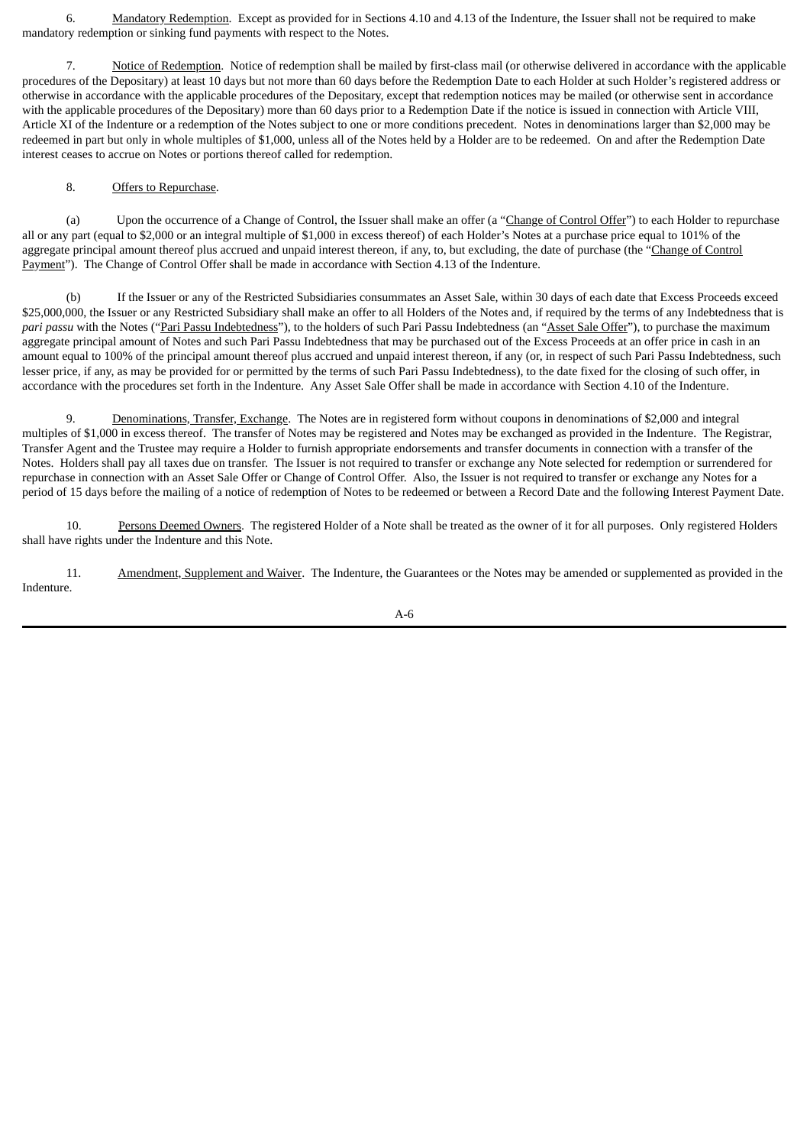6. Mandatory Redemption. Except as provided for in Sections 4.10 and 4.13 of the Indenture, the Issuer shall not be required to make mandatory redemption or sinking fund payments with respect to the Notes.

7. Notice of Redemption. Notice of redemption shall be mailed by first-class mail (or otherwise delivered in accordance with the applicable procedures of the Depositary) at least 10 days but not more than 60 days before the Redemption Date to each Holder at such Holder's registered address or otherwise in accordance with the applicable procedures of the Depositary, except that redemption notices may be mailed (or otherwise sent in accordance with the applicable procedures of the Depositary) more than 60 days prior to a Redemption Date if the notice is issued in connection with Article VIII, Article XI of the Indenture or a redemption of the Notes subject to one or more conditions precedent. Notes in denominations larger than \$2,000 may be redeemed in part but only in whole multiples of \$1,000, unless all of the Notes held by a Holder are to be redeemed. On and after the Redemption Date interest ceases to accrue on Notes or portions thereof called for redemption.

## 8. Offers to Repurchase.

(a) Upon the occurrence of a Change of Control, the Issuer shall make an offer (a "Change of Control Offer") to each Holder to repurchase all or any part (equal to \$2,000 or an integral multiple of \$1,000 in excess thereof) of each Holder's Notes at a purchase price equal to 101% of the aggregate principal amount thereof plus accrued and unpaid interest thereon, if any, to, but excluding, the date of purchase (the "Change of Control Payment"). The Change of Control Offer shall be made in accordance with Section 4.13 of the Indenture.

If the Issuer or any of the Restricted Subsidiaries consummates an Asset Sale, within 30 days of each date that Excess Proceeds exceed \$25,000,000, the Issuer or any Restricted Subsidiary shall make an offer to all Holders of the Notes and, if required by the terms of any Indebtedness that is *pari passu* with the Notes ("Pari Passu Indebtedness"), to the holders of such Pari Passu Indebtedness (an "Asset Sale Offer"), to purchase the maximum aggregate principal amount of Notes and such Pari Passu Indebtedness that may be purchased out of the Excess Proceeds at an offer price in cash in an amount equal to 100% of the principal amount thereof plus accrued and unpaid interest thereon, if any (or, in respect of such Pari Passu Indebtedness, such lesser price, if any, as may be provided for or permitted by the terms of such Pari Passu Indebtedness), to the date fixed for the closing of such offer, in accordance with the procedures set forth in the Indenture. Any Asset Sale Offer shall be made in accordance with Section 4.10 of the Indenture.

9. Denominations, Transfer, Exchange. The Notes are in registered form without coupons in denominations of \$2,000 and integral multiples of \$1,000 in excess thereof. The transfer of Notes may be registered and Notes may be exchanged as provided in the Indenture. The Registrar, Transfer Agent and the Trustee may require a Holder to furnish appropriate endorsements and transfer documents in connection with a transfer of the Notes. Holders shall pay all taxes due on transfer. The Issuer is not required to transfer or exchange any Note selected for redemption or surrendered for repurchase in connection with an Asset Sale Offer or Change of Control Offer. Also, the Issuer is not required to transfer or exchange any Notes for a period of 15 days before the mailing of a notice of redemption of Notes to be redeemed or between a Record Date and the following Interest Payment Date.

10. Persons Deemed Owners. The registered Holder of a Note shall be treated as the owner of it for all purposes. Only registered Holders shall have rights under the Indenture and this Note.

11. Amendment, Supplement and Waiver. The Indenture, the Guarantees or the Notes may be amended or supplemented as provided in the Indenture.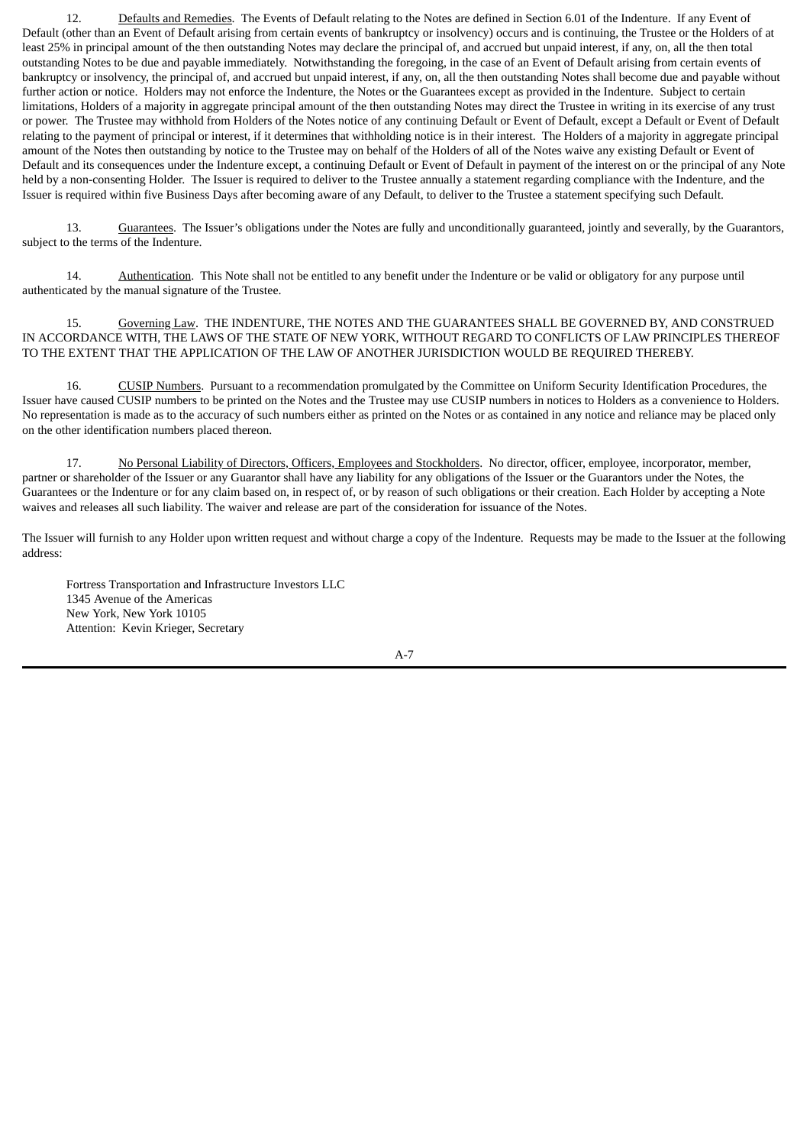12. Defaults and Remedies. The Events of Default relating to the Notes are defined in Section 6.01 of the Indenture. If any Event of Default (other than an Event of Default arising from certain events of bankruptcy or insolvency) occurs and is continuing, the Trustee or the Holders of at least 25% in principal amount of the then outstanding Notes may declare the principal of, and accrued but unpaid interest, if any, on, all the then total outstanding Notes to be due and payable immediately. Notwithstanding the foregoing, in the case of an Event of Default arising from certain events of bankruptcy or insolvency, the principal of, and accrued but unpaid interest, if any, on, all the then outstanding Notes shall become due and payable without further action or notice. Holders may not enforce the Indenture, the Notes or the Guarantees except as provided in the Indenture. Subject to certain limitations, Holders of a majority in aggregate principal amount of the then outstanding Notes may direct the Trustee in writing in its exercise of any trust or power. The Trustee may withhold from Holders of the Notes notice of any continuing Default or Event of Default, except a Default or Event of Default relating to the payment of principal or interest, if it determines that withholding notice is in their interest. The Holders of a majority in aggregate principal amount of the Notes then outstanding by notice to the Trustee may on behalf of the Holders of all of the Notes waive any existing Default or Event of Default and its consequences under the Indenture except, a continuing Default or Event of Default in payment of the interest on or the principal of any Note held by a non-consenting Holder. The Issuer is required to deliver to the Trustee annually a statement regarding compliance with the Indenture, and the Issuer is required within five Business Days after becoming aware of any Default, to deliver to the Trustee a statement specifying such Default.

13. Guarantees. The Issuer's obligations under the Notes are fully and unconditionally guaranteed, jointly and severally, by the Guarantors, subject to the terms of the Indenture.

14. Authentication. This Note shall not be entitled to any benefit under the Indenture or be valid or obligatory for any purpose until authenticated by the manual signature of the Trustee.

15. Governing Law. THE INDENTURE, THE NOTES AND THE GUARANTEES SHALL BE GOVERNED BY, AND CONSTRUED IN ACCORDANCE WITH, THE LAWS OF THE STATE OF NEW YORK, WITHOUT REGARD TO CONFLICTS OF LAW PRINCIPLES THEREOF TO THE EXTENT THAT THE APPLICATION OF THE LAW OF ANOTHER JURISDICTION WOULD BE REQUIRED THEREBY.

16. CUSIP Numbers. Pursuant to a recommendation promulgated by the Committee on Uniform Security Identification Procedures, the Issuer have caused CUSIP numbers to be printed on the Notes and the Trustee may use CUSIP numbers in notices to Holders as a convenience to Holders. No representation is made as to the accuracy of such numbers either as printed on the Notes or as contained in any notice and reliance may be placed only on the other identification numbers placed thereon.

17. No Personal Liability of Directors, Officers, Employees and Stockholders. No director, officer, employee, incorporator, member, partner or shareholder of the Issuer or any Guarantor shall have any liability for any obligations of the Issuer or the Guarantors under the Notes, the Guarantees or the Indenture or for any claim based on, in respect of, or by reason of such obligations or their creation. Each Holder by accepting a Note waives and releases all such liability. The waiver and release are part of the consideration for issuance of the Notes.

The Issuer will furnish to any Holder upon written request and without charge a copy of the Indenture. Requests may be made to the Issuer at the following address:

Fortress Transportation and Infrastructure Investors LLC 1345 Avenue of the Americas New York, New York 10105 Attention: Kevin Krieger, Secretary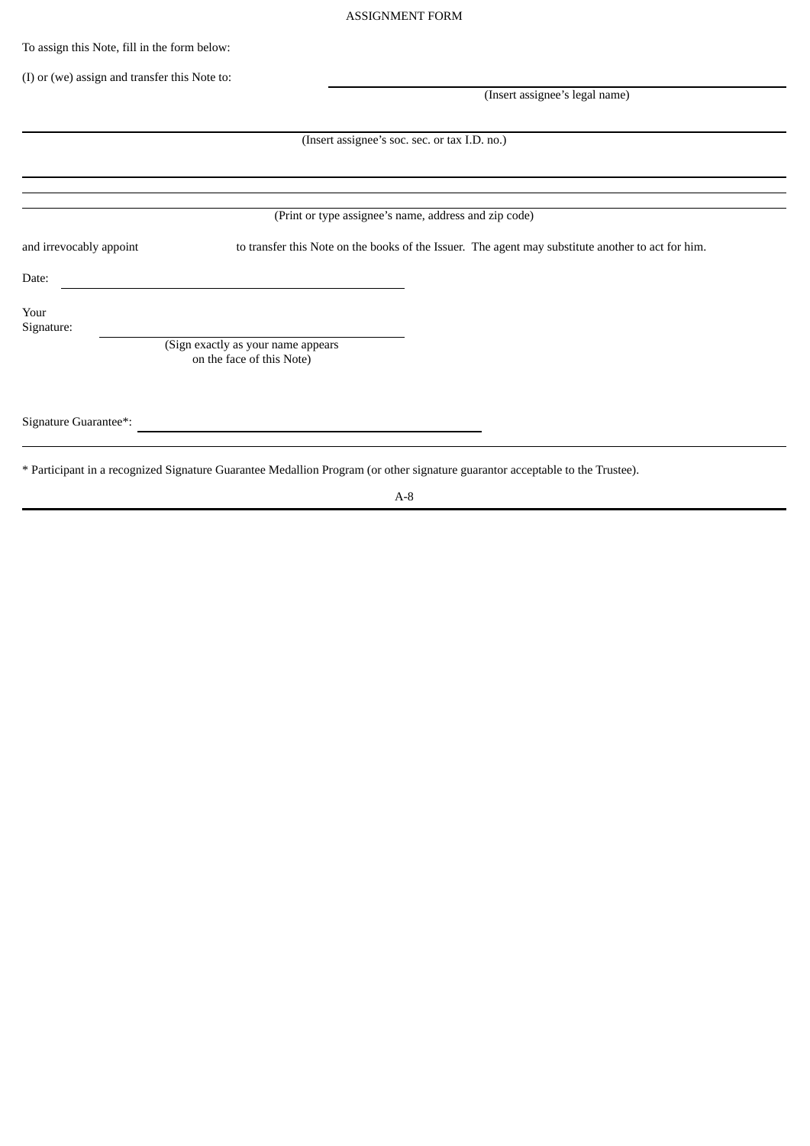To assign this Note, fill in the form below:

(I) or (we) assign and transfer this Note to:

(Insert assignee's legal name)

(Insert assignee's soc. sec. or tax I.D. no.)

(Print or type assignee's name, address and zip code)

and irrevocably appoint to transfer this Note on the books of the Issuer. The agent may substitute another to act for him.

Date:

Your Signature:

> (Sign exactly as your name appears on the face of this Note)

Signature Guarantee\*:

\* Participant in a recognized Signature Guarantee Medallion Program (or other signature guarantor acceptable to the Trustee).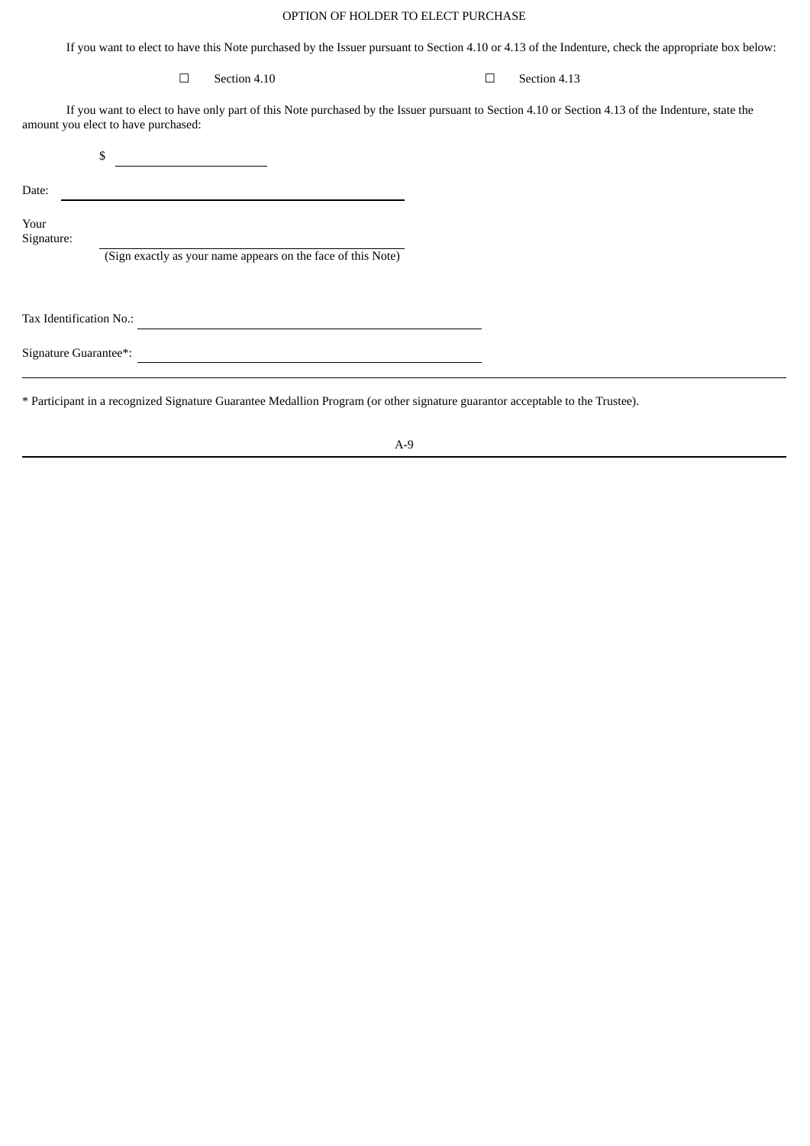# OPTION OF HOLDER TO ELECT PURCHASE

If you want to elect to have this Note purchased by the Issuer pursuant to Section 4.10 or 4.13 of the Indenture, check the appropriate box below:

# $\Box$  Section 4.10  $\Box$  Section 4.13

If you want to elect to have only part of this Note purchased by the Issuer pursuant to Section 4.10 or Section 4.13 of the Indenture, state the amount you elect to have purchased:

|                         | \$                                                           |
|-------------------------|--------------------------------------------------------------|
| Date:                   |                                                              |
| Your<br>Signature:      |                                                              |
|                         | (Sign exactly as your name appears on the face of this Note) |
|                         |                                                              |
| Tax Identification No.: |                                                              |
| Signature Guarantee*:   |                                                              |

\* Participant in a recognized Signature Guarantee Medallion Program (or other signature guarantor acceptable to the Trustee).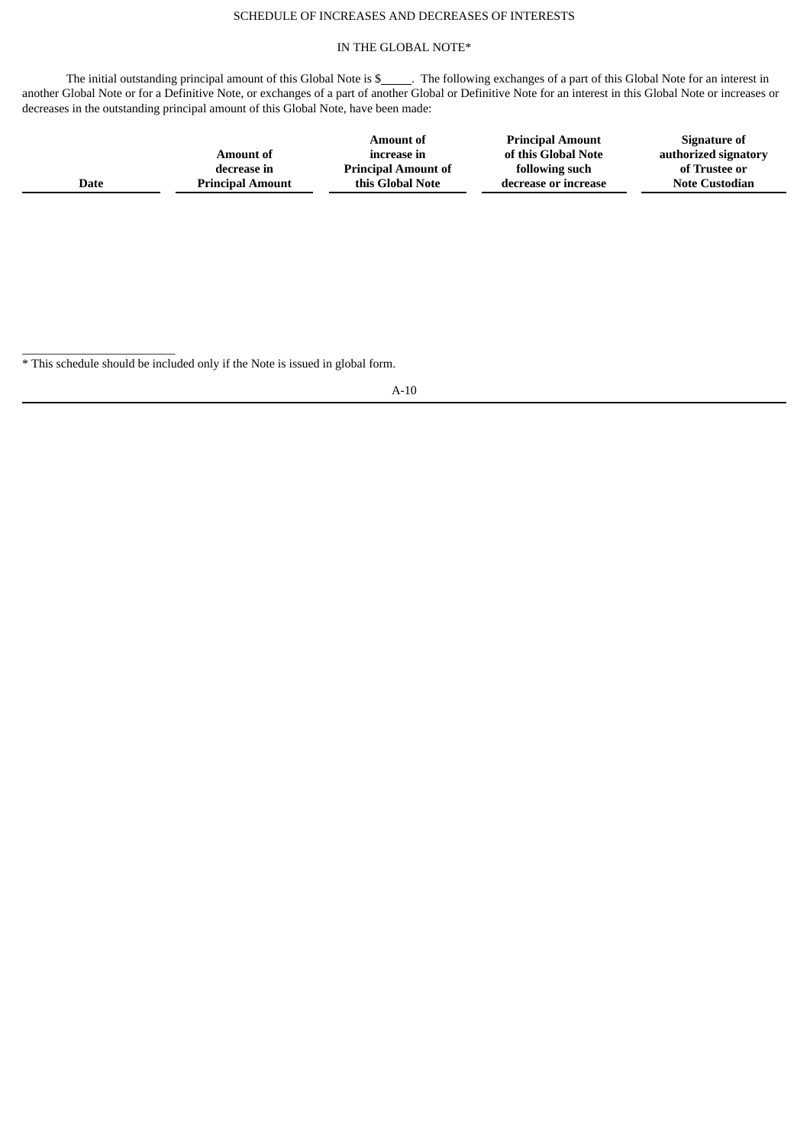# SCHEDULE OF INCREASES AND DECREASES OF INTERESTS

# IN THE GLOBAL NOTE\*

The initial outstanding principal amount of this Global Note is \$\_\_\_\_\_\_. The following exchanges of a part of this Global Note for an interest in another Global Note or for a Definitive Note, or exchanges of a part of another Global or Definitive Note for an interest in this Global Note or increases or decreases in the outstanding principal amount of this Global Note, have been made:

|      | Amount of               | <b>Amount of</b><br>increase in | <b>Principal Amount</b><br>of this Global Note | Signature of<br>authorized signatory |
|------|-------------------------|---------------------------------|------------------------------------------------|--------------------------------------|
|      | decrease in             | <b>Principal Amount of</b>      | following such                                 | of Trustee or                        |
| Date | <b>Principal Amount</b> | this Global Note                | decrease or increase                           | <b>Note Custodian</b>                |
|      |                         |                                 |                                                |                                      |

 $\_$ \* This schedule should be included only if the Note is issued in global form.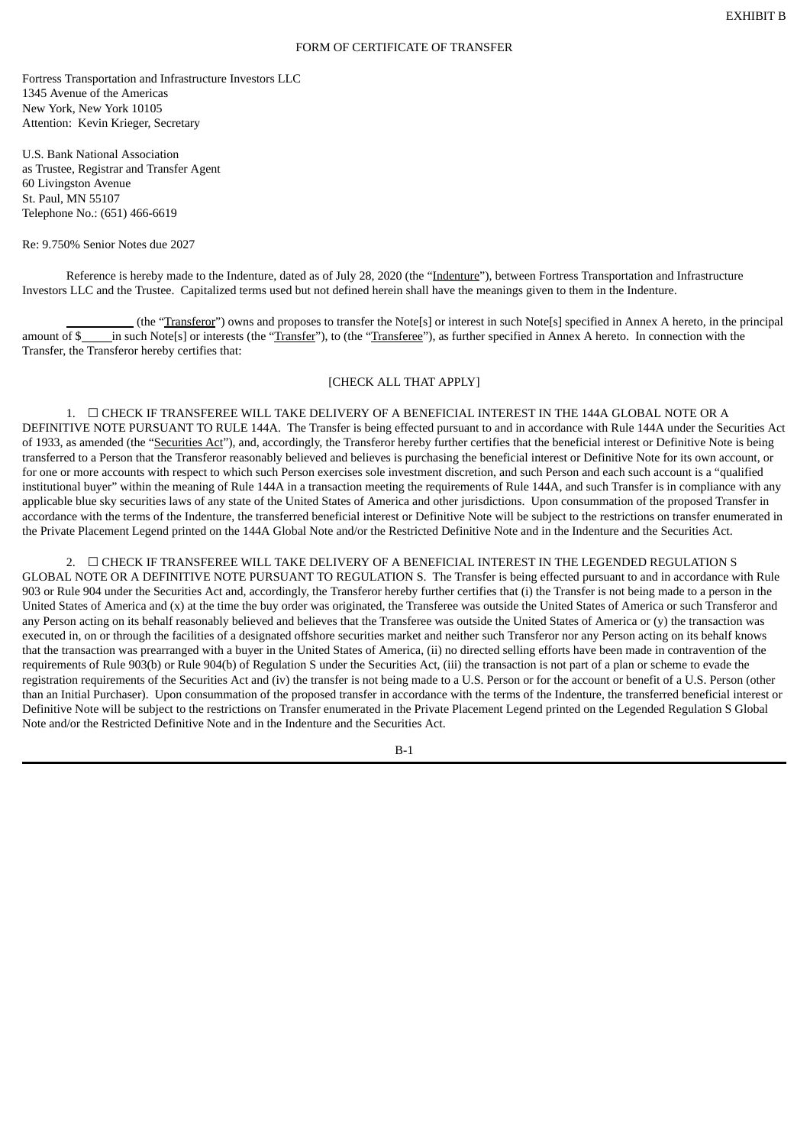#### FORM OF CERTIFICATE OF TRANSFER

Fortress Transportation and Infrastructure Investors LLC 1345 Avenue of the Americas New York, New York 10105 Attention: Kevin Krieger, Secretary

U.S. Bank National Association as Trustee, Registrar and Transfer Agent 60 Livingston Avenue St. Paul, MN 55107 Telephone No.: (651) 466-6619

#### Re: 9.750% Senior Notes due 2027

Reference is hereby made to the Indenture, dated as of July 28, 2020 (the "Indenture"), between Fortress Transportation and Infrastructure Investors LLC and the Trustee. Capitalized terms used but not defined herein shall have the meanings given to them in the Indenture.

(the "Transferor") owns and proposes to transfer the Note[s] or interest in such Note[s] specified in Annex A hereto, in the principal amount of \$ in such Note[s] or interests (the "Transfer"), to (the "Transferee"), as further specified in Annex A hereto. In connection with the Transfer, the Transferor hereby certifies that:

## [CHECK ALL THAT APPLY]

1.  $\Box$  CHECK IF TRANSFEREE WILL TAKE DELIVERY OF A BENEFICIAL INTEREST IN THE 144A GLOBAL NOTE OR A DEFINITIVE NOTE PURSUANT TO RULE 144A. The Transfer is being effected pursuant to and in accordance with Rule 144A under the Securities Act of 1933, as amended (the "Securities Act"), and, accordingly, the Transferor hereby further certifies that the beneficial interest or Definitive Note is being transferred to a Person that the Transferor reasonably believed and believes is purchasing the beneficial interest or Definitive Note for its own account, or for one or more accounts with respect to which such Person exercises sole investment discretion, and such Person and each such account is a "qualified institutional buyer" within the meaning of Rule 144A in a transaction meeting the requirements of Rule 144A, and such Transfer is in compliance with any applicable blue sky securities laws of any state of the United States of America and other jurisdictions. Upon consummation of the proposed Transfer in accordance with the terms of the Indenture, the transferred beneficial interest or Definitive Note will be subject to the restrictions on transfer enumerated in the Private Placement Legend printed on the 144A Global Note and/or the Restricted Definitive Note and in the Indenture and the Securities Act.

2. ☐ CHECK IF TRANSFEREE WILL TAKE DELIVERY OF A BENEFICIAL INTEREST IN THE LEGENDED REGULATION S GLOBAL NOTE OR A DEFINITIVE NOTE PURSUANT TO REGULATION S. The Transfer is being effected pursuant to and in accordance with Rule 903 or Rule 904 under the Securities Act and, accordingly, the Transferor hereby further certifies that (i) the Transfer is not being made to a person in the United States of America and (x) at the time the buy order was originated, the Transferee was outside the United States of America or such Transferor and any Person acting on its behalf reasonably believed and believes that the Transferee was outside the United States of America or (y) the transaction was executed in, on or through the facilities of a designated offshore securities market and neither such Transferor nor any Person acting on its behalf knows that the transaction was prearranged with a buyer in the United States of America, (ii) no directed selling efforts have been made in contravention of the requirements of Rule 903(b) or Rule 904(b) of Regulation S under the Securities Act, (iii) the transaction is not part of a plan or scheme to evade the registration requirements of the Securities Act and (iv) the transfer is not being made to a U.S. Person or for the account or benefit of a U.S. Person (other than an Initial Purchaser). Upon consummation of the proposed transfer in accordance with the terms of the Indenture, the transferred beneficial interest or Definitive Note will be subject to the restrictions on Transfer enumerated in the Private Placement Legend printed on the Legended Regulation S Global Note and/or the Restricted Definitive Note and in the Indenture and the Securities Act.

B-1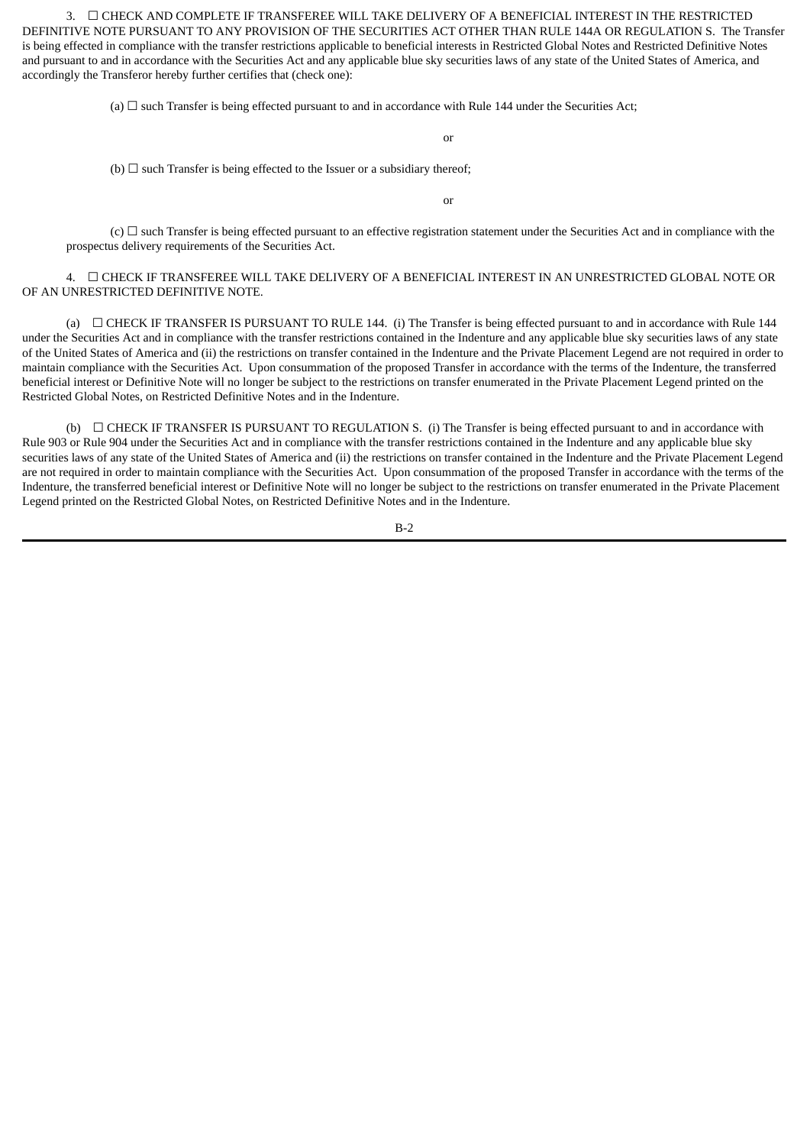3. ☐ CHECK AND COMPLETE IF TRANSFEREE WILL TAKE DELIVERY OF A BENEFICIAL INTEREST IN THE RESTRICTED DEFINITIVE NOTE PURSUANT TO ANY PROVISION OF THE SECURITIES ACT OTHER THAN RULE 144A OR REGULATION S. The Transfer is being effected in compliance with the transfer restrictions applicable to beneficial interests in Restricted Global Notes and Restricted Definitive Notes and pursuant to and in accordance with the Securities Act and any applicable blue sky securities laws of any state of the United States of America, and accordingly the Transferor hereby further certifies that (check one):

(a)  $\Box$  such Transfer is being effected pursuant to and in accordance with Rule 144 under the Securities Act;

or

(b)  $\Box$  such Transfer is being effected to the Issuer or a subsidiary thereof;

or

 $(c)$   $\Box$  such Transfer is being effected pursuant to an effective registration statement under the Securities Act and in compliance with the prospectus delivery requirements of the Securities Act.

4. ☐ CHECK IF TRANSFEREE WILL TAKE DELIVERY OF A BENEFICIAL INTEREST IN AN UNRESTRICTED GLOBAL NOTE OR OF AN UNRESTRICTED DEFINITIVE NOTE.

(a) ☐ CHECK IF TRANSFER IS PURSUANT TO RULE 144. (i) The Transfer is being effected pursuant to and in accordance with Rule 144 under the Securities Act and in compliance with the transfer restrictions contained in the Indenture and any applicable blue sky securities laws of any state of the United States of America and (ii) the restrictions on transfer contained in the Indenture and the Private Placement Legend are not required in order to maintain compliance with the Securities Act. Upon consummation of the proposed Transfer in accordance with the terms of the Indenture, the transferred beneficial interest or Definitive Note will no longer be subject to the restrictions on transfer enumerated in the Private Placement Legend printed on the Restricted Global Notes, on Restricted Definitive Notes and in the Indenture.

(b)  $\Box$  CHECK IF TRANSFER IS PURSUANT TO REGULATION S. (i) The Transfer is being effected pursuant to and in accordance with Rule 903 or Rule 904 under the Securities Act and in compliance with the transfer restrictions contained in the Indenture and any applicable blue sky securities laws of any state of the United States of America and (ii) the restrictions on transfer contained in the Indenture and the Private Placement Legend are not required in order to maintain compliance with the Securities Act. Upon consummation of the proposed Transfer in accordance with the terms of the Indenture, the transferred beneficial interest or Definitive Note will no longer be subject to the restrictions on transfer enumerated in the Private Placement Legend printed on the Restricted Global Notes, on Restricted Definitive Notes and in the Indenture.

B-2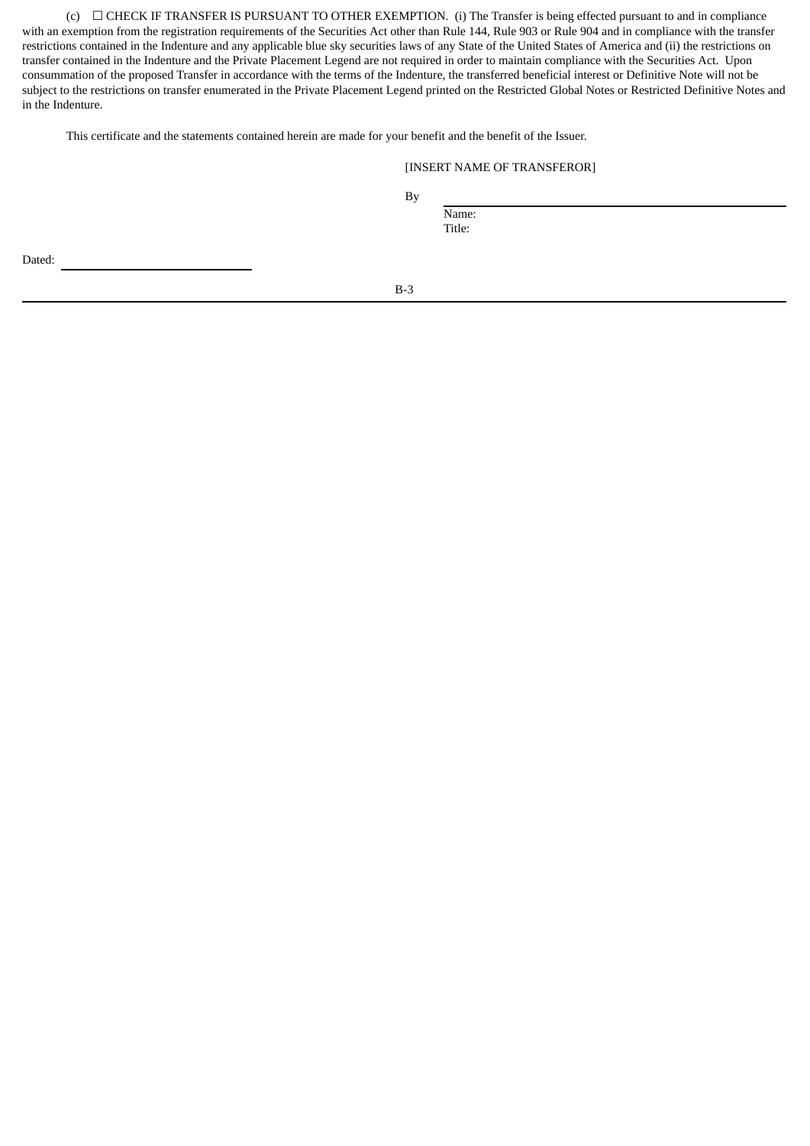(c) ☐ CHECK IF TRANSFER IS PURSUANT TO OTHER EXEMPTION. (i) The Transfer is being effected pursuant to and in compliance with an exemption from the registration requirements of the Securities Act other than Rule 144, Rule 903 or Rule 904 and in compliance with the transfer restrictions contained in the Indenture and any applicable blue sky securities laws of any State of the United States of America and (ii) the restrictions on transfer contained in the Indenture and the Private Placement Legend are not required in order to maintain compliance with the Securities Act. Upon consummation of the proposed Transfer in accordance with the terms of the Indenture, the transferred beneficial interest or Definitive Note will not be subject to the restrictions on transfer enumerated in the Private Placement Legend printed on the Restricted Global Notes or Restricted Definitive Notes and in the Indenture.

This certificate and the statements contained herein are made for your benefit and the benefit of the Issuer.

## [INSERT NAME OF TRANSFEROR]

By

Name: Title:

Dated:

B-3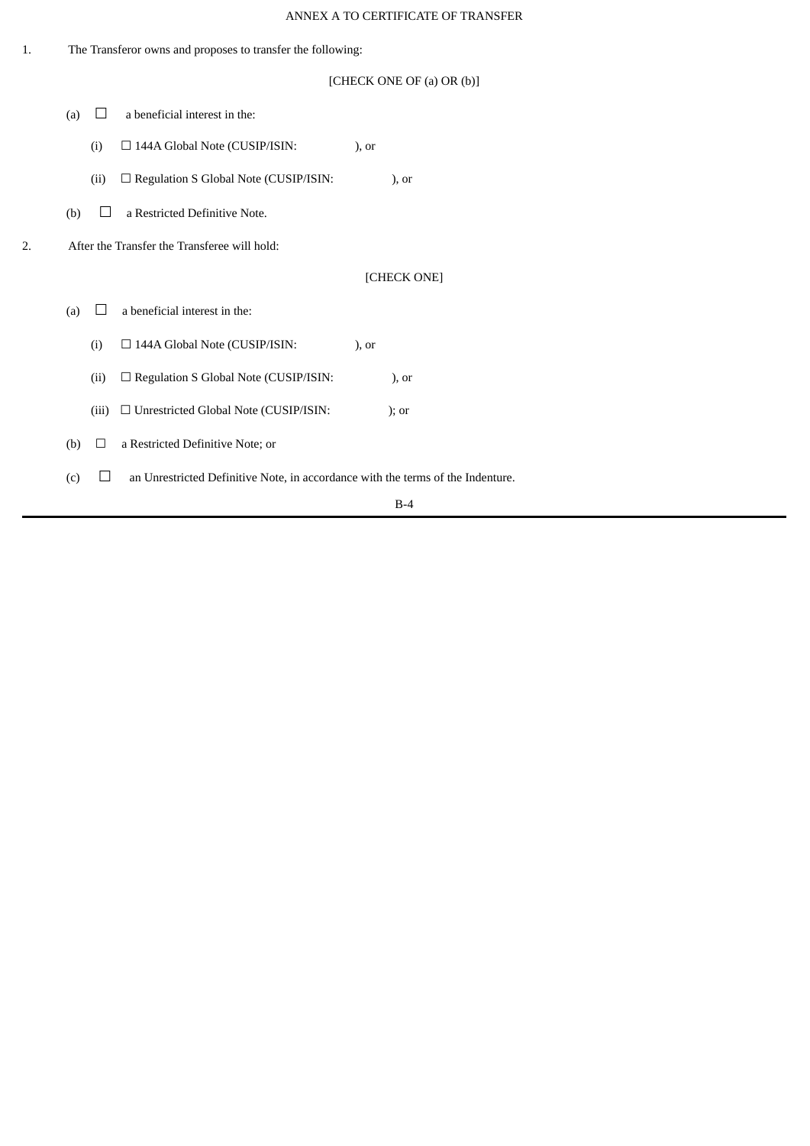# ANNEX A TO CERTIFICATE OF TRANSFER

| 1. | The Transferor owns and proposes to transfer the following: |              |                                                                                 |               |               |
|----|-------------------------------------------------------------|--------------|---------------------------------------------------------------------------------|---------------|---------------|
|    | [CHECK ONE OF (a) OR (b)]                                   |              |                                                                                 |               |               |
|    | (a)                                                         | $\perp$      | a beneficial interest in the:                                                   |               |               |
|    |                                                             | (i)          | □ 144A Global Note (CUSIP/ISIN:                                                 | $)$ , or      |               |
|    |                                                             | (ii)         | $\square$ Regulation S Global Note (CUSIP/ISIN:                                 |               | $\alpha$ , or |
|    | (b)                                                         | ×.           | a Restricted Definitive Note.                                                   |               |               |
| 2. |                                                             |              | After the Transfer the Transferee will hold:                                    |               |               |
|    | [CHECK ONE]                                                 |              |                                                                                 |               |               |
|    | (a)                                                         | $\mathbf{L}$ | a beneficial interest in the:                                                   |               |               |
|    |                                                             | (i)          | □ 144A Global Note (CUSIP/ISIN:                                                 | $\alpha$ , or |               |
|    |                                                             | (ii)         | □ Regulation S Global Note (CUSIP/ISIN:                                         |               | $\alpha$ , or |
|    |                                                             | (iii)        | $\Box$ Unrestricted Global Note (CUSIP/ISIN:                                    |               | $)$ ; or      |
|    | (b)                                                         | $\Box$       | a Restricted Definitive Note; or                                                |               |               |
|    | (c)                                                         | ⊔            | an Unrestricted Definitive Note, in accordance with the terms of the Indenture. |               |               |
|    | $B-4$                                                       |              |                                                                                 |               |               |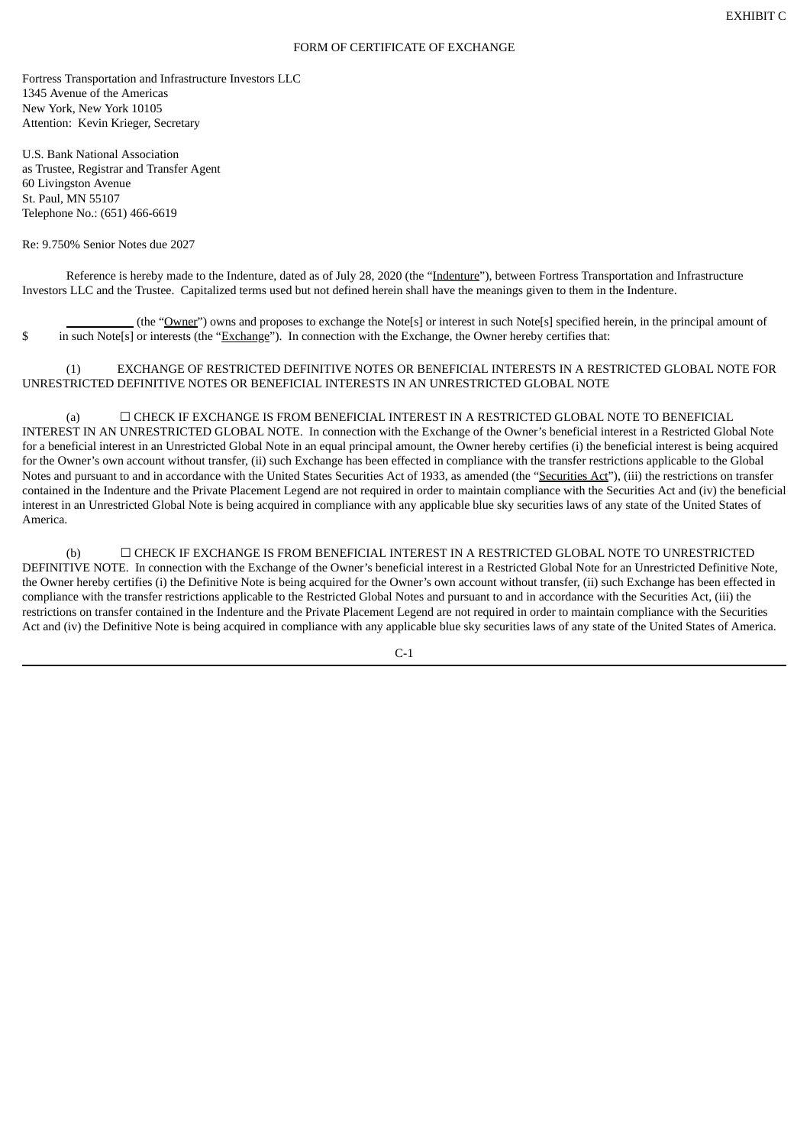#### FORM OF CERTIFICATE OF EXCHANGE

Fortress Transportation and Infrastructure Investors LLC 1345 Avenue of the Americas New York, New York 10105 Attention: Kevin Krieger, Secretary

U.S. Bank National Association as Trustee, Registrar and Transfer Agent 60 Livingston Avenue St. Paul, MN 55107 Telephone No.: (651) 466-6619

#### Re: 9.750% Senior Notes due 2027

Reference is hereby made to the Indenture, dated as of July 28, 2020 (the "Indenture"), between Fortress Transportation and Infrastructure Investors LLC and the Trustee. Capitalized terms used but not defined herein shall have the meanings given to them in the Indenture.

(the "Owner") owns and proposes to exchange the Note[s] or interest in such Note[s] specified herein, in the principal amount of \$ in such Note[s] or interests (the "Exchange"). In connection with the Exchange, the Owner hereby certifies that:

(1) EXCHANGE OF RESTRICTED DEFINITIVE NOTES OR BENEFICIAL INTERESTS IN A RESTRICTED GLOBAL NOTE FOR UNRESTRICTED DEFINITIVE NOTES OR BENEFICIAL INTERESTS IN AN UNRESTRICTED GLOBAL NOTE

(a) ☐ CHECK IF EXCHANGE IS FROM BENEFICIAL INTEREST IN A RESTRICTED GLOBAL NOTE TO BENEFICIAL INTEREST IN AN UNRESTRICTED GLOBAL NOTE. In connection with the Exchange of the Owner's beneficial interest in a Restricted Global Note for a beneficial interest in an Unrestricted Global Note in an equal principal amount, the Owner hereby certifies (i) the beneficial interest is being acquired for the Owner's own account without transfer, (ii) such Exchange has been effected in compliance with the transfer restrictions applicable to the Global Notes and pursuant to and in accordance with the United States Securities Act of 1933, as amended (the "Securities Act"), (iii) the restrictions on transfer contained in the Indenture and the Private Placement Legend are not required in order to maintain compliance with the Securities Act and (iv) the beneficial interest in an Unrestricted Global Note is being acquired in compliance with any applicable blue sky securities laws of any state of the United States of America.

(b) ☐ CHECK IF EXCHANGE IS FROM BENEFICIAL INTEREST IN A RESTRICTED GLOBAL NOTE TO UNRESTRICTED DEFINITIVE NOTE. In connection with the Exchange of the Owner's beneficial interest in a Restricted Global Note for an Unrestricted Definitive Note, the Owner hereby certifies (i) the Definitive Note is being acquired for the Owner's own account without transfer, (ii) such Exchange has been effected in compliance with the transfer restrictions applicable to the Restricted Global Notes and pursuant to and in accordance with the Securities Act, (iii) the restrictions on transfer contained in the Indenture and the Private Placement Legend are not required in order to maintain compliance with the Securities Act and (iv) the Definitive Note is being acquired in compliance with any applicable blue sky securities laws of any state of the United States of America.

 $C-1$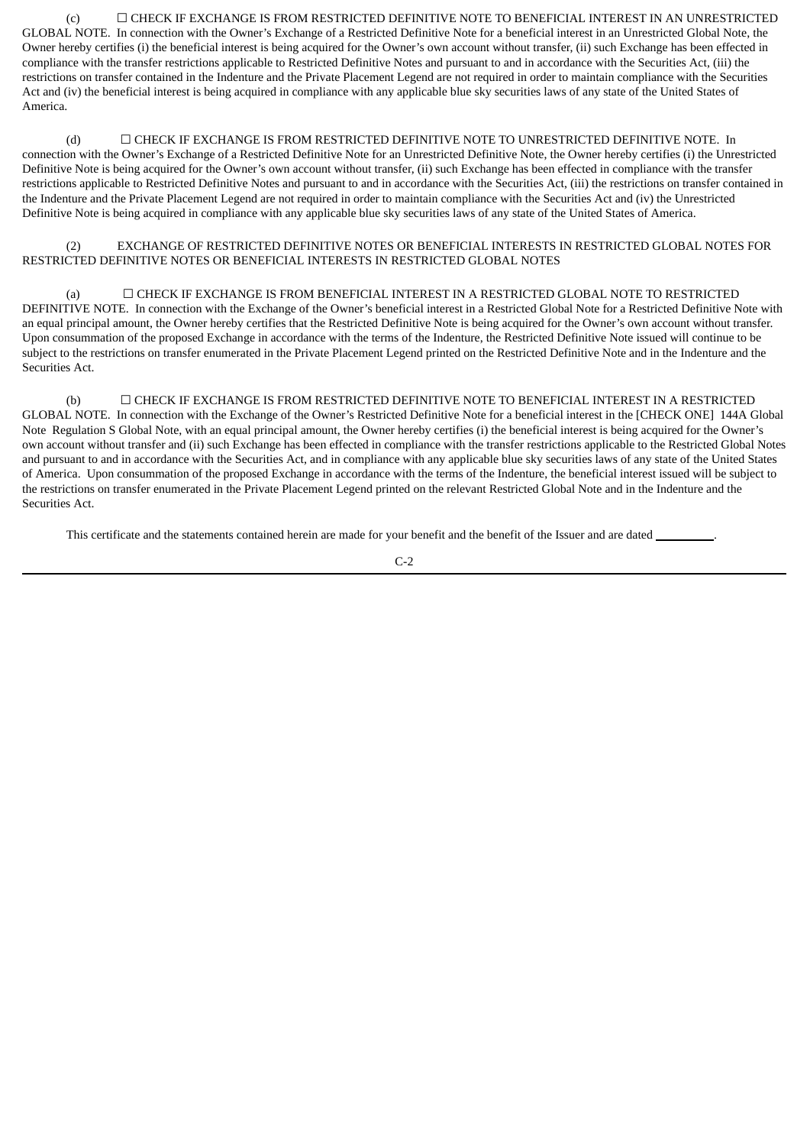(c) ☐ CHECK IF EXCHANGE IS FROM RESTRICTED DEFINITIVE NOTE TO BENEFICIAL INTEREST IN AN UNRESTRICTED GLOBAL NOTE. In connection with the Owner's Exchange of a Restricted Definitive Note for a beneficial interest in an Unrestricted Global Note, the Owner hereby certifies (i) the beneficial interest is being acquired for the Owner's own account without transfer, (ii) such Exchange has been effected in compliance with the transfer restrictions applicable to Restricted Definitive Notes and pursuant to and in accordance with the Securities Act, (iii) the restrictions on transfer contained in the Indenture and the Private Placement Legend are not required in order to maintain compliance with the Securities Act and (iv) the beneficial interest is being acquired in compliance with any applicable blue sky securities laws of any state of the United States of America.

(d) ☐ CHECK IF EXCHANGE IS FROM RESTRICTED DEFINITIVE NOTE TO UNRESTRICTED DEFINITIVE NOTE. In connection with the Owner's Exchange of a Restricted Definitive Note for an Unrestricted Definitive Note, the Owner hereby certifies (i) the Unrestricted Definitive Note is being acquired for the Owner's own account without transfer, (ii) such Exchange has been effected in compliance with the transfer restrictions applicable to Restricted Definitive Notes and pursuant to and in accordance with the Securities Act, (iii) the restrictions on transfer contained in the Indenture and the Private Placement Legend are not required in order to maintain compliance with the Securities Act and (iv) the Unrestricted Definitive Note is being acquired in compliance with any applicable blue sky securities laws of any state of the United States of America.

# (2) EXCHANGE OF RESTRICTED DEFINITIVE NOTES OR BENEFICIAL INTERESTS IN RESTRICTED GLOBAL NOTES FOR RESTRICTED DEFINITIVE NOTES OR BENEFICIAL INTERESTS IN RESTRICTED GLOBAL NOTES

(a) ☐ CHECK IF EXCHANGE IS FROM BENEFICIAL INTEREST IN A RESTRICTED GLOBAL NOTE TO RESTRICTED DEFINITIVE NOTE. In connection with the Exchange of the Owner's beneficial interest in a Restricted Global Note for a Restricted Definitive Note with an equal principal amount, the Owner hereby certifies that the Restricted Definitive Note is being acquired for the Owner's own account without transfer. Upon consummation of the proposed Exchange in accordance with the terms of the Indenture, the Restricted Definitive Note issued will continue to be subject to the restrictions on transfer enumerated in the Private Placement Legend printed on the Restricted Definitive Note and in the Indenture and the Securities Act.

(b) ☐ CHECK IF EXCHANGE IS FROM RESTRICTED DEFINITIVE NOTE TO BENEFICIAL INTEREST IN A RESTRICTED GLOBAL NOTE. In connection with the Exchange of the Owner's Restricted Definitive Note for a beneficial interest in the [CHECK ONE] 144A Global Note Regulation S Global Note, with an equal principal amount, the Owner hereby certifies (i) the beneficial interest is being acquired for the Owner's own account without transfer and (ii) such Exchange has been effected in compliance with the transfer restrictions applicable to the Restricted Global Notes and pursuant to and in accordance with the Securities Act, and in compliance with any applicable blue sky securities laws of any state of the United States of America. Upon consummation of the proposed Exchange in accordance with the terms of the Indenture, the beneficial interest issued will be subject to the restrictions on transfer enumerated in the Private Placement Legend printed on the relevant Restricted Global Note and in the Indenture and the Securities Act.

This certificate and the statements contained herein are made for your benefit and the benefit of the Issuer and are dated

$$
C-2
$$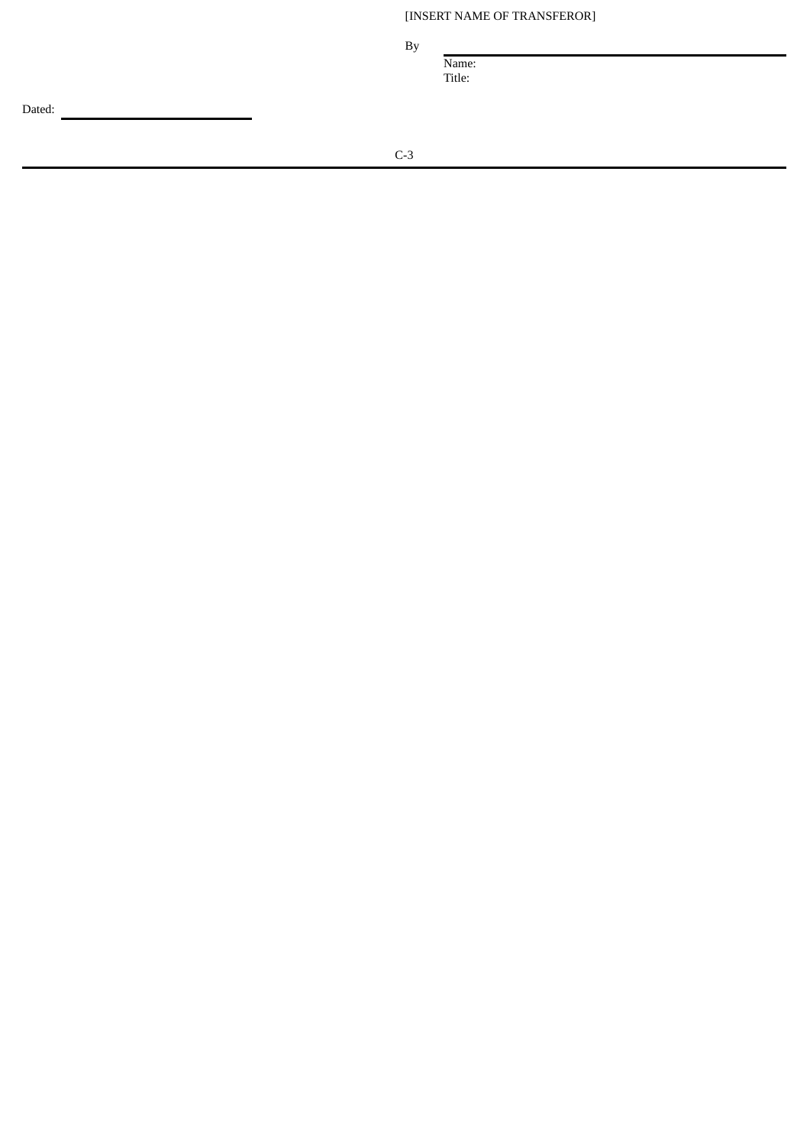[INSERT NAME OF TRANSFEROR]

B y

Name: Title:

Dated: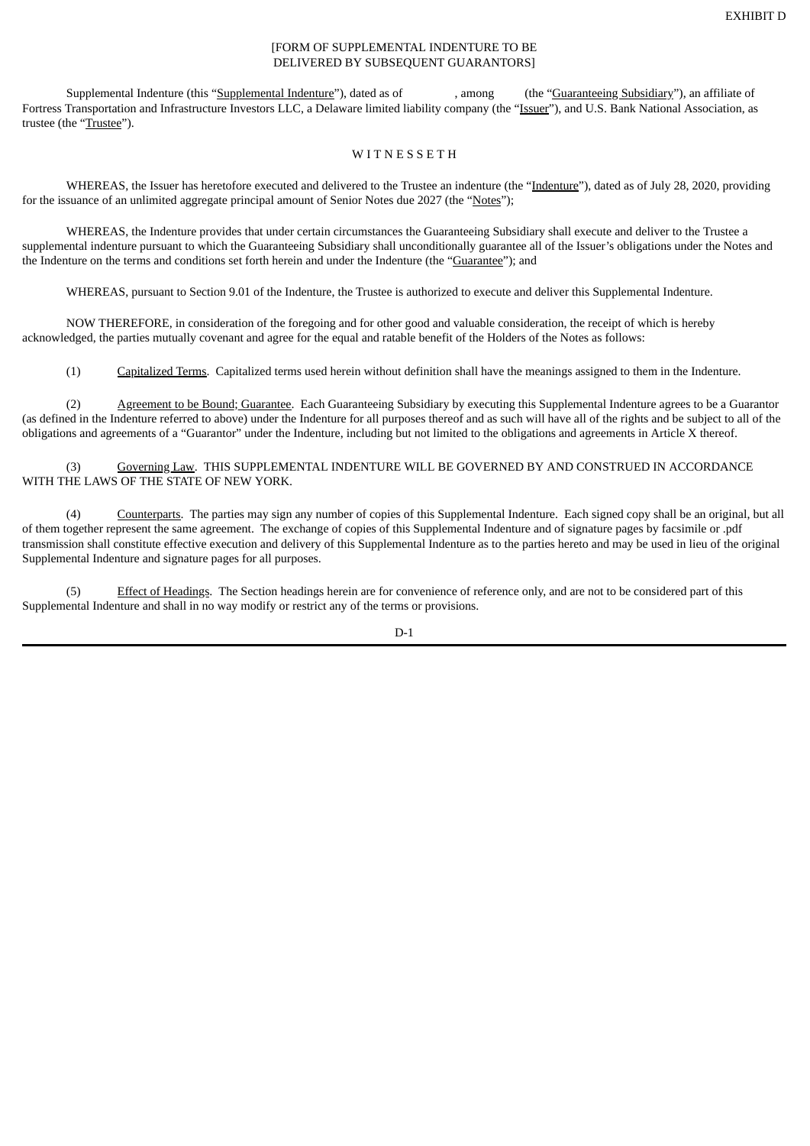## [FORM OF SUPPLEMENTAL INDENTURE TO BE DELIVERED BY SUBSEQUENT GUARANTORS]

Supplemental Indenture (this "Supplemental Indenture"), dated as of , among (the "Guaranteeing Subsidiary"), an affiliate of Fortress Transportation and Infrastructure Investors LLC, a Delaware limited liability company (the "Issuer"), and U.S. Bank National Association, as trustee (the "Trustee").

## WITNESSETH

WHEREAS, the Issuer has heretofore executed and delivered to the Trustee an indenture (the "Indenture"), dated as of July 28, 2020, providing for the issuance of an unlimited aggregate principal amount of Senior Notes due 2027 (the "Notes");

WHEREAS, the Indenture provides that under certain circumstances the Guaranteeing Subsidiary shall execute and deliver to the Trustee a supplemental indenture pursuant to which the Guaranteeing Subsidiary shall unconditionally guarantee all of the Issuer's obligations under the Notes and the Indenture on the terms and conditions set forth herein and under the Indenture (the "Guarantee"); and

WHEREAS, pursuant to Section 9.01 of the Indenture, the Trustee is authorized to execute and deliver this Supplemental Indenture.

NOW THEREFORE, in consideration of the foregoing and for other good and valuable consideration, the receipt of which is hereby acknowledged, the parties mutually covenant and agree for the equal and ratable benefit of the Holders of the Notes as follows:

(1) Capitalized Terms. Capitalized terms used herein without definition shall have the meanings assigned to them in the Indenture.

(2) Agreement to be Bound; Guarantee. Each Guaranteeing Subsidiary by executing this Supplemental Indenture agrees to be a Guarantor (as defined in the Indenture referred to above) under the Indenture for all purposes thereof and as such will have all of the rights and be subject to all of the obligations and agreements of a "Guarantor" under the Indenture, including but not limited to the obligations and agreements in Article X thereof.

(3) Governing Law. THIS SUPPLEMENTAL INDENTURE WILL BE GOVERNED BY AND CONSTRUED IN ACCORDANCE WITH THE LAWS OF THE STATE OF NEW YORK.

Counterparts. The parties may sign any number of copies of this Supplemental Indenture. Each signed copy shall be an original, but all of them together represent the same agreement. The exchange of copies of this Supplemental Indenture and of signature pages by facsimile or .pdf transmission shall constitute effective execution and delivery of this Supplemental Indenture as to the parties hereto and may be used in lieu of the original Supplemental Indenture and signature pages for all purposes.

(5) Effect of Headings. The Section headings herein are for convenience of reference only, and are not to be considered part of this Supplemental Indenture and shall in no way modify or restrict any of the terms or provisions.

D-1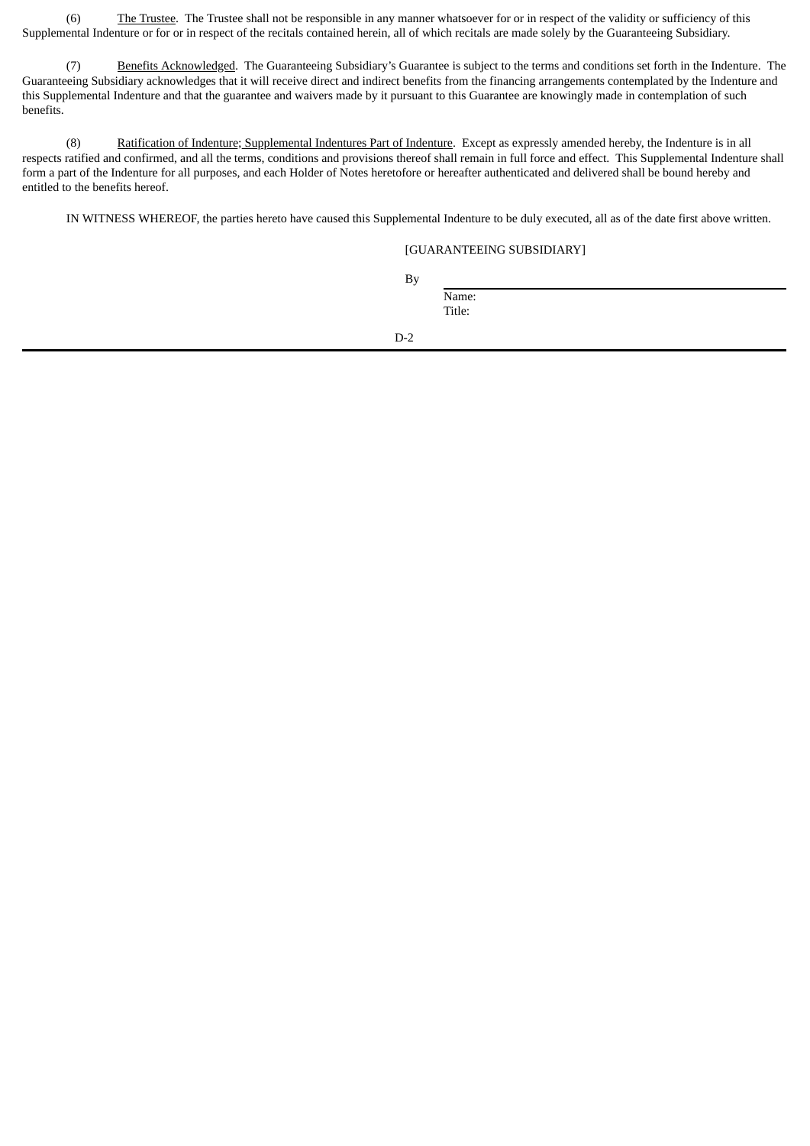(6) The Trustee. The Trustee shall not be responsible in any manner whatsoever for or in respect of the validity or sufficiency of this Supplemental Indenture or for or in respect of the recitals contained herein, all of which recitals are made solely by the Guaranteeing Subsidiary.

(7) Benefits Acknowledged. The Guaranteeing Subsidiary's Guarantee is subject to the terms and conditions set forth in the Indenture. The Guaranteeing Subsidiary acknowledges that it will receive direct and indirect benefits from the financing arrangements contemplated by the Indenture and this Supplemental Indenture and that the guarantee and waivers made by it pursuant to this Guarantee are knowingly made in contemplation of such benefits.

(8) Ratification of Indenture; Supplemental Indentures Part of Indenture. Except as expressly amended hereby, the Indenture is in all respects ratified and confirmed, and all the terms, conditions and provisions thereof shall remain in full force and effect. This Supplemental Indenture shall form a part of the Indenture for all purposes, and each Holder of Notes heretofore or hereafter authenticated and delivered shall be bound hereby and entitled to the benefits hereof.

IN WITNESS WHEREOF, the parties hereto have caused this Supplemental Indenture to be duly executed, all as of the date first above written.

# [GUARANTEEING SUBSIDIARY]

By

Name: Title:

D-2